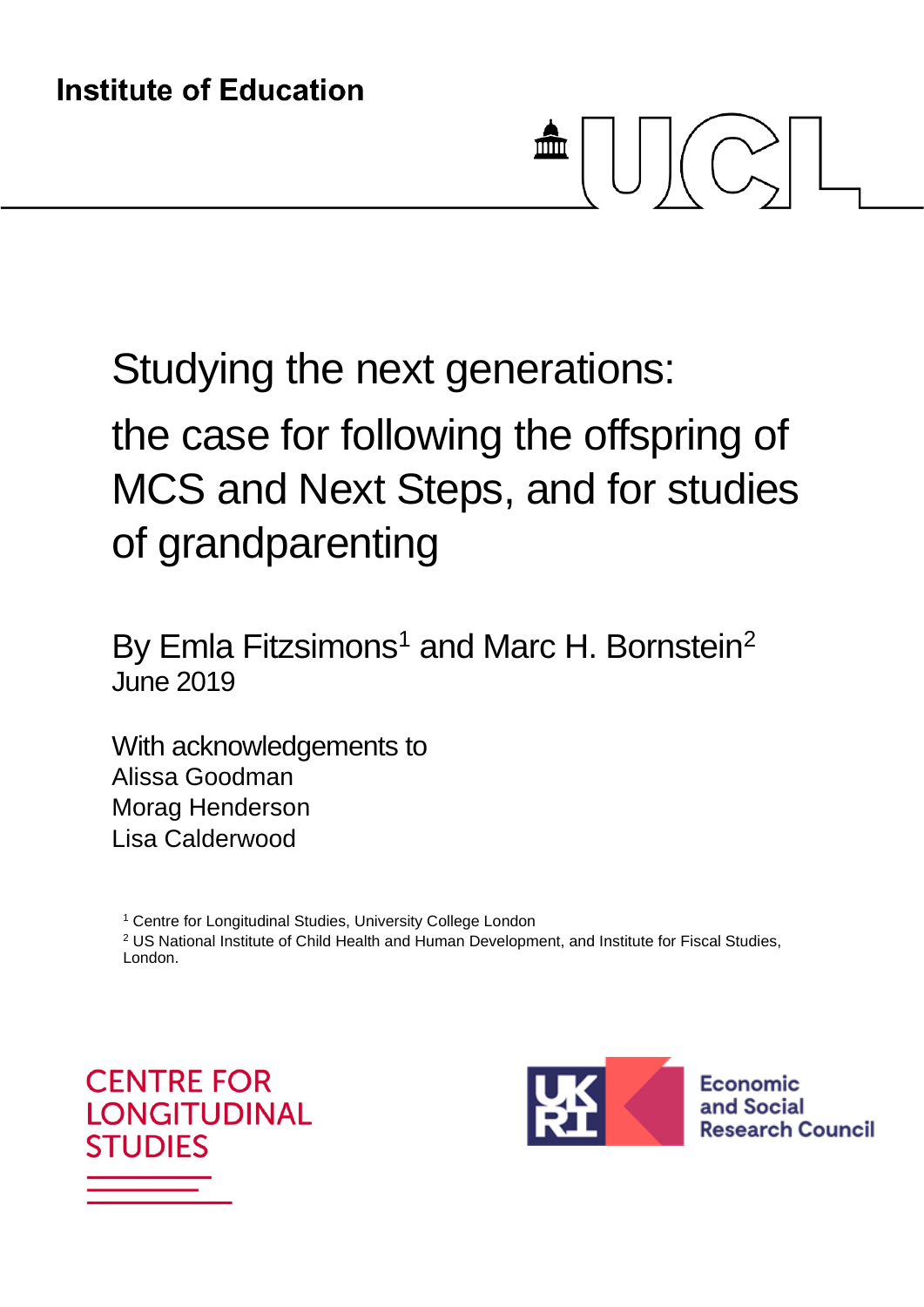# 血

Studying the next generations:

# the case for following the offspring of MCS and Next Steps, and for studies of grandparenting

By Emla Fitzsimons<sup>[1](#page-0-0)</sup> and Marc H. Bornstein<sup>2</sup> June 2019

With acknowledgements to Alissa Goodman Morag Henderson Lisa Calderwood

<sup>1</sup> Centre for Longitudinal Studies, University College London

<span id="page-0-0"></span><sup>2</sup> US National Institute of Child Health and Human Development, and Institute for Fiscal Studies, London.

<span id="page-0-1"></span>**CENTRE FOR I ONGITUDINAL STUDIES** 



Economic and Social **Research Council**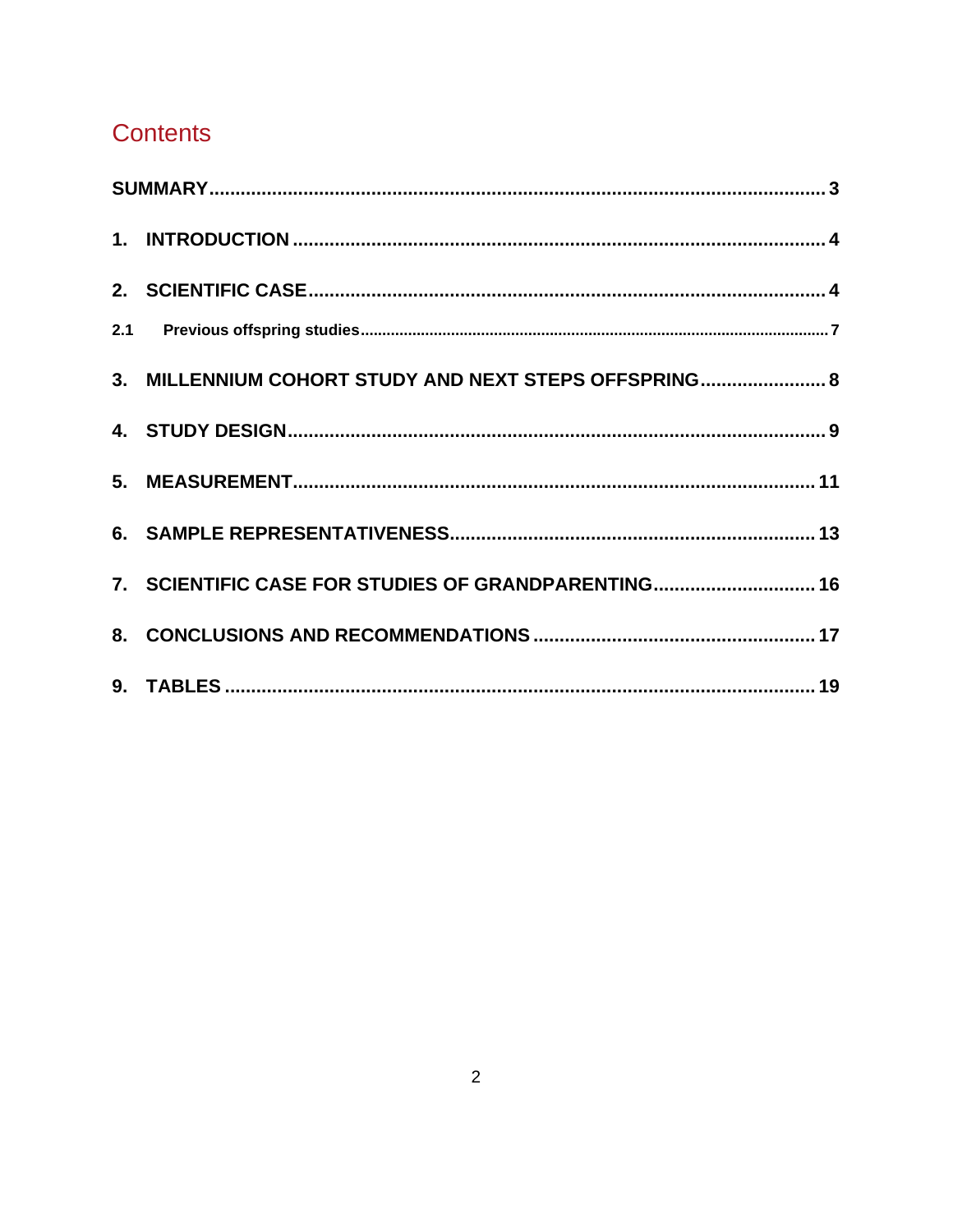# **Contents**

| 3. MILLENNIUM COHORT STUDY AND NEXT STEPS OFFSPRING 8 |  |
|-------------------------------------------------------|--|
|                                                       |  |
|                                                       |  |
|                                                       |  |
| 7. SCIENTIFIC CASE FOR STUDIES OF GRANDPARENTING 16   |  |
|                                                       |  |
|                                                       |  |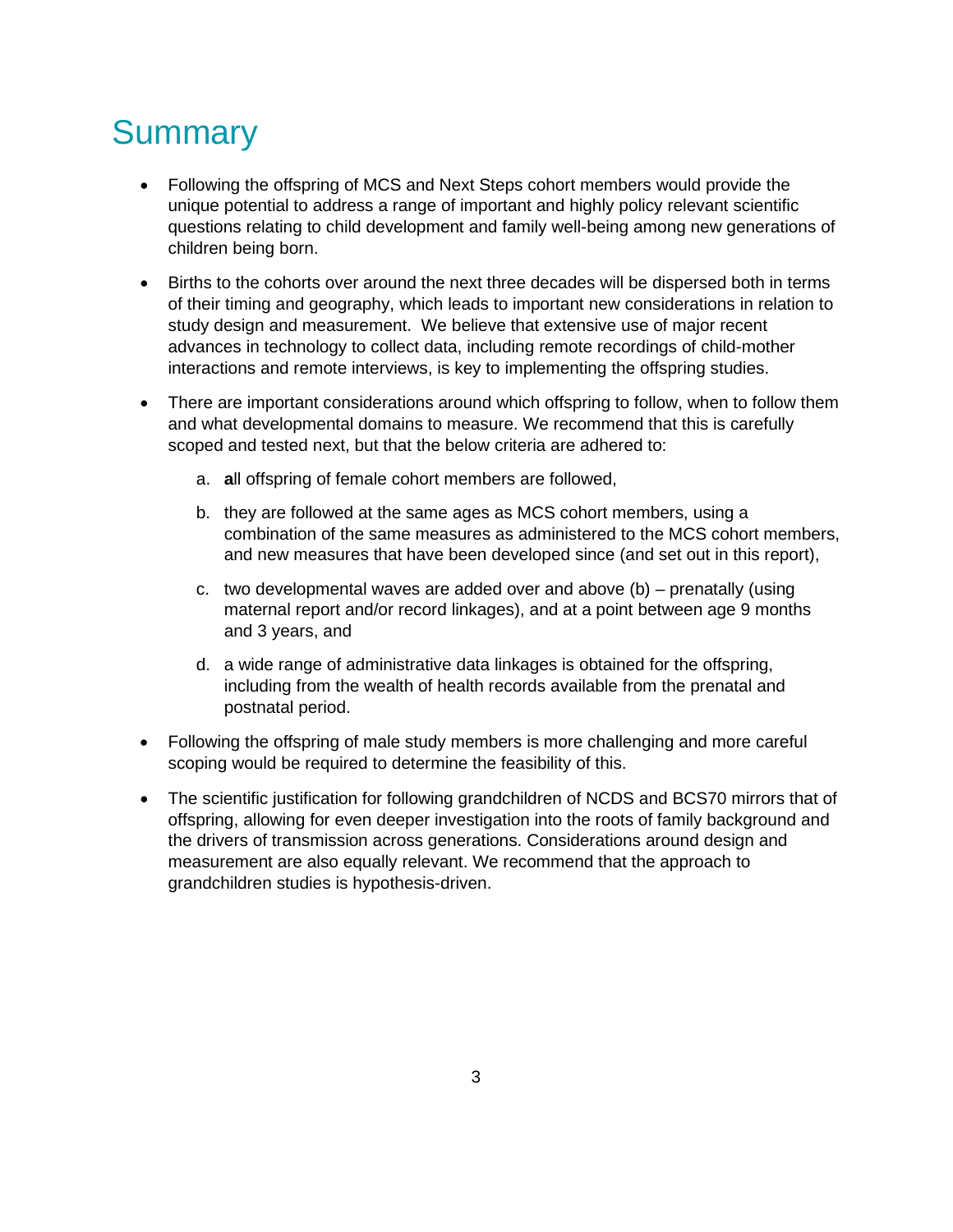# <span id="page-2-0"></span>**Summary**

- Following the offspring of MCS and Next Steps cohort members would provide the unique potential to address a range of important and highly policy relevant scientific questions relating to child development and family well-being among new generations of children being born.
- Births to the cohorts over around the next three decades will be dispersed both in terms of their timing and geography, which leads to important new considerations in relation to study design and measurement. We believe that extensive use of major recent advances in technology to collect data, including remote recordings of child-mother interactions and remote interviews, is key to implementing the offspring studies.
- There are important considerations around which offspring to follow, when to follow them and what developmental domains to measure. We recommend that this is carefully scoped and tested next, but that the below criteria are adhered to:
	- a. **a**ll offspring of female cohort members are followed,
	- b. they are followed at the same ages as MCS cohort members, using a combination of the same measures as administered to the MCS cohort members, and new measures that have been developed since (and set out in this report),
	- c. two developmental waves are added over and above (b) prenatally (using maternal report and/or record linkages), and at a point between age 9 months and 3 years, and
	- d. a wide range of administrative data linkages is obtained for the offspring, including from the wealth of health records available from the prenatal and postnatal period.
- Following the offspring of male study members is more challenging and more careful scoping would be required to determine the feasibility of this.
- The scientific justification for following grandchildren of NCDS and BCS70 mirrors that of offspring, allowing for even deeper investigation into the roots of family background and the drivers of transmission across generations. Considerations around design and measurement are also equally relevant. We recommend that the approach to grandchildren studies is hypothesis-driven.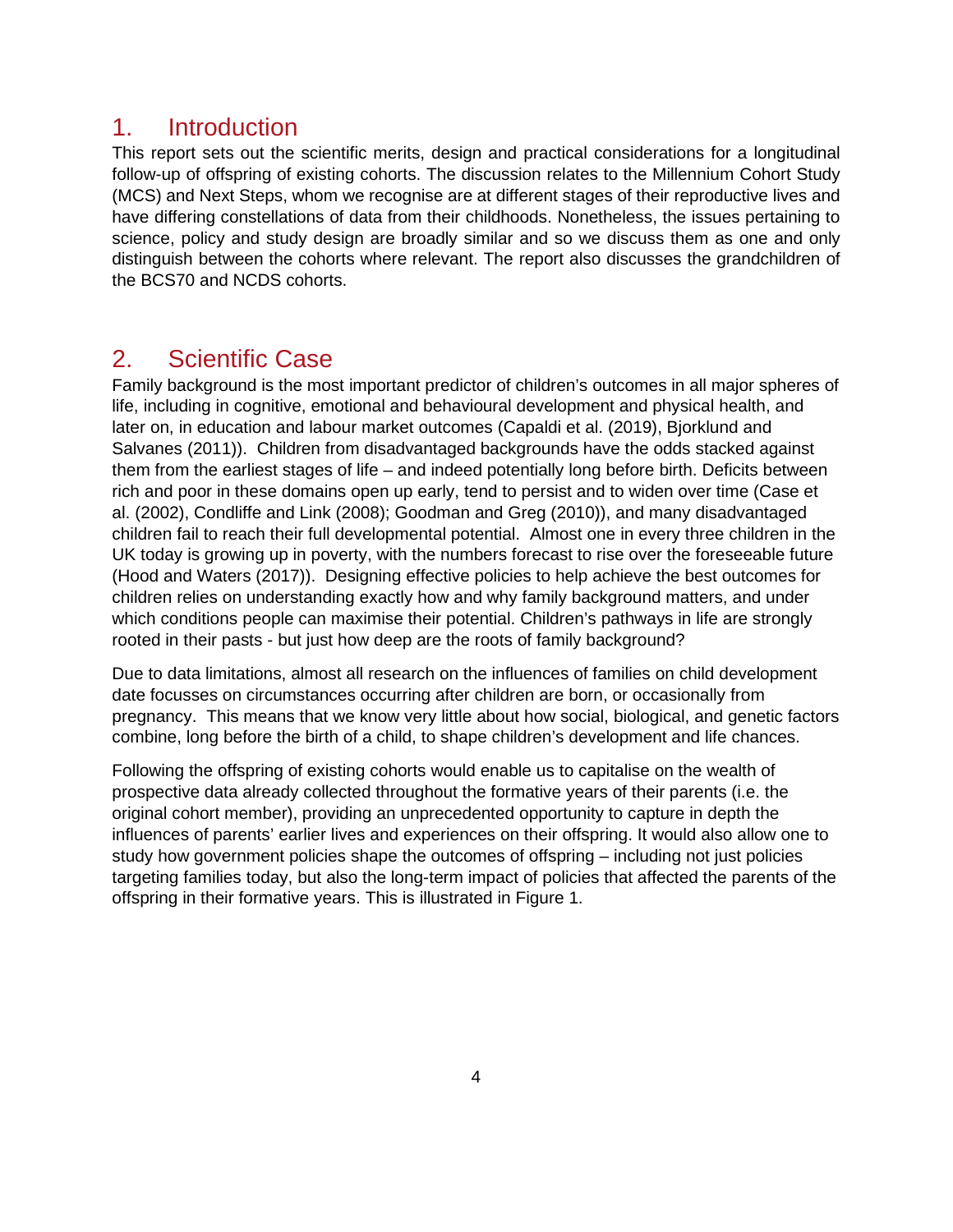#### <span id="page-3-0"></span>1. Introduction

This report sets out the scientific merits, design and practical considerations for a longitudinal follow-up of offspring of existing cohorts. The discussion relates to the Millennium Cohort Study (MCS) and Next Steps, whom we recognise are at different stages of their reproductive lives and have differing constellations of data from their childhoods. Nonetheless, the issues pertaining to science, policy and study design are broadly similar and so we discuss them as one and only distinguish between the cohorts where relevant. The report also discusses the grandchildren of the BCS70 and NCDS cohorts.

#### <span id="page-3-1"></span>2. Scientific Case

Family background is the most important predictor of children's outcomes in all major spheres of life, including in cognitive, emotional and behavioural development and physical health, and later on, in education and labour market outcomes (Capaldi et al. (2019), Bjorklund and Salvanes (2011)). Children from disadvantaged backgrounds have the odds stacked against them from the earliest stages of life – and indeed potentially long before birth. Deficits between rich and poor in these domains open up early, tend to persist and to widen over time (Case et al. (2002), Condliffe and Link (2008); Goodman and Greg (2010)), and many disadvantaged children fail to reach their full developmental potential. Almost one in every three children in the UK today is growing up in poverty, with the numbers forecast to rise over the foreseeable future (Hood and Waters (2017)). Designing effective policies to help achieve the best outcomes for children relies on understanding exactly how and why family background matters, and under which conditions people can maximise their potential. Children's pathways in life are strongly rooted in their pasts - but just how deep are the roots of family background?

Due to data limitations, almost all research on the influences of families on child development date focusses on circumstances occurring after children are born, or occasionally from pregnancy. This means that we know very little about how social, biological, and genetic factors combine, long before the birth of a child, to shape children's development and life chances.

Following the offspring of existing cohorts would enable us to capitalise on the wealth of prospective data already collected throughout the formative years of their parents (i.e. the original cohort member), providing an unprecedented opportunity to capture in depth the influences of parents' earlier lives and experiences on their offspring. It would also allow one to study how government policies shape the outcomes of offspring – including not just policies targeting families today, but also the long-term impact of policies that affected the parents of the offspring in their formative years. This is illustrated in Figure 1.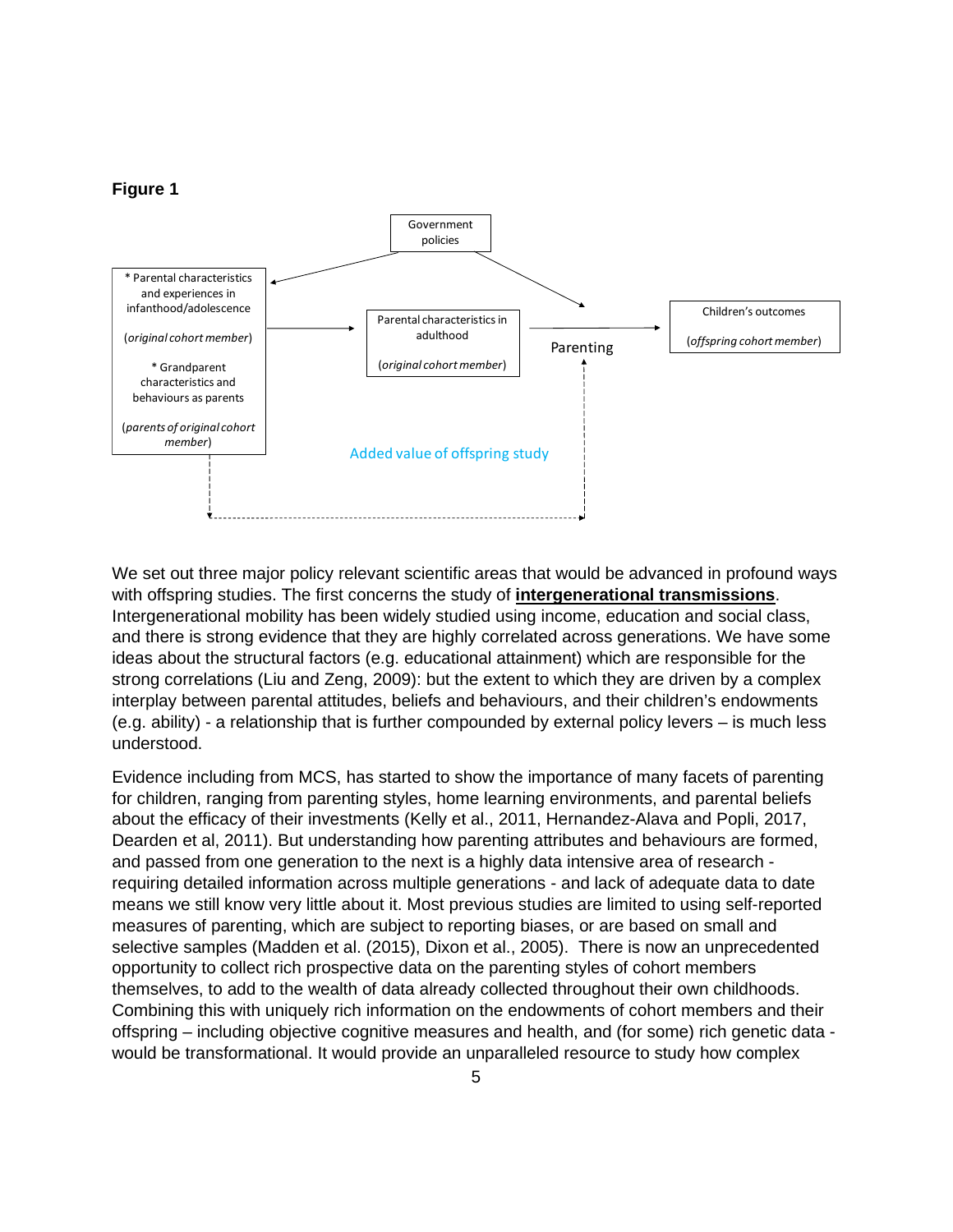#### **Figure 1**



We set out three major policy relevant scientific areas that would be advanced in profound ways with offspring studies. The first concerns the study of **intergenerational transmissions**. Intergenerational mobility has been widely studied using income, education and social class, and there is strong evidence that they are highly correlated across generations. We have some ideas about the structural factors (e.g. educational attainment) which are responsible for the strong correlations (Liu and Zeng, 2009): but the extent to which they are driven by a complex interplay between parental attitudes, beliefs and behaviours, and their children's endowments (e.g. ability) - a relationship that is further compounded by external policy levers – is much less understood.

Evidence including from MCS, has started to show the importance of many facets of parenting for children, ranging from parenting styles, home learning environments, and parental beliefs about the efficacy of their investments (Kelly et al., 2011, Hernandez-Alava and Popli, 2017, Dearden et al, 2011). But understanding how parenting attributes and behaviours are formed, and passed from one generation to the next is a highly data intensive area of research requiring detailed information across multiple generations - and lack of adequate data to date means we still know very little about it. Most previous studies are limited to using self-reported measures of parenting, which are subject to reporting biases, or are based on small and selective samples (Madden et al. (2015), Dixon et al., 2005). There is now an unprecedented opportunity to collect rich prospective data on the parenting styles of cohort members themselves, to add to the wealth of data already collected throughout their own childhoods. Combining this with uniquely rich information on the endowments of cohort members and their offspring – including objective cognitive measures and health, and (for some) rich genetic data would be transformational. It would provide an unparalleled resource to study how complex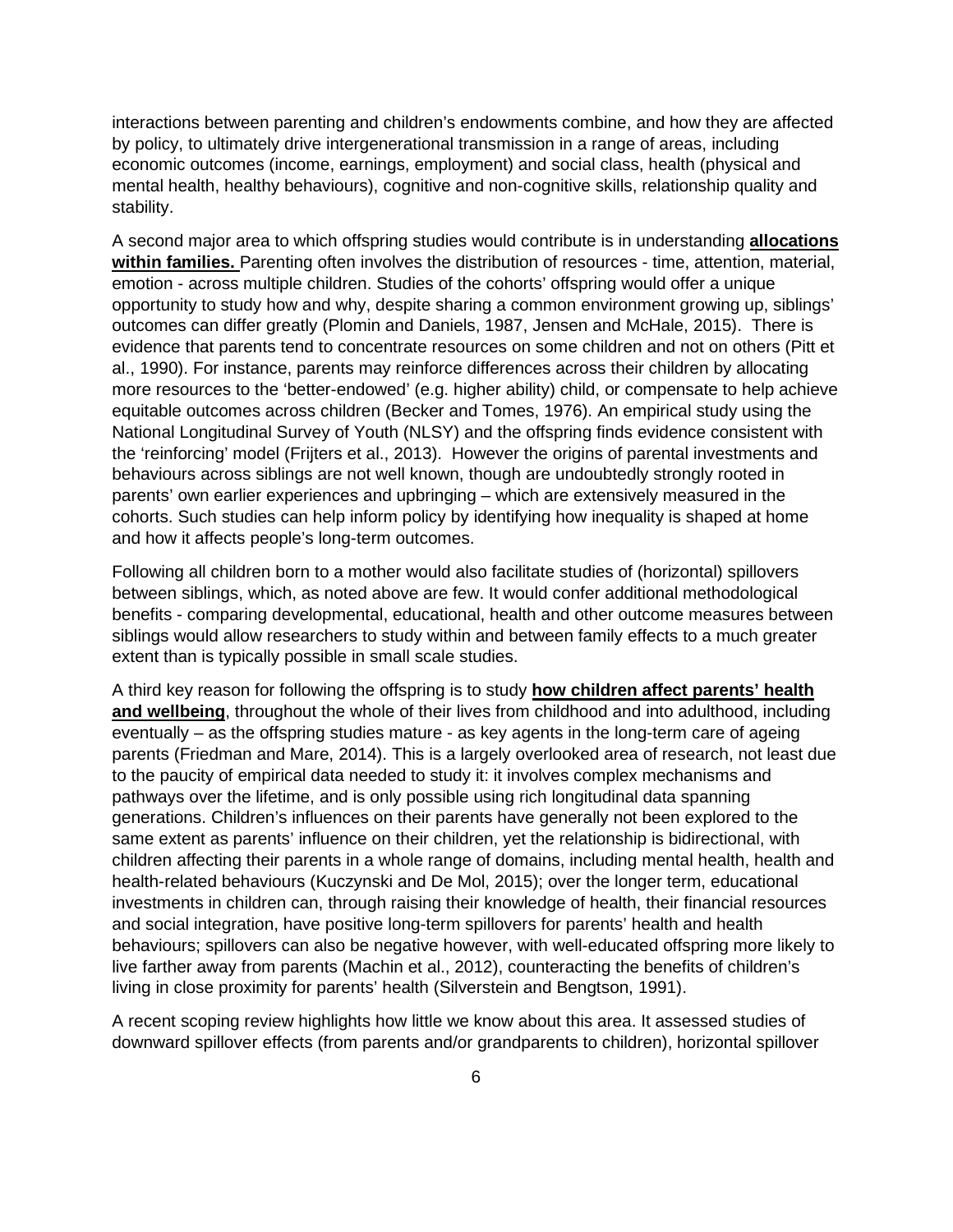interactions between parenting and children's endowments combine, and how they are affected by policy, to ultimately drive intergenerational transmission in a range of areas, including economic outcomes (income, earnings, employment) and social class, health (physical and mental health, healthy behaviours), cognitive and non-cognitive skills, relationship quality and stability.

A second major area to which offspring studies would contribute is in understanding **allocations within families.** Parenting often involves the distribution of resources - time, attention, material, emotion - across multiple children. Studies of the cohorts' offspring would offer a unique opportunity to study how and why, despite sharing a common environment growing up, siblings' outcomes can differ greatly (Plomin and Daniels, 1987, Jensen and McHale, 2015). There is evidence that parents tend to concentrate resources on some children and not on others (Pitt et al., 1990). For instance, parents may reinforce differences across their children by allocating more resources to the 'better-endowed' (e.g. higher ability) child, or compensate to help achieve equitable outcomes across children (Becker and Tomes, 1976). An empirical study using the National Longitudinal Survey of Youth (NLSY) and the offspring finds evidence consistent with the 'reinforcing' model (Frijters et al., 2013). However the origins of parental investments and behaviours across siblings are not well known, though are undoubtedly strongly rooted in parents' own earlier experiences and upbringing – which are extensively measured in the cohorts. Such studies can help inform policy by identifying how inequality is shaped at home and how it affects people's long-term outcomes.

Following all children born to a mother would also facilitate studies of (horizontal) spillovers between siblings, which, as noted above are few. It would confer additional methodological benefits - comparing developmental, educational, health and other outcome measures between siblings would allow researchers to study within and between family effects to a much greater extent than is typically possible in small scale studies.

A third key reason for following the offspring is to study **how children affect parents' health and wellbeing**, throughout the whole of their lives from childhood and into adulthood, including eventually – as the offspring studies mature - as key agents in the long-term care of ageing parents (Friedman and Mare, 2014). This is a largely overlooked area of research, not least due to the paucity of empirical data needed to study it: it involves complex mechanisms and pathways over the lifetime, and is only possible using rich longitudinal data spanning generations. Children's influences on their parents have generally not been explored to the same extent as parents' influence on their children, yet the relationship is bidirectional, with children affecting their parents in a whole range of domains, including mental health, health and health-related behaviours (Kuczynski and De Mol, 2015); over the longer term, educational investments in children can, through raising their knowledge of health, their financial resources and social integration, have positive long-term spillovers for parents' health and health behaviours; spillovers can also be negative however, with well-educated offspring more likely to live farther away from parents (Machin et al., 2012), counteracting the benefits of children's living in close proximity for parents' health (Silverstein and Bengtson, 1991).

A recent scoping review highlights how little we know about this area. It assessed studies of downward spillover effects (from parents and/or grandparents to children), horizontal spillover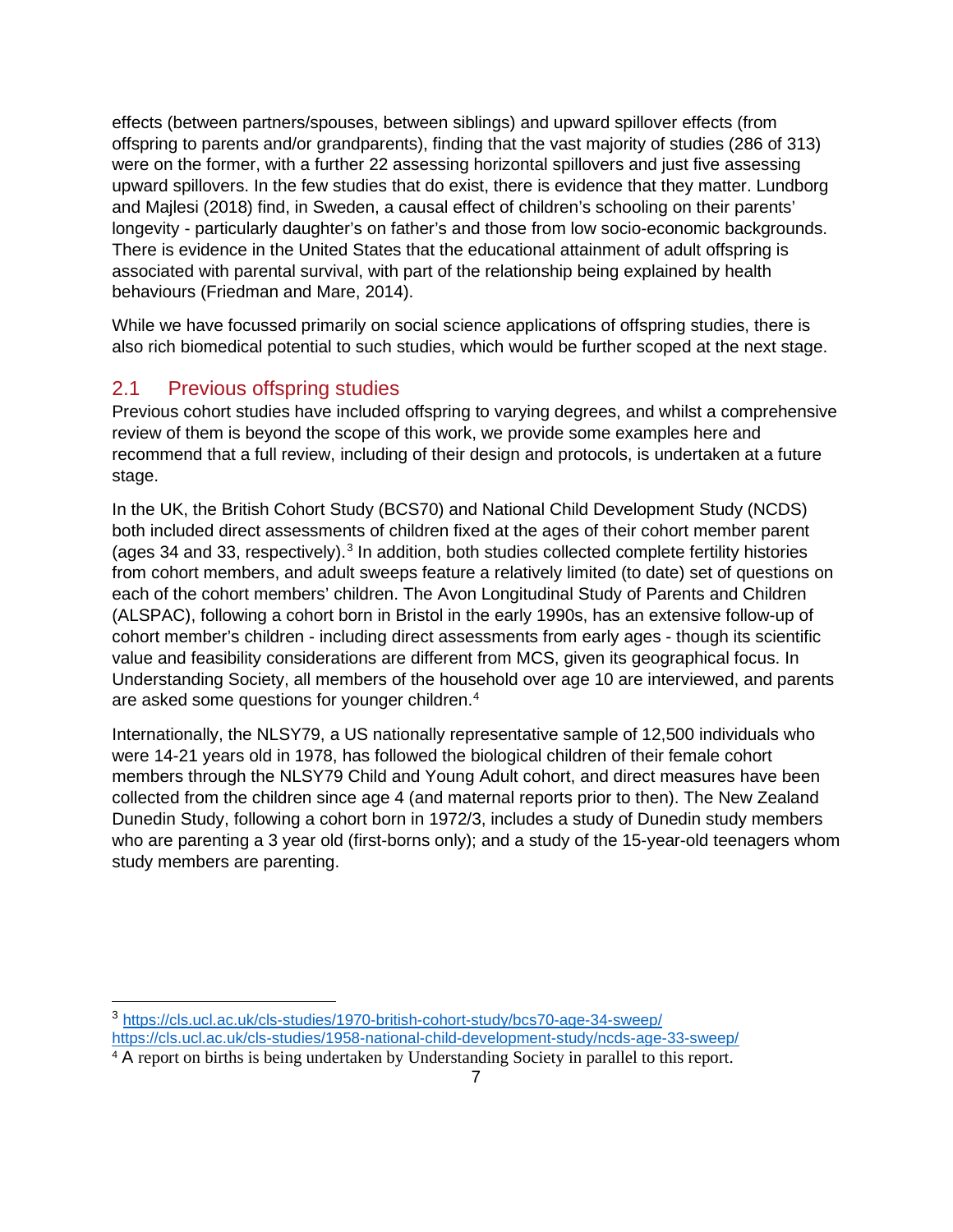effects (between partners/spouses, between siblings) and upward spillover effects (from offspring to parents and/or grandparents), finding that the vast majority of studies (286 of 313) were on the former, with a further 22 assessing horizontal spillovers and just five assessing upward spillovers. In the few studies that do exist, there is evidence that they matter. Lundborg and Majlesi (2018) find, in Sweden, a causal effect of children's schooling on their parents' longevity - particularly daughter's on father's and those from low socio-economic backgrounds. There is evidence in the United States that the educational attainment of adult offspring is associated with parental survival, with part of the relationship being explained by health behaviours (Friedman and Mare, 2014).

While we have focussed primarily on social science applications of offspring studies, there is also rich biomedical potential to such studies, which would be further scoped at the next stage.

#### <span id="page-6-0"></span>2.1 Previous offspring studies

Previous cohort studies have included offspring to varying degrees, and whilst a comprehensive review of them is beyond the scope of this work, we provide some examples here and recommend that a full review, including of their design and protocols, is undertaken at a future stage.

In the UK, the British Cohort Study (BCS70) and National Child Development Study (NCDS) both included direct assessments of children fixed at the ages of their cohort member parent (ages [3](#page-6-1)4 and 33, respectively). $3$  In addition, both studies collected complete fertility histories from cohort members, and adult sweeps feature a relatively limited (to date) set of questions on each of the cohort members' children. The Avon Longitudinal Study of Parents and Children (ALSPAC), following a cohort born in Bristol in the early 1990s, has an extensive follow-up of cohort member's children - including direct assessments from early ages - though its scientific value and feasibility considerations are different from MCS, given its geographical focus. In Understanding Society, all members of the household over age 10 are interviewed, and parents are asked some questions for younger children.<sup>[4](#page-6-2)</sup>

Internationally, the NLSY79, a US nationally representative sample of 12,500 individuals who were 14-21 years old in 1978, has followed the biological children of their female cohort members through the NLSY79 Child and Young Adult cohort, and direct measures have been collected from the children since age 4 (and maternal reports prior to then). The New Zealand Dunedin Study, following a cohort born in 1972/3, includes a study of Dunedin study members who are parenting a 3 year old (first-borns only); and a study of the 15-year-old teenagers whom study members are parenting.

<span id="page-6-1"></span><sup>3</sup> <https://cls.ucl.ac.uk/cls-studies/1970-british-cohort-study/bcs70-age-34-sweep/> <https://cls.ucl.ac.uk/cls-studies/1958-national-child-development-study/ncds-age-33-sweep/>

<span id="page-6-2"></span><sup>4</sup> A report on births is being undertaken by Understanding Society in parallel to this report.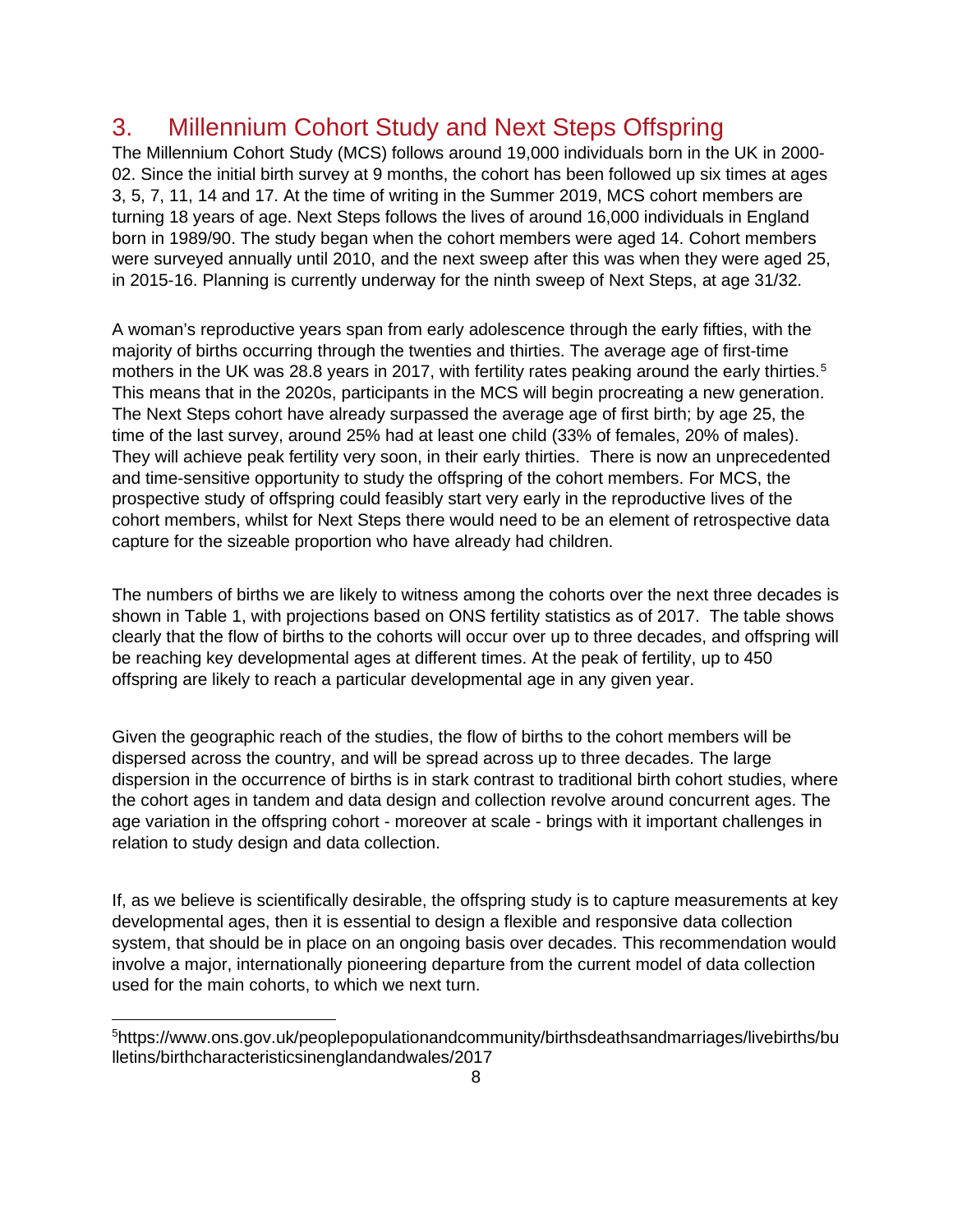## <span id="page-7-0"></span>3. Millennium Cohort Study and Next Steps Offspring

The Millennium Cohort Study (MCS) follows around 19,000 individuals born in the UK in 2000- 02. Since the initial birth survey at 9 months, the cohort has been followed up six times at ages 3, 5, 7, 11, 14 and 17. At the time of writing in the Summer 2019, MCS cohort members are turning 18 years of age. Next Steps follows the lives of around 16,000 individuals in England born in 1989/90. The study began when the cohort members were aged 14. Cohort members were surveyed annually until 2010, and the next sweep after this was when they were aged 25, in 2015-16. Planning is currently underway for the ninth sweep of Next Steps, at age 31/32.

A woman's reproductive years span from early adolescence through the early fifties, with the majority of births occurring through the twenties and thirties. The average age of first-time mothers in the UK was 28.8 years in 2017, with fertility rates peaking around the early thirties.<sup>[5](#page-7-1)</sup> This means that in the 2020s, participants in the MCS will begin procreating a new generation. The Next Steps cohort have already surpassed the average age of first birth; by age 25, the time of the last survey, around 25% had at least one child (33% of females, 20% of males). They will achieve peak fertility very soon, in their early thirties. There is now an unprecedented and time-sensitive opportunity to study the offspring of the cohort members. For MCS, the prospective study of offspring could feasibly start very early in the reproductive lives of the cohort members, whilst for Next Steps there would need to be an element of retrospective data capture for the sizeable proportion who have already had children.

The numbers of births we are likely to witness among the cohorts over the next three decades is shown in Table 1, with projections based on ONS fertility statistics as of 2017. The table shows clearly that the flow of births to the cohorts will occur over up to three decades, and offspring will be reaching key developmental ages at different times. At the peak of fertility, up to 450 offspring are likely to reach a particular developmental age in any given year.

Given the geographic reach of the studies, the flow of births to the cohort members will be dispersed across the country, and will be spread across up to three decades. The large dispersion in the occurrence of births is in stark contrast to traditional birth cohort studies, where the cohort ages in tandem and data design and collection revolve around concurrent ages. The age variation in the offspring cohort - moreover at scale - brings with it important challenges in relation to study design and data collection.

If, as we believe is scientifically desirable, the offspring study is to capture measurements at key developmental ages, then it is essential to design a flexible and responsive data collection system, that should be in place on an ongoing basis over decades. This recommendation would involve a major, internationally pioneering departure from the current model of data collection used for the main cohorts, to which we next turn.

<span id="page-7-1"></span><sup>5</sup> https://www.ons.gov.uk/peoplepopulationandcommunity/birthsdeathsandmarriages/livebirths/bu lletins/birthcharacteristicsinenglandandwales/2017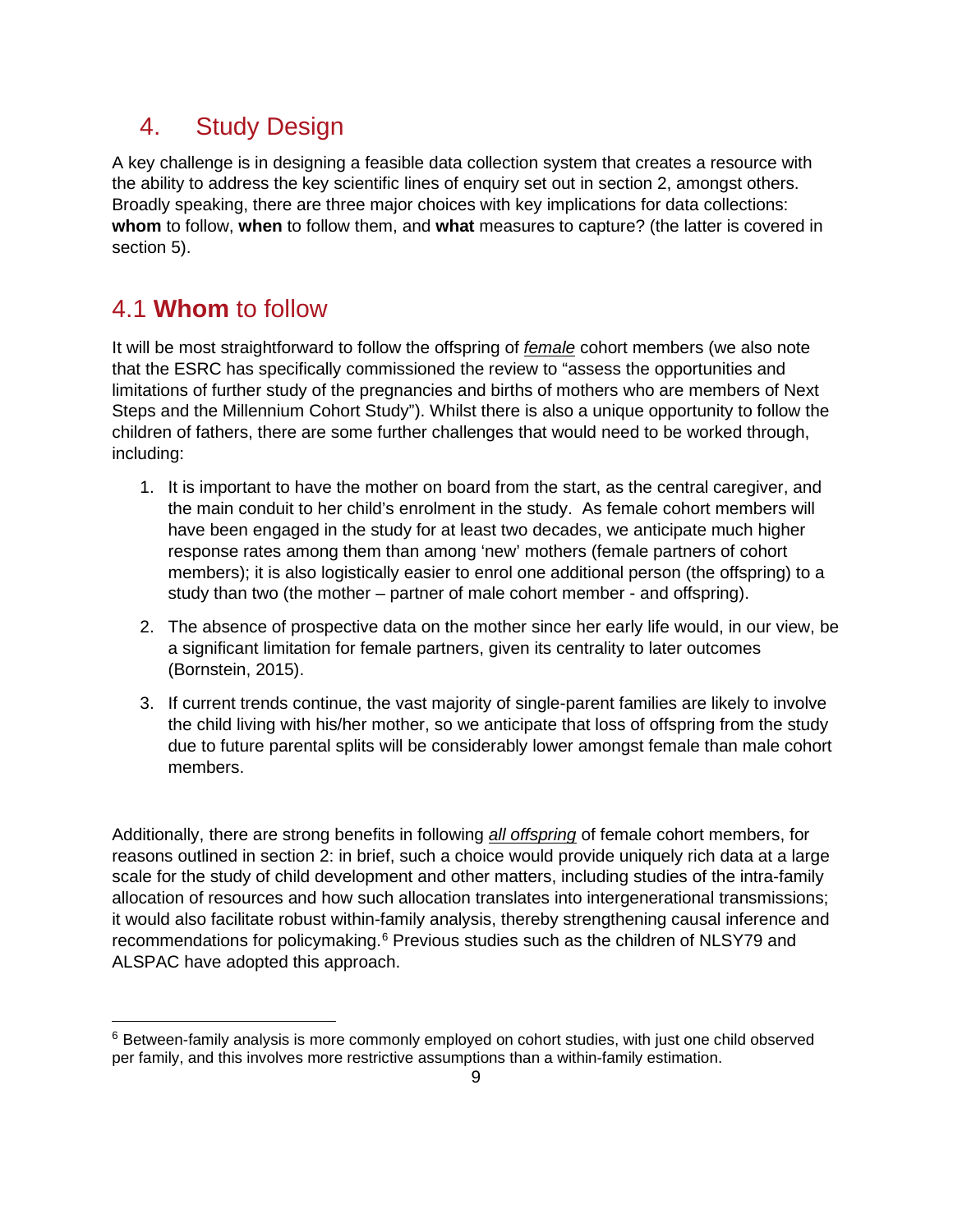#### <span id="page-8-0"></span>4. Study Design

A key challenge is in designing a feasible data collection system that creates a resource with the ability to address the key scientific lines of enquiry set out in section 2, amongst others. Broadly speaking, there are three major choices with key implications for data collections: **whom** to follow, **when** to follow them, and **what** measures to capture? (the latter is covered in section 5).

#### 4.1 **Whom** to follow

It will be most straightforward to follow the offspring of *female* cohort members (we also note that the ESRC has specifically commissioned the review to "assess the opportunities and limitations of further study of the pregnancies and births of mothers who are members of Next Steps and the Millennium Cohort Study"). Whilst there is also a unique opportunity to follow the children of fathers, there are some further challenges that would need to be worked through, including:

- 1. It is important to have the mother on board from the start, as the central caregiver, and the main conduit to her child's enrolment in the study. As female cohort members will have been engaged in the study for at least two decades, we anticipate much higher response rates among them than among 'new' mothers (female partners of cohort members); it is also logistically easier to enrol one additional person (the offspring) to a study than two (the mother – partner of male cohort member - and offspring).
- 2. The absence of prospective data on the mother since her early life would, in our view, be a significant limitation for female partners, given its centrality to later outcomes (Bornstein, 2015).
- 3. If current trends continue, the vast majority of single-parent families are likely to involve the child living with his/her mother, so we anticipate that loss of offspring from the study due to future parental splits will be considerably lower amongst female than male cohort members.

Additionally, there are strong benefits in following *all offspring* of female cohort members, for reasons outlined in section 2: in brief, such a choice would provide uniquely rich data at a large scale for the study of child development and other matters, including studies of the intra-family allocation of resources and how such allocation translates into intergenerational transmissions; it would also facilitate robust within-family analysis, thereby strengthening causal inference and recommendations for policymaking.<sup>[6](#page-8-1)</sup> Previous studies such as the children of NLSY79 and ALSPAC have adopted this approach.

<span id="page-8-1"></span> $6$  Between-family analysis is more commonly employed on cohort studies, with just one child observed per family, and this involves more restrictive assumptions than a within-family estimation.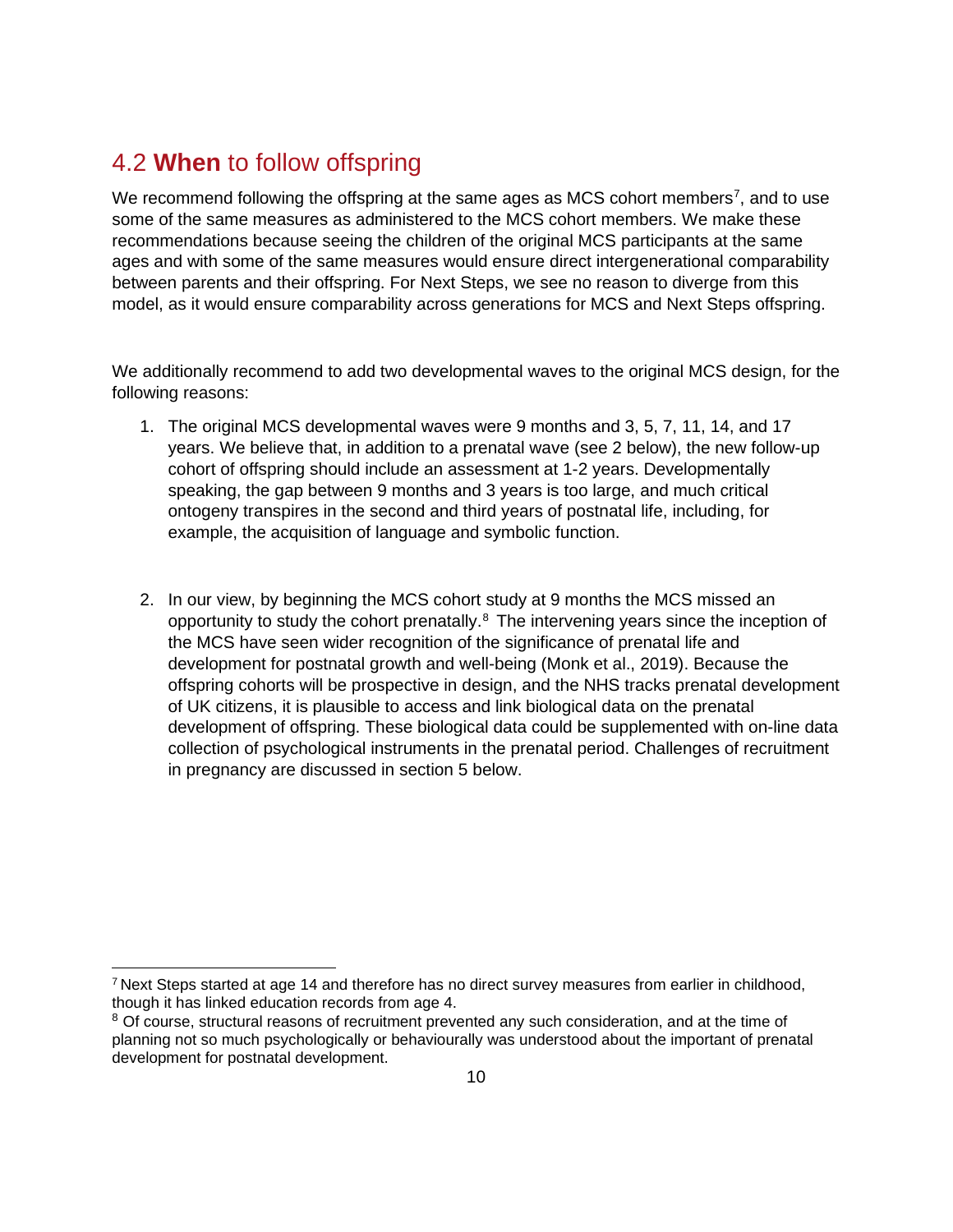## 4.2 **When** to follow offspring

We recommend following the offspring at the same ages as MCS cohort members<sup>[7](#page-9-0)</sup>, and to use some of the same measures as administered to the MCS cohort members. We make these recommendations because seeing the children of the original MCS participants at the same ages and with some of the same measures would ensure direct intergenerational comparability between parents and their offspring. For Next Steps, we see no reason to diverge from this model, as it would ensure comparability across generations for MCS and Next Steps offspring.

We additionally recommend to add two developmental waves to the original MCS design, for the following reasons:

- 1. The original MCS developmental waves were 9 months and 3, 5, 7, 11, 14, and 17 years. We believe that, in addition to a prenatal wave (see 2 below), the new follow-up cohort of offspring should include an assessment at 1-2 years. Developmentally speaking, the gap between 9 months and 3 years is too large, and much critical ontogeny transpires in the second and third years of postnatal life, including, for example, the acquisition of language and symbolic function.
- 2. In our view, by beginning the MCS cohort study at 9 months the MCS missed an opportunity to study the cohort prenatally.<sup>[8](#page-9-1)</sup> The intervening years since the inception of the MCS have seen wider recognition of the significance of prenatal life and development for postnatal growth and well-being (Monk et al., 2019). Because the offspring cohorts will be prospective in design, and the NHS tracks prenatal development of UK citizens, it is plausible to access and link biological data on the prenatal development of offspring. These biological data could be supplemented with on-line data collection of psychological instruments in the prenatal period. Challenges of recruitment in pregnancy are discussed in section 5 below.

<span id="page-9-0"></span><sup>7</sup> Next Steps started at age 14 and therefore has no direct survey measures from earlier in childhood, though it has linked education records from age 4.

<span id="page-9-1"></span><sup>&</sup>lt;sup>8</sup> Of course, structural reasons of recruitment prevented any such consideration, and at the time of planning not so much psychologically or behaviourally was understood about the important of prenatal development for postnatal development.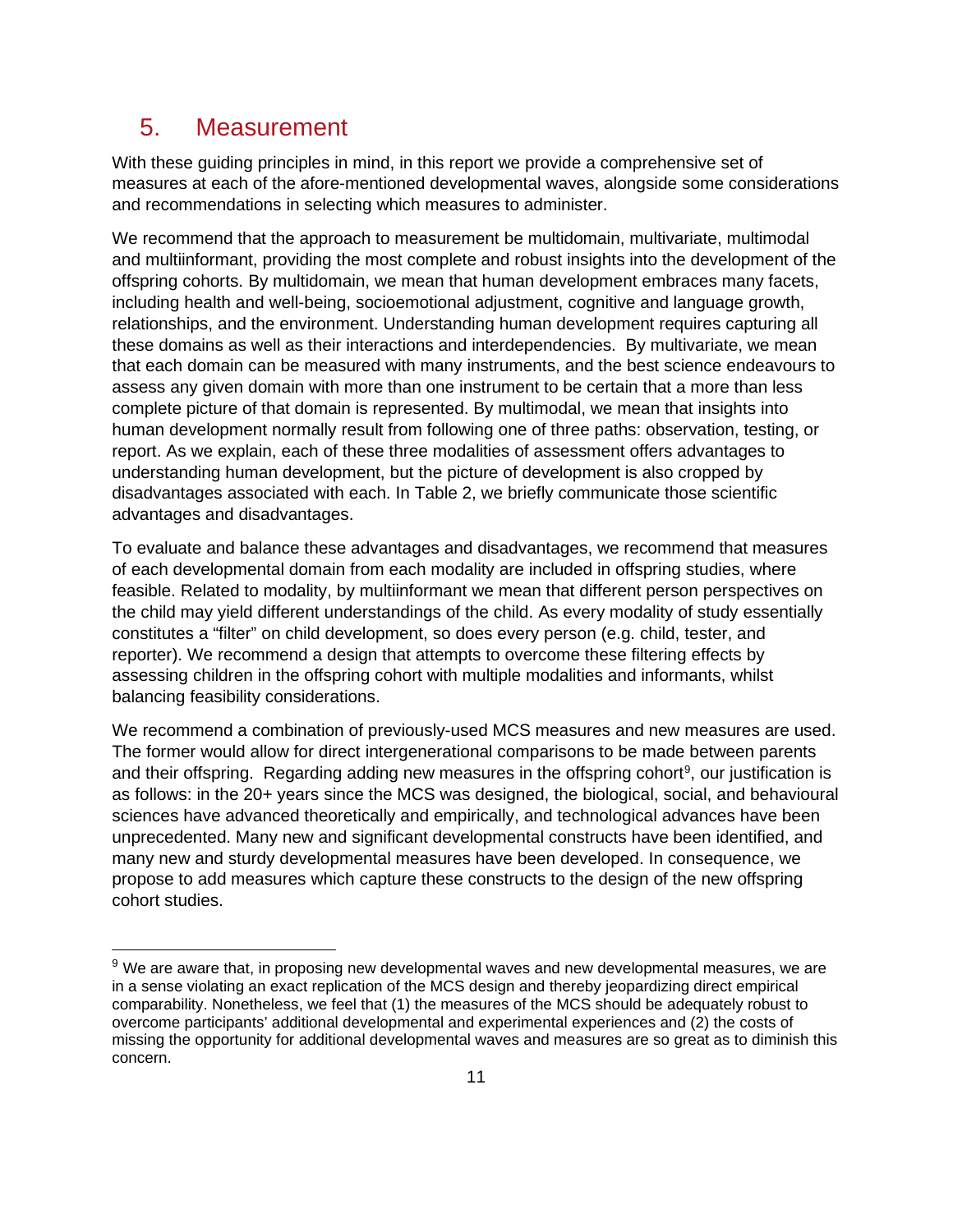#### <span id="page-10-0"></span>5. Measurement

With these guiding principles in mind, in this report we provide a comprehensive set of measures at each of the afore-mentioned developmental waves, alongside some considerations and recommendations in selecting which measures to administer.

We recommend that the approach to measurement be multidomain, multivariate, multimodal and multiinformant, providing the most complete and robust insights into the development of the offspring cohorts. By multidomain, we mean that human development embraces many facets, including health and well-being, socioemotional adjustment, cognitive and language growth, relationships, and the environment. Understanding human development requires capturing all these domains as well as their interactions and interdependencies. By multivariate, we mean that each domain can be measured with many instruments, and the best science endeavours to assess any given domain with more than one instrument to be certain that a more than less complete picture of that domain is represented. By multimodal, we mean that insights into human development normally result from following one of three paths: observation, testing, or report. As we explain, each of these three modalities of assessment offers advantages to understanding human development, but the picture of development is also cropped by disadvantages associated with each. In Table 2, we briefly communicate those scientific advantages and disadvantages.

To evaluate and balance these advantages and disadvantages, we recommend that measures of each developmental domain from each modality are included in offspring studies, where feasible. Related to modality, by multiinformant we mean that different person perspectives on the child may yield different understandings of the child. As every modality of study essentially constitutes a "filter" on child development, so does every person (e.g. child, tester, and reporter). We recommend a design that attempts to overcome these filtering effects by assessing children in the offspring cohort with multiple modalities and informants, whilst balancing feasibility considerations.

We recommend a combination of previously-used MCS measures and new measures are used. The former would allow for direct intergenerational comparisons to be made between parents and their offspring. Regarding adding new measures in the offspring cohort<sup>[9](#page-10-1)</sup>, our justification is as follows: in the 20+ years since the MCS was designed, the biological, social, and behavioural sciences have advanced theoretically and empirically, and technological advances have been unprecedented. Many new and significant developmental constructs have been identified, and many new and sturdy developmental measures have been developed. In consequence, we propose to add measures which capture these constructs to the design of the new offspring cohort studies.

<span id="page-10-1"></span><sup>&</sup>lt;sup>9</sup> We are aware that, in proposing new developmental waves and new developmental measures, we are in a sense violating an exact replication of the MCS design and thereby jeopardizing direct empirical comparability. Nonetheless, we feel that (1) the measures of the MCS should be adequately robust to overcome participants' additional developmental and experimental experiences and (2) the costs of missing the opportunity for additional developmental waves and measures are so great as to diminish this concern.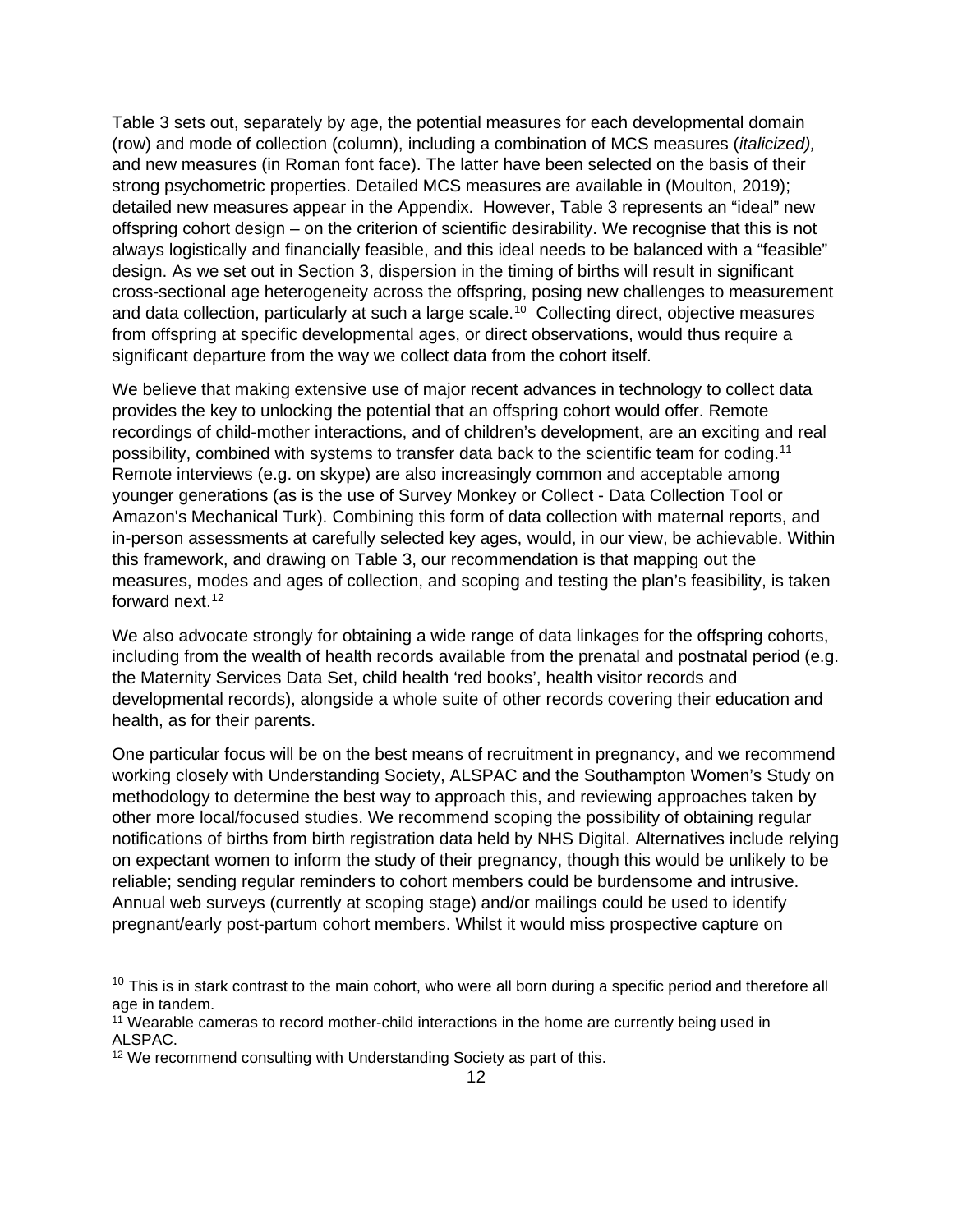Table 3 sets out, separately by age, the potential measures for each developmental domain (row) and mode of collection (column), including a combination of MCS measures (*italicized),*  and new measures (in Roman font face). The latter have been selected on the basis of their strong psychometric properties. Detailed MCS measures are available in (Moulton, 2019); detailed new measures appear in the Appendix. However, Table 3 represents an "ideal" new offspring cohort design – on the criterion of scientific desirability. We recognise that this is not always logistically and financially feasible, and this ideal needs to be balanced with a "feasible" design. As we set out in Section 3, dispersion in the timing of births will result in significant cross-sectional age heterogeneity across the offspring, posing new challenges to measurement and data collection, particularly at such a large scale.<sup>[10](#page-11-0)</sup> Collecting direct, objective measures from offspring at specific developmental ages, or direct observations, would thus require a significant departure from the way we collect data from the cohort itself.

We believe that making extensive use of major recent advances in technology to collect data provides the key to unlocking the potential that an offspring cohort would offer. Remote recordings of child-mother interactions, and of children's development, are an exciting and real possibility, combined with systems to transfer data back to the scientific team for coding.<sup>[11](#page-11-1)</sup> Remote interviews (e.g. on skype) are also increasingly common and acceptable among younger generations (as is the use of Survey Monkey or Collect - Data Collection Tool or Amazon's Mechanical Turk). Combining this form of data collection with maternal reports, and in-person assessments at carefully selected key ages, would, in our view, be achievable. Within this framework, and drawing on Table 3, our recommendation is that mapping out the measures, modes and ages of collection, and scoping and testing the plan's feasibility, is taken forward next.<sup>12</sup>

We also advocate strongly for obtaining a wide range of data linkages for the offspring cohorts, including from the wealth of health records available from the prenatal and postnatal period (e.g. the Maternity Services Data Set, child health 'red books', health visitor records and developmental records), alongside a whole suite of other records covering their education and health, as for their parents.

One particular focus will be on the best means of recruitment in pregnancy, and we recommend working closely with Understanding Society, ALSPAC and the Southampton Women's Study on methodology to determine the best way to approach this, and reviewing approaches taken by other more local/focused studies. We recommend scoping the possibility of obtaining regular notifications of births from birth registration data held by NHS Digital. Alternatives include relying on expectant women to inform the study of their pregnancy, though this would be unlikely to be reliable; sending regular reminders to cohort members could be burdensome and intrusive. Annual web surveys (currently at scoping stage) and/or mailings could be used to identify pregnant/early post-partum cohort members. Whilst it would miss prospective capture on

<span id="page-11-0"></span> $10$  This is in stark contrast to the main cohort, who were all born during a specific period and therefore all age in tandem.

<span id="page-11-1"></span><sup>11</sup> Wearable cameras to record mother-child interactions in the home are currently being used in ALSPAC.

<span id="page-11-2"></span><sup>&</sup>lt;sup>12</sup> We recommend consulting with Understanding Society as part of this.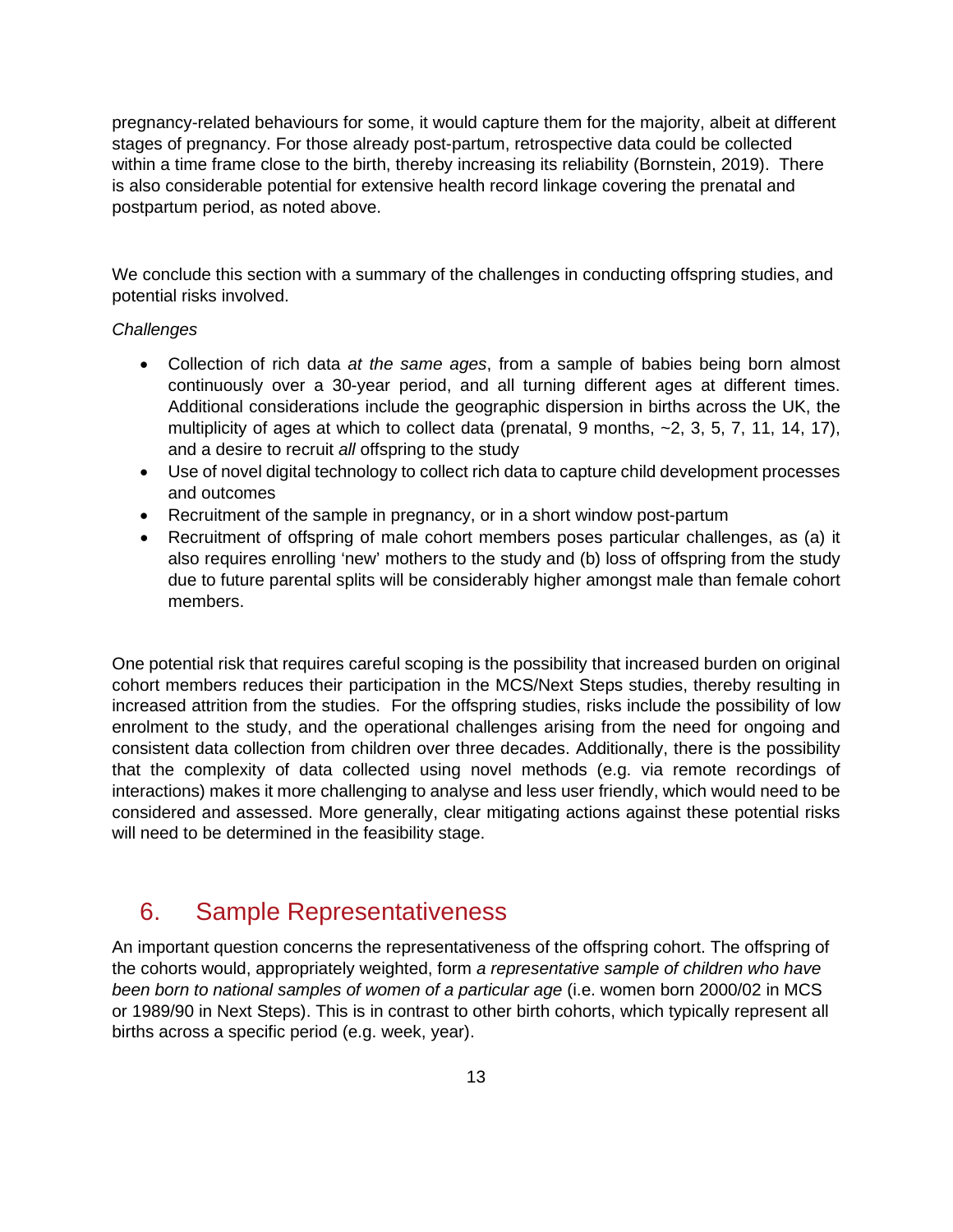pregnancy-related behaviours for some, it would capture them for the majority, albeit at different stages of pregnancy. For those already post-partum, retrospective data could be collected within a time frame close to the birth, thereby increasing its reliability (Bornstein, 2019). There is also considerable potential for extensive health record linkage covering the prenatal and postpartum period, as noted above.

We conclude this section with a summary of the challenges in conducting offspring studies, and potential risks involved.

#### *Challenges*

- Collection of rich data *at the same ages*, from a sample of babies being born almost continuously over a 30-year period, and all turning different ages at different times. Additional considerations include the geographic dispersion in births across the UK, the multiplicity of ages at which to collect data (prenatal, 9 months,  $-2$ , 3, 5, 7, 11, 14, 17), and a desire to recruit *all* offspring to the study
- Use of novel digital technology to collect rich data to capture child development processes and outcomes
- Recruitment of the sample in pregnancy, or in a short window post-partum
- Recruitment of offspring of male cohort members poses particular challenges, as (a) it also requires enrolling 'new' mothers to the study and (b) loss of offspring from the study due to future parental splits will be considerably higher amongst male than female cohort members.

One potential risk that requires careful scoping is the possibility that increased burden on original cohort members reduces their participation in the MCS/Next Steps studies, thereby resulting in increased attrition from the studies. For the offspring studies, risks include the possibility of low enrolment to the study, and the operational challenges arising from the need for ongoing and consistent data collection from children over three decades. Additionally, there is the possibility that the complexity of data collected using novel methods (e.g. via remote recordings of interactions) makes it more challenging to analyse and less user friendly, which would need to be considered and assessed. More generally, clear mitigating actions against these potential risks will need to be determined in the feasibility stage.

#### <span id="page-12-0"></span>6. Sample Representativeness

An important question concerns the representativeness of the offspring cohort. The offspring of the cohorts would, appropriately weighted, form *a representative sample of children who have been born to national samples of women of a particular age* (i.e. women born 2000/02 in MCS or 1989/90 in Next Steps). This is in contrast to other birth cohorts, which typically represent all births across a specific period (e.g. week, year).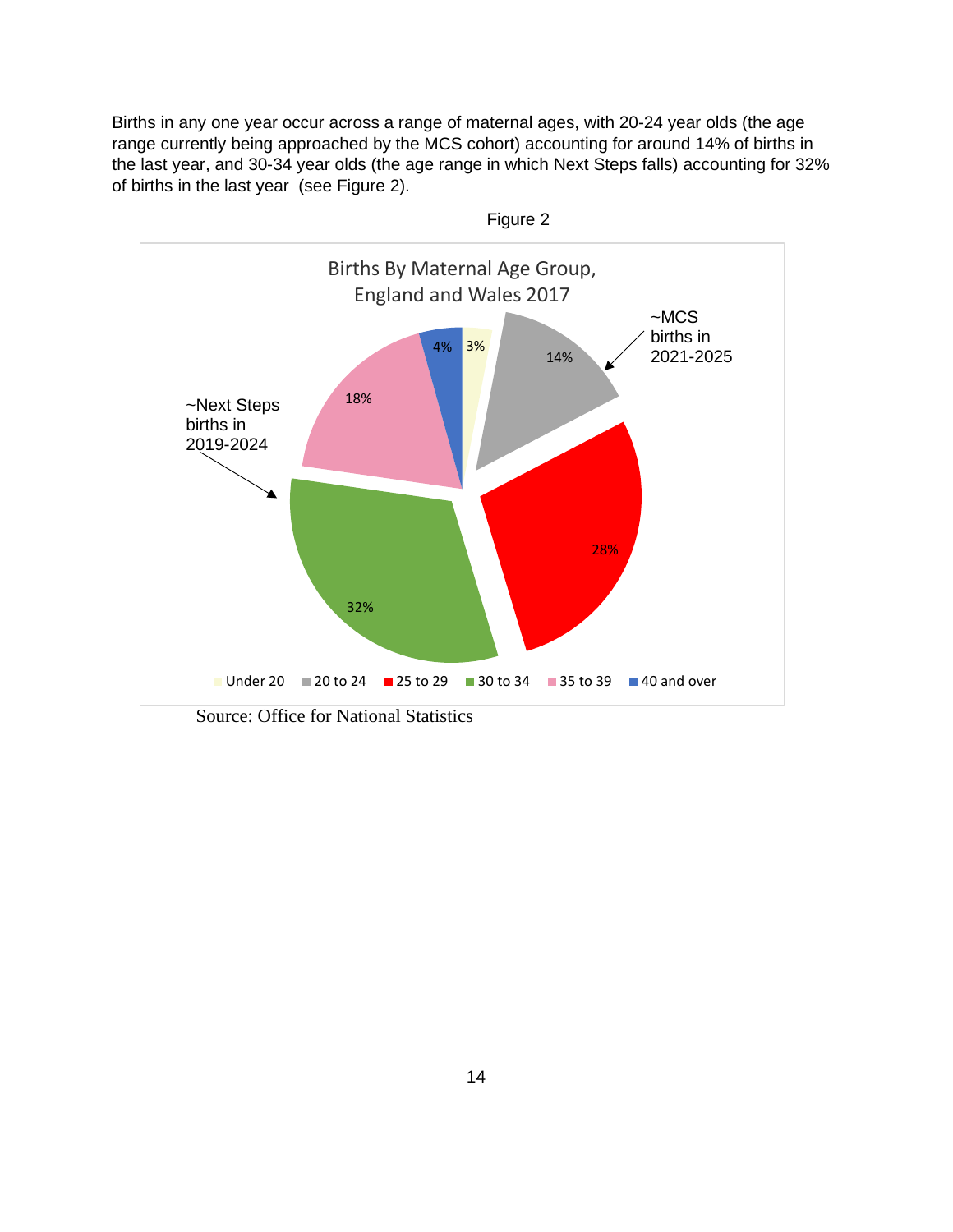Births in any one year occur across a range of maternal ages, with 20-24 year olds (the age range currently being approached by the MCS cohort) accounting for around 14% of births in the last year, and 30-34 year olds (the age range in which Next Steps falls) accounting for 32% of births in the last year (see Figure 2).



Source: Office for National Statistics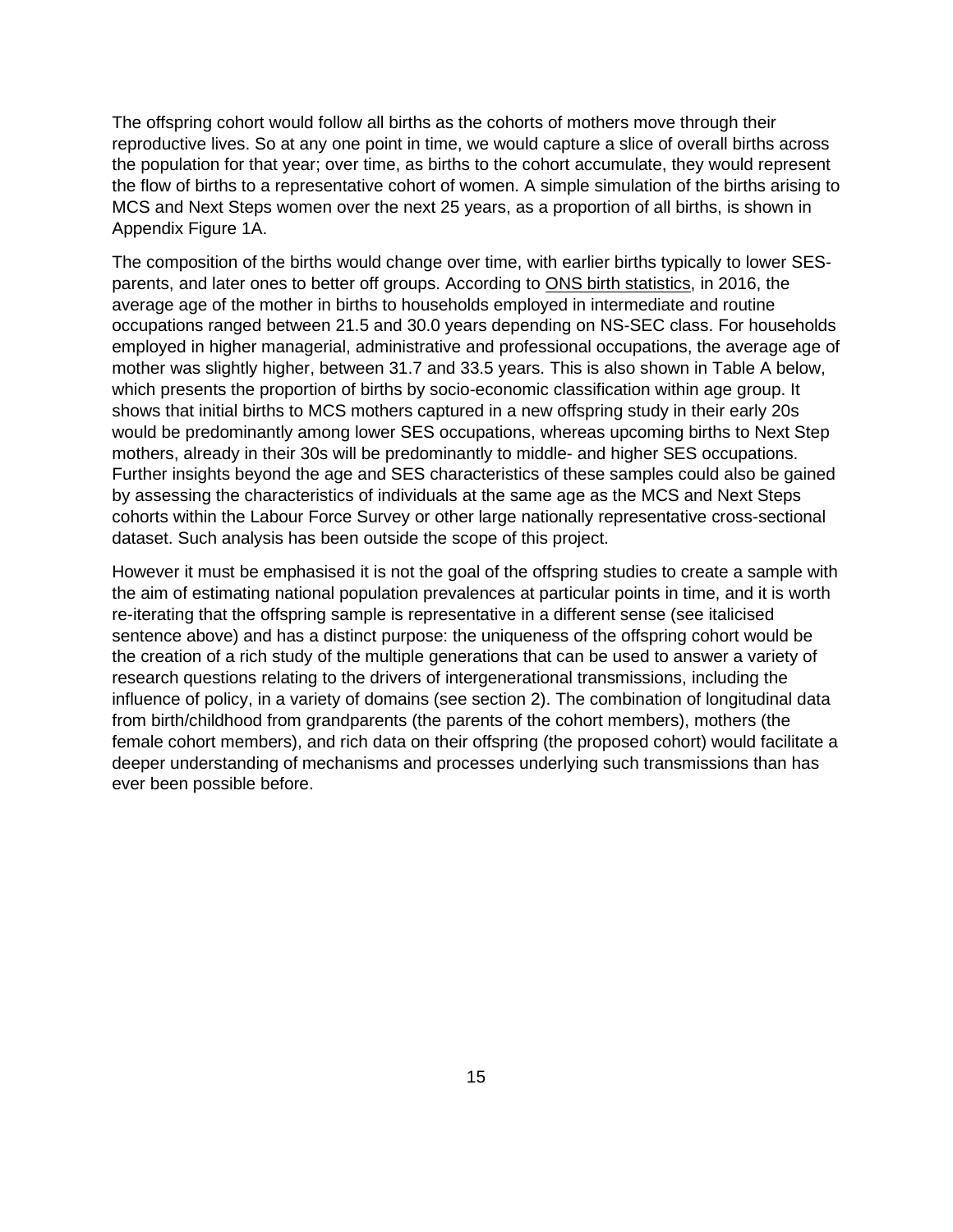The offspring cohort would follow all births as the cohorts of mothers move through their reproductive lives. So at any one point in time, we would capture a slice of overall births across the population for that year; over time, as births to the cohort accumulate, they would represent the flow of births to a representative cohort of women. A simple simulation of the births arising to MCS and Next Steps women over the next 25 years, as a proportion of all births, is shown in Appendix Figure 1A.

The composition of the births would change over time, with earlier births typically to lower SESparents, and later ones to better off groups. According to [ONS birth statistics,](https://www.ons.gov.uk/peoplepopulationandcommunity/birthsdeathsandmarriages/livebirths/bulletins/birthsbyparentscharacteristicsinenglandandwales/2016#mothers-tend-to-be-younger-in-households-employed-in-intermediate-and-routine-occupations) in 2016, the average age of the mother in births to households employed in intermediate and routine occupations ranged between 21.5 and 30.0 years depending on NS-SEC class. For households employed in higher managerial, administrative and professional occupations, the average age of mother was slightly higher, between 31.7 and 33.5 years. This is also shown in Table A below, which presents the proportion of births by socio-economic classification within age group. It shows that initial births to MCS mothers captured in a new offspring study in their early 20s would be predominantly among lower SES occupations, whereas upcoming births to Next Step mothers, already in their 30s will be predominantly to middle- and higher SES occupations. Further insights beyond the age and SES characteristics of these samples could also be gained by assessing the characteristics of individuals at the same age as the MCS and Next Steps cohorts within the Labour Force Survey or other large nationally representative cross-sectional dataset. Such analysis has been outside the scope of this project.

However it must be emphasised it is not the goal of the offspring studies to create a sample with the aim of estimating national population prevalences at particular points in time, and it is worth re-iterating that the offspring sample is representative in a different sense (see italicised sentence above) and has a distinct purpose: the uniqueness of the offspring cohort would be the creation of a rich study of the multiple generations that can be used to answer a variety of research questions relating to the drivers of intergenerational transmissions, including the influence of policy, in a variety of domains (see section 2). The combination of longitudinal data from birth/childhood from grandparents (the parents of the cohort members), mothers (the female cohort members), and rich data on their offspring (the proposed cohort) would facilitate a deeper understanding of mechanisms and processes underlying such transmissions than has ever been possible before.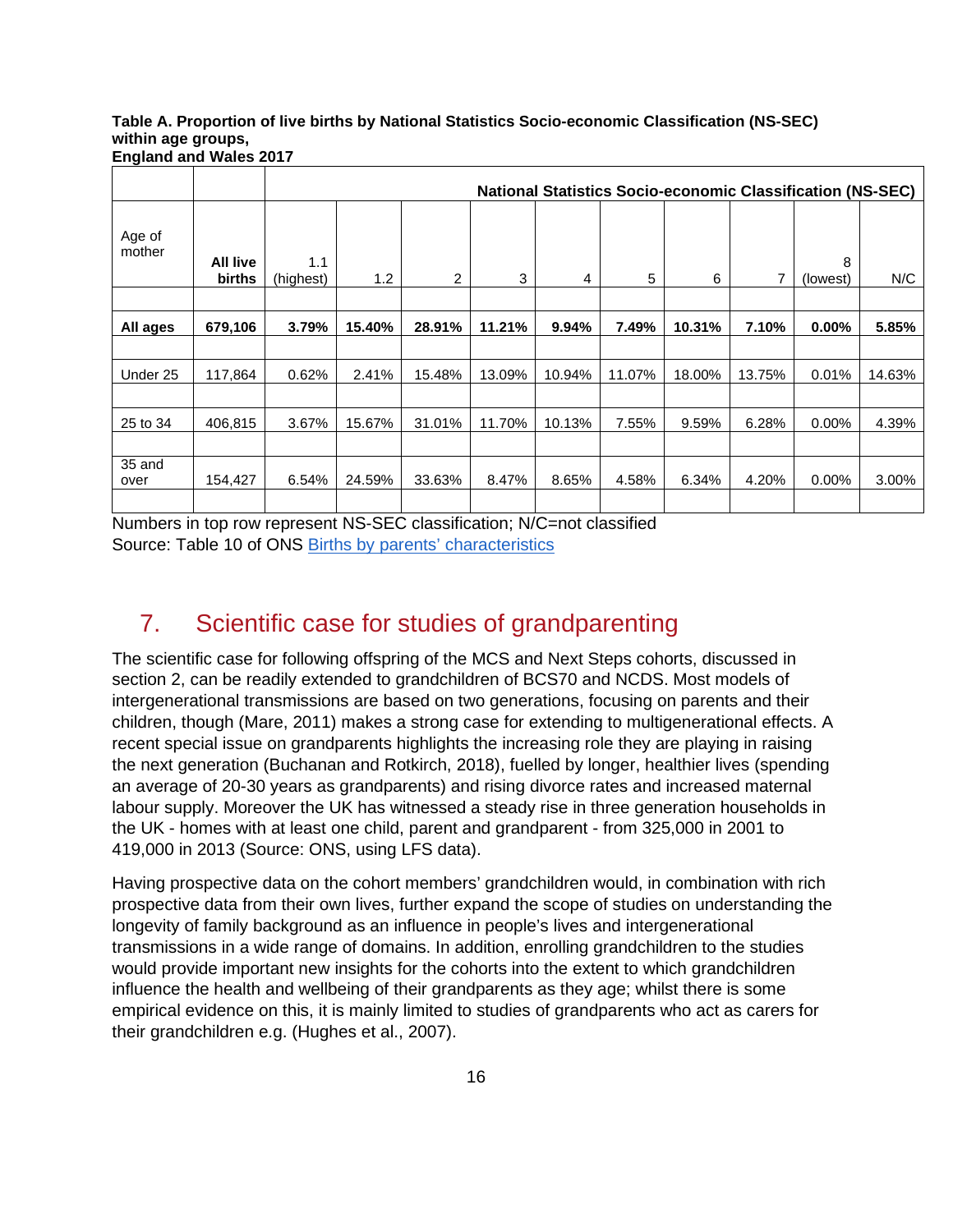#### **Table A. Proportion of live births by National Statistics Socio-economic Classification (NS-SEC) within age groups, England and Wales 2017**

|                  |                           |                  |        |        |        |                |        |        |        | <b>National Statistics Socio-economic Classification (NS-SEC)</b> |        |
|------------------|---------------------------|------------------|--------|--------|--------|----------------|--------|--------|--------|-------------------------------------------------------------------|--------|
| Age of<br>mother | <b>All live</b><br>births | 1.1<br>(highest) | 1.2    | 2      | 3      | $\overline{4}$ | 5      | 6      | 7      | 8<br>(lowest)                                                     | N/C    |
|                  |                           |                  |        |        |        |                |        |        |        |                                                                   |        |
| All ages         | 679,106                   | 3.79%            | 15.40% | 28.91% | 11.21% | 9.94%          | 7.49%  | 10.31% | 7.10%  | $0.00\%$                                                          | 5.85%  |
|                  |                           |                  |        |        |        |                |        |        |        |                                                                   |        |
| Under 25         | 117,864                   | 0.62%            | 2.41%  | 15.48% | 13.09% | 10.94%         | 11.07% | 18.00% | 13.75% | 0.01%                                                             | 14.63% |
|                  |                           |                  |        |        |        |                |        |        |        |                                                                   |        |
| 25 to 34         | 406,815                   | 3.67%            | 15.67% | 31.01% | 11.70% | 10.13%         | 7.55%  | 9.59%  | 6.28%  | $0.00\%$                                                          | 4.39%  |
|                  |                           |                  |        |        |        |                |        |        |        |                                                                   |        |
| 35 and<br>over   | 154,427                   | 6.54%            | 24.59% | 33.63% | 8.47%  | 8.65%          | 4.58%  | 6.34%  | 4.20%  | $0.00\%$                                                          | 3.00%  |
|                  |                           |                  |        |        |        |                |        |        |        |                                                                   |        |

Numbers in top row represent NS-SEC classification; N/C=not classified Source: Table 10 of ONS [Births by parents' characteristics](https://www.ons.gov.uk/peoplepopulationandcommunity/birthsdeathsandmarriages/livebirths/datasets/birthsbyparentscharacteristics)

# <span id="page-15-0"></span>7. Scientific case for studies of grandparenting

The scientific case for following offspring of the MCS and Next Steps cohorts, discussed in section 2, can be readily extended to grandchildren of BCS70 and NCDS. Most models of intergenerational transmissions are based on two generations, focusing on parents and their children, though (Mare, 2011) makes a strong case for extending to multigenerational effects. A recent special issue on grandparents highlights the increasing role they are playing in raising the next generation (Buchanan and Rotkirch, 2018), fuelled by longer, healthier lives (spending an average of 20-30 years as grandparents) and rising divorce rates and increased maternal labour supply. Moreover the UK has witnessed a steady rise in three generation households in the UK - homes with at least one child, parent and grandparent - from 325,000 in 2001 to 419,000 in 2013 (Source: ONS, using LFS data).

Having prospective data on the cohort members' grandchildren would, in combination with rich prospective data from their own lives, further expand the scope of studies on understanding the longevity of family background as an influence in people's lives and intergenerational transmissions in a wide range of domains. In addition, enrolling grandchildren to the studies would provide important new insights for the cohorts into the extent to which grandchildren influence the health and wellbeing of their grandparents as they age; whilst there is some empirical evidence on this, it is mainly limited to studies of grandparents who act as carers for their grandchildren e.g. (Hughes et al., 2007).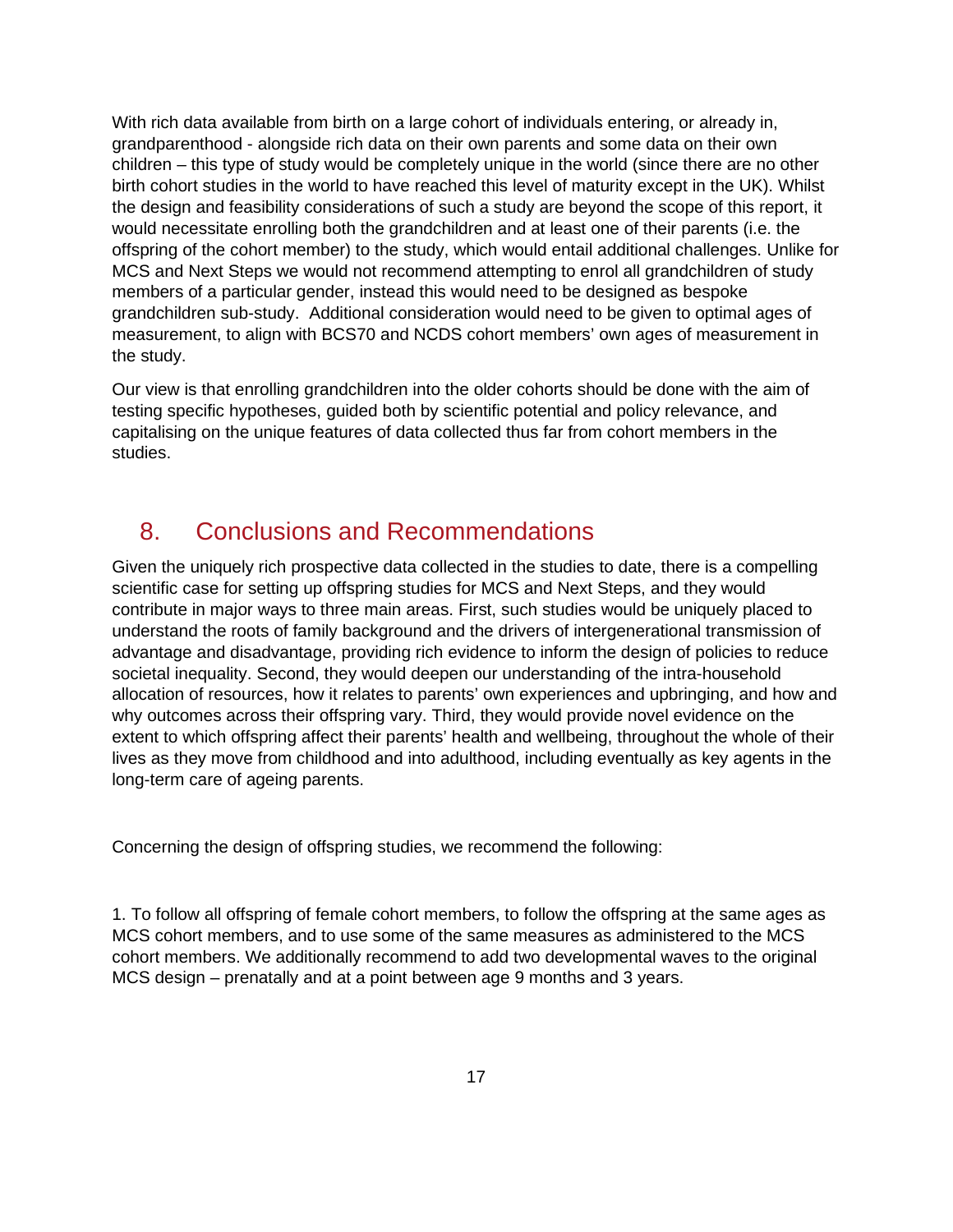With rich data available from birth on a large cohort of individuals entering, or already in, grandparenthood - alongside rich data on their own parents and some data on their own children – this type of study would be completely unique in the world (since there are no other birth cohort studies in the world to have reached this level of maturity except in the UK). Whilst the design and feasibility considerations of such a study are beyond the scope of this report, it would necessitate enrolling both the grandchildren and at least one of their parents (i.e. the offspring of the cohort member) to the study, which would entail additional challenges. Unlike for MCS and Next Steps we would not recommend attempting to enrol all grandchildren of study members of a particular gender, instead this would need to be designed as bespoke grandchildren sub-study. Additional consideration would need to be given to optimal ages of measurement, to align with BCS70 and NCDS cohort members' own ages of measurement in the study.

Our view is that enrolling grandchildren into the older cohorts should be done with the aim of testing specific hypotheses, guided both by scientific potential and policy relevance, and capitalising on the unique features of data collected thus far from cohort members in the studies.

#### <span id="page-16-0"></span>8. Conclusions and Recommendations

Given the uniquely rich prospective data collected in the studies to date, there is a compelling scientific case for setting up offspring studies for MCS and Next Steps, and they would contribute in major ways to three main areas. First, such studies would be uniquely placed to understand the roots of family background and the drivers of intergenerational transmission of advantage and disadvantage, providing rich evidence to inform the design of policies to reduce societal inequality. Second, they would deepen our understanding of the intra-household allocation of resources, how it relates to parents' own experiences and upbringing, and how and why outcomes across their offspring vary. Third, they would provide novel evidence on the extent to which offspring affect their parents' health and wellbeing, throughout the whole of their lives as they move from childhood and into adulthood, including eventually as key agents in the long-term care of ageing parents.

Concerning the design of offspring studies, we recommend the following:

1. To follow all offspring of female cohort members, to follow the offspring at the same ages as MCS cohort members, and to use some of the same measures as administered to the MCS cohort members. We additionally recommend to add two developmental waves to the original MCS design – prenatally and at a point between age 9 months and 3 years.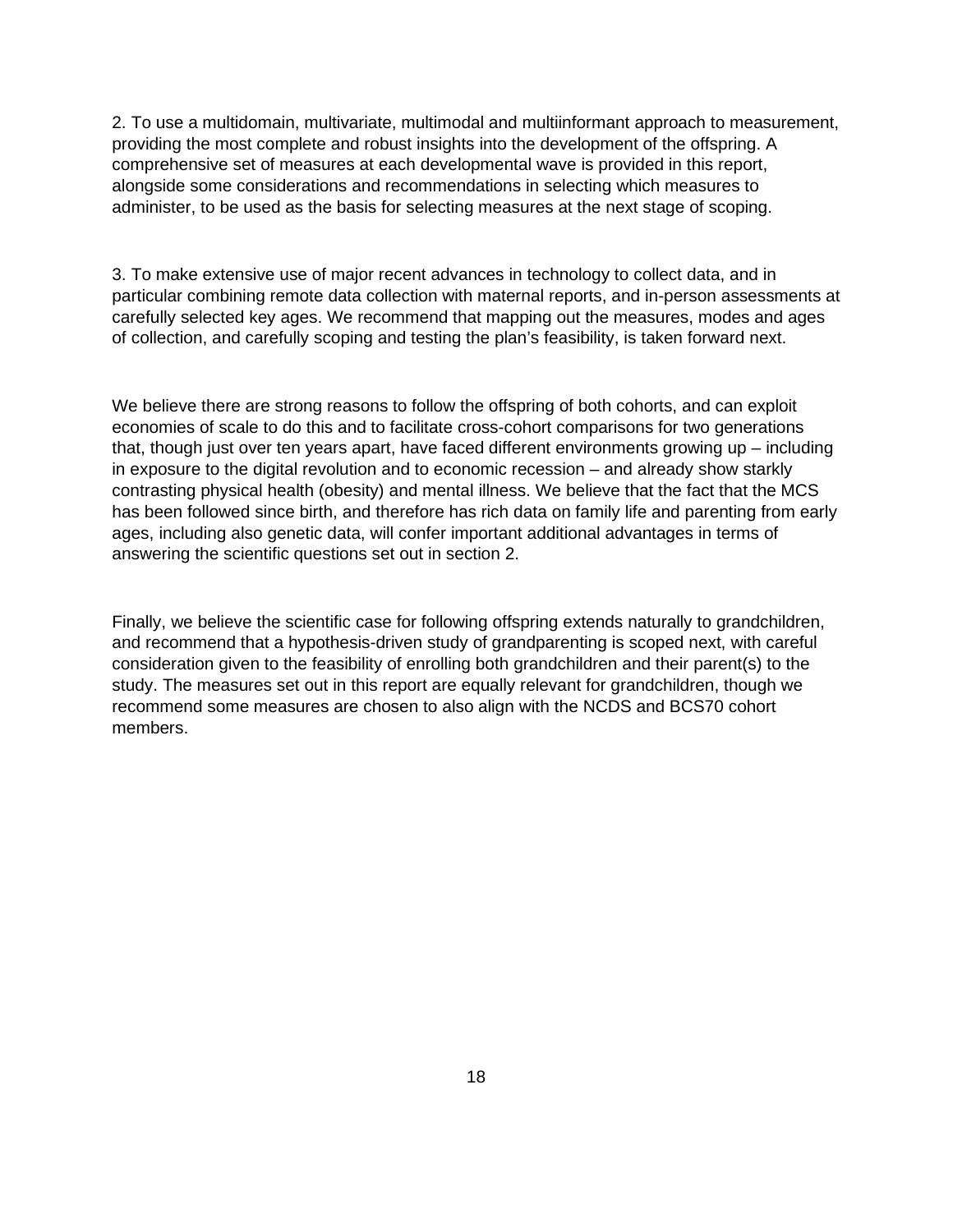2. To use a multidomain, multivariate, multimodal and multiinformant approach to measurement, providing the most complete and robust insights into the development of the offspring. A comprehensive set of measures at each developmental wave is provided in this report, alongside some considerations and recommendations in selecting which measures to administer, to be used as the basis for selecting measures at the next stage of scoping.

3. To make extensive use of major recent advances in technology to collect data, and in particular combining remote data collection with maternal reports, and in-person assessments at carefully selected key ages. We recommend that mapping out the measures, modes and ages of collection, and carefully scoping and testing the plan's feasibility, is taken forward next.

We believe there are strong reasons to follow the offspring of both cohorts, and can exploit economies of scale to do this and to facilitate cross-cohort comparisons for two generations that, though just over ten years apart, have faced different environments growing up – including in exposure to the digital revolution and to economic recession – and already show starkly contrasting physical health (obesity) and mental illness. We believe that the fact that the MCS has been followed since birth, and therefore has rich data on family life and parenting from early ages, including also genetic data, will confer important additional advantages in terms of answering the scientific questions set out in section 2.

Finally, we believe the scientific case for following offspring extends naturally to grandchildren, and recommend that a hypothesis-driven study of grandparenting is scoped next, with careful consideration given to the feasibility of enrolling both grandchildren and their parent(s) to the study. The measures set out in this report are equally relevant for grandchildren, though we recommend some measures are chosen to also align with the NCDS and BCS70 cohort members.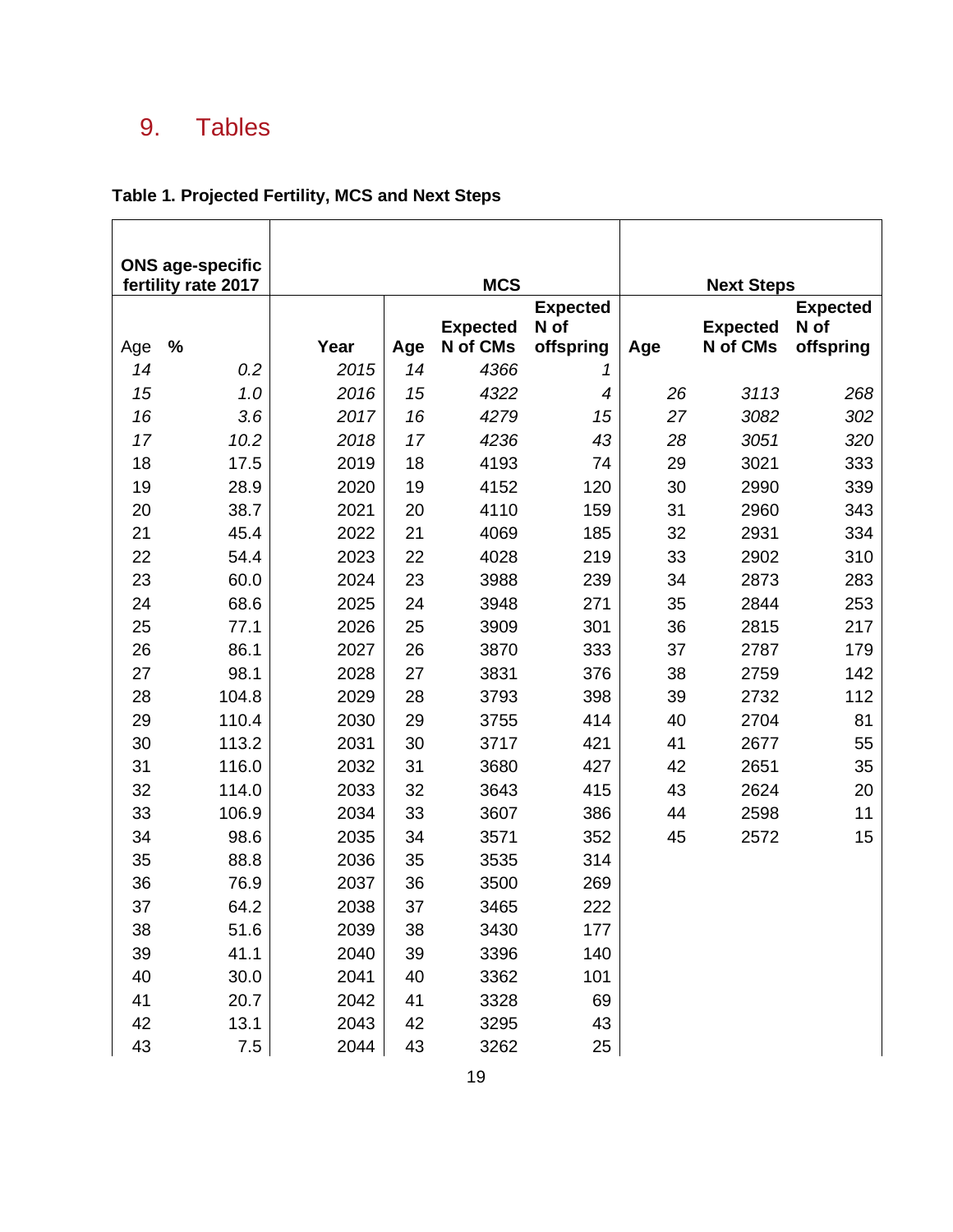# <span id="page-18-0"></span>9. Tables

#### **Table 1. Projected Fertility, MCS and Next Steps**

|           | <b>ONS age-specific</b> |      |           |                             |                          |     |                             |                   |
|-----------|-------------------------|------|-----------|-----------------------------|--------------------------|-----|-----------------------------|-------------------|
|           | fertility rate 2017     |      |           | <b>MCS</b>                  |                          |     | <b>Next Steps</b>           |                   |
|           |                         |      |           |                             | <b>Expected</b>          |     |                             | <b>Expected</b>   |
|           | $\frac{9}{6}$           | Year |           | <b>Expected</b><br>N of CMs | N of<br>offspring        |     | <b>Expected</b><br>N of CMs | N of<br>offspring |
| Age<br>14 | 0.2                     | 2015 | Age<br>14 | 4366                        | 1                        | Age |                             |                   |
| 15        | 1.0                     | 2016 | 15        | 4322                        | $\overline{\mathcal{A}}$ | 26  | 3113                        | 268               |
| 16        | 3.6                     | 2017 | 16        | 4279                        | 15                       | 27  | 3082                        | 302               |
| 17        | 10.2                    | 2018 | 17        | 4236                        | 43                       | 28  | 3051                        | 320               |
| 18        | 17.5                    | 2019 | 18        | 4193                        | 74                       | 29  | 3021                        | 333               |
| 19        | 28.9                    | 2020 | 19        | 4152                        | 120                      | 30  | 2990                        | 339               |
| 20        | 38.7                    | 2021 | 20        | 4110                        | 159                      | 31  | 2960                        | 343               |
| 21        | 45.4                    | 2022 | 21        | 4069                        | 185                      | 32  | 2931                        | 334               |
| 22        | 54.4                    | 2023 | 22        | 4028                        | 219                      | 33  | 2902                        | 310               |
| 23        | 60.0                    | 2024 | 23        | 3988                        | 239                      | 34  | 2873                        | 283               |
| 24        | 68.6                    | 2025 | 24        | 3948                        | 271                      | 35  | 2844                        | 253               |
| 25        | 77.1                    | 2026 | 25        | 3909                        | 301                      | 36  | 2815                        | 217               |
| 26        | 86.1                    | 2027 | 26        | 3870                        | 333                      | 37  | 2787                        | 179               |
| 27        | 98.1                    | 2028 | 27        | 3831                        | 376                      | 38  | 2759                        | 142               |
| 28        | 104.8                   | 2029 | 28        | 3793                        | 398                      | 39  | 2732                        | 112               |
| 29        | 110.4                   | 2030 | 29        | 3755                        | 414                      | 40  | 2704                        | 81                |
| 30        | 113.2                   | 2031 | 30        | 3717                        | 421                      | 41  | 2677                        | 55                |
| 31        | 116.0                   | 2032 | 31        | 3680                        | 427                      | 42  | 2651                        | 35                |
| 32        | 114.0                   | 2033 | 32        | 3643                        | 415                      | 43  | 2624                        | 20                |
| 33        | 106.9                   | 2034 | 33        | 3607                        | 386                      | 44  | 2598                        | 11                |
| 34        | 98.6                    | 2035 | 34        | 3571                        | 352                      | 45  | 2572                        | 15                |
| 35        | 88.8                    | 2036 | 35        | 3535                        | 314                      |     |                             |                   |
| 36        | 76.9                    | 2037 | 36        | 3500                        | 269                      |     |                             |                   |
| 37        | 64.2                    | 2038 | 37        | 3465                        | 222                      |     |                             |                   |
| 38        | 51.6                    | 2039 | 38        | 3430                        | 177                      |     |                             |                   |
| 39        | 41.1                    | 2040 | 39        | 3396                        | 140                      |     |                             |                   |
| 40        | 30.0                    | 2041 | 40        | 3362                        | 101                      |     |                             |                   |
| 41        | 20.7                    | 2042 | 41        | 3328                        | 69                       |     |                             |                   |
| 42        | 13.1                    | 2043 | 42        | 3295                        | 43                       |     |                             |                   |
| 43        | 7.5                     | 2044 | 43        | 3262                        | 25                       |     |                             |                   |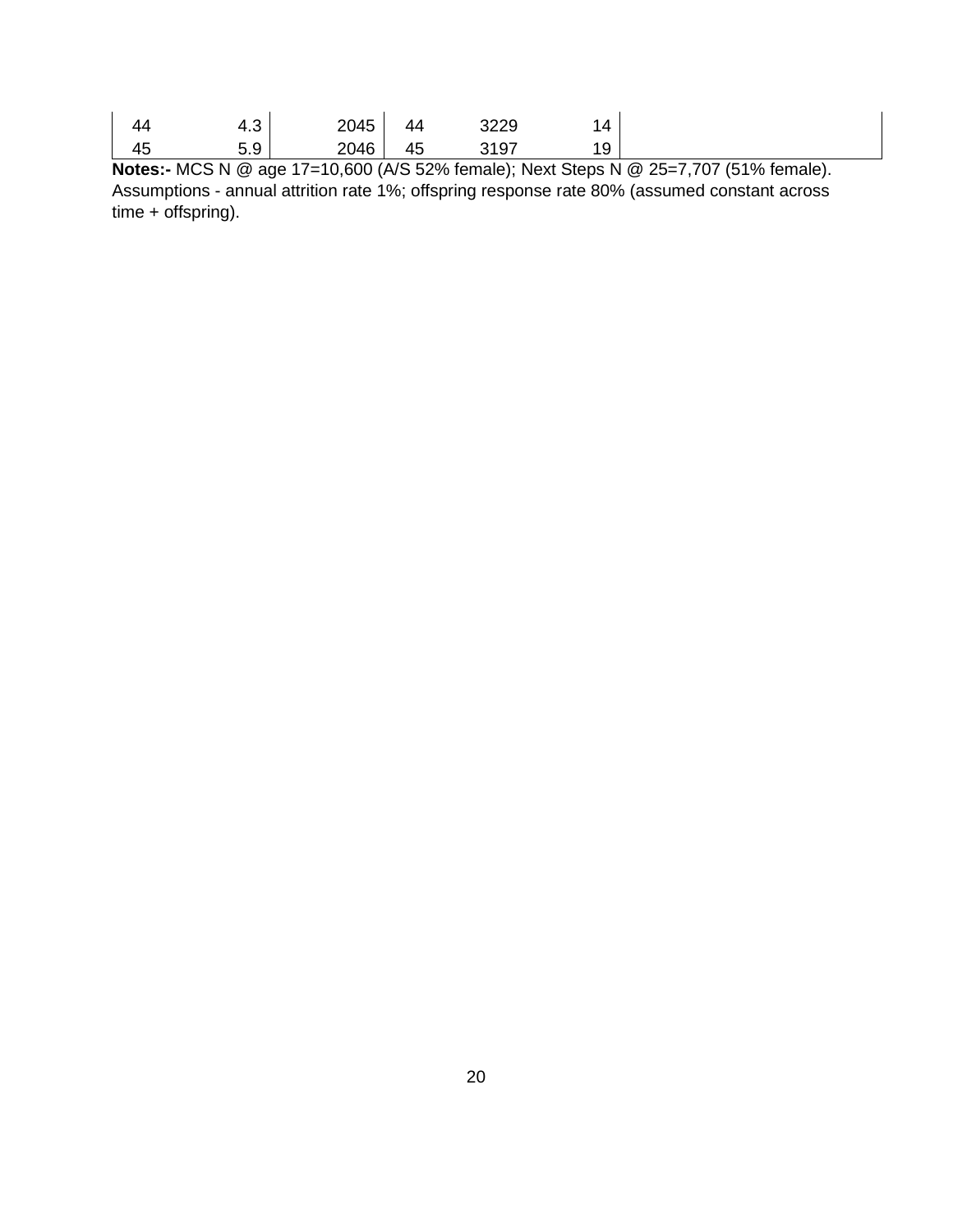| 44 | −…         | 2045 | 44 | າວວດ<br>تعمر                               | $\overline{4}$      |  |
|----|------------|------|----|--------------------------------------------|---------------------|--|
| 45 | - -<br>ບ.ບ | 2046 | 45 | າ <i>∧ ຕ</i> =<br>$\overline{\phantom{a}}$ | 1 <sub>O</sub><br>◡ |  |

**Notes:-** MCS N @ age 17=10,600 (A/S 52% female); Next Steps N @ 25=7,707 (51% female). Assumptions - annual attrition rate 1%; offspring response rate 80% (assumed constant across time + offspring).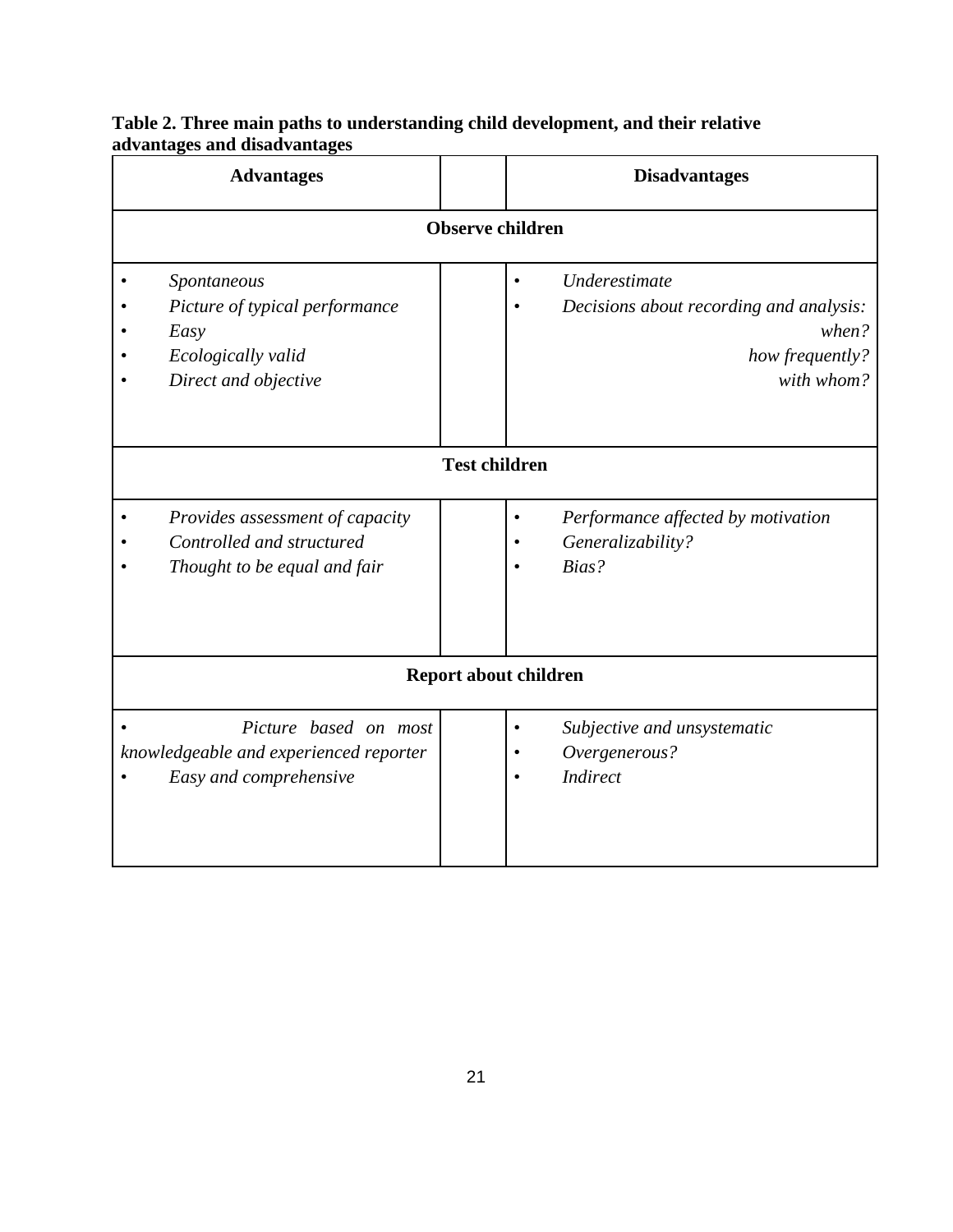| <b>Advantages</b> |                                                                                                     |                         |  | <b>Disadvantages</b>                                                                               |  |  |  |
|-------------------|-----------------------------------------------------------------------------------------------------|-------------------------|--|----------------------------------------------------------------------------------------------------|--|--|--|
|                   |                                                                                                     | <b>Observe children</b> |  |                                                                                                    |  |  |  |
|                   | Spontaneous<br>Picture of typical performance<br>Easy<br>Ecologically valid<br>Direct and objective |                         |  | Underestimate<br>Decisions about recording and analysis:<br>when?<br>how frequently?<br>with whom? |  |  |  |
|                   | <b>Test children</b>                                                                                |                         |  |                                                                                                    |  |  |  |
|                   | Provides assessment of capacity<br>Controlled and structured<br>Thought to be equal and fair        |                         |  | Performance affected by motivation<br>Generalizability?<br>Bias?                                   |  |  |  |
|                   | <b>Report about children</b>                                                                        |                         |  |                                                                                                    |  |  |  |
|                   | Picture based on most<br>knowledgeable and experienced reporter<br>Easy and comprehensive           |                         |  | Subjective and unsystematic<br>Overgenerous?<br><b>Indirect</b>                                    |  |  |  |

#### **Table 2. Three main paths to understanding child development, and their relative advantages and disadvantages**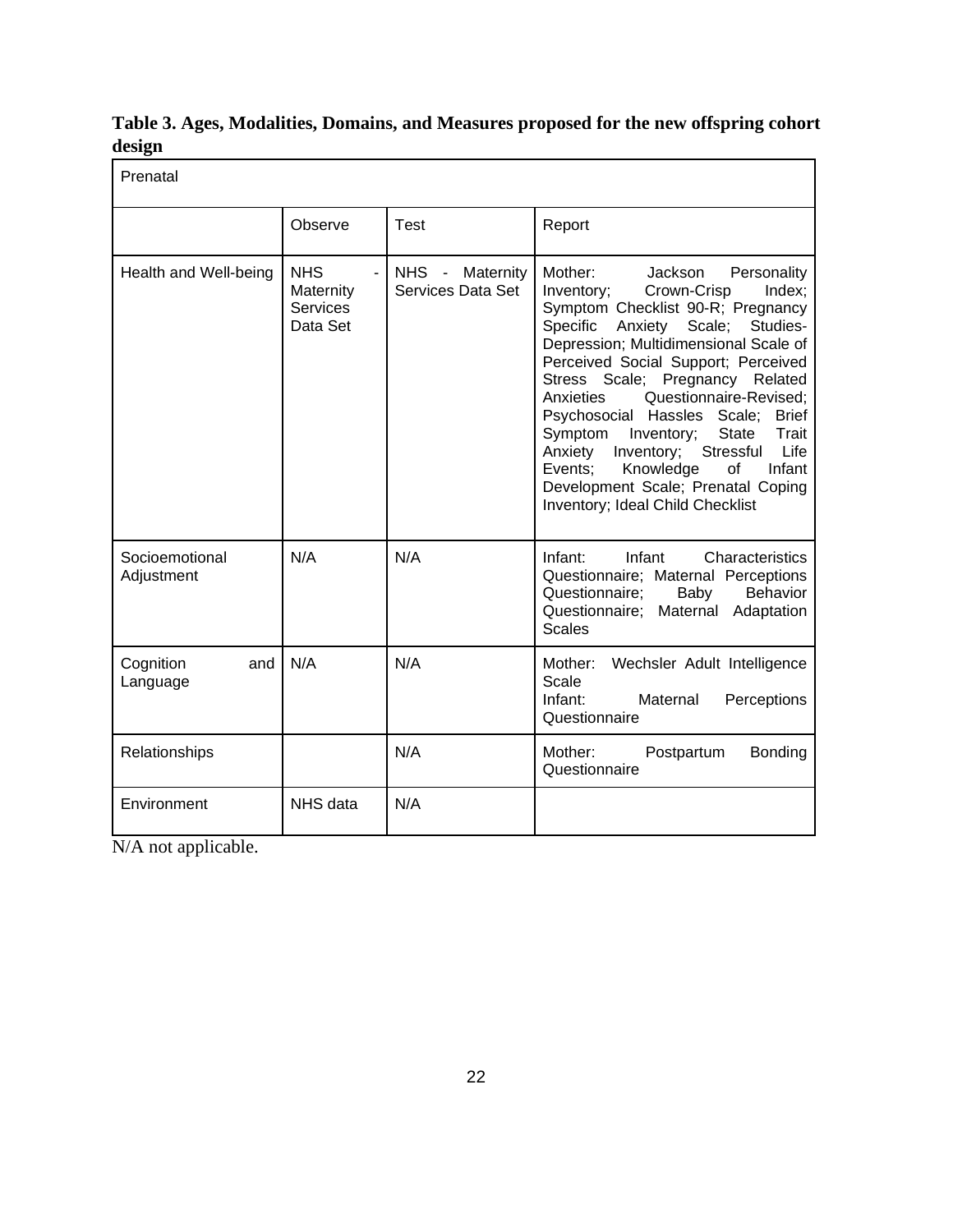| Table 3. Ages, Modalities, Domains, and Measures proposed for the new offspring cohort |  |  |  |
|----------------------------------------------------------------------------------------|--|--|--|
| design                                                                                 |  |  |  |

| Prenatal                     |                                                        |                                      |                                                                                                                                                                                                                                                                                                                                                                                                                                                                                                                                                                                |
|------------------------------|--------------------------------------------------------|--------------------------------------|--------------------------------------------------------------------------------------------------------------------------------------------------------------------------------------------------------------------------------------------------------------------------------------------------------------------------------------------------------------------------------------------------------------------------------------------------------------------------------------------------------------------------------------------------------------------------------|
|                              | Observe                                                | Test                                 | Report                                                                                                                                                                                                                                                                                                                                                                                                                                                                                                                                                                         |
| Health and Well-being        | <b>NHS</b><br>Maternity<br><b>Services</b><br>Data Set | NHS - Maternity<br>Services Data Set | Mother:<br>Jackson<br>Personality<br>Inventory;<br>Crown-Crisp<br>Index:<br>Symptom Checklist 90-R; Pregnancy<br>Specific<br>Anxiety<br>Scale;<br>Studies-<br>Depression; Multidimensional Scale of<br>Perceived Social Support; Perceived<br>Stress Scale; Pregnancy Related<br>Anxieties<br>Questionnaire-Revised;<br>Psychosocial Hassles Scale;<br><b>Brief</b><br>State<br>Trait<br>Symptom<br>Inventory;<br>Stressful<br>Life<br>Anxiety<br>Inventory;<br>Knowledge<br>of<br>Events:<br>Infant<br>Development Scale; Prenatal Coping<br>Inventory; Ideal Child Checklist |
| Socioemotional<br>Adjustment | N/A                                                    | N/A                                  | Infant:<br>Infant<br>Characteristics<br>Questionnaire; Maternal Perceptions<br>Questionnaire:<br>Baby<br>Behavior<br>Questionnaire;<br>Maternal Adaptation<br><b>Scales</b>                                                                                                                                                                                                                                                                                                                                                                                                    |
| Cognition<br>and<br>Language | N/A                                                    | N/A                                  | Mother:<br>Wechsler Adult Intelligence<br>Scale<br>Infant:<br>Maternal<br>Perceptions<br>Questionnaire                                                                                                                                                                                                                                                                                                                                                                                                                                                                         |
| Relationships                |                                                        | N/A                                  | Mother:<br>Postpartum<br>Bonding<br>Questionnaire                                                                                                                                                                                                                                                                                                                                                                                                                                                                                                                              |
| Environment                  | NHS data                                               | N/A                                  |                                                                                                                                                                                                                                                                                                                                                                                                                                                                                                                                                                                |

N/A not applicable.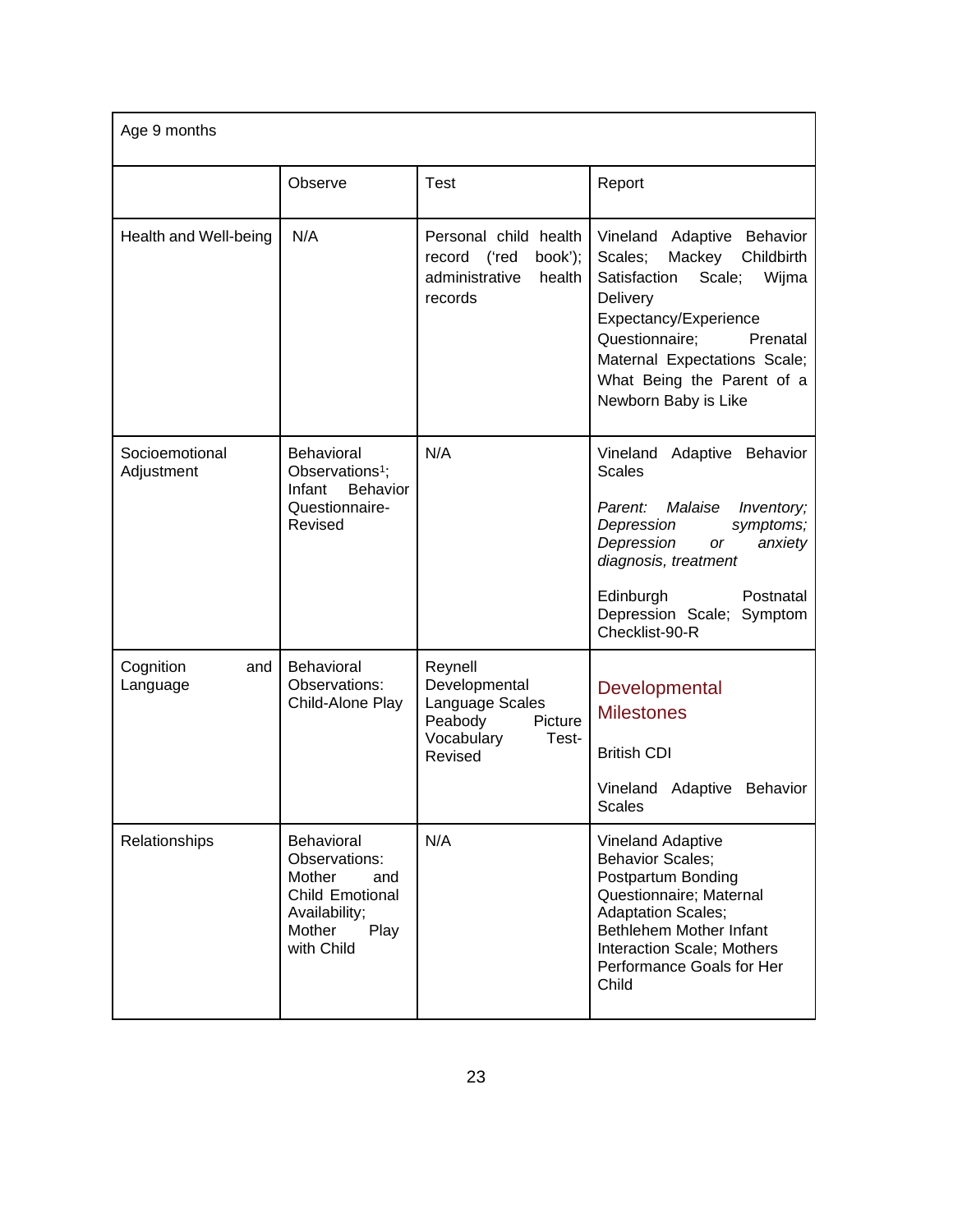| Age 9 months                 |                                                                                                                  |                                                                                                     |                                                                                                                                                                                                                                                           |  |  |  |
|------------------------------|------------------------------------------------------------------------------------------------------------------|-----------------------------------------------------------------------------------------------------|-----------------------------------------------------------------------------------------------------------------------------------------------------------------------------------------------------------------------------------------------------------|--|--|--|
|                              | Observe                                                                                                          | <b>Test</b>                                                                                         | Report                                                                                                                                                                                                                                                    |  |  |  |
| Health and Well-being        | N/A                                                                                                              | Personal child health<br>record<br>('red<br>book');<br>administrative<br>health<br>records          | Vineland Adaptive Behavior<br>Scales;<br>Mackey<br>Childbirth<br>Scale;<br>Satisfaction<br>Wijma<br>Delivery<br>Expectancy/Experience<br>Questionnaire;<br>Prenatal<br>Maternal Expectations Scale;<br>What Being the Parent of a<br>Newborn Baby is Like |  |  |  |
| Socioemotional<br>Adjustment | <b>Behavioral</b><br>Observations <sup>1</sup> ;<br>Infant<br><b>Behavior</b><br>Questionnaire-<br>Revised       | N/A                                                                                                 | Vineland Adaptive Behavior<br><b>Scales</b><br>Malaise<br>Parent:<br>Inventory;<br>Depression<br>symptoms;<br>Depression<br>or<br>anxiety<br>diagnosis, treatment<br>Edinburgh<br>Postnatal<br>Depression Scale; Symptom<br>Checklist-90-R                |  |  |  |
| Cognition<br>and<br>Language | <b>Behavioral</b><br>Observations:<br>Child-Alone Play                                                           | Reynell<br>Developmental<br>Language Scales<br>Peabody<br>Picture<br>Vocabulary<br>Test-<br>Revised | Developmental<br><b>Milestones</b><br><b>British CDI</b><br>Vineland Adaptive Behavior<br><b>Scales</b>                                                                                                                                                   |  |  |  |
| Relationships                | Behavioral<br>Observations:<br>Mother<br>and<br>Child Emotional<br>Availability;<br>Play<br>Mother<br>with Child | N/A                                                                                                 | <b>Vineland Adaptive</b><br><b>Behavior Scales;</b><br>Postpartum Bonding<br>Questionnaire; Maternal<br><b>Adaptation Scales;</b><br>Bethlehem Mother Infant<br>Interaction Scale; Mothers<br>Performance Goals for Her<br>Child                          |  |  |  |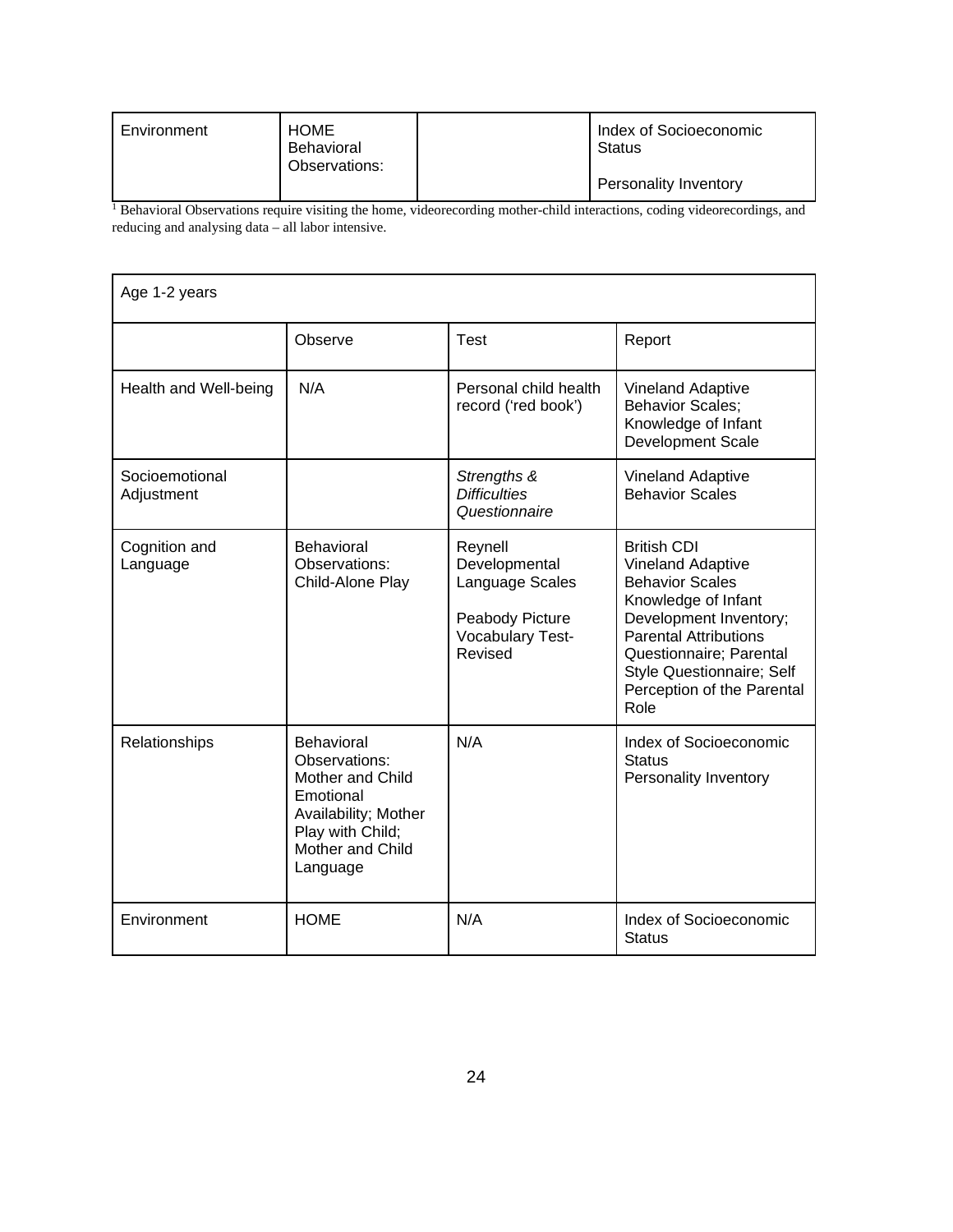| Environment | <b>HOME</b><br>Behavioral<br>Observations: | Index of Socioeconomic<br><b>Status</b> |
|-------------|--------------------------------------------|-----------------------------------------|
|             |                                            | Personality Inventory                   |

<sup>1</sup> Behavioral Observations require visiting the home, videorecording mother-child interactions, coding videorecordings, and reducing and analysing data – all labor intensive.

| Age 1-2 years                |                                                                                                                                          |                                                                                               |                                                                                                                                                                                                                                                  |  |  |  |  |
|------------------------------|------------------------------------------------------------------------------------------------------------------------------------------|-----------------------------------------------------------------------------------------------|--------------------------------------------------------------------------------------------------------------------------------------------------------------------------------------------------------------------------------------------------|--|--|--|--|
|                              | Observe                                                                                                                                  | Test                                                                                          | Report                                                                                                                                                                                                                                           |  |  |  |  |
| Health and Well-being        | N/A                                                                                                                                      | Personal child health<br>record ('red book')                                                  | <b>Vineland Adaptive</b><br><b>Behavior Scales;</b><br>Knowledge of Infant<br><b>Development Scale</b>                                                                                                                                           |  |  |  |  |
| Socioemotional<br>Adjustment |                                                                                                                                          | Strengths &<br><b>Difficulties</b><br>Questionnaire                                           | Vineland Adaptive<br><b>Behavior Scales</b>                                                                                                                                                                                                      |  |  |  |  |
| Cognition and<br>Language    | Behavioral<br>Observations:<br>Child-Alone Play                                                                                          | Reynell<br>Developmental<br>Language Scales<br>Peabody Picture<br>Vocabulary Test-<br>Revised | <b>British CDI</b><br>Vineland Adaptive<br><b>Behavior Scales</b><br>Knowledge of Infant<br>Development Inventory;<br><b>Parental Attributions</b><br>Questionnaire; Parental<br>Style Questionnaire; Self<br>Perception of the Parental<br>Role |  |  |  |  |
| Relationships                | Behavioral<br>Observations:<br>Mother and Child<br>Emotional<br>Availability; Mother<br>Play with Child;<br>Mother and Child<br>Language | N/A                                                                                           | Index of Socioeconomic<br><b>Status</b><br>Personality Inventory                                                                                                                                                                                 |  |  |  |  |
| Environment                  | <b>HOME</b>                                                                                                                              | N/A                                                                                           | Index of Socioeconomic<br><b>Status</b>                                                                                                                                                                                                          |  |  |  |  |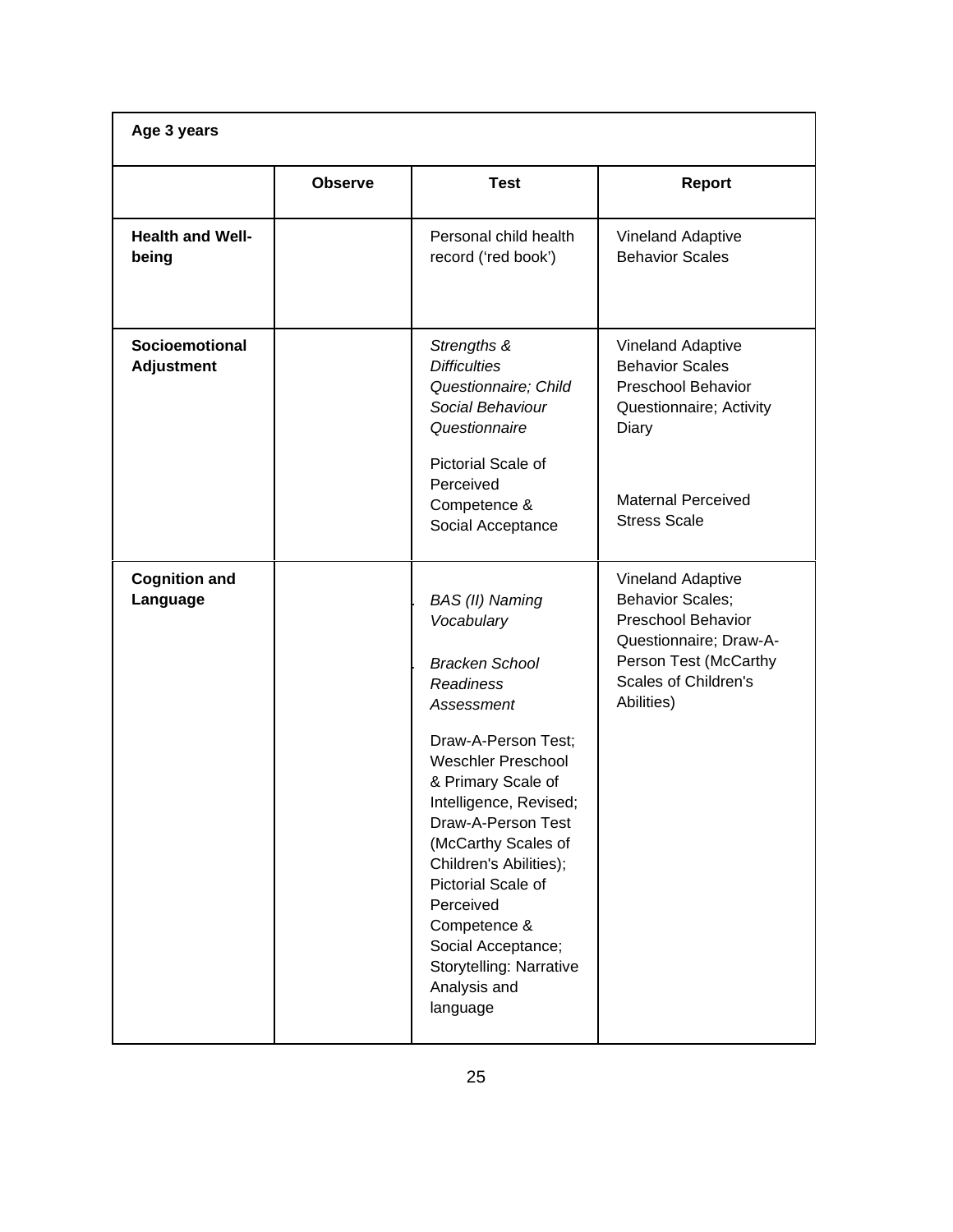| Age 3 years                                |                |                                                                                                                                                                                                                                                                                                                                                                                                     |                                                                                                                                                                                  |
|--------------------------------------------|----------------|-----------------------------------------------------------------------------------------------------------------------------------------------------------------------------------------------------------------------------------------------------------------------------------------------------------------------------------------------------------------------------------------------------|----------------------------------------------------------------------------------------------------------------------------------------------------------------------------------|
|                                            | <b>Observe</b> | <b>Test</b>                                                                                                                                                                                                                                                                                                                                                                                         | <b>Report</b>                                                                                                                                                                    |
| <b>Health and Well-</b><br>being           |                | Personal child health<br>record ('red book')                                                                                                                                                                                                                                                                                                                                                        | <b>Vineland Adaptive</b><br><b>Behavior Scales</b>                                                                                                                               |
| <b>Socioemotional</b><br><b>Adjustment</b> |                | Strengths &<br><b>Difficulties</b><br>Questionnaire; Child<br>Social Behaviour<br>Questionnaire<br>Pictorial Scale of<br>Perceived<br>Competence &<br>Social Acceptance                                                                                                                                                                                                                             | <b>Vineland Adaptive</b><br><b>Behavior Scales</b><br><b>Preschool Behavior</b><br>Questionnaire; Activity<br>Diary<br><b>Maternal Perceived</b><br><b>Stress Scale</b>          |
| <b>Cognition and</b><br>Language           |                | BAS (II) Naming<br>Vocabulary<br><b>Bracken School</b><br><b>Readiness</b><br>Assessment<br>Draw-A-Person Test;<br><b>Weschler Preschool</b><br>& Primary Scale of<br>Intelligence, Revised;<br>Draw-A-Person Test<br>(McCarthy Scales of<br>Children's Abilities);<br>Pictorial Scale of<br>Perceived<br>Competence &<br>Social Acceptance;<br>Storytelling: Narrative<br>Analysis and<br>language | <b>Vineland Adaptive</b><br><b>Behavior Scales;</b><br><b>Preschool Behavior</b><br>Questionnaire; Draw-A-<br>Person Test (McCarthy<br><b>Scales of Children's</b><br>Abilities) |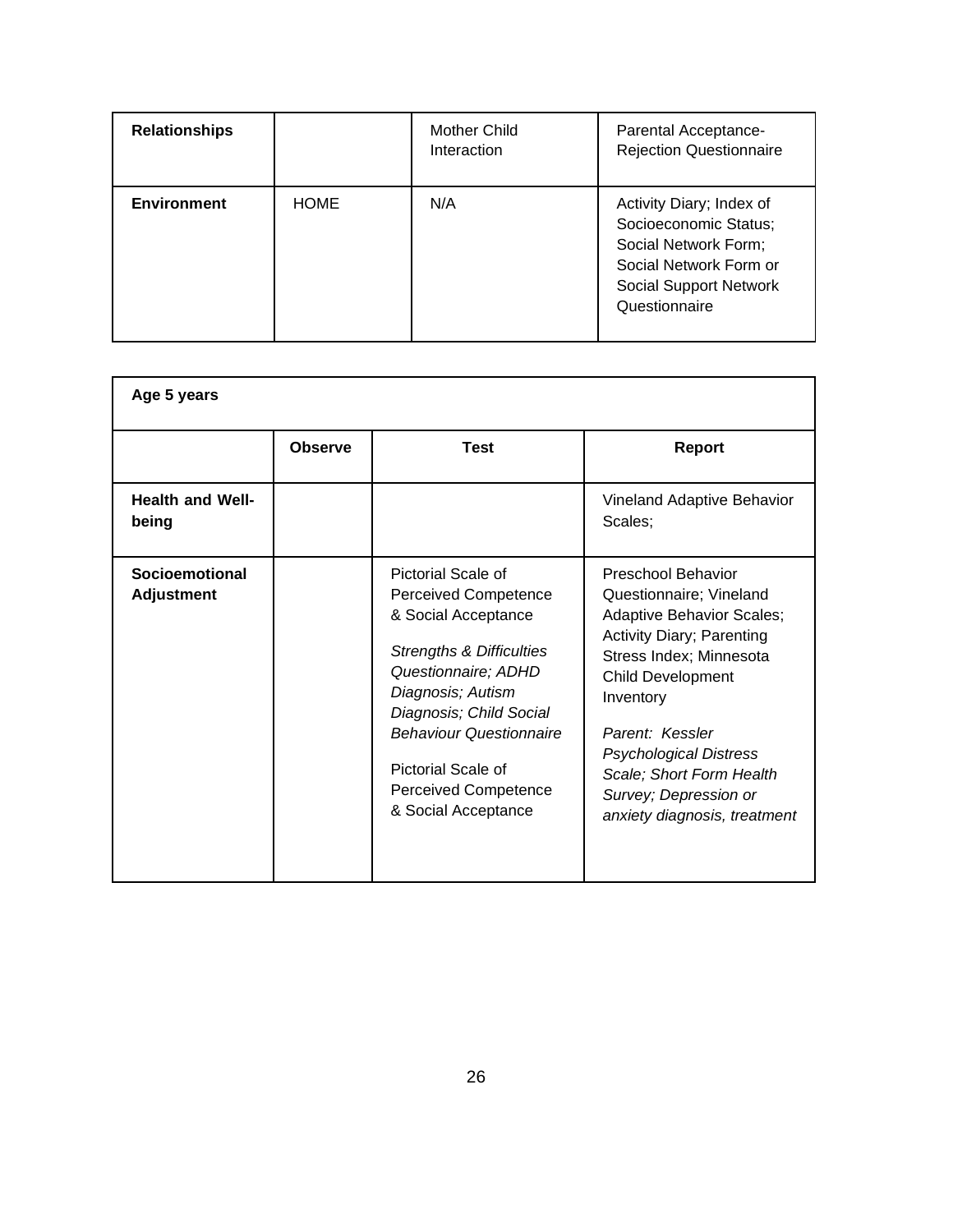| <b>Relationships</b> |             | <b>Mother Child</b><br>Interaction | Parental Acceptance-<br><b>Rejection Questionnaire</b>                                                                                                |
|----------------------|-------------|------------------------------------|-------------------------------------------------------------------------------------------------------------------------------------------------------|
| <b>Environment</b>   | <b>HOME</b> | N/A                                | Activity Diary; Index of<br>Socioeconomic Status;<br>Social Network Form;<br>Social Network Form or<br><b>Social Support Network</b><br>Questionnaire |

| Age 5 years                         |                |                                                                                                                                                                                                                                                                                                      |                                                                                                                                                                                                                                                                                                                                    |
|-------------------------------------|----------------|------------------------------------------------------------------------------------------------------------------------------------------------------------------------------------------------------------------------------------------------------------------------------------------------------|------------------------------------------------------------------------------------------------------------------------------------------------------------------------------------------------------------------------------------------------------------------------------------------------------------------------------------|
|                                     | <b>Observe</b> | <b>Test</b>                                                                                                                                                                                                                                                                                          | <b>Report</b>                                                                                                                                                                                                                                                                                                                      |
| <b>Health and Well-</b><br>being    |                |                                                                                                                                                                                                                                                                                                      | Vineland Adaptive Behavior<br>Scales:                                                                                                                                                                                                                                                                                              |
| Socioemotional<br><b>Adjustment</b> |                | Pictorial Scale of<br><b>Perceived Competence</b><br>& Social Acceptance<br><b>Strengths &amp; Difficulties</b><br>Questionnaire; ADHD<br>Diagnosis; Autism<br>Diagnosis; Child Social<br><b>Behaviour Questionnaire</b><br>Pictorial Scale of<br><b>Perceived Competence</b><br>& Social Acceptance | Preschool Behavior<br>Questionnaire; Vineland<br><b>Adaptive Behavior Scales;</b><br><b>Activity Diary; Parenting</b><br>Stress Index; Minnesota<br><b>Child Development</b><br>Inventory<br>Parent: Kessler<br><b>Psychological Distress</b><br>Scale; Short Form Health<br>Survey; Depression or<br>anxiety diagnosis, treatment |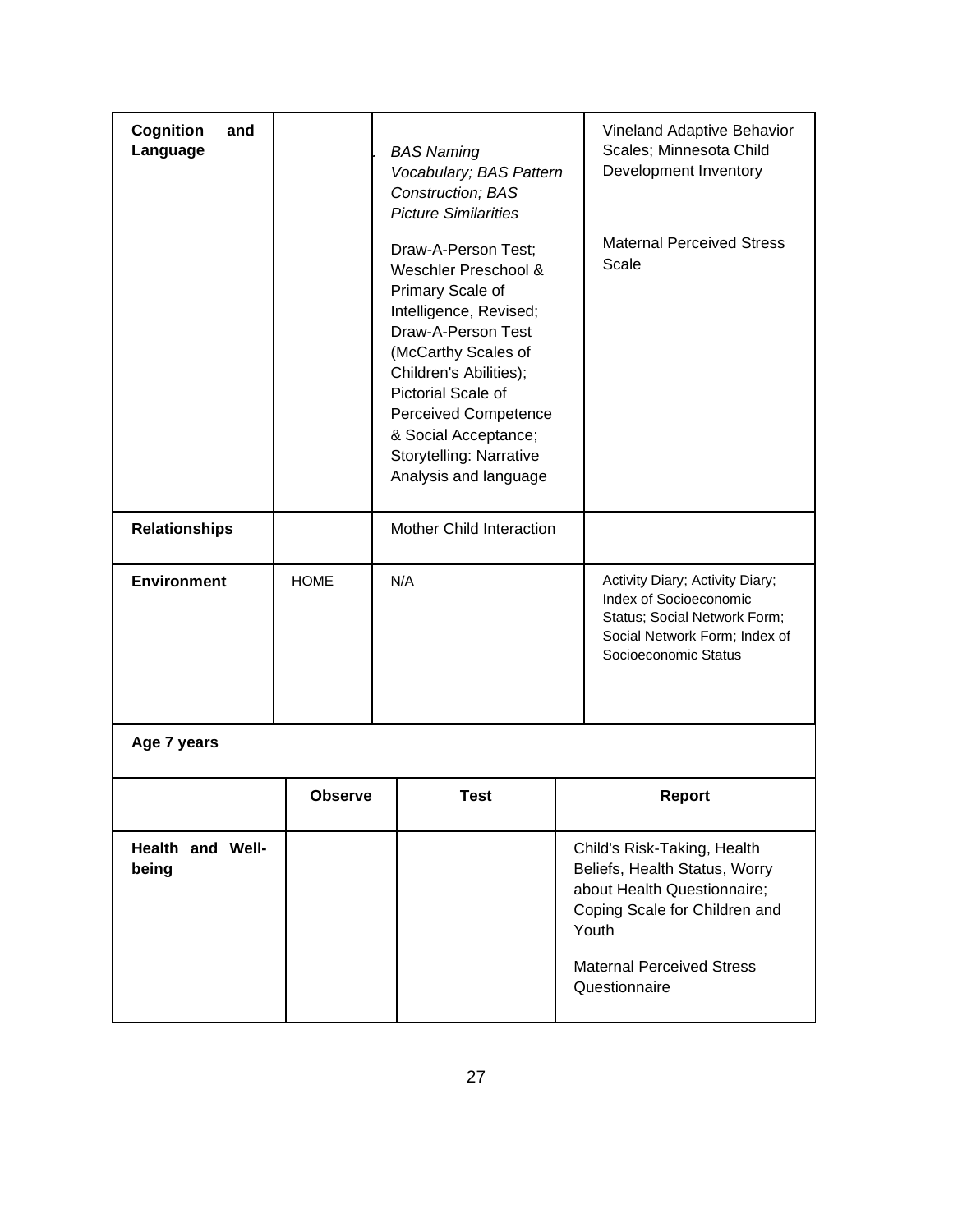| Cognition<br>and<br>Language     |                | <b>BAS Naming</b><br>Vocabulary; BAS Pattern<br>Construction; BAS<br><b>Picture Similarities</b><br>Draw-A-Person Test;<br>Weschler Preschool &<br>Primary Scale of<br>Intelligence, Revised;<br>Draw-A-Person Test<br>(McCarthy Scales of<br>Children's Abilities);<br>Pictorial Scale of<br><b>Perceived Competence</b><br>& Social Acceptance;<br>Storytelling: Narrative<br>Analysis and language |                          | Vineland Adaptive Behavior<br>Scales; Minnesota Child<br>Development Inventory<br><b>Maternal Perceived Stress</b><br>Scale |                                                                                                                                                                                            |
|----------------------------------|----------------|-------------------------------------------------------------------------------------------------------------------------------------------------------------------------------------------------------------------------------------------------------------------------------------------------------------------------------------------------------------------------------------------------------|--------------------------|-----------------------------------------------------------------------------------------------------------------------------|--------------------------------------------------------------------------------------------------------------------------------------------------------------------------------------------|
| <b>Relationships</b>             |                |                                                                                                                                                                                                                                                                                                                                                                                                       | Mother Child Interaction |                                                                                                                             |                                                                                                                                                                                            |
| <b>Environment</b>               | <b>HOME</b>    |                                                                                                                                                                                                                                                                                                                                                                                                       | N/A                      |                                                                                                                             | Activity Diary; Activity Diary;<br>Index of Socioeconomic<br>Status; Social Network Form;<br>Social Network Form; Index of<br>Socioeconomic Status                                         |
| Age 7 years                      |                |                                                                                                                                                                                                                                                                                                                                                                                                       |                          |                                                                                                                             |                                                                                                                                                                                            |
|                                  | <b>Observe</b> |                                                                                                                                                                                                                                                                                                                                                                                                       | <b>Test</b>              |                                                                                                                             | <b>Report</b>                                                                                                                                                                              |
| <b>Health and Well-</b><br>being |                |                                                                                                                                                                                                                                                                                                                                                                                                       |                          |                                                                                                                             | Child's Risk-Taking, Health<br>Beliefs, Health Status, Worry<br>about Health Questionnaire;<br>Coping Scale for Children and<br>Youth<br><b>Maternal Perceived Stress</b><br>Questionnaire |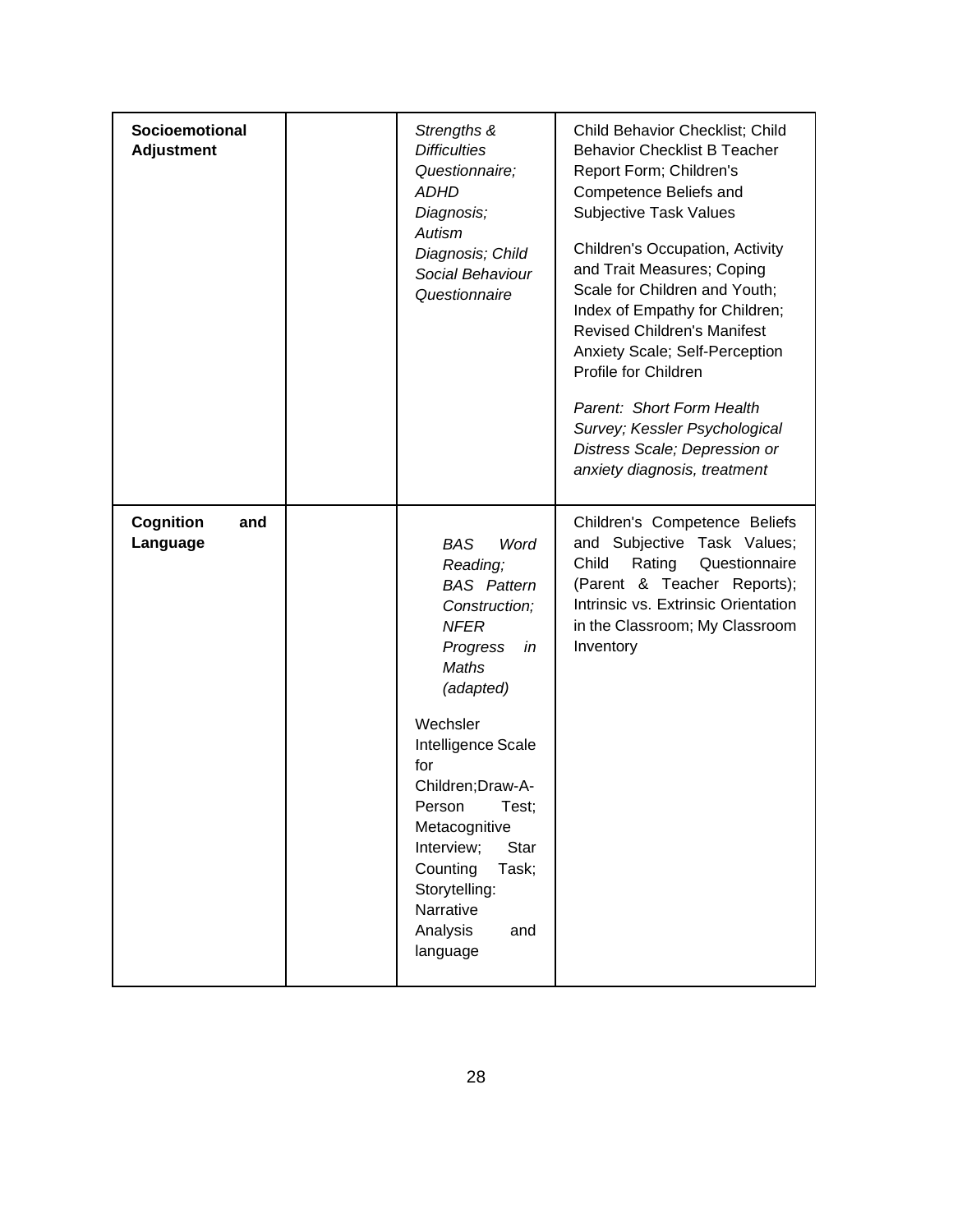| <b>Socioemotional</b><br><b>Adjustment</b> | Strengths &<br><b>Difficulties</b><br>Questionnaire;<br><b>ADHD</b><br>Diagnosis;<br>Autism<br>Diagnosis; Child<br>Social Behaviour<br>Questionnaire                                                                                                                                                                                   | Child Behavior Checklist; Child<br><b>Behavior Checklist B Teacher</b><br>Report Form; Children's<br>Competence Beliefs and<br><b>Subjective Task Values</b><br>Children's Occupation, Activity<br>and Trait Measures; Coping<br>Scale for Children and Youth;<br>Index of Empathy for Children;<br><b>Revised Children's Manifest</b><br>Anxiety Scale; Self-Perception<br>Profile for Children<br>Parent: Short Form Health<br>Survey; Kessler Psychological<br>Distress Scale; Depression or<br>anxiety diagnosis, treatment |
|--------------------------------------------|----------------------------------------------------------------------------------------------------------------------------------------------------------------------------------------------------------------------------------------------------------------------------------------------------------------------------------------|---------------------------------------------------------------------------------------------------------------------------------------------------------------------------------------------------------------------------------------------------------------------------------------------------------------------------------------------------------------------------------------------------------------------------------------------------------------------------------------------------------------------------------|
| Cognition<br>and<br>Language               | <b>BAS</b><br>Word<br>Reading;<br><b>BAS</b> Pattern<br>Construction;<br><b>NFER</b><br>Progress<br>in<br>Maths<br>(adapted)<br>Wechsler<br>Intelligence Scale<br>for<br>Children; Draw-A-<br>Person<br>Test;<br>Metacognitive<br>Interview;<br>Star<br>Counting<br>Task;<br>Storytelling:<br>Narrative<br>Analysis<br>and<br>language | Children's Competence Beliefs<br>and Subjective Task Values;<br>Child<br>Rating<br>Questionnaire<br>(Parent & Teacher Reports);<br>Intrinsic vs. Extrinsic Orientation<br>in the Classroom; My Classroom<br>Inventory                                                                                                                                                                                                                                                                                                           |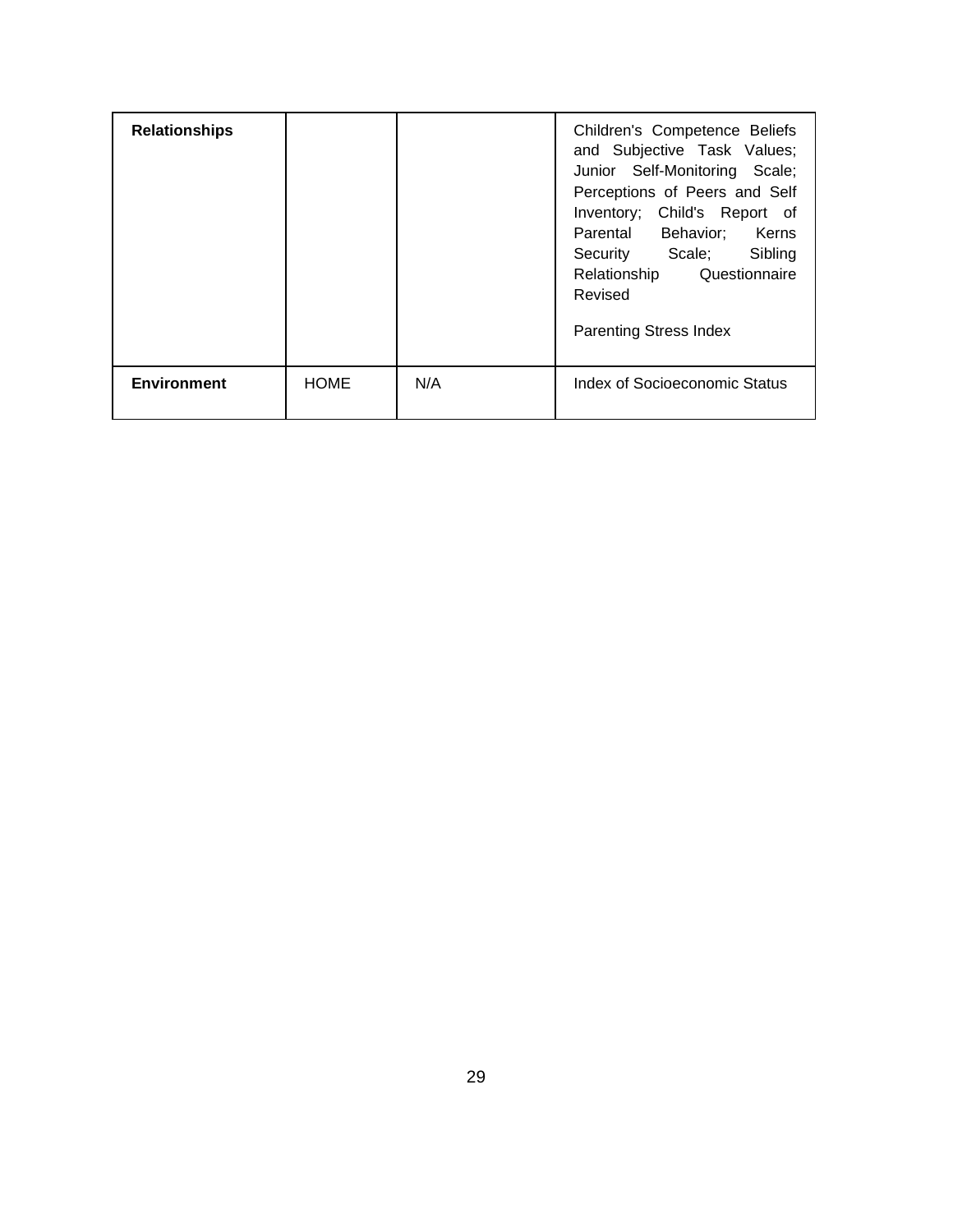| <b>Relationships</b> |             |     | Children's Competence Beliefs<br>and Subjective Task Values;<br>Junior Self-Monitoring Scale;<br>Perceptions of Peers and Self<br>Inventory; Child's Report of<br>Parental Behavior; Kerns<br>Security Scale; Sibling<br>Relationship Questionnaire<br>Revised<br><b>Parenting Stress Index</b> |
|----------------------|-------------|-----|-------------------------------------------------------------------------------------------------------------------------------------------------------------------------------------------------------------------------------------------------------------------------------------------------|
| <b>Environment</b>   | <b>HOME</b> | N/A | Index of Socioeconomic Status                                                                                                                                                                                                                                                                   |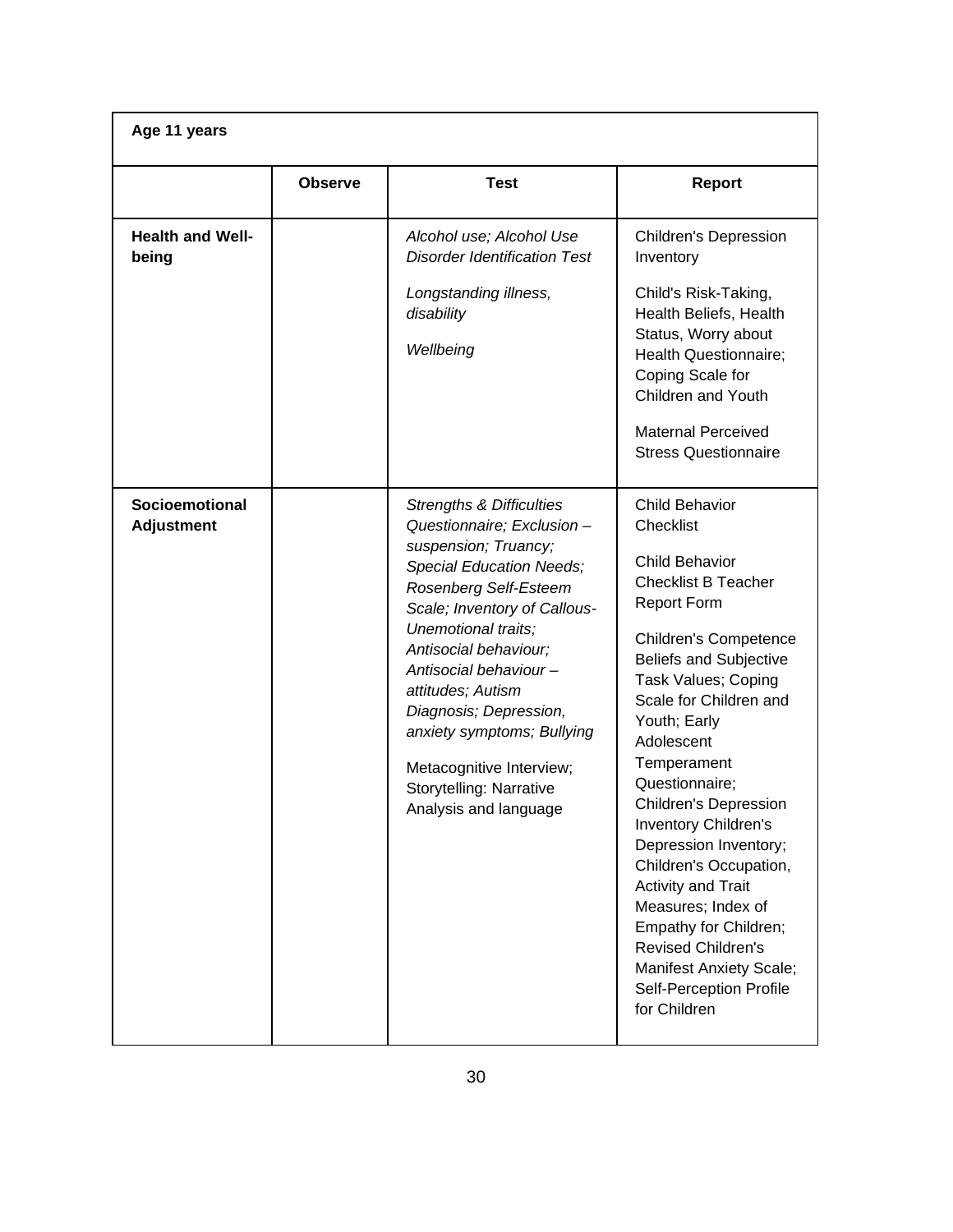| Age 11 years                        |                |                                                                                                                                                                                                                                                                                                                                                                                                                             |                                                                                                                                                                                                                                                                                                                                                                                                                                                                                                                                                                                                          |
|-------------------------------------|----------------|-----------------------------------------------------------------------------------------------------------------------------------------------------------------------------------------------------------------------------------------------------------------------------------------------------------------------------------------------------------------------------------------------------------------------------|----------------------------------------------------------------------------------------------------------------------------------------------------------------------------------------------------------------------------------------------------------------------------------------------------------------------------------------------------------------------------------------------------------------------------------------------------------------------------------------------------------------------------------------------------------------------------------------------------------|
|                                     | <b>Observe</b> | <b>Test</b>                                                                                                                                                                                                                                                                                                                                                                                                                 | <b>Report</b>                                                                                                                                                                                                                                                                                                                                                                                                                                                                                                                                                                                            |
| <b>Health and Well-</b><br>being    |                | Alcohol use; Alcohol Use<br><b>Disorder Identification Test</b><br>Longstanding illness,<br>disability<br>Wellbeing                                                                                                                                                                                                                                                                                                         | <b>Children's Depression</b><br>Inventory<br>Child's Risk-Taking,<br>Health Beliefs, Health<br>Status, Worry about<br>Health Questionnaire;<br>Coping Scale for<br>Children and Youth<br><b>Maternal Perceived</b><br><b>Stress Questionnaire</b>                                                                                                                                                                                                                                                                                                                                                        |
| Socioemotional<br><b>Adjustment</b> |                | <b>Strengths &amp; Difficulties</b><br>Questionnaire; Exclusion -<br>suspension; Truancy;<br><b>Special Education Needs;</b><br>Rosenberg Self-Esteem<br>Scale; Inventory of Callous-<br>Unemotional traits;<br>Antisocial behaviour;<br>Antisocial behaviour-<br>attitudes; Autism<br>Diagnosis; Depression,<br>anxiety symptoms; Bullying<br>Metacognitive Interview;<br>Storytelling: Narrative<br>Analysis and language | <b>Child Behavior</b><br>Checklist<br><b>Child Behavior</b><br><b>Checklist B Teacher</b><br><b>Report Form</b><br><b>Children's Competence</b><br><b>Beliefs and Subjective</b><br>Task Values; Coping<br>Scale for Children and<br>Youth; Early<br>Adolescent<br>Temperament<br>Questionnaire;<br><b>Children's Depression</b><br><b>Inventory Children's</b><br>Depression Inventory;<br>Children's Occupation,<br><b>Activity and Trait</b><br>Measures; Index of<br>Empathy for Children;<br><b>Revised Children's</b><br><b>Manifest Anxiety Scale;</b><br>Self-Perception Profile<br>for Children |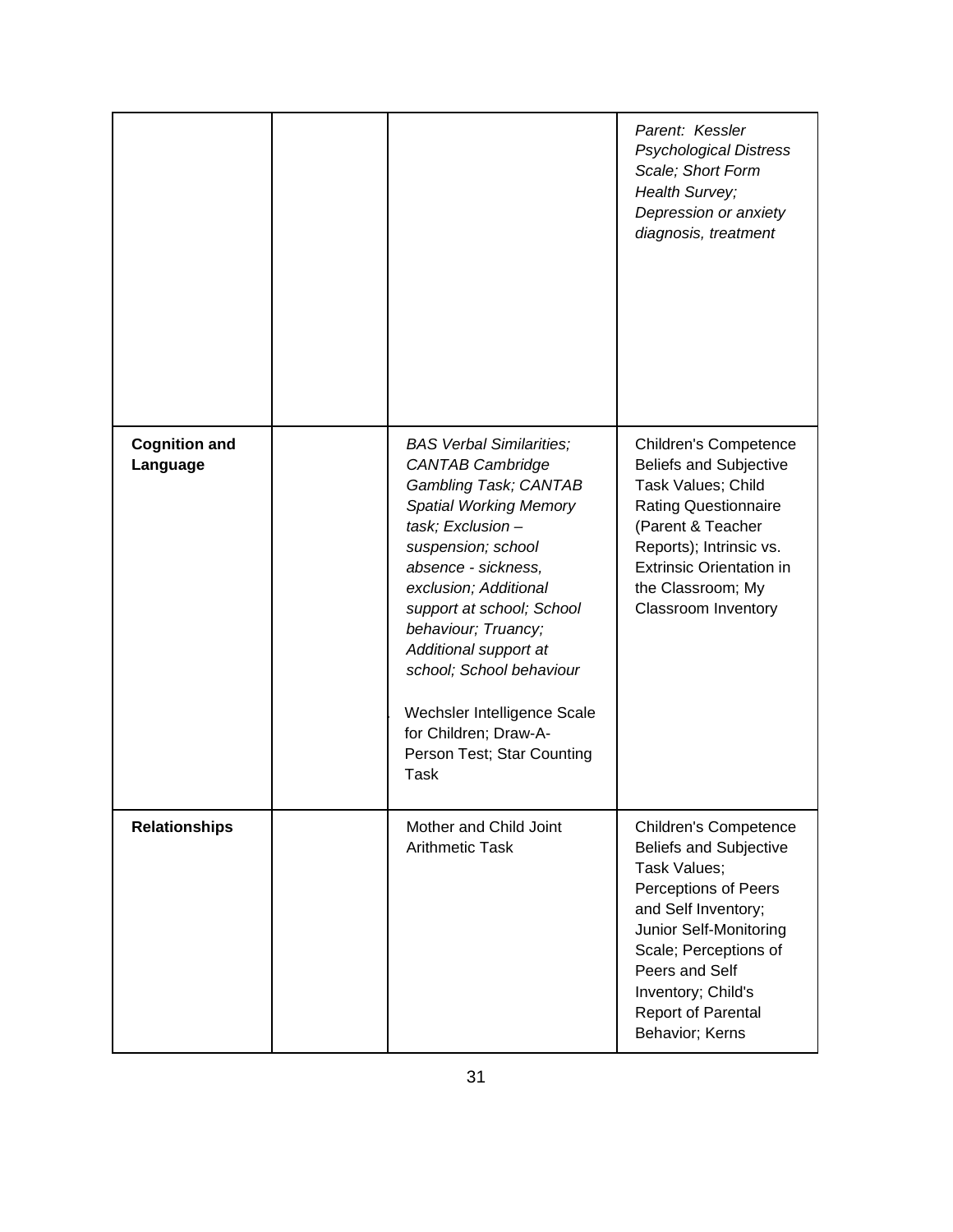|                                  |                                                                                                                                                                                                                                                                                                                                                                                                                       | Parent: Kessler<br><b>Psychological Distress</b><br>Scale; Short Form<br>Health Survey;<br>Depression or anxiety<br>diagnosis, treatment                                                                                                                         |
|----------------------------------|-----------------------------------------------------------------------------------------------------------------------------------------------------------------------------------------------------------------------------------------------------------------------------------------------------------------------------------------------------------------------------------------------------------------------|------------------------------------------------------------------------------------------------------------------------------------------------------------------------------------------------------------------------------------------------------------------|
| <b>Cognition and</b><br>Language | <b>BAS Verbal Similarities;</b><br><b>CANTAB Cambridge</b><br>Gambling Task; CANTAB<br><b>Spatial Working Memory</b><br>task; Exclusion-<br>suspension; school<br>absence - sickness,<br>exclusion; Additional<br>support at school; School<br>behaviour; Truancy;<br>Additional support at<br>school; School behaviour<br>Wechsler Intelligence Scale<br>for Children; Draw-A-<br>Person Test; Star Counting<br>Task | <b>Children's Competence</b><br><b>Beliefs and Subjective</b><br>Task Values; Child<br><b>Rating Questionnaire</b><br>(Parent & Teacher<br>Reports); Intrinsic vs.<br><b>Extrinsic Orientation in</b><br>the Classroom; My<br><b>Classroom Inventory</b>         |
| <b>Relationships</b>             | Mother and Child Joint<br><b>Arithmetic Task</b>                                                                                                                                                                                                                                                                                                                                                                      | <b>Children's Competence</b><br><b>Beliefs and Subjective</b><br>Task Values;<br>Perceptions of Peers<br>and Self Inventory;<br>Junior Self-Monitoring<br>Scale; Perceptions of<br>Peers and Self<br>Inventory; Child's<br>Report of Parental<br>Behavior; Kerns |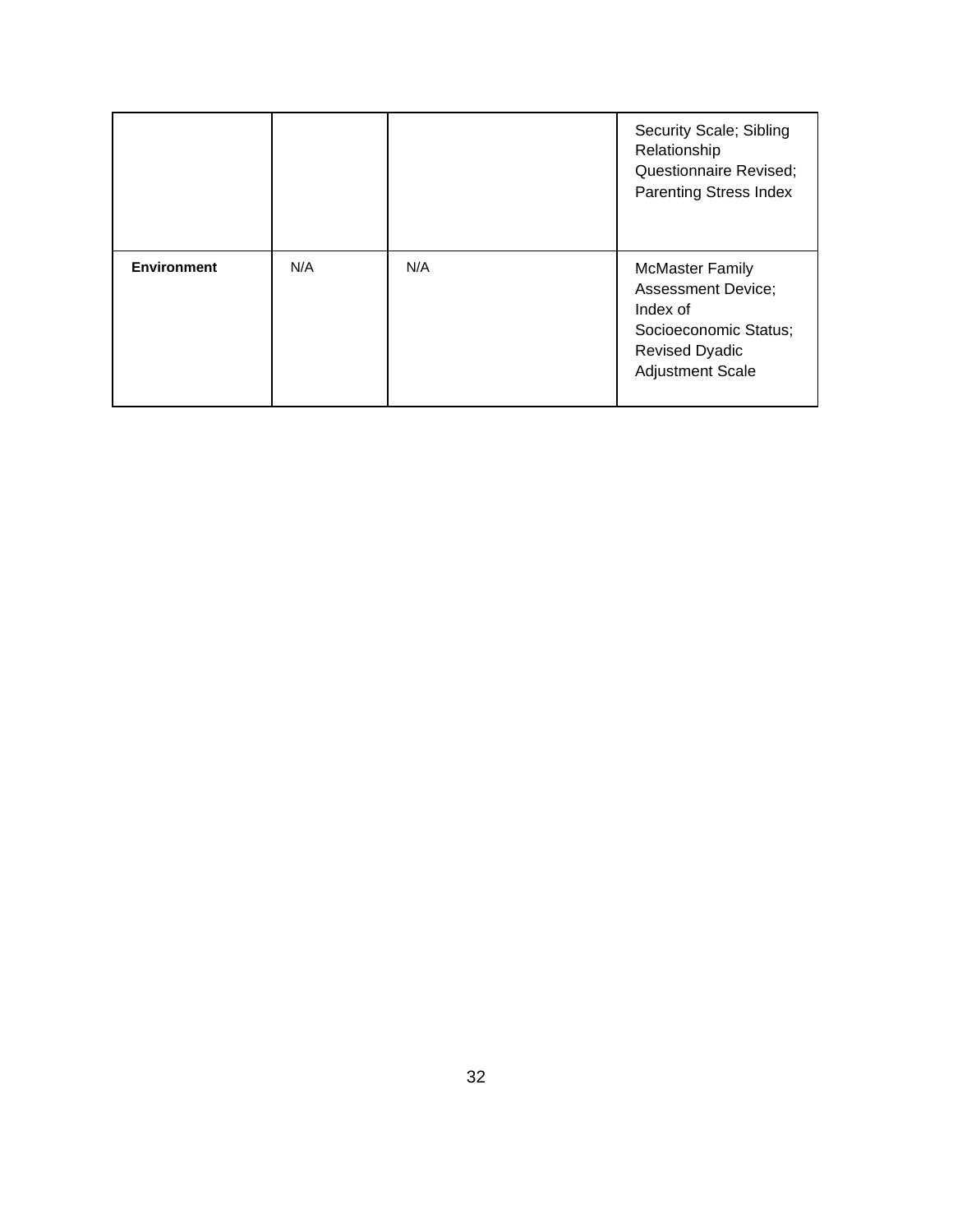|                    |     |     | Security Scale; Sibling<br>Relationship<br>Questionnaire Revised;<br><b>Parenting Stress Index</b>                                           |
|--------------------|-----|-----|----------------------------------------------------------------------------------------------------------------------------------------------|
| <b>Environment</b> | N/A | N/A | <b>McMaster Family</b><br><b>Assessment Device;</b><br>Index of<br>Socioeconomic Status;<br><b>Revised Dyadic</b><br><b>Adjustment Scale</b> |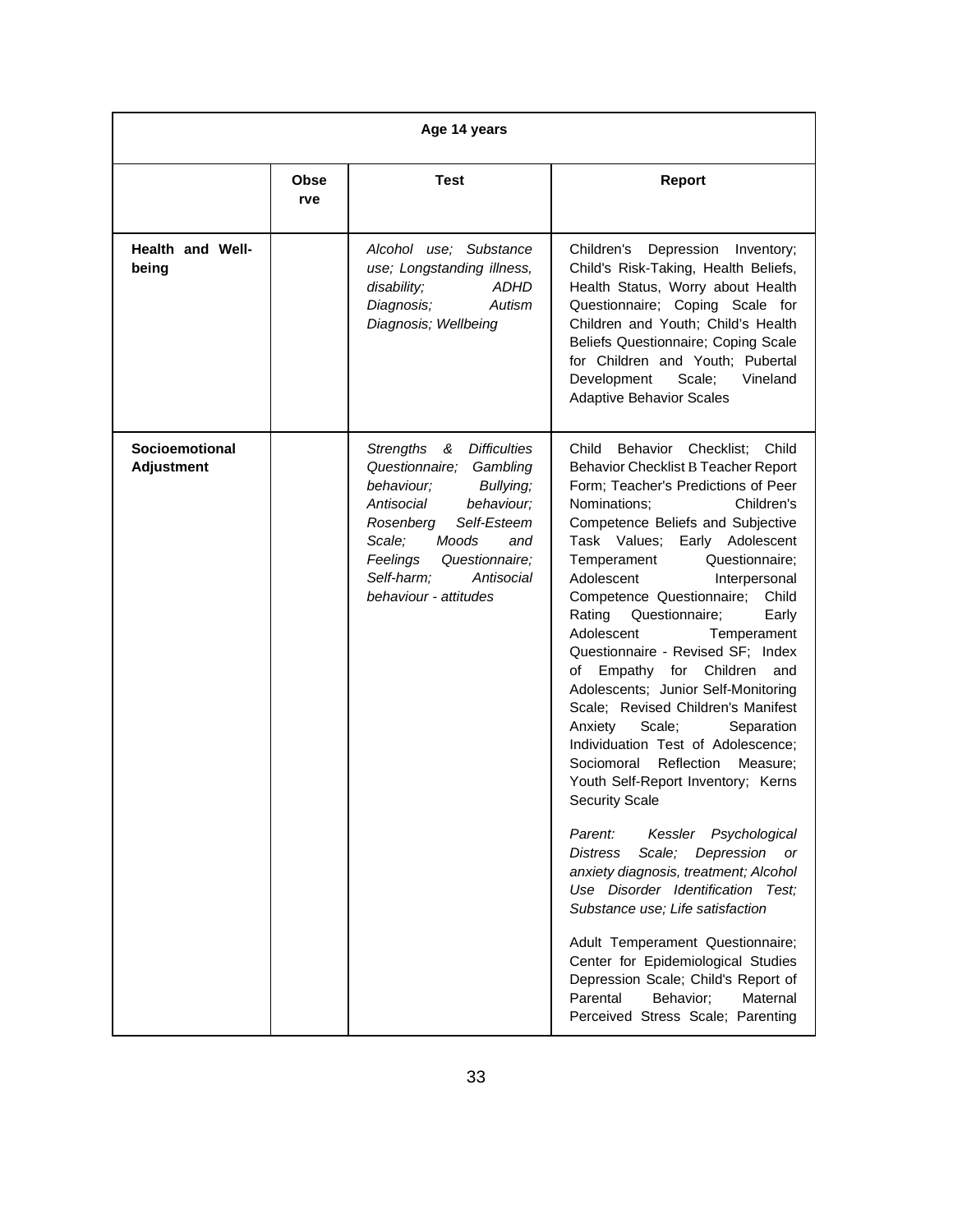| Age 14 years                               |                    |                                                                                                                                                                                                                                                                            |                                                                                                                                                                                                                                                                                                                                                                                                                                                                                                                                                                                                                                                                                                                                                                                                                                                                                                                                                                                                                                                                                                                                                    |
|--------------------------------------------|--------------------|----------------------------------------------------------------------------------------------------------------------------------------------------------------------------------------------------------------------------------------------------------------------------|----------------------------------------------------------------------------------------------------------------------------------------------------------------------------------------------------------------------------------------------------------------------------------------------------------------------------------------------------------------------------------------------------------------------------------------------------------------------------------------------------------------------------------------------------------------------------------------------------------------------------------------------------------------------------------------------------------------------------------------------------------------------------------------------------------------------------------------------------------------------------------------------------------------------------------------------------------------------------------------------------------------------------------------------------------------------------------------------------------------------------------------------------|
|                                            | <b>Obse</b><br>rve | <b>Test</b>                                                                                                                                                                                                                                                                | <b>Report</b>                                                                                                                                                                                                                                                                                                                                                                                                                                                                                                                                                                                                                                                                                                                                                                                                                                                                                                                                                                                                                                                                                                                                      |
| Health and Well-<br>being                  |                    | Alcohol use; Substance<br>use; Longstanding illness,<br>disability;<br>ADHD<br>Autism<br>Diagnosis;<br>Diagnosis; Wellbeing                                                                                                                                                | Children's Depression Inventory;<br>Child's Risk-Taking, Health Beliefs,<br>Health Status, Worry about Health<br>Questionnaire; Coping Scale for<br>Children and Youth; Child's Health<br>Beliefs Questionnaire; Coping Scale<br>for Children and Youth; Pubertal<br>Development<br>Vineland<br>Scale;<br><b>Adaptive Behavior Scales</b>                                                                                                                                                                                                                                                                                                                                                                                                                                                                                                                                                                                                                                                                                                                                                                                                          |
| <b>Socioemotional</b><br><b>Adjustment</b> |                    | <b>Strengths</b><br><b>Difficulties</b><br>&<br>Questionnaire;<br>Gambling<br>behaviour;<br>Bullying;<br>Antisocial<br>behaviour;<br>Self-Esteem<br>Rosenberg<br>Scale:<br>Moods<br>and<br>Feelings<br>Questionnaire;<br>Self-harm;<br>Antisocial<br>behaviour - attitudes | Child<br>Checklist:<br>Child<br>Behavior<br><b>Behavior Checklist B Teacher Report</b><br>Form: Teacher's Predictions of Peer<br>Nominations;<br>Children's<br>Competence Beliefs and Subjective<br>Task Values; Early Adolescent<br>Questionnaire;<br>Temperament<br>Adolescent<br>Interpersonal<br>Competence Questionnaire;<br>Child<br>Rating<br>Questionnaire;<br>Early<br>Adolescent<br>Temperament<br>Questionnaire - Revised SF; Index<br>for Children and<br>Empathy<br>οf<br>Adolescents; Junior Self-Monitoring<br>Scale; Revised Children's Manifest<br>Anxiety<br>Scale;<br>Separation<br>Individuation Test of Adolescence;<br>Reflection<br>Sociomoral<br>Measure:<br>Youth Self-Report Inventory; Kerns<br><b>Security Scale</b><br>Kessler Psychological<br>Parent:<br>Scale;<br>Depression<br><b>Distress</b><br>or<br>anxiety diagnosis, treatment; Alcohol<br>Use Disorder Identification Test;<br>Substance use; Life satisfaction<br>Adult Temperament Questionnaire;<br>Center for Epidemiological Studies<br>Depression Scale; Child's Report of<br>Parental<br>Behavior;<br>Maternal<br>Perceived Stress Scale; Parenting |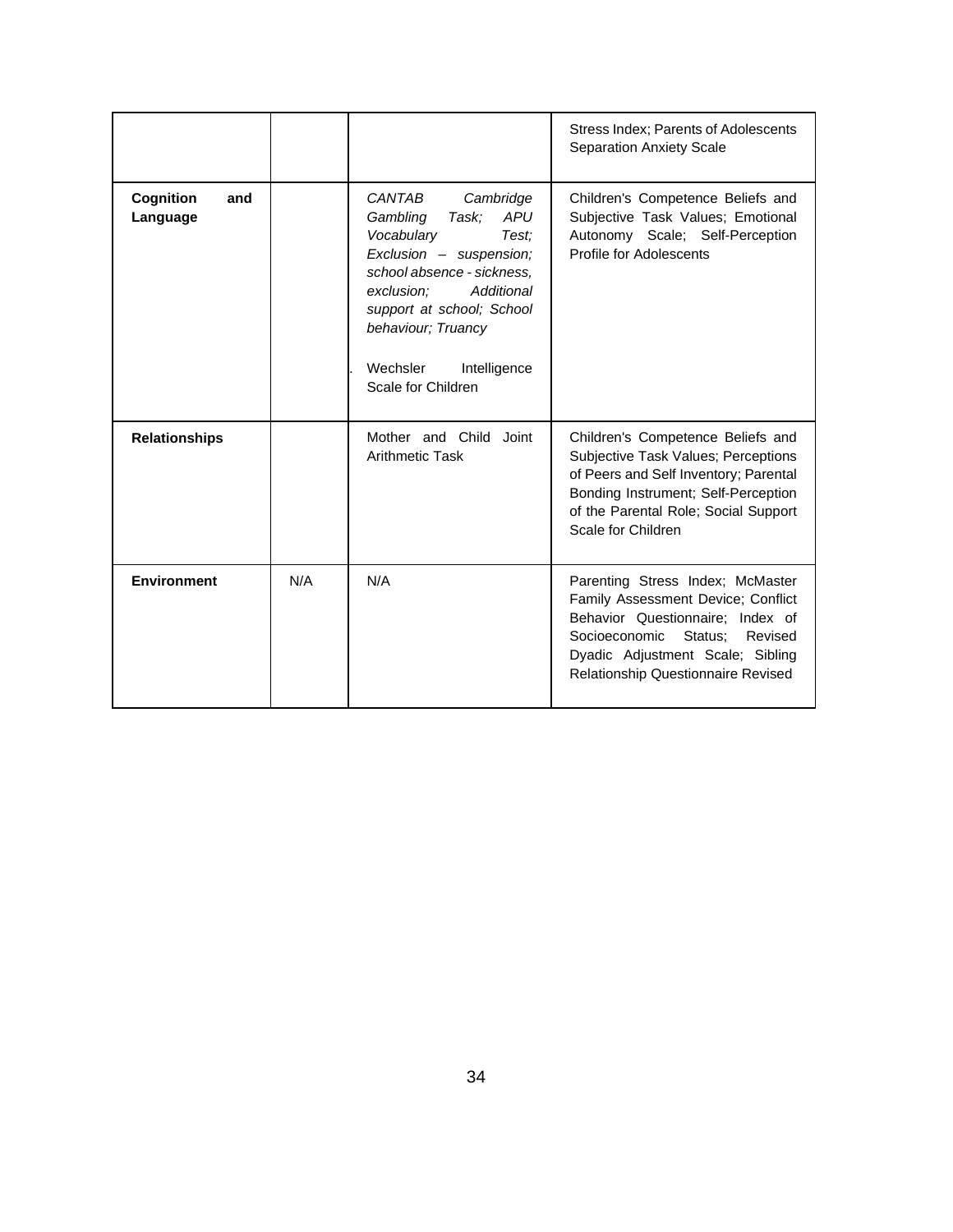|                              |     |                                                                                                                                                                                                                                                                         | Stress Index; Parents of Adolescents<br><b>Separation Anxiety Scale</b>                                                                                                                                                     |
|------------------------------|-----|-------------------------------------------------------------------------------------------------------------------------------------------------------------------------------------------------------------------------------------------------------------------------|-----------------------------------------------------------------------------------------------------------------------------------------------------------------------------------------------------------------------------|
| Cognition<br>and<br>Language |     | CANTAB<br>Cambridge<br>Task;<br><b>APU</b><br>Gambling<br>Vocabulary<br>Test:<br>Exclusion - suspension;<br>school absence - sickness.<br>Additional<br>exclusion;<br>support at school; School<br>behaviour; Truancy<br>Wechsler<br>Intelligence<br>Scale for Children | Children's Competence Beliefs and<br>Subjective Task Values; Emotional<br>Autonomy Scale; Self-Perception<br>Profile for Adolescents                                                                                        |
| <b>Relationships</b>         |     | Mother and Child Joint<br>Arithmetic Task                                                                                                                                                                                                                               | Children's Competence Beliefs and<br>Subjective Task Values; Perceptions<br>of Peers and Self Inventory; Parental<br>Bonding Instrument; Self-Perception<br>of the Parental Role; Social Support<br>Scale for Children      |
| <b>Environment</b>           | N/A | N/A                                                                                                                                                                                                                                                                     | Parenting Stress Index; McMaster<br>Family Assessment Device; Conflict<br>Behavior Questionnaire; Index of<br>Status;<br>Socioeconomic<br>Revised<br>Dyadic Adjustment Scale; Sibling<br>Relationship Questionnaire Revised |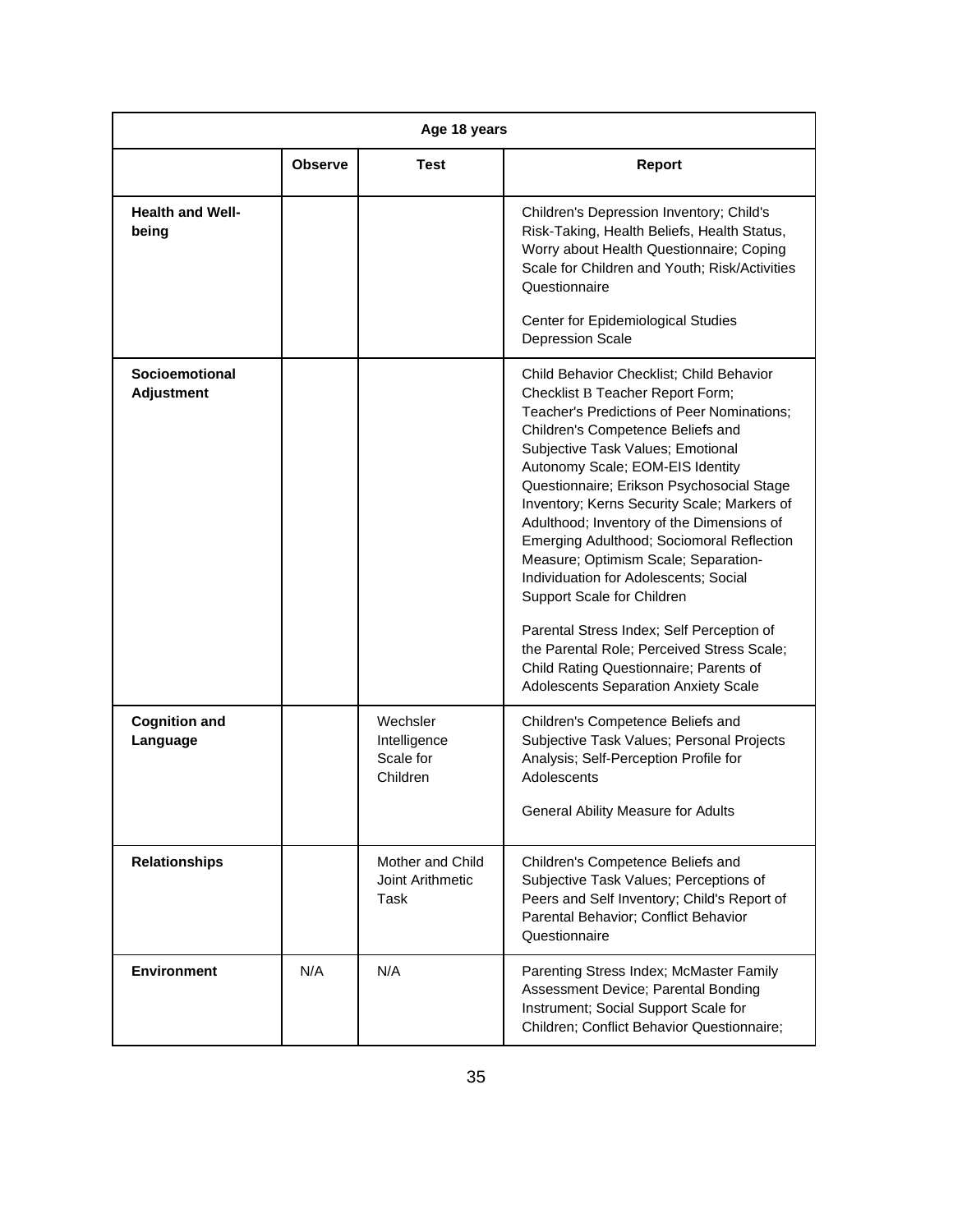| Age 18 years                        |                |                                                   |                                                                                                                                                                                                                                                                                                                                                                                                                                                                                                                                                                                                                                                                                                                            |
|-------------------------------------|----------------|---------------------------------------------------|----------------------------------------------------------------------------------------------------------------------------------------------------------------------------------------------------------------------------------------------------------------------------------------------------------------------------------------------------------------------------------------------------------------------------------------------------------------------------------------------------------------------------------------------------------------------------------------------------------------------------------------------------------------------------------------------------------------------------|
|                                     | <b>Observe</b> | <b>Test</b>                                       | <b>Report</b>                                                                                                                                                                                                                                                                                                                                                                                                                                                                                                                                                                                                                                                                                                              |
| <b>Health and Well-</b><br>being    |                |                                                   | Children's Depression Inventory; Child's<br>Risk-Taking, Health Beliefs, Health Status,<br>Worry about Health Questionnaire; Coping<br>Scale for Children and Youth; Risk/Activities<br>Questionnaire<br>Center for Epidemiological Studies<br><b>Depression Scale</b>                                                                                                                                                                                                                                                                                                                                                                                                                                                     |
| Socioemotional<br><b>Adjustment</b> |                |                                                   | Child Behavior Checklist; Child Behavior<br>Checklist B Teacher Report Form;<br>Teacher's Predictions of Peer Nominations;<br>Children's Competence Beliefs and<br>Subjective Task Values; Emotional<br>Autonomy Scale; EOM-EIS Identity<br>Questionnaire; Erikson Psychosocial Stage<br>Inventory; Kerns Security Scale; Markers of<br>Adulthood; Inventory of the Dimensions of<br>Emerging Adulthood; Sociomoral Reflection<br>Measure; Optimism Scale; Separation-<br>Individuation for Adolescents; Social<br>Support Scale for Children<br>Parental Stress Index; Self Perception of<br>the Parental Role; Perceived Stress Scale;<br>Child Rating Questionnaire; Parents of<br>Adolescents Separation Anxiety Scale |
| <b>Cognition and</b><br>Language    |                | Wechsler<br>Intelligence<br>Scale for<br>Children | Children's Competence Beliefs and<br>Subjective Task Values; Personal Projects<br>Analysis; Self-Perception Profile for<br>Adolescents<br><b>General Ability Measure for Adults</b>                                                                                                                                                                                                                                                                                                                                                                                                                                                                                                                                        |
| <b>Relationships</b>                |                | Mother and Child<br>Joint Arithmetic<br>Task      | Children's Competence Beliefs and<br>Subjective Task Values; Perceptions of<br>Peers and Self Inventory; Child's Report of<br>Parental Behavior; Conflict Behavior<br>Questionnaire                                                                                                                                                                                                                                                                                                                                                                                                                                                                                                                                        |
| <b>Environment</b>                  | N/A            | N/A                                               | Parenting Stress Index; McMaster Family<br>Assessment Device; Parental Bonding<br>Instrument; Social Support Scale for<br>Children; Conflict Behavior Questionnaire;                                                                                                                                                                                                                                                                                                                                                                                                                                                                                                                                                       |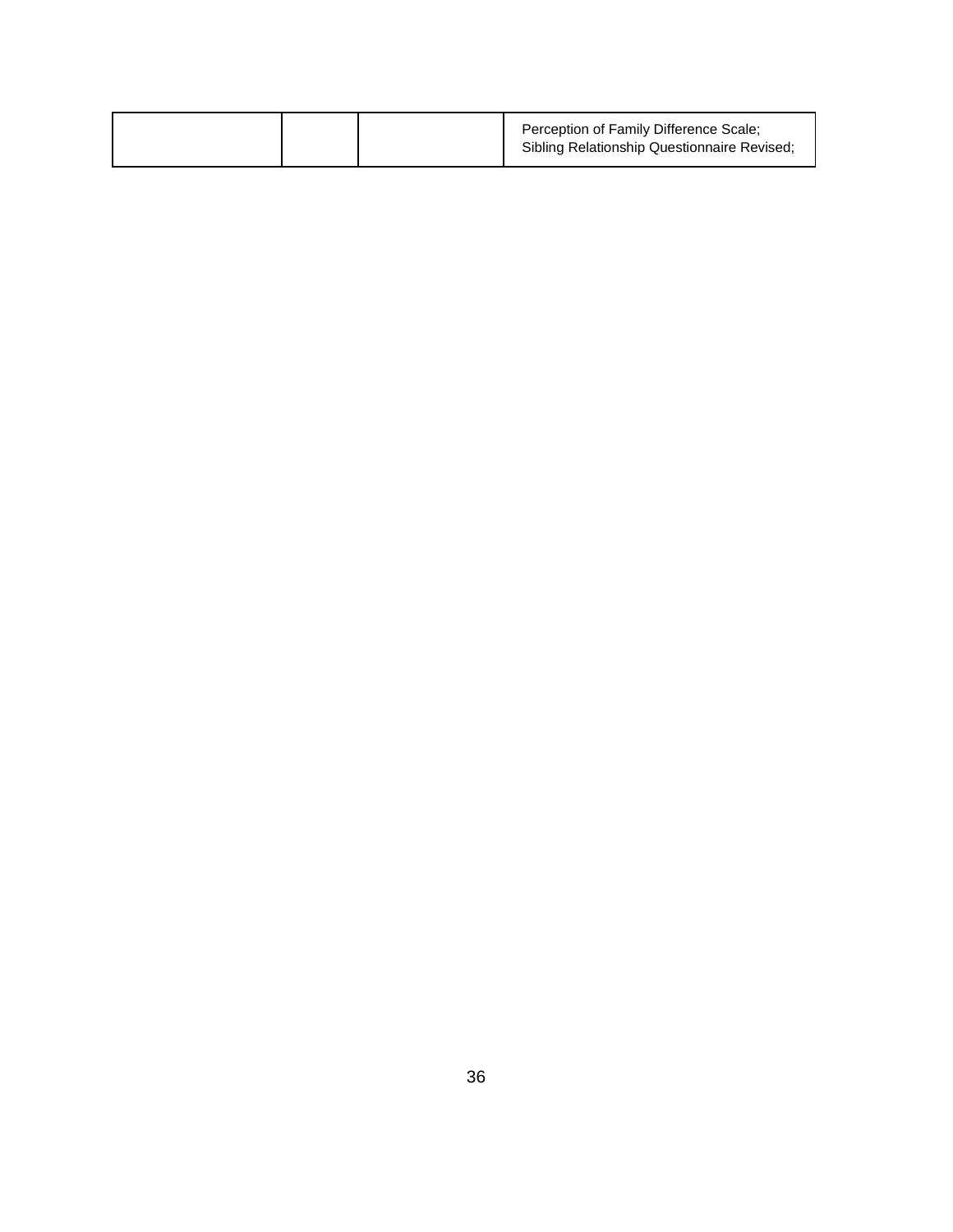|  | Perception of Family Difference Scale;<br>Sibling Relationship Questionnaire Revised; |
|--|---------------------------------------------------------------------------------------|
|--|---------------------------------------------------------------------------------------|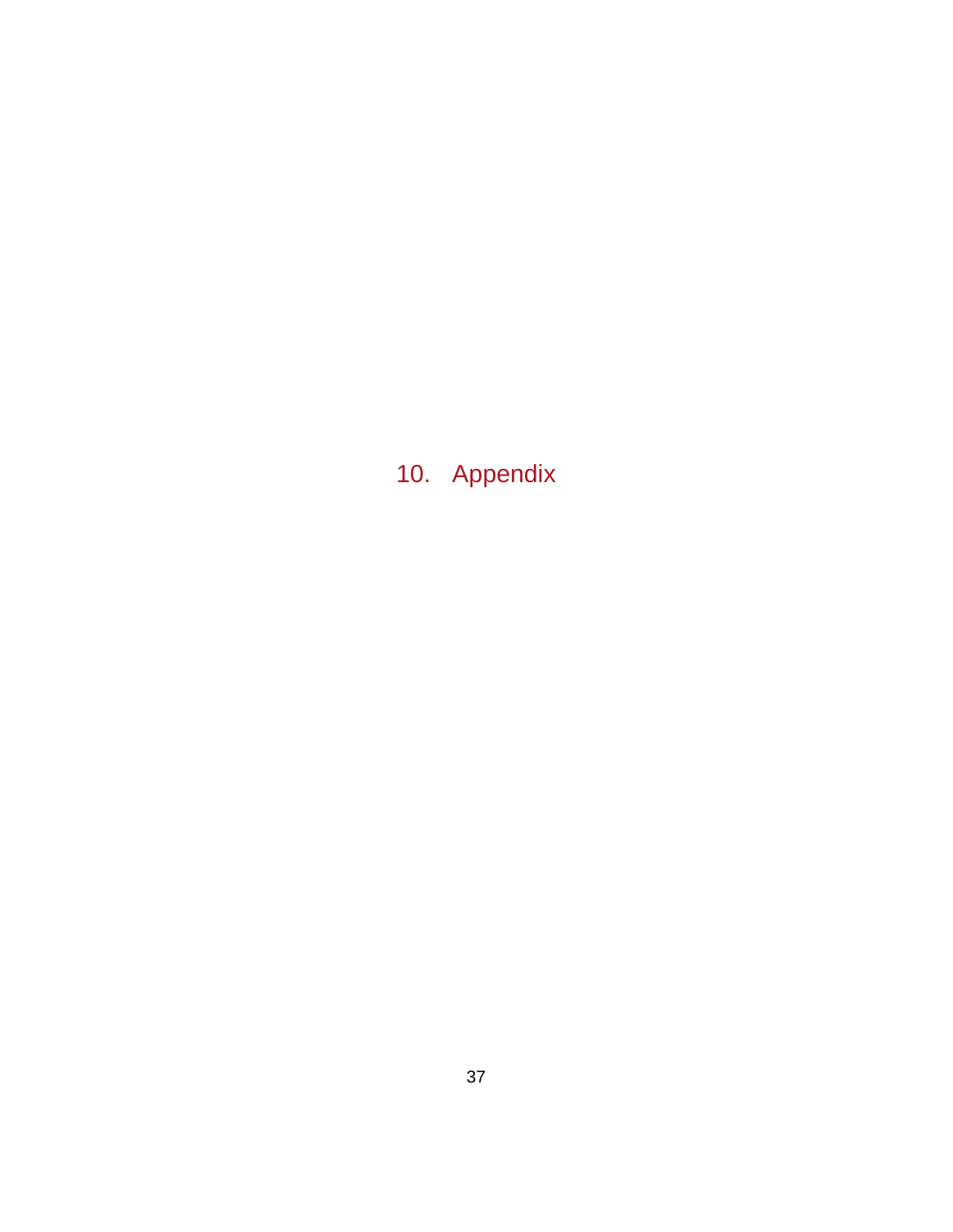10. Appendix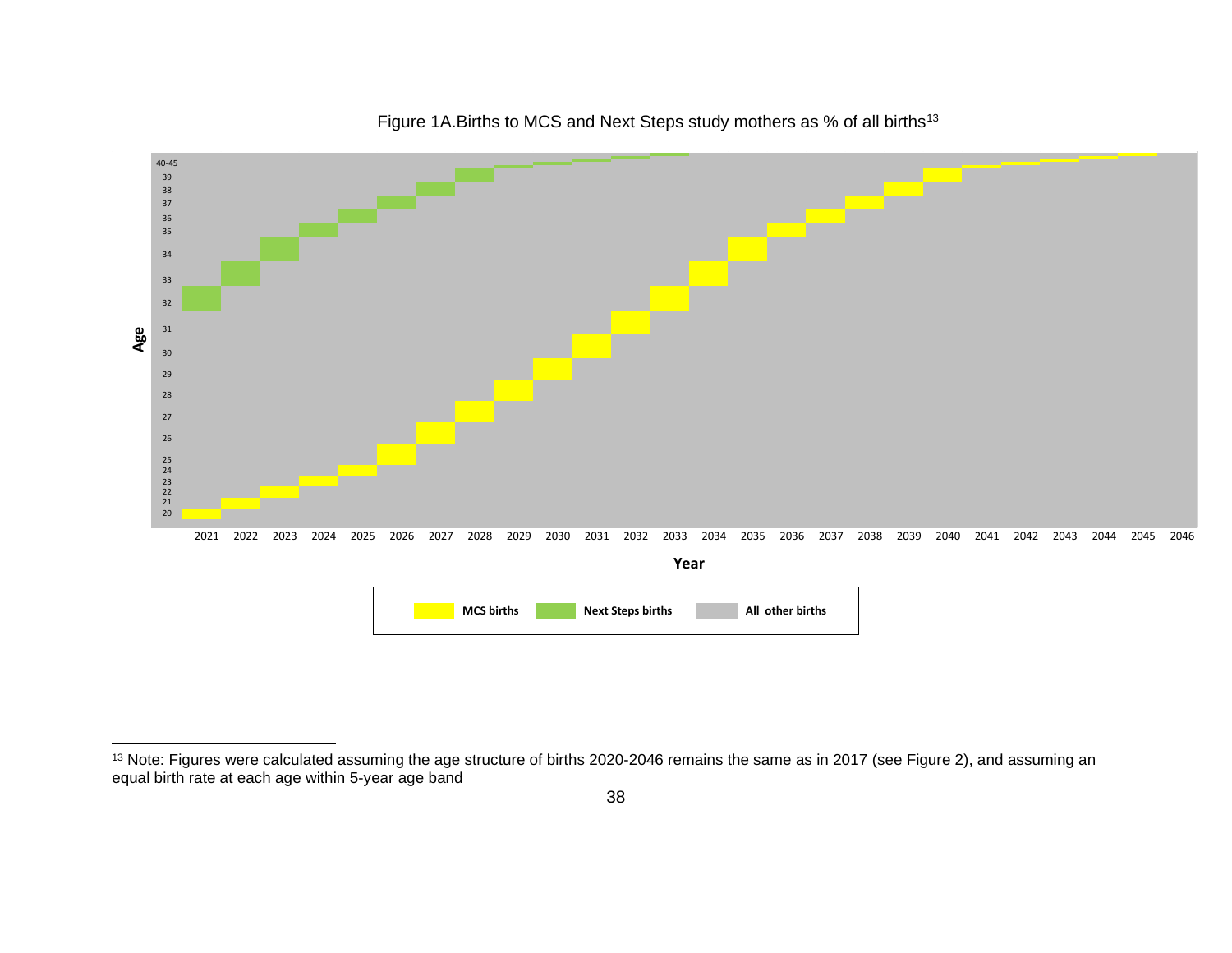

<span id="page-37-0"></span>Figure 1A. Births to MCS and Next Steps study mothers as % of all births<sup>[13](#page-37-0)</sup>

<sup>&</sup>lt;sup>13</sup> Note: Figures were calculated assuming the age structure of births 2020-2046 remains the same as in 2017 (see Figure 2), and assuming an equal birth rate at each age within 5-year age band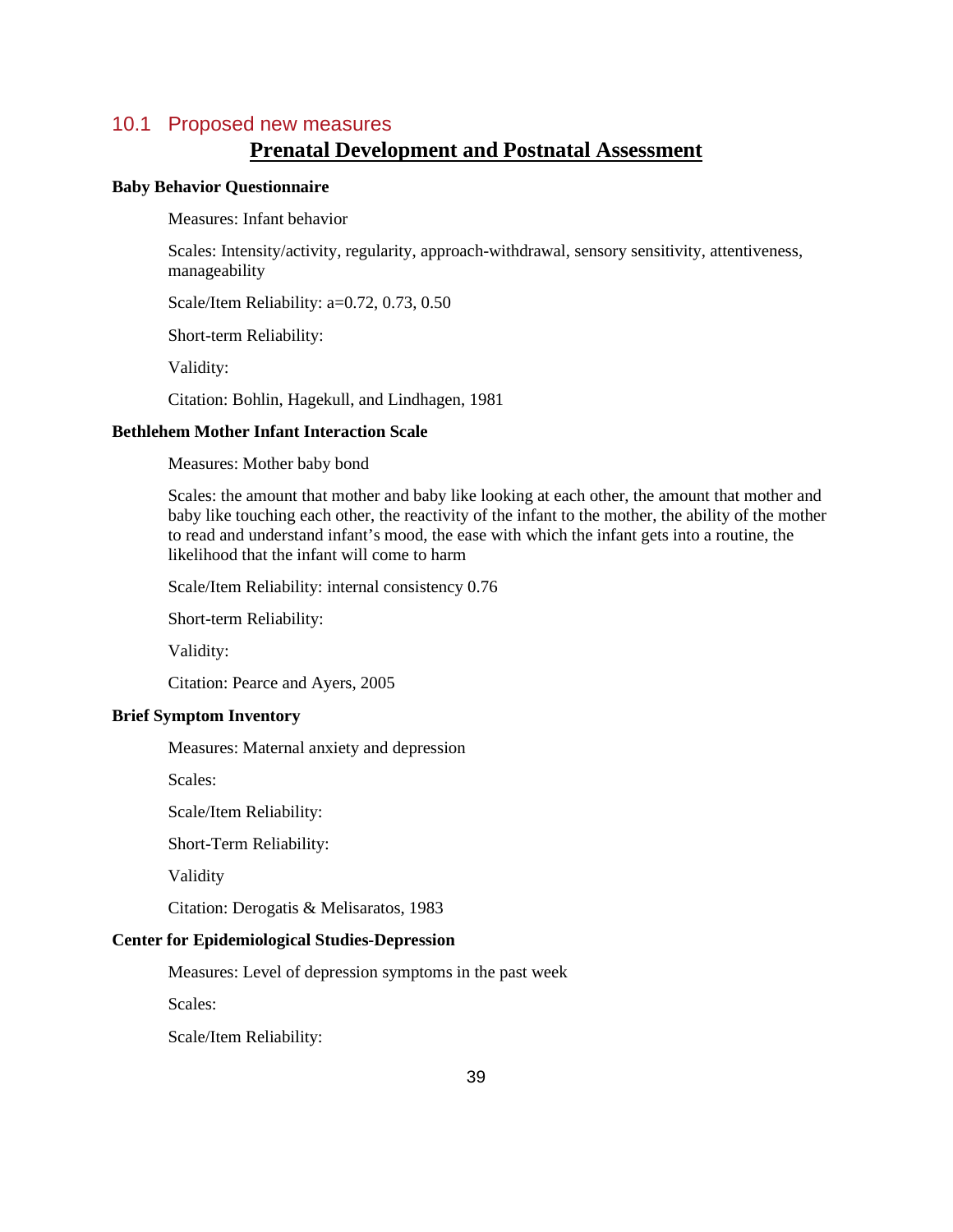### 10.1 Proposed new measures

# **Prenatal Development and Postnatal Assessment**

### **Baby Behavior Questionnaire**

Measures: Infant behavior

Scales: Intensity/activity, regularity, approach-withdrawal, sensory sensitivity, attentiveness, manageability

Scale/Item Reliability: a=0.72, 0.73, 0.50

Short-term Reliability:

Validity:

Citation: Bohlin, Hagekull, and Lindhagen, 1981

#### **Bethlehem Mother Infant Interaction Scale**

Measures: Mother baby bond

Scales: the amount that mother and baby like looking at each other, the amount that mother and baby like touching each other, the reactivity of the infant to the mother, the ability of the mother to read and understand infant's mood, the ease with which the infant gets into a routine, the likelihood that the infant will come to harm

Scale/Item Reliability: internal consistency 0.76

Short-term Reliability:

Validity:

Citation: Pearce and Ayers, 2005

#### **Brief Symptom Inventory**

Measures: Maternal anxiety and depression

Scales:

Scale/Item Reliability:

Short-Term Reliability:

Validity

Citation: Derogatis & Melisaratos, 1983

### **Center for Epidemiological Studies-Depression**

Measures: Level of depression symptoms in the past week

Scales:

Scale/Item Reliability: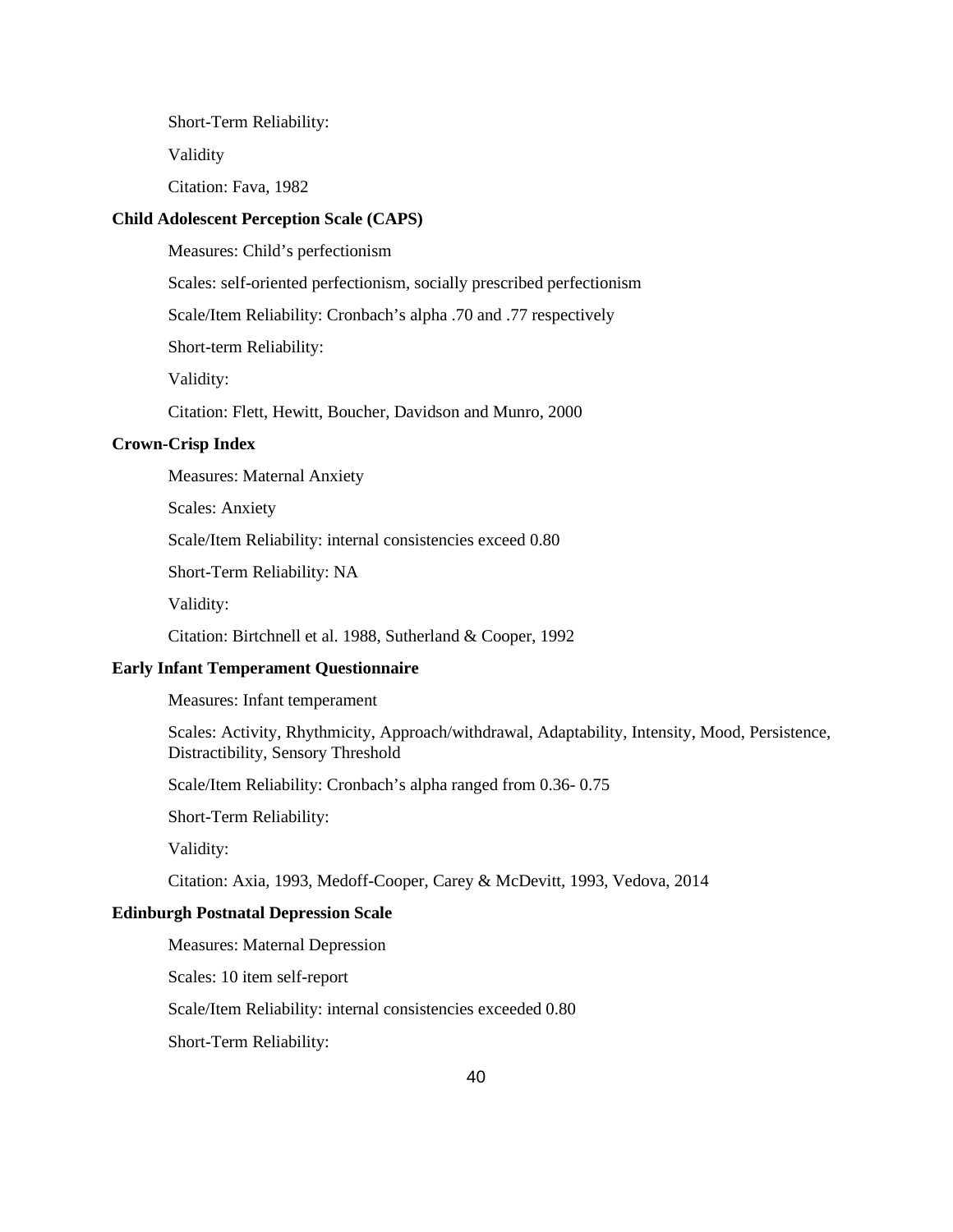Short-Term Reliability:

Validity

Citation: Fava, 1982

#### **Child Adolescent Perception Scale (CAPS)**

Measures: Child's perfectionism

Scales: self-oriented perfectionism, socially prescribed perfectionism

Scale/Item Reliability: Cronbach's alpha .70 and .77 respectively

Short-term Reliability:

Validity:

Citation: Flett, Hewitt, Boucher, Davidson and Munro, 2000

#### **Crown-Crisp Index**

Measures: Maternal Anxiety

Scales: Anxiety

Scale/Item Reliability: internal consistencies exceed 0.80

Short-Term Reliability: NA

Validity:

Citation: Birtchnell et al. 1988, Sutherland & Cooper, 1992

### **Early Infant Temperament Questionnaire**

Measures: Infant temperament

Scales: Activity, Rhythmicity, Approach/withdrawal, Adaptability, Intensity, Mood, Persistence, Distractibility, Sensory Threshold

Scale/Item Reliability: Cronbach's alpha ranged from 0.36- 0.75

Short-Term Reliability:

Validity:

Citation: Axia, 1993, Medoff-Cooper, Carey & McDevitt, 1993, Vedova, 2014

#### **Edinburgh Postnatal Depression Scale**

Measures: Maternal Depression

Scales: 10 item self-report

Scale/Item Reliability: internal consistencies exceeded 0.80

Short-Term Reliability: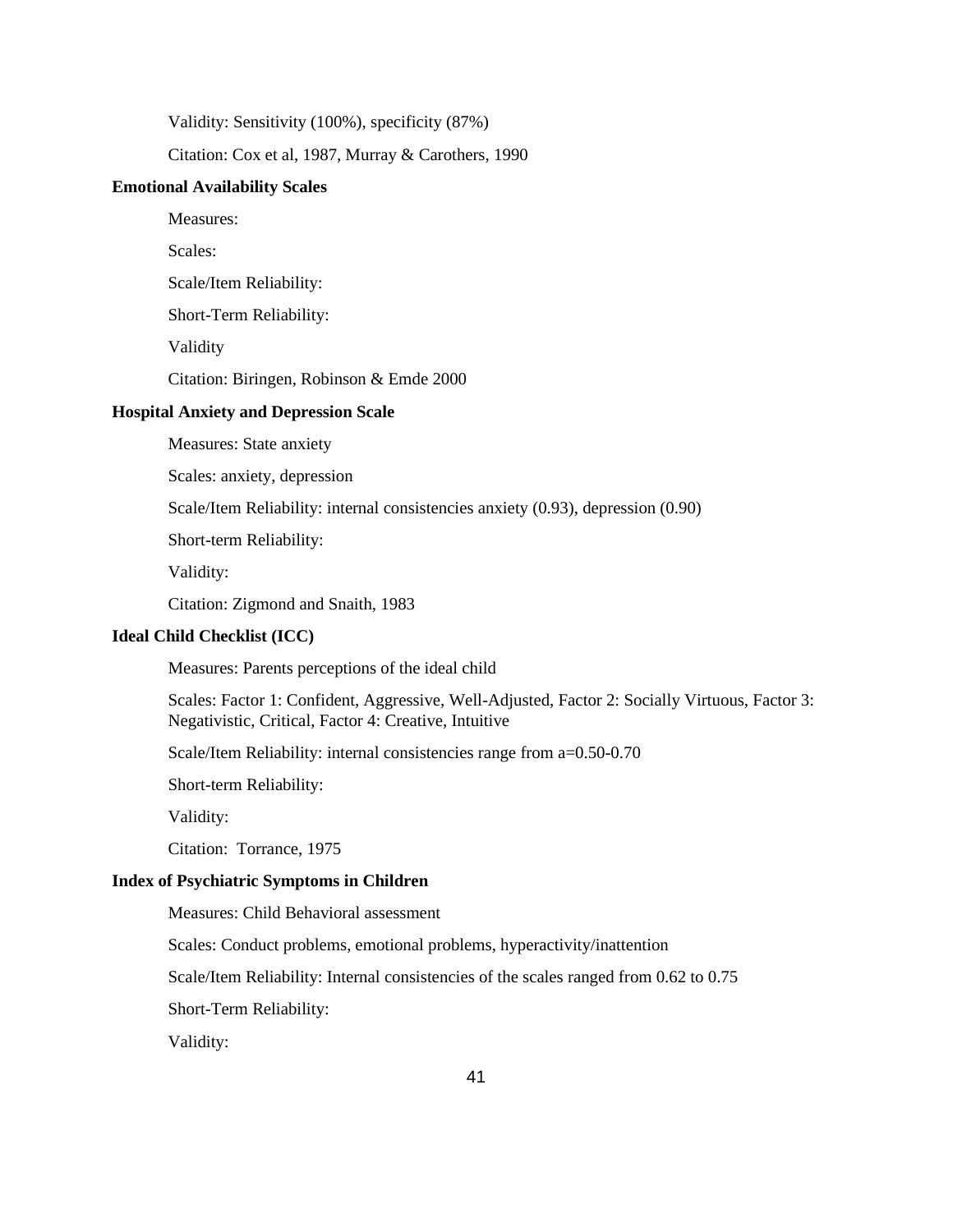Validity: Sensitivity (100%), specificity (87%)

Citation: Cox et al, 1987, Murray & Carothers, 1990

### **Emotional Availability Scales**

Measures:

Scales:

Scale/Item Reliability:

Short-Term Reliability:

Validity

Citation: Biringen, Robinson & Emde 2000

#### **Hospital Anxiety and Depression Scale**

Measures: State anxiety

Scales: anxiety, depression

Scale/Item Reliability: internal consistencies anxiety (0.93), depression (0.90)

Short-term Reliability:

Validity:

Citation: Zigmond and Snaith, 1983

### **Ideal Child Checklist (ICC)**

Measures: Parents perceptions of the ideal child

Scales: Factor 1: Confident, Aggressive, Well-Adjusted, Factor 2: Socially Virtuous, Factor 3: Negativistic, Critical, Factor 4: Creative, Intuitive

Scale/Item Reliability: internal consistencies range from a=0.50-0.70

Short-term Reliability:

Validity:

Citation: Torrance, 1975

### **Index of Psychiatric Symptoms in Children**

Measures: Child Behavioral assessment

Scales: Conduct problems, emotional problems, hyperactivity/inattention

Scale/Item Reliability: Internal consistencies of the scales ranged from 0.62 to 0.75

Short-Term Reliability:

Validity: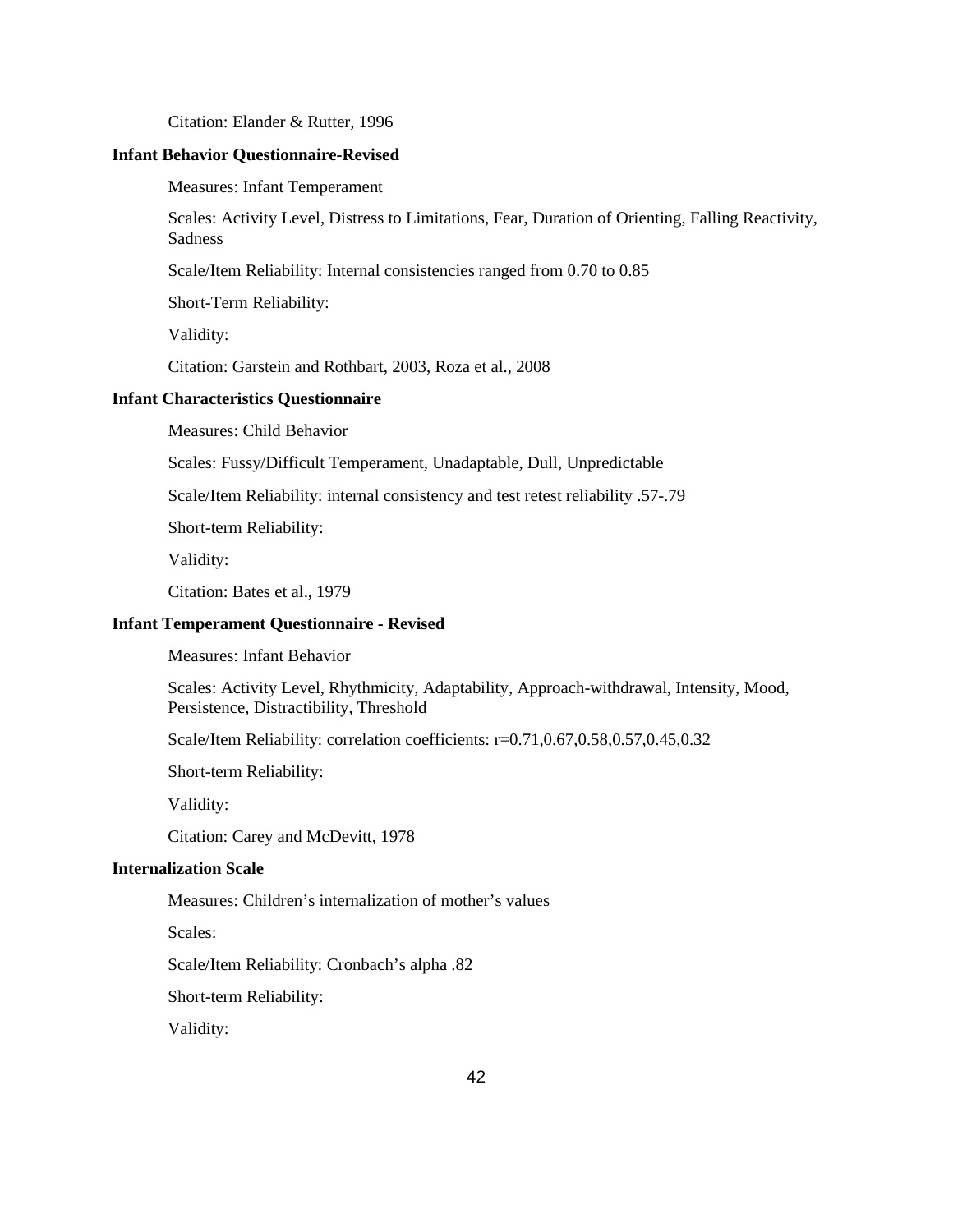Citation: Elander & Rutter, 1996

#### **Infant Behavior Questionnaire-Revised**

Measures: Infant Temperament

Scales: Activity Level, Distress to Limitations, Fear, Duration of Orienting, Falling Reactivity, Sadness

Scale/Item Reliability: Internal consistencies ranged from 0.70 to 0.85

Short-Term Reliability:

Validity:

Citation: Garstein and Rothbart, 2003, Roza et al., 2008

#### **Infant Characteristics Questionnaire**

Measures: Child Behavior

Scales: Fussy/Difficult Temperament, Unadaptable, Dull, Unpredictable

Scale/Item Reliability: internal consistency and test retest reliability .57-.79

Short-term Reliability:

Validity:

Citation: Bates et al., 1979

### **Infant Temperament Questionnaire - Revised**

Measures: Infant Behavior

Scales: Activity Level, Rhythmicity, Adaptability, Approach-withdrawal, Intensity, Mood, Persistence, Distractibility, Threshold

Scale/Item Reliability: correlation coefficients: r=0.71,0.67,0.58,0.57,0.45,0.32

Short-term Reliability:

Validity:

Citation: Carey and McDevitt, 1978

#### **Internalization Scale**

Measures: Children's internalization of mother's values

Scales:

Scale/Item Reliability: Cronbach's alpha .82

Short-term Reliability:

Validity: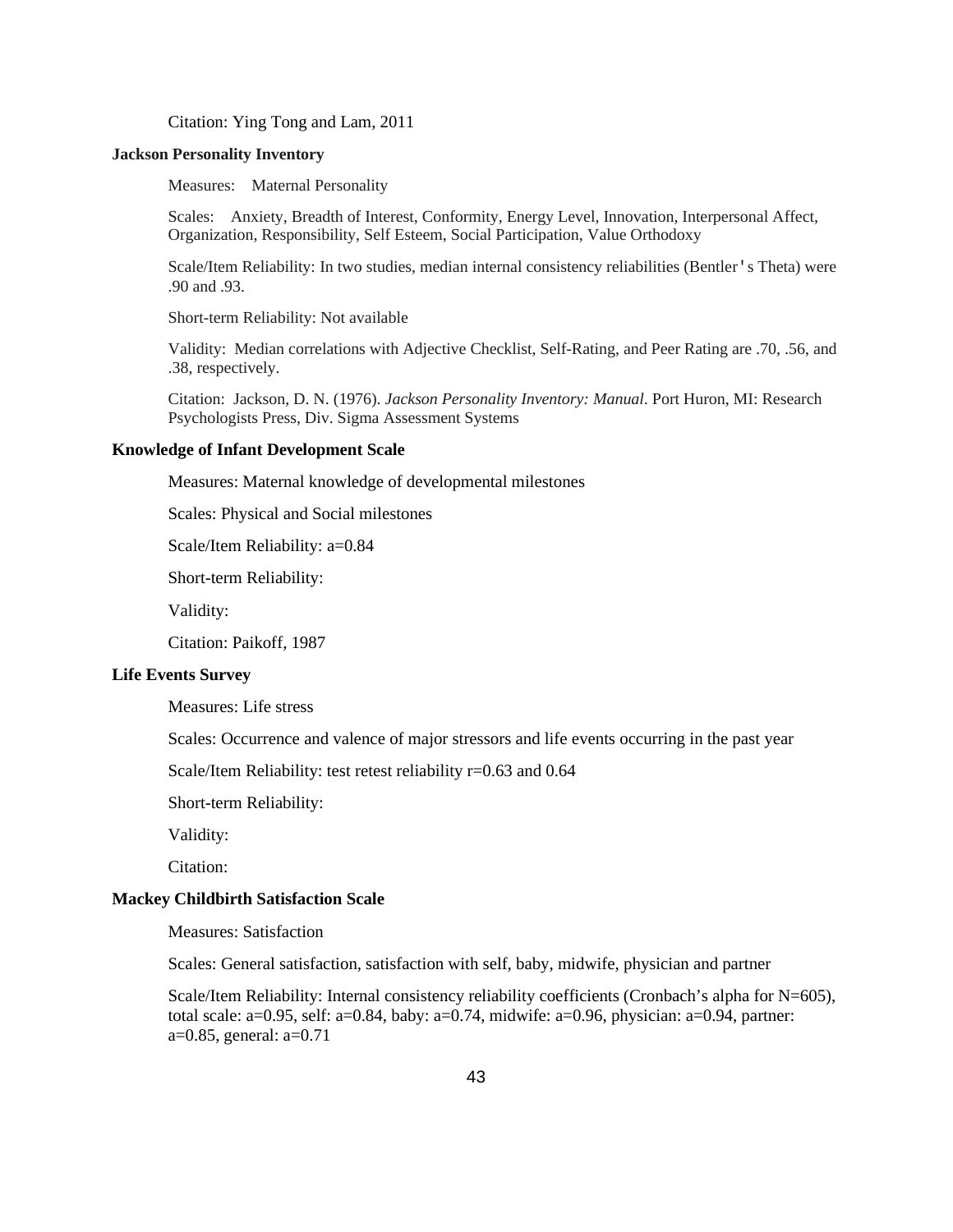Citation: Ying Tong and Lam, 2011

### **Jackson Personality Inventory**

Measures: Maternal Personality

Scales: Anxiety, Breadth of Interest, Conformity, Energy Level, Innovation, Interpersonal Affect, Organization, Responsibility, Self Esteem, Social Participation, Value Orthodoxy

Scale/Item Reliability: In two studies, median internal consistency reliabilities (Bentler's Theta) were .90 and .93.

Short-term Reliability: Not available

Validity: Median correlations with Adjective Checklist, Self-Rating, and Peer Rating are .70, .56, and .38, respectively.

Citation: Jackson, D. N. (1976). *Jackson Personality Inventory: Manual*. Port Huron, MI: Research Psychologists Press, Div. Sigma Assessment Systems

#### **Knowledge of Infant Development Scale**

Measures: Maternal knowledge of developmental milestones

Scales: Physical and Social milestones

Scale/Item Reliability: a=0.84

Short-term Reliability:

Validity:

Citation: Paikoff, 1987

#### **Life Events Survey**

Measures: Life stress

Scales: Occurrence and valence of major stressors and life events occurring in the past year

Scale/Item Reliability: test retest reliability r=0.63 and 0.64

Short-term Reliability:

Validity:

Citation:

#### **Mackey Childbirth Satisfaction Scale**

Measures: Satisfaction

Scales: General satisfaction, satisfaction with self, baby, midwife, physician and partner

Scale/Item Reliability: Internal consistency reliability coefficients (Cronbach's alpha for N=605), total scale: a=0.95, self: a=0.84, baby: a=0.74, midwife: a=0.96, physician: a=0.94, partner: a=0.85, general: a=0.71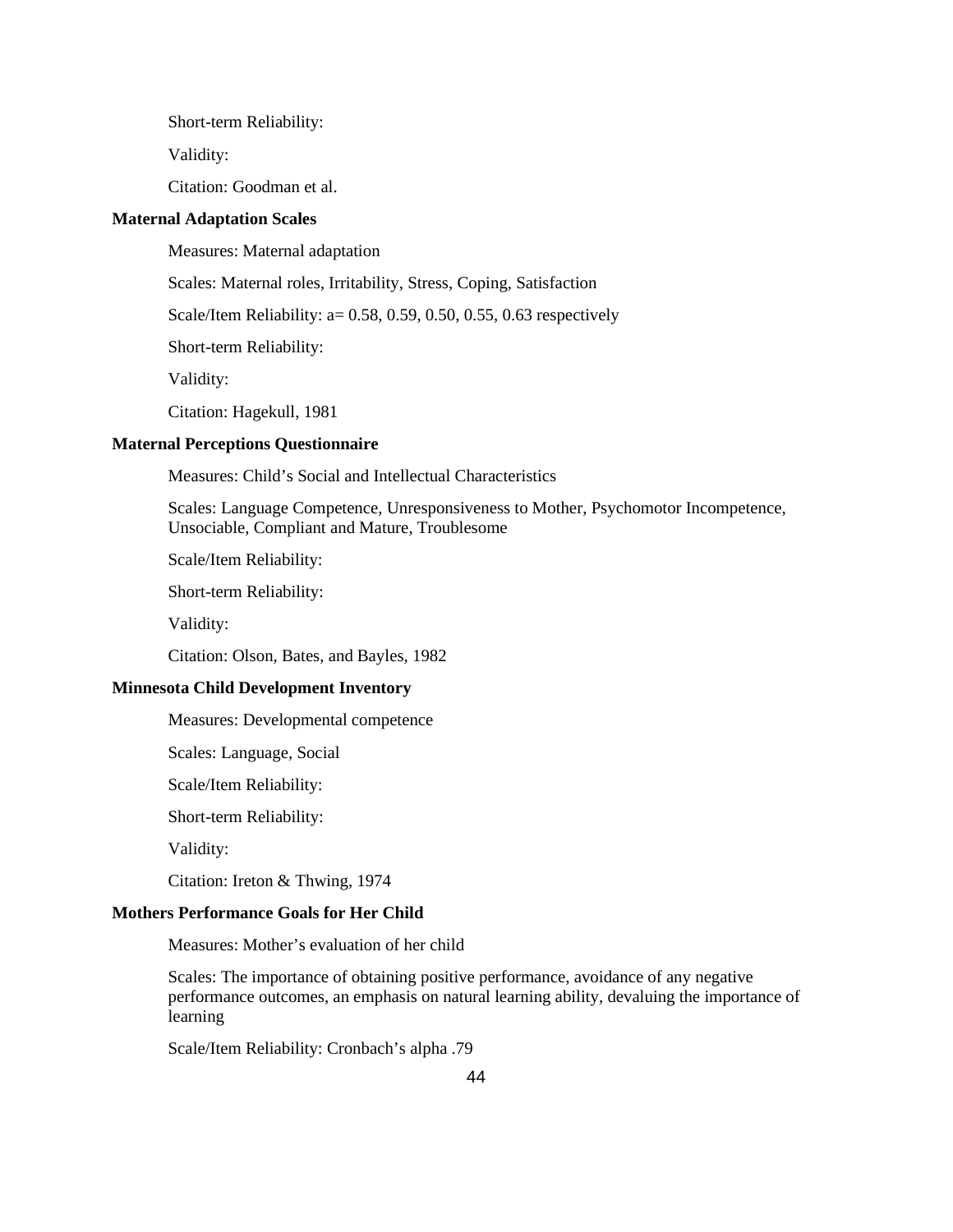Short-term Reliability:

Validity:

Citation: Goodman et al.

#### **Maternal Adaptation Scales**

Measures: Maternal adaptation

Scales: Maternal roles, Irritability, Stress, Coping, Satisfaction

Scale/Item Reliability: a= 0.58, 0.59, 0.50, 0.55, 0.63 respectively

Short-term Reliability:

Validity:

Citation: Hagekull, 1981

#### **Maternal Perceptions Questionnaire**

Measures: Child's Social and Intellectual Characteristics

Scales: Language Competence, Unresponsiveness to Mother, Psychomotor Incompetence, Unsociable, Compliant and Mature, Troublesome

Scale/Item Reliability:

Short-term Reliability:

Validity:

Citation: Olson, Bates, and Bayles, 1982

#### **Minnesota Child Development Inventory**

Measures: Developmental competence

Scales: Language, Social

Scale/Item Reliability:

Short-term Reliability:

Validity:

Citation: Ireton & Thwing, 1974

#### **Mothers Performance Goals for Her Child**

Measures: Mother's evaluation of her child

Scales: The importance of obtaining positive performance, avoidance of any negative performance outcomes, an emphasis on natural learning ability, devaluing the importance of learning

Scale/Item Reliability: Cronbach's alpha .79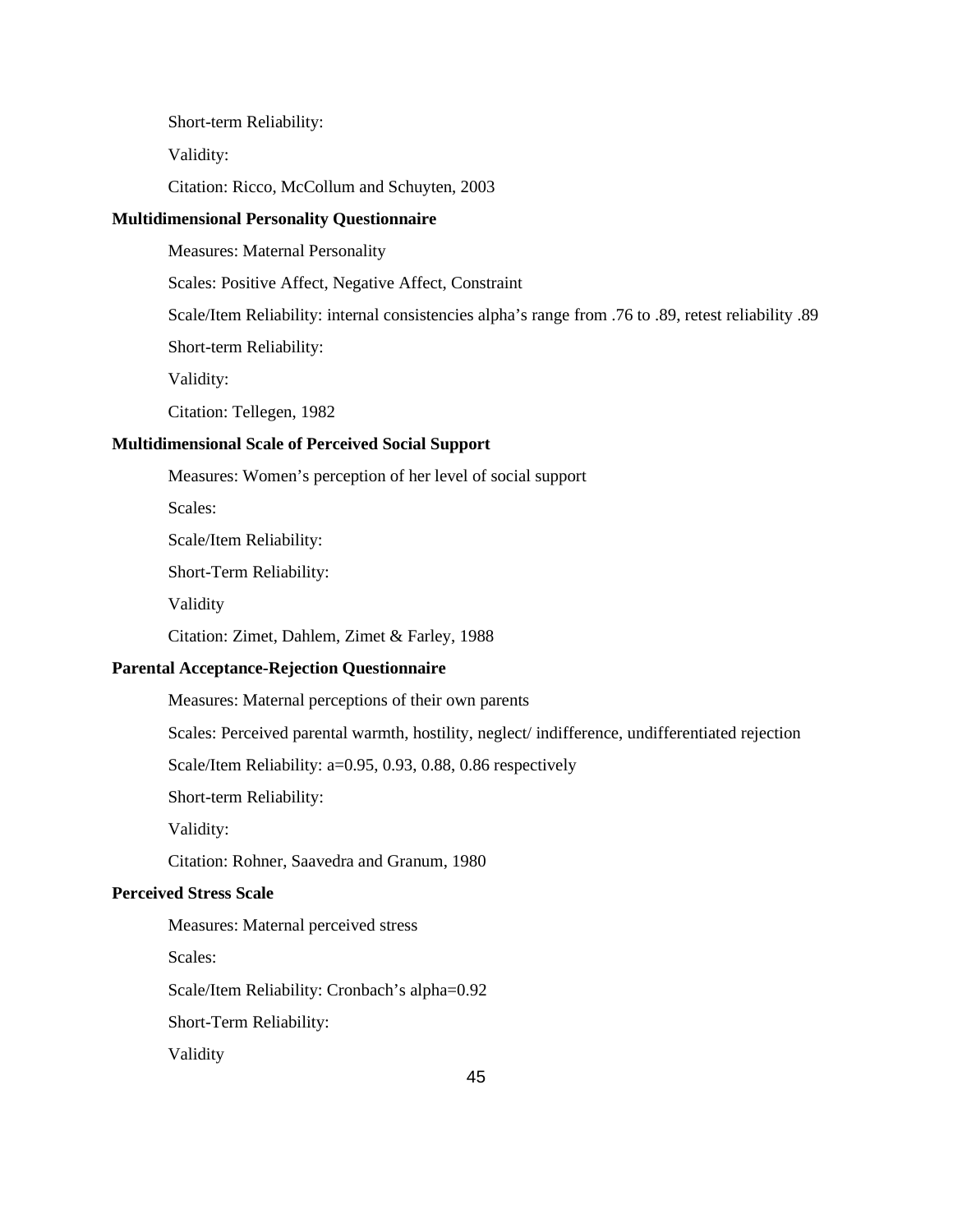Short-term Reliability:

Validity:

Citation: Ricco, McCollum and Schuyten, 2003

#### **Multidimensional Personality Questionnaire**

Measures: Maternal Personality

Scales: Positive Affect, Negative Affect, Constraint

Scale/Item Reliability: internal consistencies alpha's range from .76 to .89, retest reliability .89

Short-term Reliability:

Validity:

Citation: Tellegen, 1982

#### **Multidimensional Scale of Perceived Social Support**

Measures: Women's perception of her level of social support

Scales:

Scale/Item Reliability:

Short-Term Reliability:

Validity

Citation: Zimet, Dahlem, Zimet & Farley, 1988

#### **Parental Acceptance-Rejection Questionnaire**

Measures: Maternal perceptions of their own parents

Scales: Perceived parental warmth, hostility, neglect/ indifference, undifferentiated rejection

Scale/Item Reliability: a=0.95, 0.93, 0.88, 0.86 respectively

Short-term Reliability:

Validity:

Citation: Rohner, Saavedra and Granum, 1980

### **Perceived Stress Scale**

Measures: Maternal perceived stress

Scales:

Scale/Item Reliability: Cronbach's alpha=0.92

Short-Term Reliability:

Validity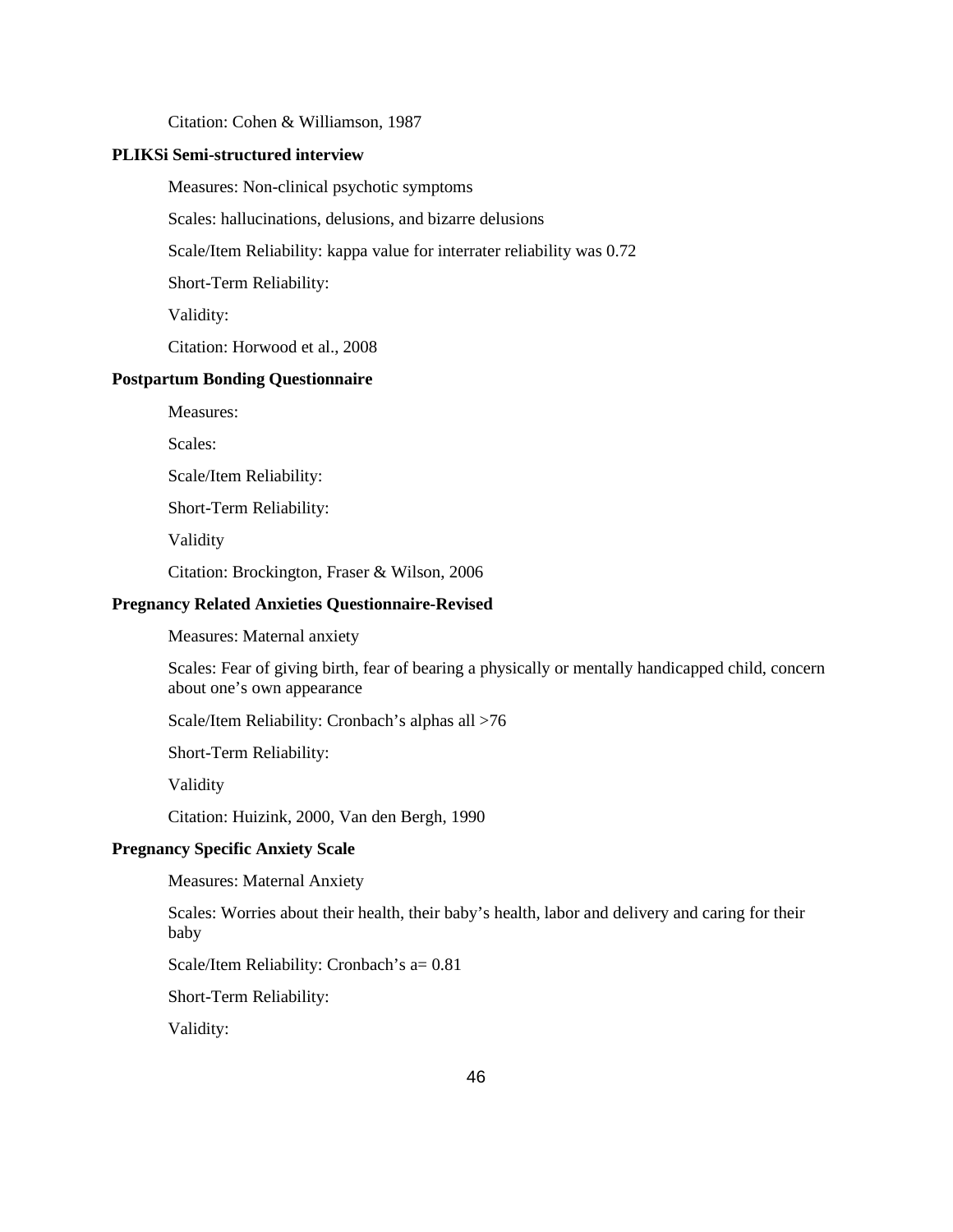Citation: Cohen & Williamson, 1987

#### **PLIKSi Semi-structured interview**

Measures: Non-clinical psychotic symptoms

Scales: hallucinations, delusions, and bizarre delusions

Scale/Item Reliability: kappa value for interrater reliability was 0.72

Short-Term Reliability:

Validity:

Citation: Horwood et al., 2008

#### **Postpartum Bonding Questionnaire**

Measures:

Scales:

Scale/Item Reliability:

Short-Term Reliability:

Validity

Citation: Brockington, Fraser & Wilson, 2006

#### **Pregnancy Related Anxieties Questionnaire-Revised**

Measures: Maternal anxiety

Scales: Fear of giving birth, fear of bearing a physically or mentally handicapped child, concern about one's own appearance

Scale/Item Reliability: Cronbach's alphas all >76

Short-Term Reliability:

Validity

Citation: Huizink, 2000, Van den Bergh, 1990

#### **Pregnancy Specific Anxiety Scale**

Measures: Maternal Anxiety

Scales: Worries about their health, their baby's health, labor and delivery and caring for their baby

Scale/Item Reliability: Cronbach's a= 0.81

Short-Term Reliability:

Validity: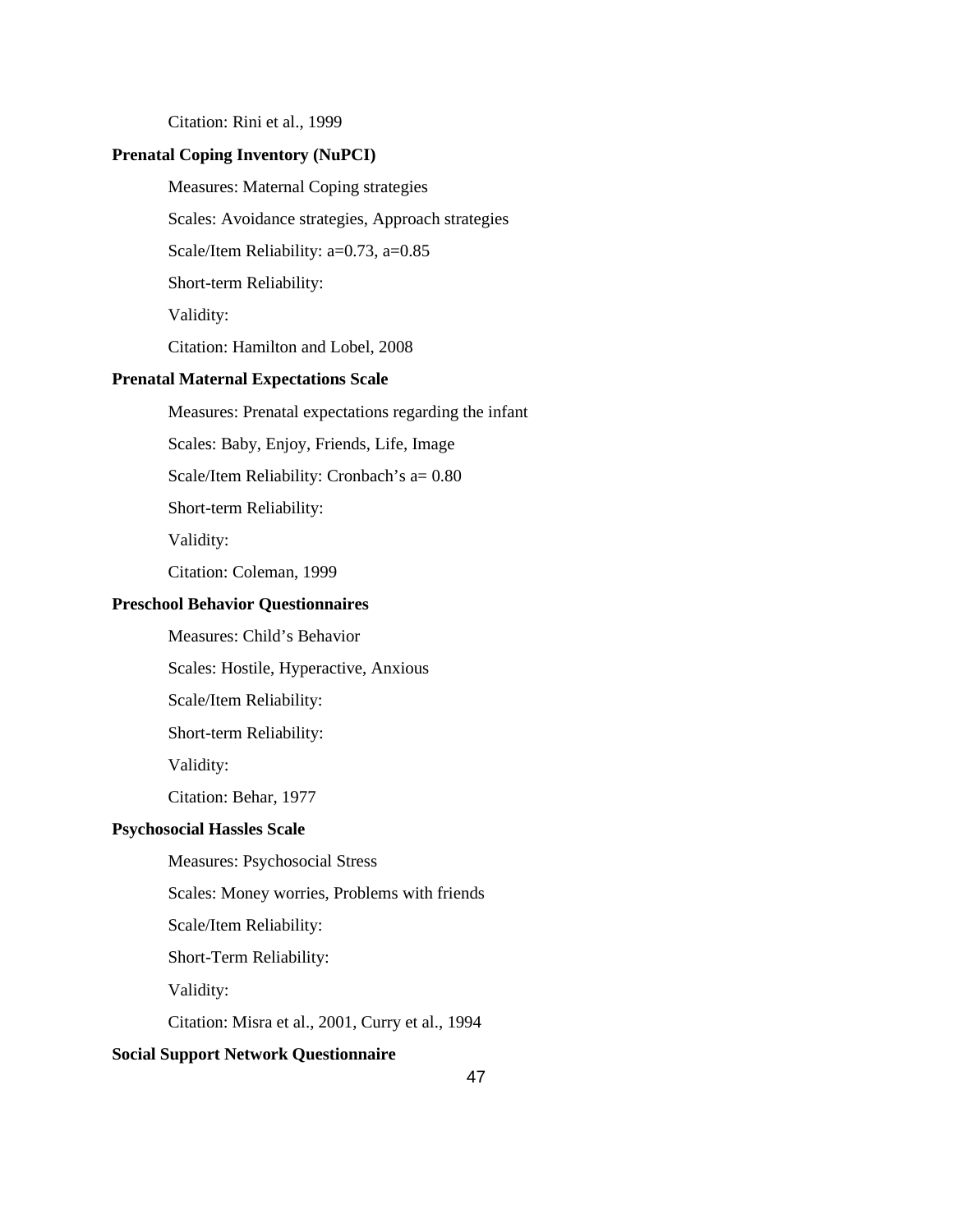Citation: Rini et al., 1999

### **Prenatal Coping Inventory (NuPCI)**

Measures: Maternal Coping strategies

Scales: Avoidance strategies, Approach strategies

Scale/Item Reliability: a=0.73, a=0.85

Short-term Reliability:

Validity:

Citation: Hamilton and Lobel, 2008

#### **Prenatal Maternal Expectations Scale**

Measures: Prenatal expectations regarding the infant

Scales: Baby, Enjoy, Friends, Life, Image

Scale/Item Reliability: Cronbach's a= 0.80

Short-term Reliability:

Validity:

Citation: Coleman, 1999

#### **Preschool Behavior Questionnaires**

Measures: Child's Behavior

Scales: Hostile, Hyperactive, Anxious

Scale/Item Reliability:

Short-term Reliability:

Validity:

Citation: Behar, 1977

### **Psychosocial Hassles Scale**

Measures: Psychosocial Stress

Scales: Money worries, Problems with friends

Scale/Item Reliability:

Short-Term Reliability:

Validity:

Citation: Misra et al., 2001, Curry et al., 1994

### **Social Support Network Questionnaire**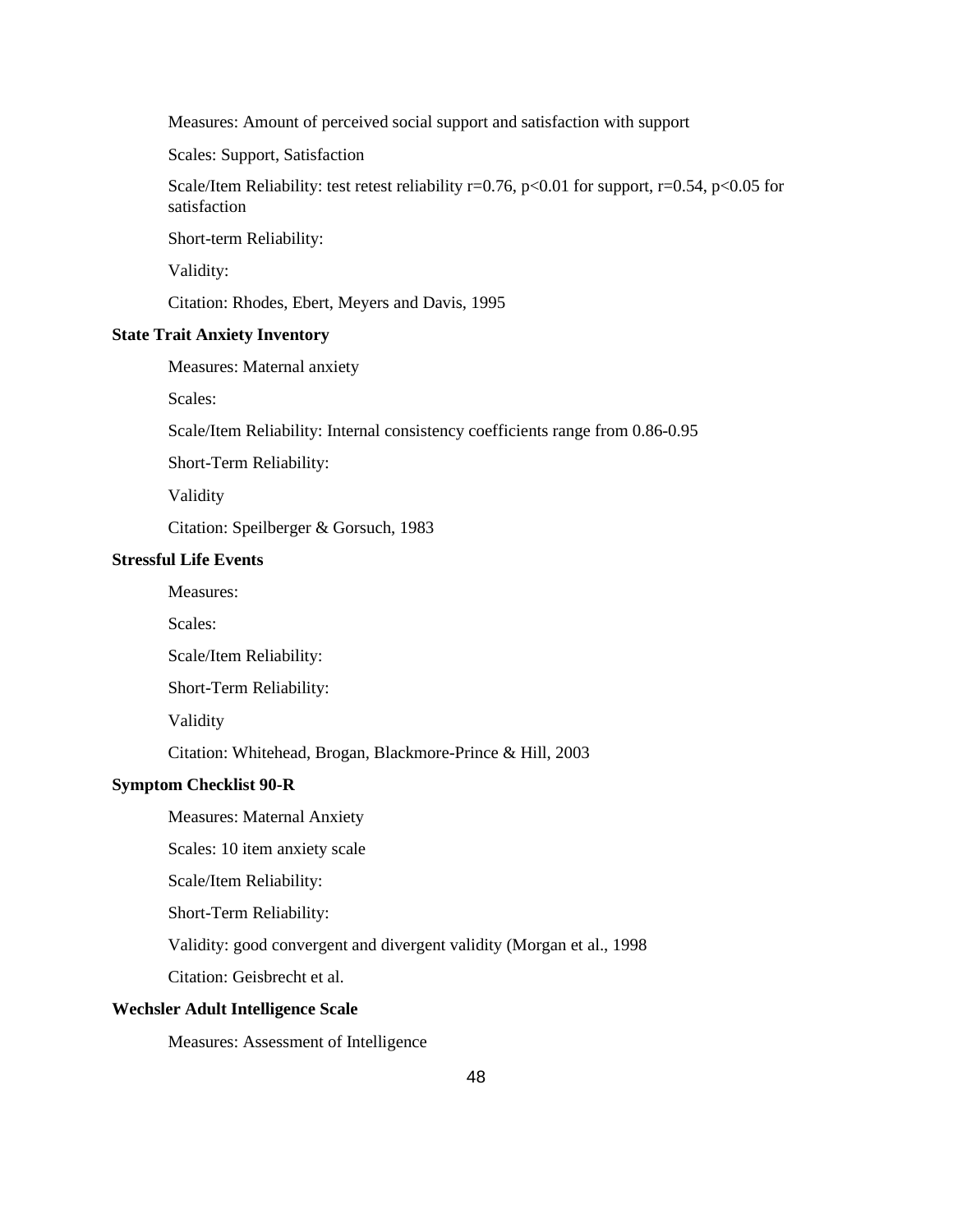Measures: Amount of perceived social support and satisfaction with support

Scales: Support, Satisfaction

Scale/Item Reliability: test retest reliability  $r=0.76$ ,  $p<0.01$  for support,  $r=0.54$ ,  $p<0.05$  for satisfaction

Short-term Reliability:

Validity:

Citation: Rhodes, Ebert, Meyers and Davis, 1995

### **State Trait Anxiety Inventory**

Measures: Maternal anxiety

Scales:

Scale/Item Reliability: Internal consistency coefficients range from 0.86-0.95

Short-Term Reliability:

Validity

Citation: Speilberger & Gorsuch, 1983

#### **Stressful Life Events**

Measures:

Scales:

Scale/Item Reliability:

Short-Term Reliability:

Validity

Citation: Whitehead, Brogan, Blackmore-Prince & Hill, 2003

#### **Symptom Checklist 90-R**

Measures: Maternal Anxiety

Scales: 10 item anxiety scale

Scale/Item Reliability:

Short-Term Reliability:

Validity: good convergent and divergent validity (Morgan et al., 1998

Citation: Geisbrecht et al.

#### **Wechsler Adult Intelligence Scale**

Measures: Assessment of Intelligence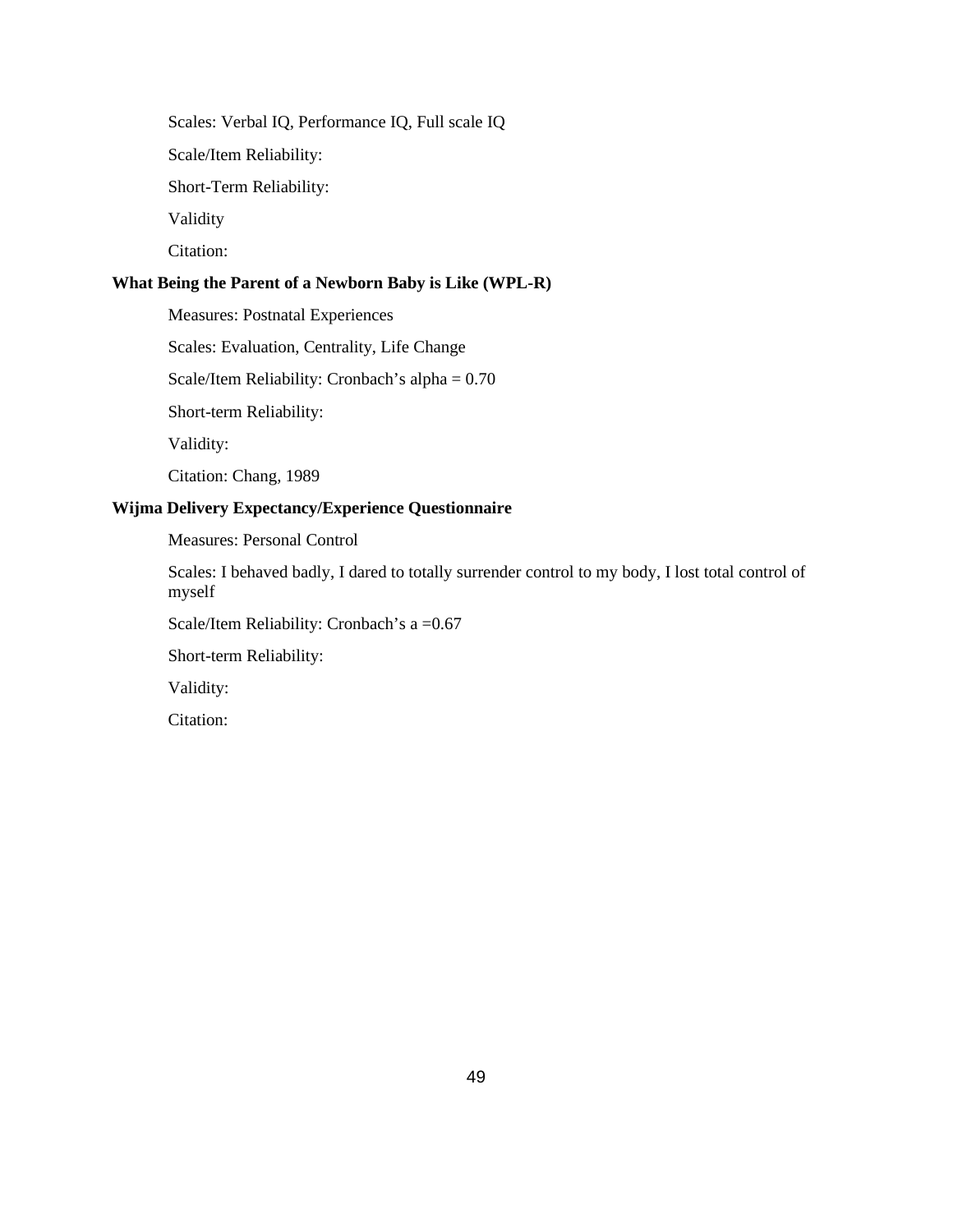Scales: Verbal IQ, Performance IQ, Full scale IQ

Scale/Item Reliability:

Short-Term Reliability:

Validity

Citation:

### **What Being the Parent of a Newborn Baby is Like (WPL-R)**

Measures: Postnatal Experiences

Scales: Evaluation, Centrality, Life Change

Scale/Item Reliability: Cronbach's alpha = 0.70

Short-term Reliability:

Validity:

Citation: Chang, 1989

### **Wijma Delivery Expectancy/Experience Questionnaire**

Measures: Personal Control

Scales: I behaved badly, I dared to totally surrender control to my body, I lost total control of myself

Scale/Item Reliability: Cronbach's a = 0.67

Short-term Reliability:

Validity:

Citation: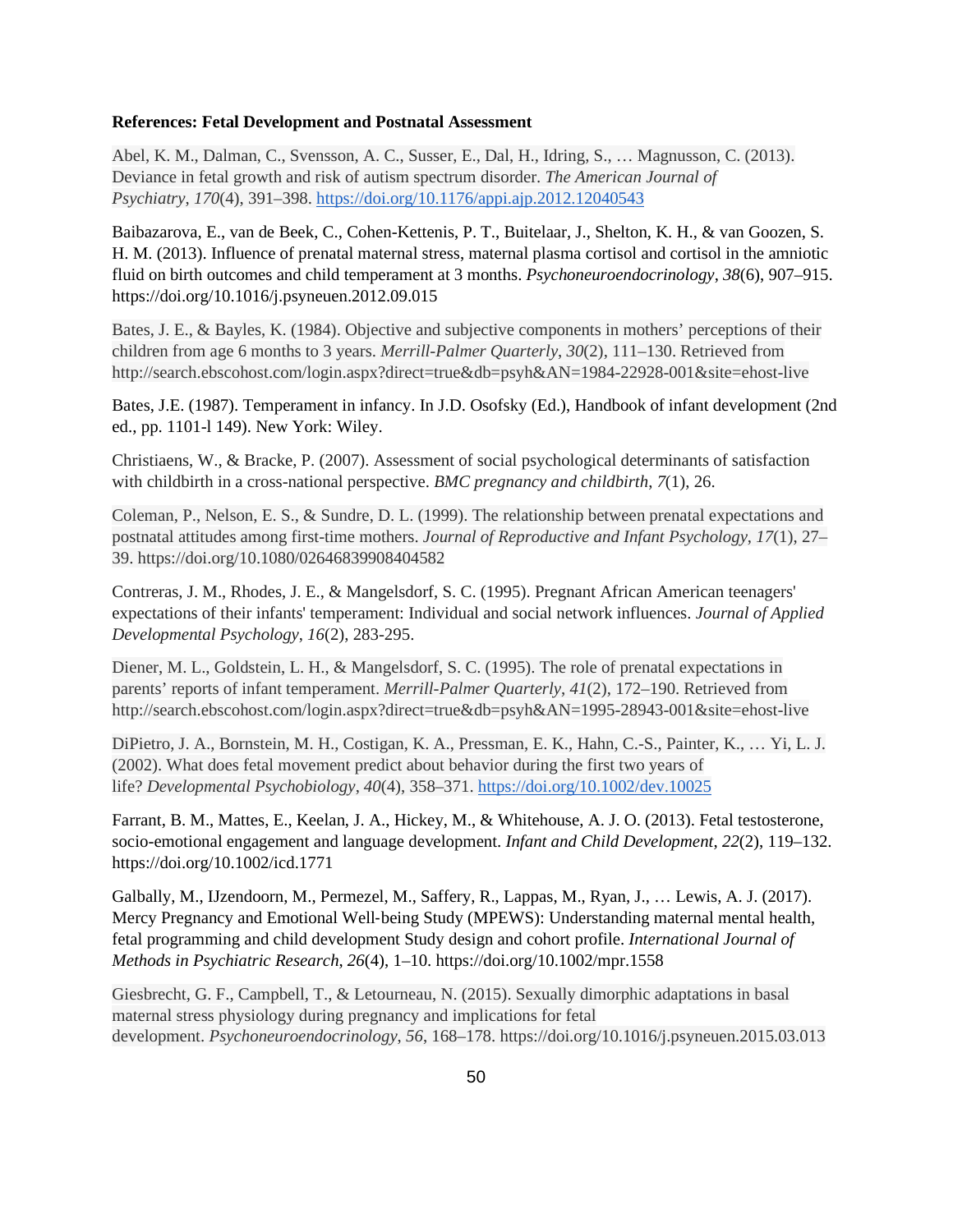#### **References: Fetal Development and Postnatal Assessment**

Abel, K. M., Dalman, C., Svensson, A. C., Susser, E., Dal, H., Idring, S., … Magnusson, C. (2013). Deviance in fetal growth and risk of autism spectrum disorder. *The American Journal of Psychiatry*, *170*(4), 391–398.<https://doi.org/10.1176/appi.ajp.2012.12040543>

Baibazarova, E., van de Beek, C., Cohen-Kettenis, P. T., Buitelaar, J., Shelton, K. H., & van Goozen, S. H. M. (2013). Influence of prenatal maternal stress, maternal plasma cortisol and cortisol in the amniotic fluid on birth outcomes and child temperament at 3 months. *Psychoneuroendocrinology*, *38*(6), 907–915. https://doi.org/10.1016/j.psyneuen.2012.09.015

Bates, J. E., & Bayles, K. (1984). Objective and subjective components in mothers' perceptions of their children from age 6 months to 3 years. *Merrill-Palmer Quarterly*, *30*(2), 111–130. Retrieved from http://search.ebscohost.com/login.aspx?direct=true&db=psyh&AN=1984-22928-001&site=ehost-live

Bates, J.E. (1987). Temperament in infancy. In J.D. Osofsky (Ed.), Handbook of infant development (2nd ed., pp. 1101-l 149). New York: Wiley.

Christiaens, W., & Bracke, P. (2007). Assessment of social psychological determinants of satisfaction with childbirth in a cross-national perspective. *BMC pregnancy and childbirth*, *7*(1), 26.

Coleman, P., Nelson, E. S., & Sundre, D. L. (1999). The relationship between prenatal expectations and postnatal attitudes among first-time mothers. *Journal of Reproductive and Infant Psychology*, *17*(1), 27– 39. https://doi.org/10.1080/02646839908404582

Contreras, J. M., Rhodes, J. E., & Mangelsdorf, S. C. (1995). Pregnant African American teenagers' expectations of their infants' temperament: Individual and social network influences. *Journal of Applied Developmental Psychology*, *16*(2), 283-295.

Diener, M. L., Goldstein, L. H., & Mangelsdorf, S. C. (1995). The role of prenatal expectations in parents' reports of infant temperament. *Merrill-Palmer Quarterly*, *41*(2), 172–190. Retrieved from http://search.ebscohost.com/login.aspx?direct=true&db=psyh&AN=1995-28943-001&site=ehost-live

DiPietro, J. A., Bornstein, M. H., Costigan, K. A., Pressman, E. K., Hahn, C.-S., Painter, K., … Yi, L. J. (2002). What does fetal movement predict about behavior during the first two years of life? *Developmental Psychobiology*, *40*(4), 358–371.<https://doi.org/10.1002/dev.10025>

Farrant, B. M., Mattes, E., Keelan, J. A., Hickey, M., & Whitehouse, A. J. O. (2013). Fetal testosterone, socio-emotional engagement and language development. *Infant and Child Development*, *22*(2), 119–132. https://doi.org/10.1002/icd.1771

Galbally, M., IJzendoorn, M., Permezel, M., Saffery, R., Lappas, M., Ryan, J., … Lewis, A. J. (2017). Mercy Pregnancy and Emotional Well‐being Study (MPEWS): Understanding maternal mental health, fetal programming and child development Study design and cohort profile. *International Journal of Methods in Psychiatric Research*, *26*(4), 1–10. https://doi.org/10.1002/mpr.1558

Giesbrecht, G. F., Campbell, T., & Letourneau, N. (2015). Sexually dimorphic adaptations in basal maternal stress physiology during pregnancy and implications for fetal development. *Psychoneuroendocrinology*, *56*, 168–178. https://doi.org/10.1016/j.psyneuen.2015.03.013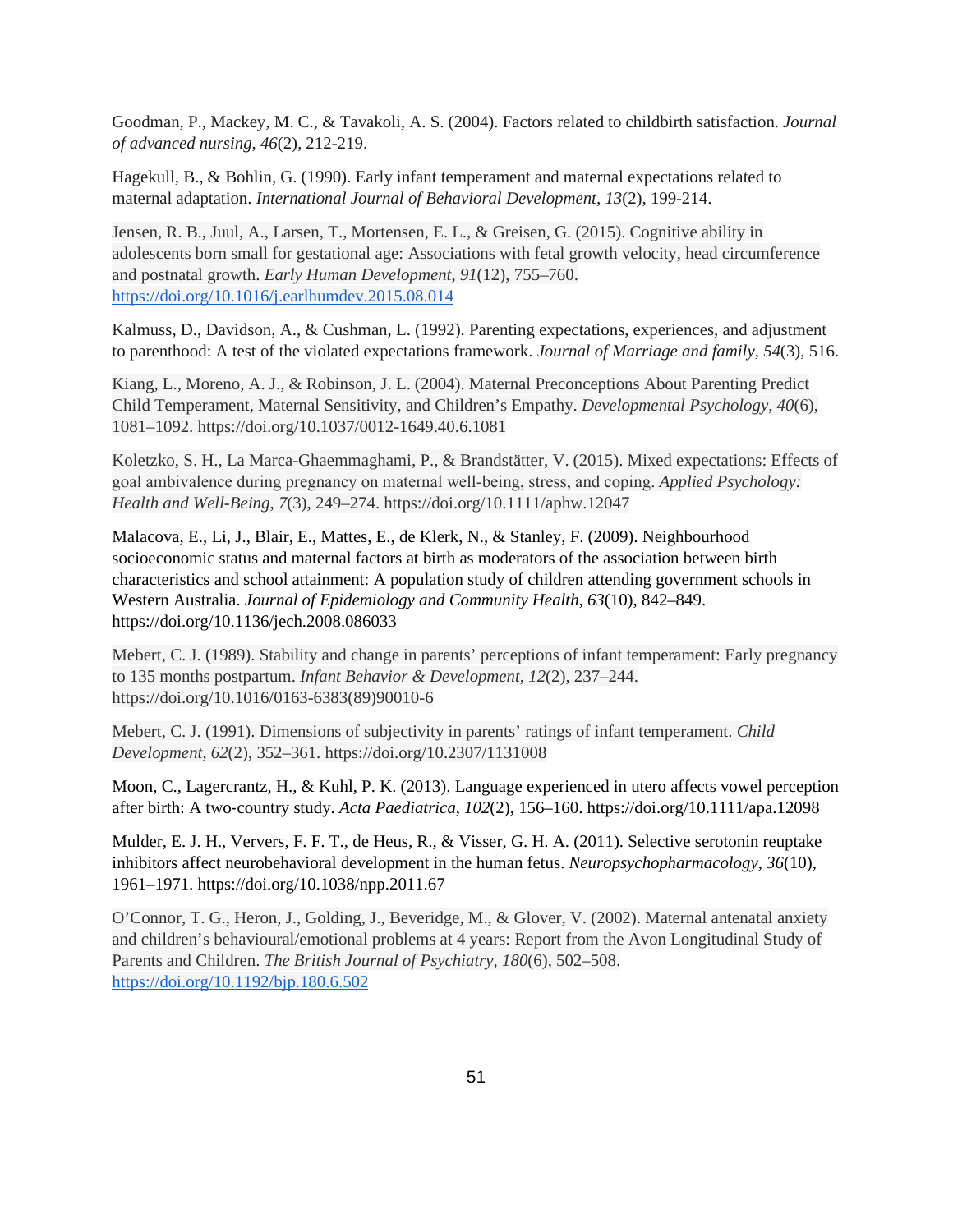Goodman, P., Mackey, M. C., & Tavakoli, A. S. (2004). Factors related to childbirth satisfaction. *Journal of advanced nursing*, *46*(2), 212-219.

Hagekull, B., & Bohlin, G. (1990). Early infant temperament and maternal expectations related to maternal adaptation. *International Journal of Behavioral Development*, *13*(2), 199-214.

Jensen, R. B., Juul, A., Larsen, T., Mortensen, E. L., & Greisen, G. (2015). Cognitive ability in adolescents born small for gestational age: Associations with fetal growth velocity, head circumference and postnatal growth. *Early Human Development*, *91*(12), 755–760. <https://doi.org/10.1016/j.earlhumdev.2015.08.014>

Kalmuss, D., Davidson, A., & Cushman, L. (1992). Parenting expectations, experiences, and adjustment to parenthood: A test of the violated expectations framework. *Journal of Marriage and family*, *54*(3), 516.

Kiang, L., Moreno, A. J., & Robinson, J. L. (2004). Maternal Preconceptions About Parenting Predict Child Temperament, Maternal Sensitivity, and Children's Empathy. *Developmental Psychology*, *40*(6), 1081–1092. https://doi.org/10.1037/0012-1649.40.6.1081

Koletzko, S. H., La Marca-Ghaemmaghami, P., & Brandstätter, V. (2015). Mixed expectations: Effects of goal ambivalence during pregnancy on maternal well‐being, stress, and coping. *Applied Psychology: Health and Well-Being*, *7*(3), 249–274. https://doi.org/10.1111/aphw.12047

Malacova, E., Li, J., Blair, E., Mattes, E., de Klerk, N., & Stanley, F. (2009). Neighbourhood socioeconomic status and maternal factors at birth as moderators of the association between birth characteristics and school attainment: A population study of children attending government schools in Western Australia. *Journal of Epidemiology and Community Health*, *63*(10), 842–849. https://doi.org/10.1136/jech.2008.086033

Mebert, C. J. (1989). Stability and change in parents' perceptions of infant temperament: Early pregnancy to 135 months postpartum. *Infant Behavior & Development*, *12*(2), 237–244. https://doi.org/10.1016/0163-6383(89)90010-6

Mebert, C. J. (1991). Dimensions of subjectivity in parents' ratings of infant temperament. *Child Development*, *62*(2), 352–361. https://doi.org/10.2307/1131008

Moon, C., Lagercrantz, H., & Kuhl, P. K. (2013). Language experienced in utero affects vowel perception after birth: A two‐country study. *Acta Paediatrica*, *102*(2), 156–160. https://doi.org/10.1111/apa.12098

Mulder, E. J. H., Ververs, F. F. T., de Heus, R., & Visser, G. H. A. (2011). Selective serotonin reuptake inhibitors affect neurobehavioral development in the human fetus. *Neuropsychopharmacology*, *36*(10), 1961–1971. https://doi.org/10.1038/npp.2011.67

O'Connor, T. G., Heron, J., Golding, J., Beveridge, M., & Glover, V. (2002). Maternal antenatal anxiety and children's behavioural/emotional problems at 4 years: Report from the Avon Longitudinal Study of Parents and Children. *The British Journal of Psychiatry*, *180*(6), 502–508. <https://doi.org/10.1192/bjp.180.6.502>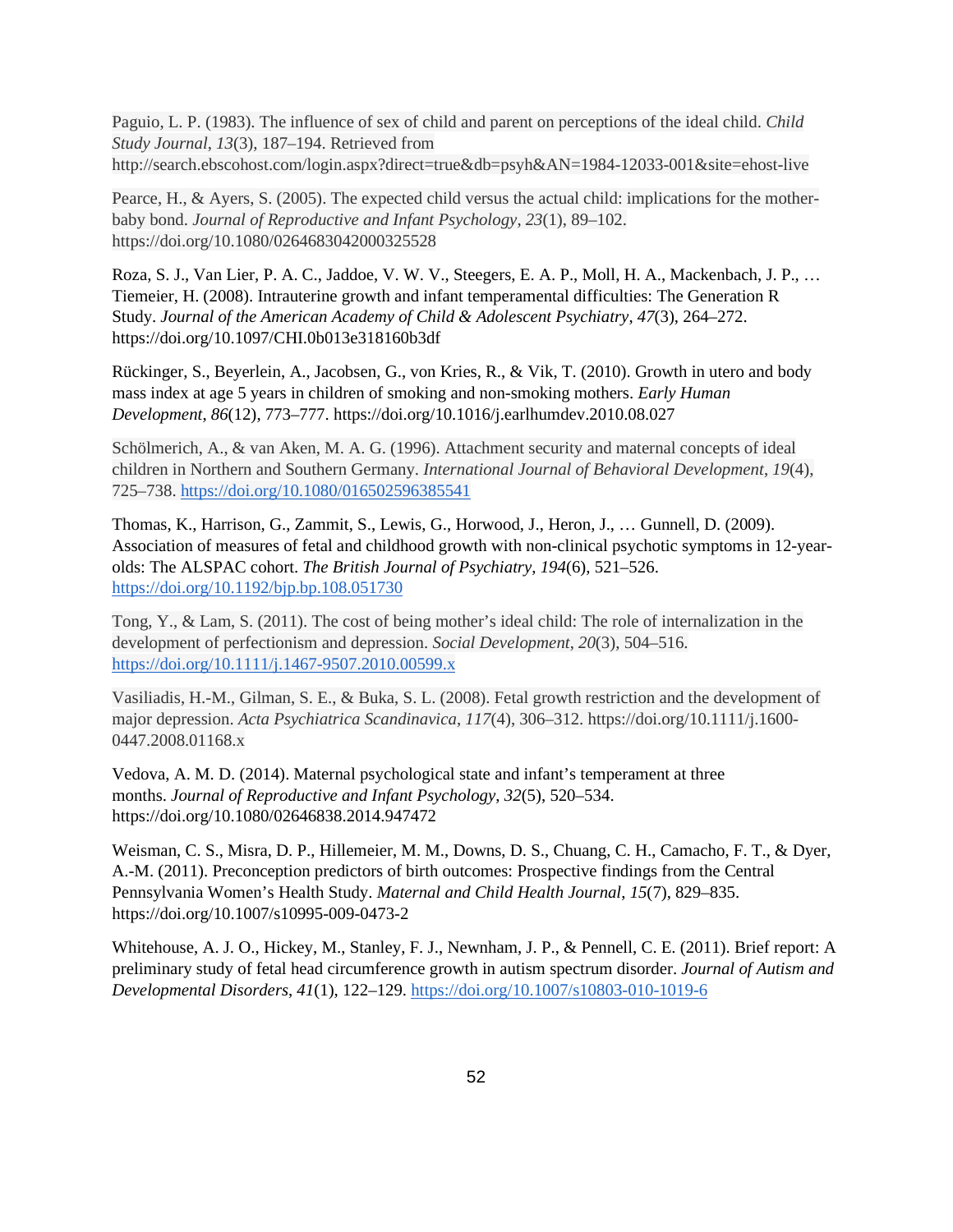Paguio, L. P. (1983). The influence of sex of child and parent on perceptions of the ideal child. *Child Study Journal*, *13*(3), 187–194. Retrieved from http://search.ebscohost.com/login.aspx?direct=true&db=psyh&AN=1984-12033-001&site=ehost-live

Pearce, H., & Ayers, S. (2005). The expected child versus the actual child: implications for the motherbaby bond. *Journal of Reproductive and Infant Psychology*, *23*(1), 89–102. https://doi.org/10.1080/0264683042000325528

Roza, S. J., Van Lier, P. A. C., Jaddoe, V. W. V., Steegers, E. A. P., Moll, H. A., Mackenbach, J. P., … Tiemeier, H. (2008). Intrauterine growth and infant temperamental difficulties: The Generation R Study. *Journal of the American Academy of Child & Adolescent Psychiatry*, *47*(3), 264–272. https://doi.org/10.1097/CHI.0b013e318160b3df

Rückinger, S., Beyerlein, A., Jacobsen, G., von Kries, R., & Vik, T. (2010). Growth in utero and body mass index at age 5 years in children of smoking and non-smoking mothers. *Early Human Development*, *86*(12), 773–777. https://doi.org/10.1016/j.earlhumdev.2010.08.027

Schölmerich, A., & van Aken, M. A. G. (1996). Attachment security and maternal concepts of ideal children in Northern and Southern Germany. *International Journal of Behavioral Development*, *19*(4), 725–738.<https://doi.org/10.1080/016502596385541>

Thomas, K., Harrison, G., Zammit, S., Lewis, G., Horwood, J., Heron, J., … Gunnell, D. (2009). Association of measures of fetal and childhood growth with non-clinical psychotic symptoms in 12-yearolds: The ALSPAC cohort. *The British Journal of Psychiatry*, *194*(6), 521–526. <https://doi.org/10.1192/bjp.bp.108.051730>

Tong, Y., & Lam, S. (2011). The cost of being mother's ideal child: The role of internalization in the development of perfectionism and depression. *Social Development*, *20*(3), 504–516. <https://doi.org/10.1111/j.1467-9507.2010.00599.x>

Vasiliadis, H.-M., Gilman, S. E., & Buka, S. L. (2008). Fetal growth restriction and the development of major depression. *Acta Psychiatrica Scandinavica*, *117*(4), 306–312. https://doi.org/10.1111/j.1600- 0447.2008.01168.x

Vedova, A. M. D. (2014). Maternal psychological state and infant's temperament at three months. *Journal of Reproductive and Infant Psychology*, *32*(5), 520–534. https://doi.org/10.1080/02646838.2014.947472

Weisman, C. S., Misra, D. P., Hillemeier, M. M., Downs, D. S., Chuang, C. H., Camacho, F. T., & Dyer, A.-M. (2011). Preconception predictors of birth outcomes: Prospective findings from the Central Pennsylvania Women's Health Study. *Maternal and Child Health Journal*, *15*(7), 829–835. https://doi.org/10.1007/s10995-009-0473-2

Whitehouse, A. J. O., Hickey, M., Stanley, F. J., Newnham, J. P., & Pennell, C. E. (2011). Brief report: A preliminary study of fetal head circumference growth in autism spectrum disorder. *Journal of Autism and Developmental Disorders*, *41*(1), 122–129.<https://doi.org/10.1007/s10803-010-1019-6>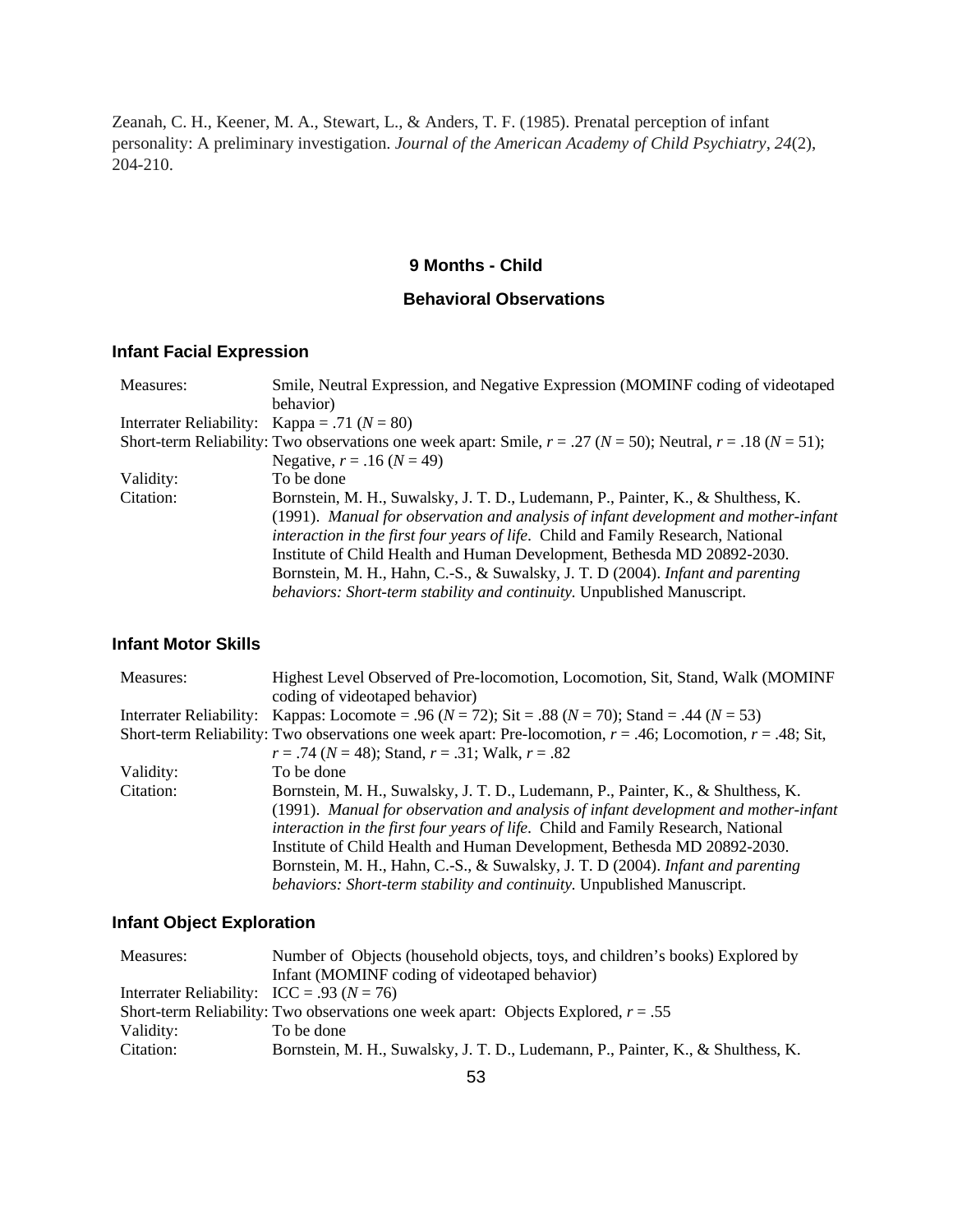Zeanah, C. H., Keener, M. A., Stewart, L., & Anders, T. F. (1985). Prenatal perception of infant personality: A preliminary investigation. *Journal of the American Academy of Child Psychiatry*, *24*(2), 204-210.

### **9 Months - Child**

### **Behavioral Observations**

## **Infant Facial Expression**

| Measures: | Smile, Neutral Expression, and Negative Expression (MOMINF coding of videotaped                                          |
|-----------|--------------------------------------------------------------------------------------------------------------------------|
|           | behavior)                                                                                                                |
|           | Interrater Reliability: Kappa = .71 ( $N = 80$ )                                                                         |
|           | Short-term Reliability: Two observations one week apart: Smile, $r = .27$ ( $N = 50$ ); Neutral, $r = .18$ ( $N = 51$ ); |
|           | Negative, $r = .16 (N = 49)$                                                                                             |
| Validity: | To be done                                                                                                               |
| Citation: | Bornstein, M. H., Suwalsky, J. T. D., Ludemann, P., Painter, K., & Shulthess, K.                                         |
|           | (1991). Manual for observation and analysis of infant development and mother-infant                                      |
|           | <i>interaction in the first four years of life.</i> Child and Family Research, National                                  |
|           | Institute of Child Health and Human Development, Bethesda MD 20892-2030.                                                 |
|           | Bornstein, M. H., Hahn, C.-S., & Suwalsky, J. T. D (2004). Infant and parenting                                          |
|           | behaviors: Short-term stability and continuity. Unpublished Manuscript.                                                  |

### **Infant Motor Skills**

| Highest Level Observed of Pre-locomotion, Locomotion, Sit, Stand, Walk (MOMINF                                    |
|-------------------------------------------------------------------------------------------------------------------|
| coding of videotaped behavior)                                                                                    |
| Interrater Reliability: Kappas: Locomote = .96 ( $N = 72$ ); Sit = .88 ( $N = 70$ ); Stand = .44 ( $N = 53$ )     |
| Short-term Reliability: Two observations one week apart: Pre-locomotion, $r = .46$ ; Locomotion, $r = .48$ ; Sit, |
| $r = .74$ ( $N = 48$ ); Stand, $r = .31$ ; Walk, $r = .82$                                                        |
| To be done                                                                                                        |
| Bornstein, M. H., Suwalsky, J. T. D., Ludemann, P., Painter, K., & Shulthess, K.                                  |
| (1991). Manual for observation and analysis of infant development and mother-infant                               |
| interaction in the first four years of life. Child and Family Research, National                                  |
| Institute of Child Health and Human Development, Bethesda MD 20892-2030.                                          |
| Bornstein, M. H., Hahn, C.-S., & Suwalsky, J. T. D (2004). Infant and parenting                                   |
| behaviors: Short-term stability and continuity. Unpublished Manuscript.                                           |
|                                                                                                                   |

## **Infant Object Exploration**

| Measures:                                                    | Number of Objects (household objects, toys, and children's books) Explored by        |
|--------------------------------------------------------------|--------------------------------------------------------------------------------------|
|                                                              | Infant (MOMINF coding of videotaped behavior)                                        |
| Interrater Reliability: $\text{ICC} = .93 \text{ } (N = 76)$ |                                                                                      |
|                                                              | Short-term Reliability: Two observations one week apart: Objects Explored, $r = .55$ |
| Validity:                                                    | To be done                                                                           |
| Citation:                                                    | Bornstein, M. H., Suwalsky, J. T. D., Ludemann, P., Painter, K., & Shulthess, K.     |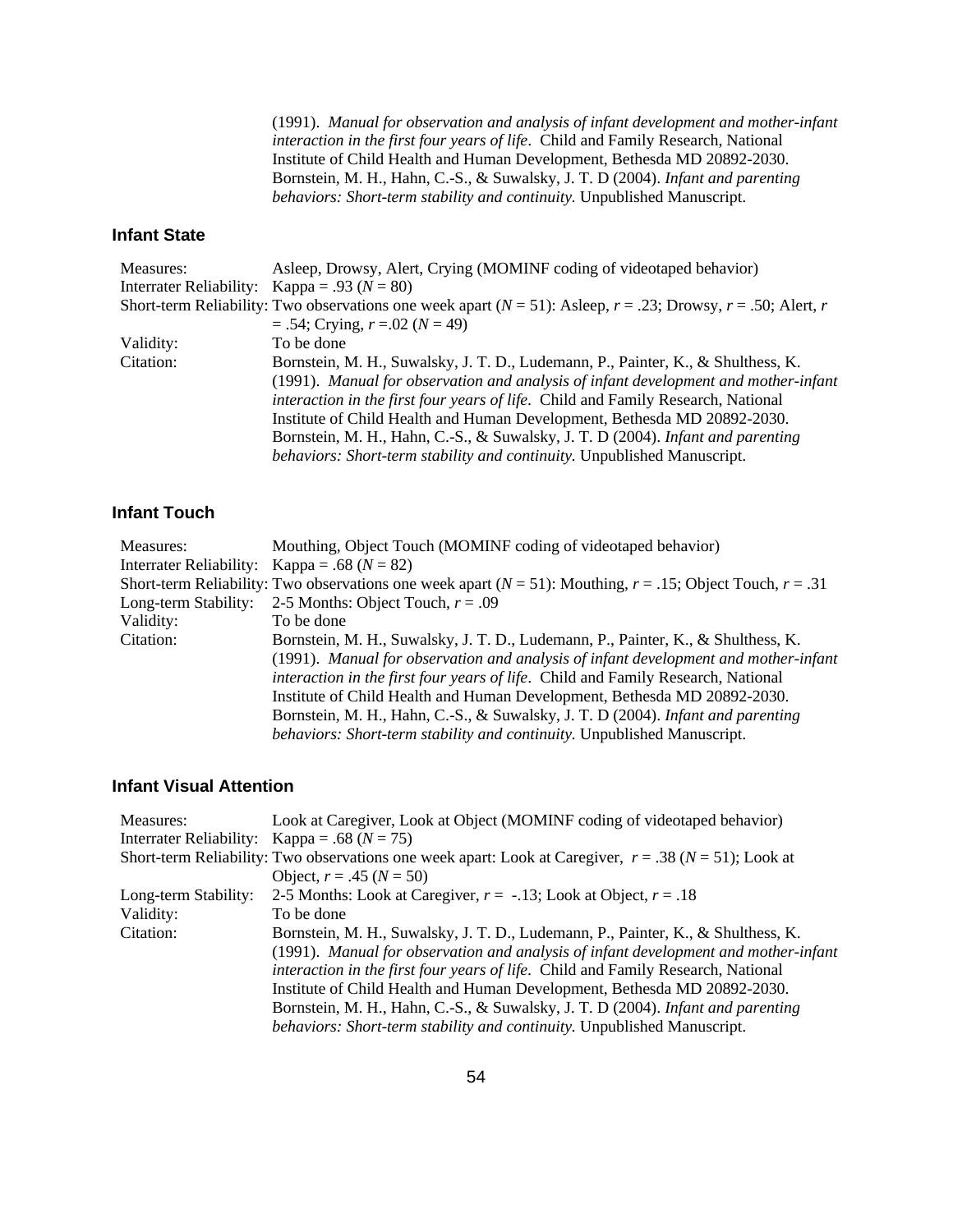(1991). *Manual for observation and analysis of infant development and mother-infant interaction in the first four years of life*. Child and Family Research, National Institute of Child Health and Human Development, Bethesda MD 20892-2030. Bornstein, M. H., Hahn, C.-S., & Suwalsky, J. T. D (2004). *Infant and parenting behaviors: Short-term stability and continuity.* Unpublished Manuscript.

### **Infant State**

| Measures: | Asleep, Drowsy, Alert, Crying (MOMINF coding of videotaped behavior)                                                   |
|-----------|------------------------------------------------------------------------------------------------------------------------|
|           | Interrater Reliability: Kappa = .93 ( $N = 80$ )                                                                       |
|           | Short-term Reliability: Two observations one week apart ( $N = 51$ ): Asleep, $r = .23$ ; Drowsy, $r = .50$ ; Alert, r |
|           | $= .54$ ; Crying, $r = .02$ ( $N = 49$ )                                                                               |
| Validity: | To be done                                                                                                             |
| Citation: | Bornstein, M. H., Suwalsky, J. T. D., Ludemann, P., Painter, K., & Shulthess, K.                                       |
|           | (1991). Manual for observation and analysis of infant development and mother-infant                                    |
|           | interaction in the first four years of life. Child and Family Research, National                                       |
|           | Institute of Child Health and Human Development, Bethesda MD 20892-2030.                                               |
|           | Bornstein, M. H., Hahn, C.-S., & Suwalsky, J. T. D (2004). Infant and parenting                                        |
|           | behaviors: Short-term stability and continuity. Unpublished Manuscript.                                                |

### **Infant Touch**

| Measures:            | Mouthing, Object Touch (MOMINF coding of videotaped behavior)                                                       |
|----------------------|---------------------------------------------------------------------------------------------------------------------|
|                      | Interrater Reliability: Kappa = .68 ( $N = 82$ )                                                                    |
|                      | Short-term Reliability: Two observations one week apart ( $N = 51$ ): Mouthing, $r = .15$ ; Object Touch, $r = .31$ |
| Long-term Stability: | 2-5 Months: Object Touch, $r = .09$                                                                                 |
| Validity:            | To be done                                                                                                          |
| Citation:            | Bornstein, M. H., Suwalsky, J. T. D., Ludemann, P., Painter, K., & Shulthess, K.                                    |
|                      | (1991). Manual for observation and analysis of infant development and mother-infant                                 |
|                      | interaction in the first four years of life. Child and Family Research, National                                    |
|                      | Institute of Child Health and Human Development, Bethesda MD 20892-2030.                                            |
|                      | Bornstein, M. H., Hahn, C.-S., & Suwalsky, J. T. D (2004). Infant and parenting                                     |
|                      | behaviors: Short-term stability and continuity. Unpublished Manuscript.                                             |

#### **Infant Visual Attention**

| Measures:            | Look at Caregiver, Look at Object (MOMINF coding of videotaped behavior)                                    |
|----------------------|-------------------------------------------------------------------------------------------------------------|
|                      | Interrater Reliability: Kappa = .68 ( $N = 75$ )                                                            |
|                      | Short-term Reliability: Two observations one week apart: Look at Caregiver, $r = .38$ ( $N = 51$ ); Look at |
|                      | Object, $r = .45$ ( $N = 50$ )                                                                              |
| Long-term Stability: | 2-5 Months: Look at Caregiver, $r = -.13$ ; Look at Object, $r = .18$                                       |
| Validity:            | To be done                                                                                                  |
| Citation:            | Bornstein, M. H., Suwalsky, J. T. D., Ludemann, P., Painter, K., & Shulthess, K.                            |
|                      | (1991). Manual for observation and analysis of infant development and mother-infant                         |
|                      | interaction in the first four years of life. Child and Family Research, National                            |
|                      | Institute of Child Health and Human Development, Bethesda MD 20892-2030.                                    |
|                      | Bornstein, M. H., Hahn, C.-S., & Suwalsky, J. T. D (2004). Infant and parenting                             |
|                      | behaviors: Short-term stability and continuity. Unpublished Manuscript.                                     |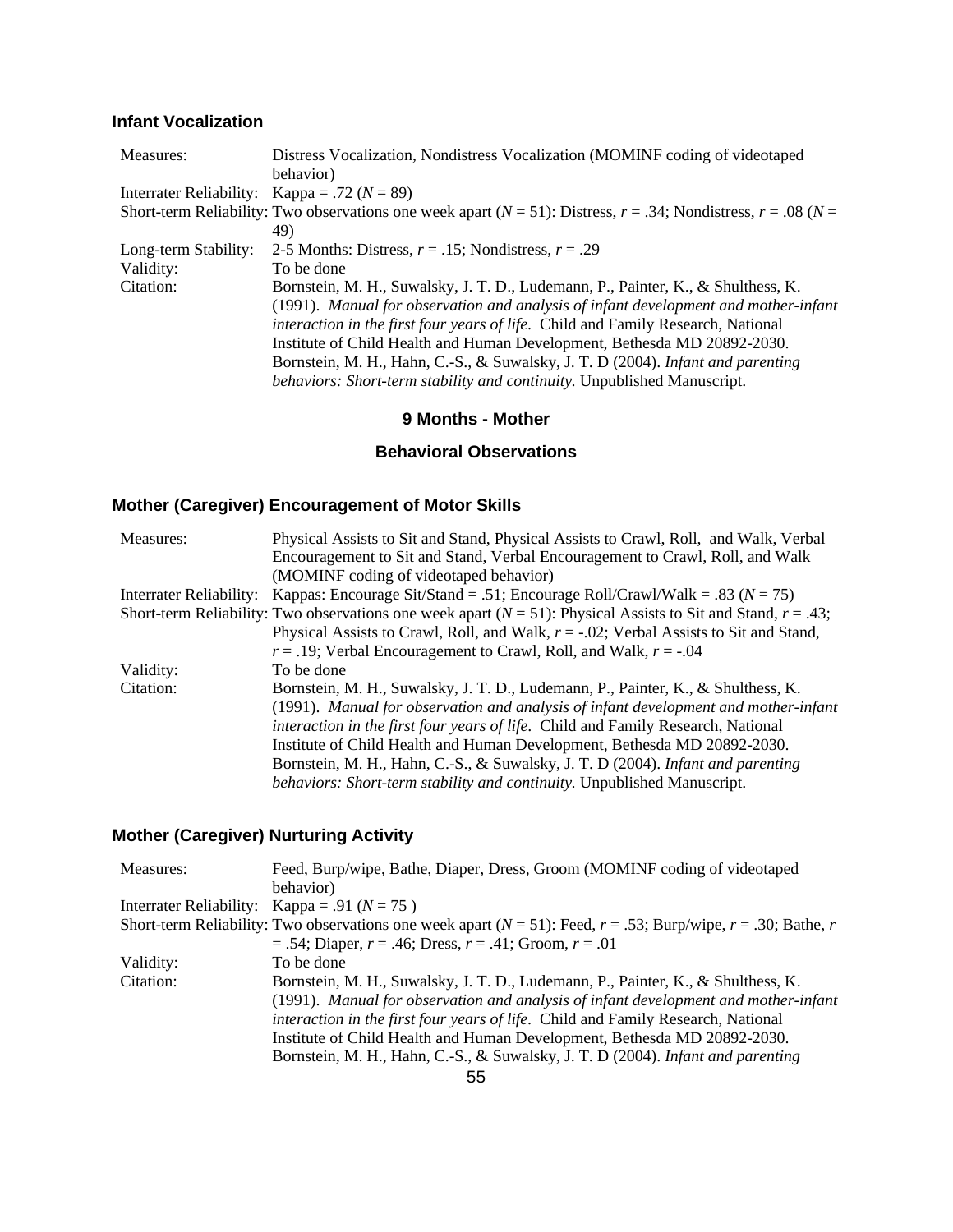# **Infant Vocalization**

| Measures:            | Distress Vocalization, Nondistress Vocalization (MOMINF coding of videotaped                                               |
|----------------------|----------------------------------------------------------------------------------------------------------------------------|
|                      | behavior)                                                                                                                  |
|                      | Interrater Reliability: Kappa = .72 ( $N = 89$ )                                                                           |
|                      | Short-term Reliability: Two observations one week apart ( $N = 51$ ): Distress, $r = .34$ ; Nondistress, $r = .08$ ( $N =$ |
|                      | 49)                                                                                                                        |
| Long-term Stability: | 2-5 Months: Distress, $r = .15$ ; Nondistress, $r = .29$                                                                   |
| Validity:            | To be done                                                                                                                 |
| Citation:            | Bornstein, M. H., Suwalsky, J. T. D., Ludemann, P., Painter, K., & Shulthess, K.                                           |
|                      | (1991). Manual for observation and analysis of infant development and mother-infant                                        |
|                      | <i>interaction in the first four years of life.</i> Child and Family Research, National                                    |
|                      | Institute of Child Health and Human Development, Bethesda MD 20892-2030.                                                   |
|                      | Bornstein, M. H., Hahn, C.-S., & Suwalsky, J. T. D (2004). Infant and parenting                                            |
|                      | behaviors: Short-term stability and continuity. Unpublished Manuscript.                                                    |

### **9 Months - Mother**

### **Behavioral Observations**

# **Mother (Caregiver) Encouragement of Motor Skills**

| Measures:               | Physical Assists to Sit and Stand, Physical Assists to Crawl, Roll, and Walk, Verbal                                 |
|-------------------------|----------------------------------------------------------------------------------------------------------------------|
|                         | Encouragement to Sit and Stand, Verbal Encouragement to Crawl, Roll, and Walk                                        |
|                         | (MOMINF coding of videotaped behavior)                                                                               |
| Interrater Reliability: | Kappas: Encourage Sit/Stand = .51; Encourage Roll/Crawl/Walk = .83 ( $N = 75$ )                                      |
|                         | Short-term Reliability: Two observations one week apart ( $N = 51$ ): Physical Assists to Sit and Stand, $r = .43$ ; |
|                         | Physical Assists to Crawl, Roll, and Walk, $r = -0.02$ ; Verbal Assists to Sit and Stand,                            |
|                         | $r = .19$ ; Verbal Encouragement to Crawl, Roll, and Walk, $r = .04$                                                 |
| Validity:               | To be done                                                                                                           |
| Citation:               | Bornstein, M. H., Suwalsky, J. T. D., Ludemann, P., Painter, K., & Shulthess, K.                                     |
|                         | (1991). Manual for observation and analysis of infant development and mother-infant                                  |
|                         | <i>interaction in the first four years of life.</i> Child and Family Research, National                              |
|                         | Institute of Child Health and Human Development, Bethesda MD 20892-2030.                                             |
|                         | Bornstein, M. H., Hahn, C.-S., & Suwalsky, J. T. D (2004). Infant and parenting                                      |
|                         | behaviors: Short-term stability and continuity. Unpublished Manuscript.                                              |

# **Mother (Caregiver) Nurturing Activity**

| Measures: | Feed, Burp/wipe, Bathe, Diaper, Dress, Groom (MOMINF coding of videotaped                                               |
|-----------|-------------------------------------------------------------------------------------------------------------------------|
|           | behavior)                                                                                                               |
|           | Interrater Reliability: Kappa = .91 ( $N = 75$ )                                                                        |
|           | Short-term Reliability: Two observations one week apart ( $N = 51$ ): Feed, $r = .53$ ; Burp/wipe, $r = .30$ ; Bathe, r |
|           | $= .54$ ; Diaper, $r = .46$ ; Dress, $r = .41$ ; Groom, $r = .01$                                                       |
| Validity: | To be done                                                                                                              |
| Citation: | Bornstein, M. H., Suwalsky, J. T. D., Ludemann, P., Painter, K., & Shulthess, K.                                        |
|           | (1991). Manual for observation and analysis of infant development and mother-infant                                     |
|           | interaction in the first four years of life. Child and Family Research, National                                        |
|           | Institute of Child Health and Human Development, Bethesda MD 20892-2030.                                                |
|           | Bornstein, M. H., Hahn, C.-S., & Suwalsky, J. T. D (2004). Infant and parenting                                         |
|           |                                                                                                                         |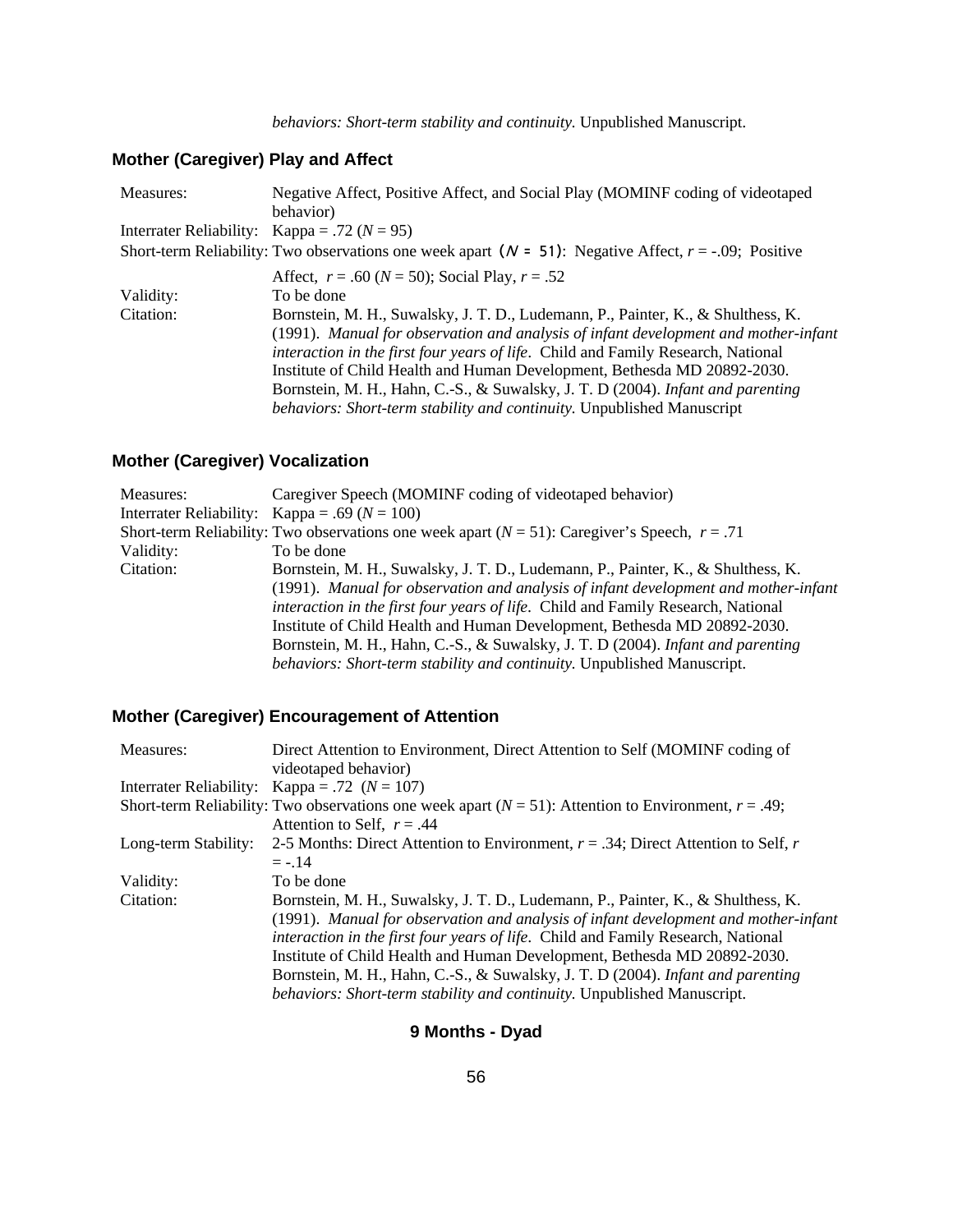# **Mother (Caregiver) Play and Affect**

| Measures: | Negative Affect, Positive Affect, and Social Play (MOMINF coding of videotaped                                |
|-----------|---------------------------------------------------------------------------------------------------------------|
|           | behavior)                                                                                                     |
|           | Interrater Reliability: Kappa = .72 ( $N = 95$ )                                                              |
|           | Short-term Reliability: Two observations one week apart ( $N = 51$ ): Negative Affect, $r = -0.09$ ; Positive |
|           | Affect, $r = .60$ ( $N = 50$ ); Social Play, $r = .52$                                                        |
| Validity: | To be done                                                                                                    |
| Citation: | Bornstein, M. H., Suwalsky, J. T. D., Ludemann, P., Painter, K., & Shulthess, K.                              |
|           | (1991). Manual for observation and analysis of infant development and mother-infant                           |
|           | <i>interaction in the first four years of life.</i> Child and Family Research, National                       |
|           | Institute of Child Health and Human Development, Bethesda MD 20892-2030.                                      |
|           | Bornstein, M. H., Hahn, C.-S., & Suwalsky, J. T. D (2004). Infant and parenting                               |
|           | behaviors: Short-term stability and continuity. Unpublished Manuscript                                        |

# **Mother (Caregiver) Vocalization**

| Measures: | Caregiver Speech (MOMINF coding of videotaped behavior)                                             |
|-----------|-----------------------------------------------------------------------------------------------------|
|           | Interrater Reliability: Kappa = .69 ( $N = 100$ )                                                   |
|           | Short-term Reliability: Two observations one week apart ( $N = 51$ ): Caregiver's Speech, $r = .71$ |
| Validity: | To be done                                                                                          |
| Citation: | Bornstein, M. H., Suwalsky, J. T. D., Ludemann, P., Painter, K., & Shulthess, K.                    |
|           | (1991). Manual for observation and analysis of infant development and mother-infant                 |
|           | interaction in the first four years of life. Child and Family Research, National                    |
|           | Institute of Child Health and Human Development, Bethesda MD 20892-2030.                            |
|           | Bornstein, M. H., Hahn, C.-S., & Suwalsky, J. T. D (2004). Infant and parenting                     |
|           | behaviors: Short-term stability and continuity. Unpublished Manuscript.                             |

# **Mother (Caregiver) Encouragement of Attention**

| Measures:            | Direct Attention to Environment, Direct Attention to Self (MOMINF coding of                                |
|----------------------|------------------------------------------------------------------------------------------------------------|
|                      | videotaped behavior)                                                                                       |
|                      | Interrater Reliability: Kappa = .72 $(N = 107)$                                                            |
|                      | Short-term Reliability: Two observations one week apart $(N = 51)$ : Attention to Environment, $r = .49$ ; |
|                      | Attention to Self, $r = .44$                                                                               |
| Long-term Stability: | 2-5 Months: Direct Attention to Environment, $r = .34$ ; Direct Attention to Self, r                       |
|                      | $= -.14$                                                                                                   |
| Validity:            | To be done                                                                                                 |
| Citation:            | Bornstein, M. H., Suwalsky, J. T. D., Ludemann, P., Painter, K., & Shulthess, K.                           |
|                      | (1991). Manual for observation and analysis of infant development and mother-infant                        |
|                      | interaction in the first four years of life. Child and Family Research, National                           |
|                      | Institute of Child Health and Human Development, Bethesda MD 20892-2030.                                   |
|                      | Bornstein, M. H., Hahn, C.-S., & Suwalsky, J. T. D (2004). Infant and parenting                            |
|                      | behaviors: Short-term stability and continuity. Unpublished Manuscript.                                    |

# **9 Months - Dyad**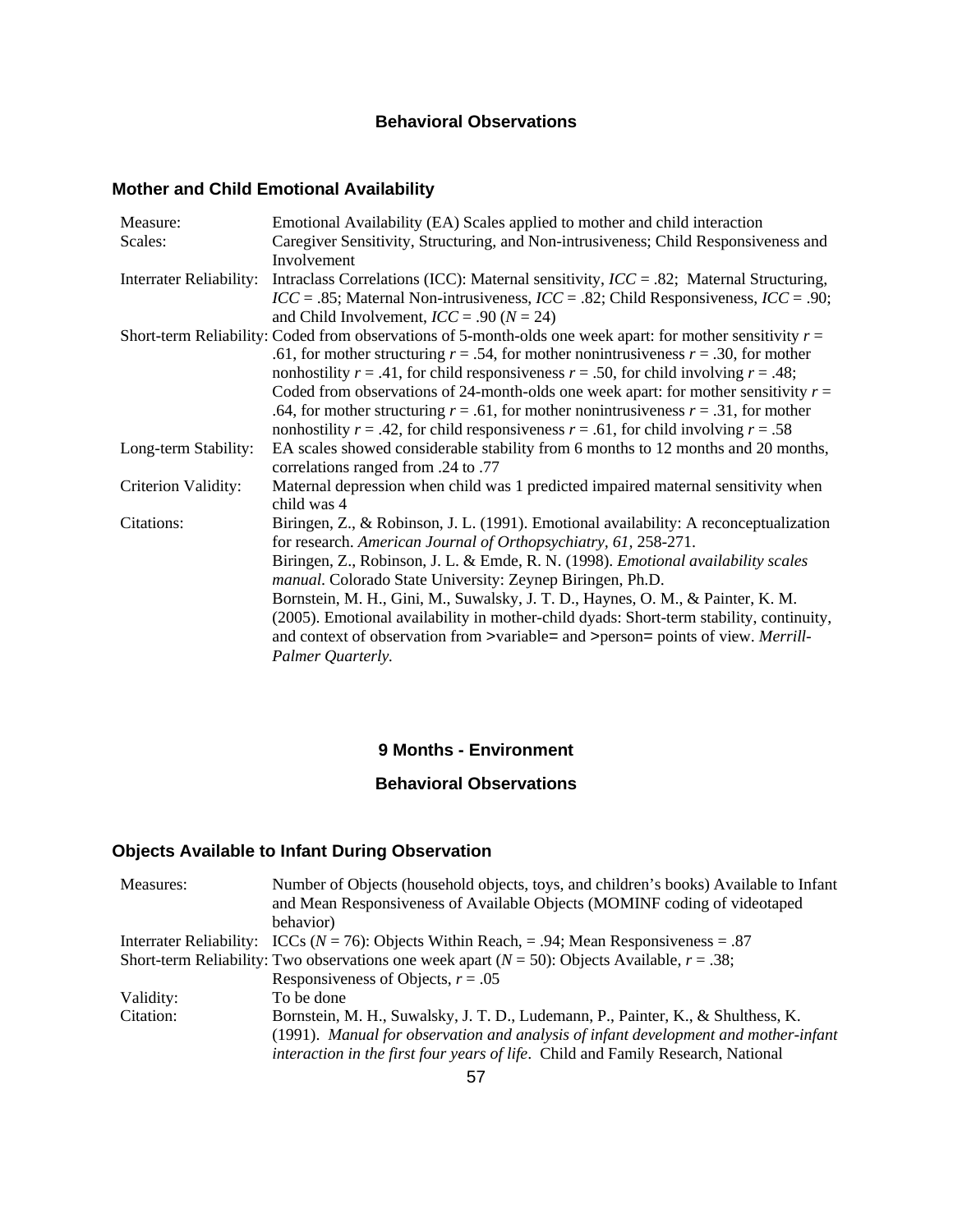### **Behavioral Observations**

# **Mother and Child Emotional Availability**

| Measure:                       | Emotional Availability (EA) Scales applied to mother and child interaction                                                                                   |
|--------------------------------|--------------------------------------------------------------------------------------------------------------------------------------------------------------|
| Scales:                        | Caregiver Sensitivity, Structuring, and Non-intrusiveness; Child Responsiveness and                                                                          |
|                                | Involvement                                                                                                                                                  |
| <b>Interrater Reliability:</b> | Intraclass Correlations (ICC): Maternal sensitivity, $ICC = .82$ ; Maternal Structuring,                                                                     |
|                                | $ICC = .85$ ; Maternal Non-intrusiveness, $ICC = .82$ ; Child Responsiveness, $ICC = .90$ ;                                                                  |
|                                | and Child Involvement, $ICC = .90 (N = 24)$                                                                                                                  |
|                                | Short-term Reliability: Coded from observations of 5-month-olds one week apart: for mother sensitivity $r =$                                                 |
|                                | .61, for mother structuring $r = .54$ , for mother nonintrusiveness $r = .30$ , for mother                                                                   |
|                                | nonhostility $r = .41$ , for child responsiveness $r = .50$ , for child involving $r = .48$ ;                                                                |
|                                | Coded from observations of 24-month-olds one week apart: for mother sensitivity $r =$                                                                        |
|                                | .64, for mother structuring $r = .61$ , for mother nonintrusiveness $r = .31$ , for mother                                                                   |
|                                | nonhostility $r = .42$ , for child responsiveness $r = .61$ , for child involving $r = .58$                                                                  |
| Long-term Stability:           | EA scales showed considerable stability from 6 months to 12 months and 20 months,                                                                            |
|                                | correlations ranged from .24 to .77                                                                                                                          |
| Criterion Validity:            | Maternal depression when child was 1 predicted impaired maternal sensitivity when<br>child was 4                                                             |
| Citations:                     | Biringen, Z., & Robinson, J. L. (1991). Emotional availability: A reconceptualization                                                                        |
|                                | for research. American Journal of Orthopsychiatry, 61, 258-271.                                                                                              |
|                                | Biringen, Z., Robinson, J. L. & Emde, R. N. (1998). <i>Emotional availability scales</i><br><i>manual.</i> Colorado State University: Zeynep Biringen, Ph.D. |
|                                | Bornstein, M. H., Gini, M., Suwalsky, J. T. D., Haynes, O. M., & Painter, K. M.                                                                              |
|                                | (2005). Emotional availability in mother-child dyads: Short-term stability, continuity,                                                                      |
|                                | and context of observation from >variable= and >person= points of view. Merrill-                                                                             |
|                                | Palmer Quarterly.                                                                                                                                            |

### **9 Months - Environment**

## **Behavioral Observations**

# **Objects Available to Infant During Observation**

| Measures: | Number of Objects (household objects, toys, and children's books) Available to Infant<br>and Mean Responsiveness of Available Objects (MOMINF coding of videotaped |
|-----------|--------------------------------------------------------------------------------------------------------------------------------------------------------------------|
|           | behavior)                                                                                                                                                          |
|           | Interrater Reliability: ICCs ( $N = 76$ ): Objects Within Reach, = .94; Mean Responsiveness = .87                                                                  |
|           | Short-term Reliability: Two observations one week apart ( $N = 50$ ): Objects Available, $r = .38$ ;                                                               |
|           | Responsiveness of Objects, $r = .05$                                                                                                                               |
| Validity: | To be done                                                                                                                                                         |
| Citation: | Bornstein, M. H., Suwalsky, J. T. D., Ludemann, P., Painter, K., & Shulthess, K.                                                                                   |
|           | (1991). Manual for observation and analysis of infant development and mother-infant                                                                                |
|           | interaction in the first four years of life. Child and Family Research, National                                                                                   |
|           | 57                                                                                                                                                                 |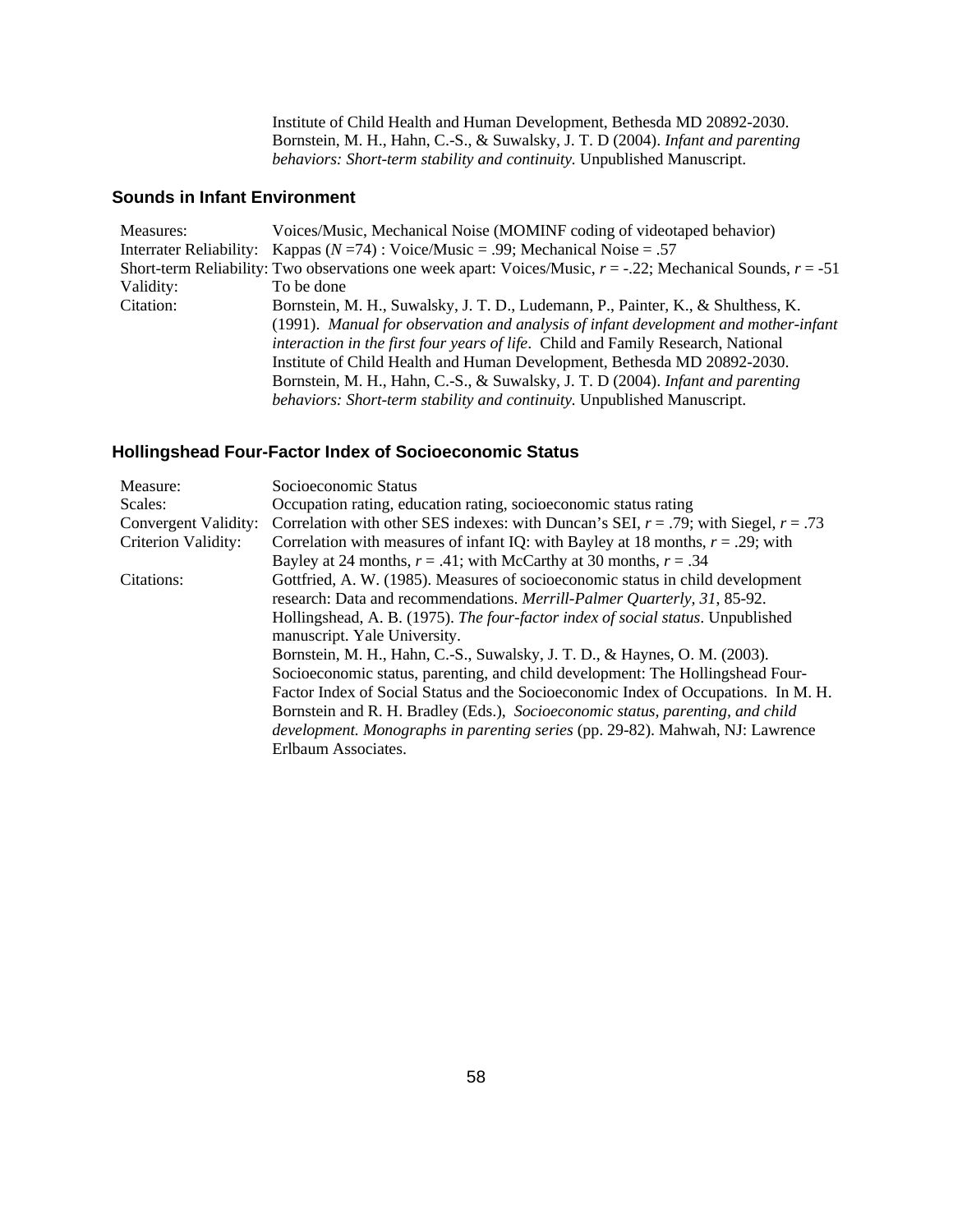Institute of Child Health and Human Development, Bethesda MD 20892-2030. Bornstein, M. H., Hahn, C.-S., & Suwalsky, J. T. D (2004). *Infant and parenting behaviors: Short-term stability and continuity.* Unpublished Manuscript.

### **Sounds in Infant Environment**

| Measures: | Voices/Music, Mechanical Noise (MOMINF coding of videotaped behavior)                                             |
|-----------|-------------------------------------------------------------------------------------------------------------------|
|           | Interrater Reliability: Kappas ( $N = 74$ ) : Voice/Music = .99; Mechanical Noise = .57                           |
|           | Short-term Reliability: Two observations one week apart: Voices/Music, $r = -0.22$ ; Mechanical Sounds, $r = -51$ |
| Validity: | To be done                                                                                                        |
| Citation: | Bornstein, M. H., Suwalsky, J. T. D., Ludemann, P., Painter, K., & Shulthess, K.                                  |
|           | (1991). Manual for observation and analysis of infant development and mother-infant                               |
|           | interaction in the first four years of life. Child and Family Research, National                                  |
|           | Institute of Child Health and Human Development, Bethesda MD 20892-2030.                                          |
|           | Bornstein, M. H., Hahn, C.-S., & Suwalsky, J. T. D (2004). Infant and parenting                                   |
|           | behaviors: Short-term stability and continuity. Unpublished Manuscript.                                           |

# **Hollingshead Four-Factor Index of Socioeconomic Status**

| Measure:             | Socioeconomic Status                                                                      |
|----------------------|-------------------------------------------------------------------------------------------|
| Scales:              | Occupation rating, education rating, socioeconomic status rating                          |
| Convergent Validity: | Correlation with other SES indexes: with Duncan's SEI, $r = .79$ ; with Siegel, $r = .73$ |
| Criterion Validity:  | Correlation with measures of infant IQ: with Bayley at 18 months, $r = .29$ ; with        |
|                      | Bayley at 24 months, $r = .41$ ; with McCarthy at 30 months, $r = .34$                    |
| Citations:           | Gottfried, A. W. (1985). Measures of socioeconomic status in child development            |
|                      | research: Data and recommendations. Merrill-Palmer Quarterly, 31, 85-92.                  |
|                      | Hollingshead, A. B. (1975). The four-factor index of social status. Unpublished           |
|                      | manuscript. Yale University.                                                              |
|                      | Bornstein, M. H., Hahn, C.-S., Suwalsky, J. T. D., & Haynes, O. M. (2003).                |
|                      | Socioeconomic status, parenting, and child development: The Hollingshead Four-            |
|                      | Factor Index of Social Status and the Socioeconomic Index of Occupations. In M. H.        |
|                      | Bornstein and R. H. Bradley (Eds.), Socioeconomic status, parenting, and child            |
|                      | <i>development. Monographs in parenting series</i> (pp. 29-82). Mahwah, NJ: Lawrence      |
|                      | Erlbaum Associates.                                                                       |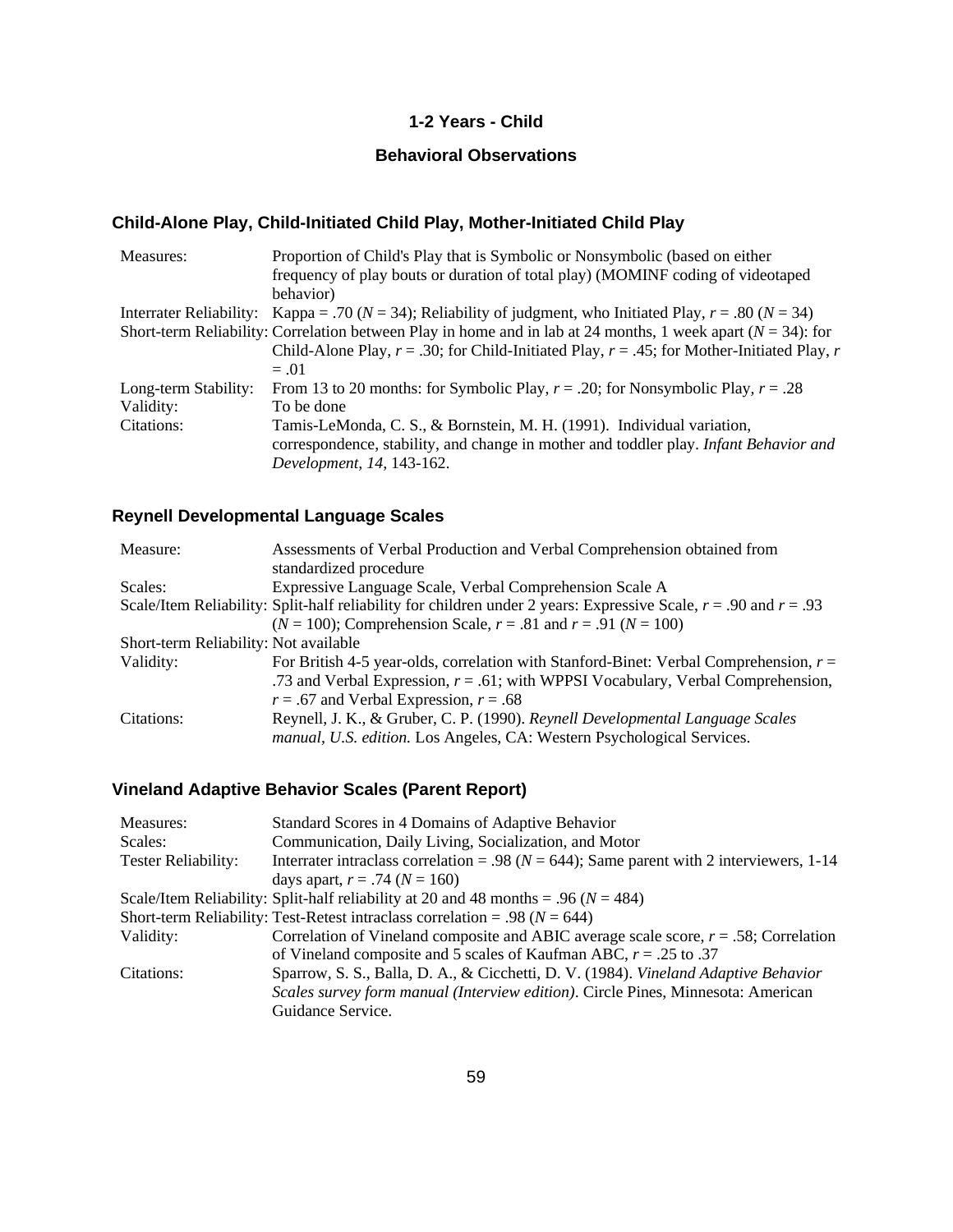### **1-2 Years - Child**

# **Behavioral Observations**

# **Child-Alone Play, Child-Initiated Child Play, Mother-Initiated Child Play**

| Measures:            | Proportion of Child's Play that is Symbolic or Nonsymbolic (based on either<br>frequency of play bouts or duration of total play) (MOMINF coding of videotaped<br>behavior) |
|----------------------|-----------------------------------------------------------------------------------------------------------------------------------------------------------------------------|
|                      | Interrater Reliability: Kappa = .70 ( $N = 34$ ); Reliability of judgment, who Initiated Play, $r = .80$ ( $N = 34$ )                                                       |
|                      |                                                                                                                                                                             |
|                      | Short-term Reliability: Correlation between Play in home and in lab at 24 months, 1 week apart ( $N = 34$ ): for                                                            |
|                      | Child-Alone Play, $r = .30$ ; for Child-Initiated Play, $r = .45$ ; for Mother-Initiated Play, r                                                                            |
|                      | $=.01$                                                                                                                                                                      |
| Long-term Stability: | From 13 to 20 months: for Symbolic Play, $r = .20$ ; for Nonsymbolic Play, $r = .28$                                                                                        |
| Validity:            | To be done                                                                                                                                                                  |
| Citations:           | Tamis-LeMonda, C. S., & Bornstein, M. H. (1991). Individual variation,                                                                                                      |
|                      | correspondence, stability, and change in mother and toddler play. Infant Behavior and                                                                                       |
|                      | Development, 14, 143-162.                                                                                                                                                   |

# **Reynell Developmental Language Scales**

| Measure:                              | Assessments of Verbal Production and Verbal Comprehension obtained from                                              |
|---------------------------------------|----------------------------------------------------------------------------------------------------------------------|
|                                       | standardized procedure                                                                                               |
| Scales:                               | Expressive Language Scale, Verbal Comprehension Scale A                                                              |
|                                       | Scale/Item Reliability: Split-half reliability for children under 2 years: Expressive Scale, $r = .90$ and $r = .93$ |
|                                       | $(N = 100)$ ; Comprehension Scale, $r = .81$ and $r = .91$ $(N = 100)$                                               |
| Short-term Reliability: Not available |                                                                                                                      |
| Validity:                             | For British 4-5 year-olds, correlation with Stanford-Binet: Verbal Comprehension, $r =$                              |
|                                       | .73 and Verbal Expression, $r = .61$ ; with WPPSI Vocabulary, Verbal Comprehension,                                  |
|                                       | $r = .67$ and Verbal Expression, $r = .68$                                                                           |
| Citations:                            | Reynell, J. K., & Gruber, C. P. (1990). Reynell Developmental Language Scales                                        |
|                                       | manual, U.S. edition. Los Angeles, CA: Western Psychological Services.                                               |

# **Vineland Adaptive Behavior Scales (Parent Report)**

| Measures:           | Standard Scores in 4 Domains of Adaptive Behavior                                            |
|---------------------|----------------------------------------------------------------------------------------------|
| Scales:             | Communication, Daily Living, Socialization, and Motor                                        |
| Tester Reliability: | Interrater intraclass correlation = .98 ( $N = 644$ ); Same parent with 2 interviewers, 1-14 |
|                     | days apart, $r = .74$ ( $N = 160$ )                                                          |
|                     | Scale/Item Reliability: Split-half reliability at 20 and 48 months = .96 ( $N = 484$ )       |
|                     | Short-term Reliability: Test-Retest intraclass correlation = .98 ( $N = 644$ )               |
| Validity:           | Correlation of Vineland composite and ABIC average scale score, $r = .58$ ; Correlation      |
|                     | of Vineland composite and 5 scales of Kaufman ABC, $r = .25$ to .37                          |
| Citations:          | Sparrow, S. S., Balla, D. A., & Cicchetti, D. V. (1984). Vineland Adaptive Behavior          |
|                     | Scales survey form manual (Interview edition). Circle Pines, Minnesota: American             |
|                     | Guidance Service.                                                                            |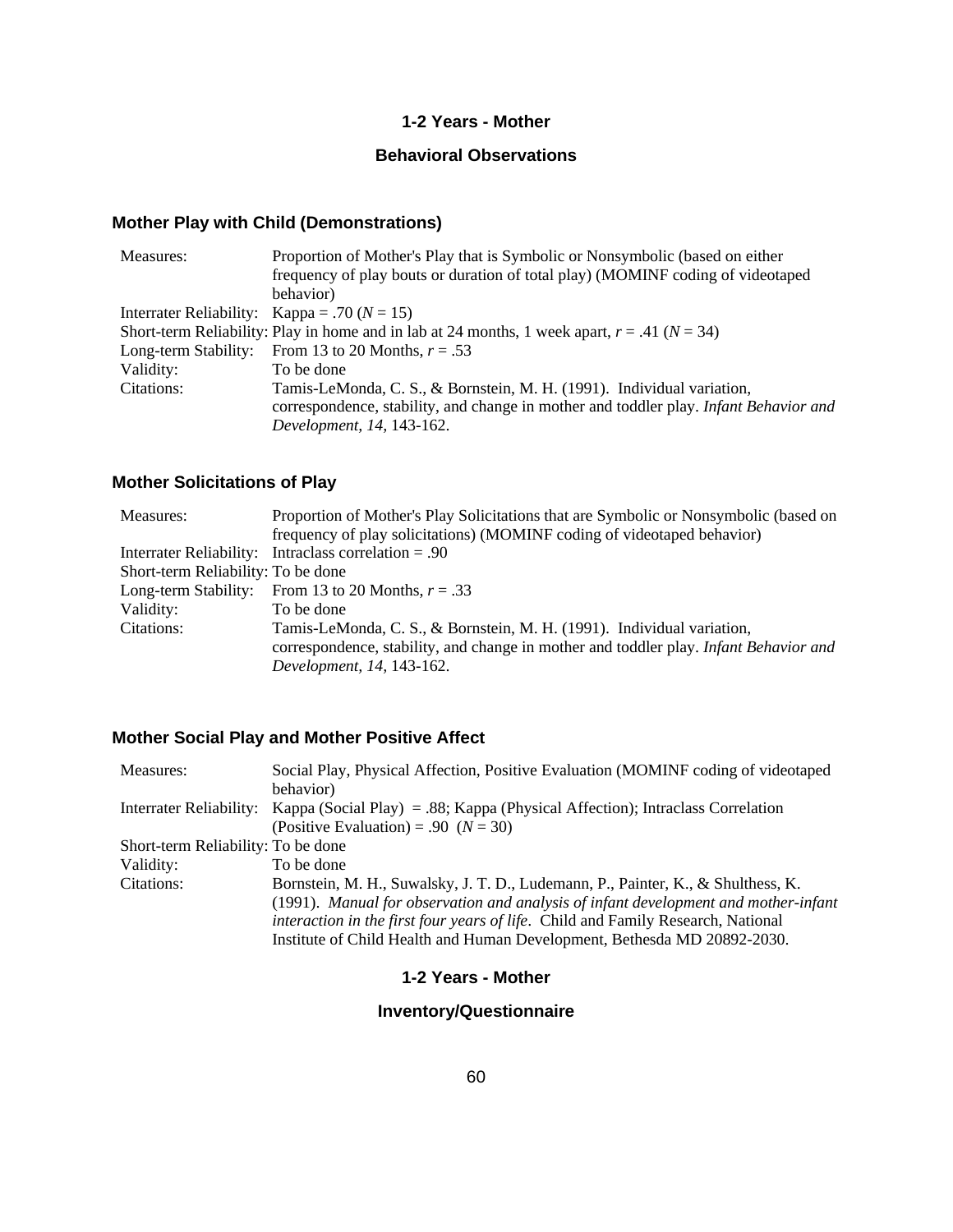### **1-2 Years - Mother**

## **Behavioral Observations**

# **Mother Play with Child (Demonstrations)**

| Measures:                                        | Proportion of Mother's Play that is Symbolic or Nonsymbolic (based on either                       |
|--------------------------------------------------|----------------------------------------------------------------------------------------------------|
|                                                  | frequency of play bouts or duration of total play) (MOMINF coding of videotaped                    |
|                                                  | behavior)                                                                                          |
| Interrater Reliability: Kappa = .70 ( $N = 15$ ) |                                                                                                    |
|                                                  | Short-term Reliability: Play in home and in lab at 24 months, 1 week apart, $r = .41$ ( $N = 34$ ) |
| Long-term Stability:                             | From 13 to 20 Months, $r = .53$                                                                    |
| Validity:                                        | To be done                                                                                         |
| Citations:                                       | Tamis-LeMonda, C. S., & Bornstein, M. H. (1991). Individual variation,                             |
|                                                  | correspondence, stability, and change in mother and toddler play. Infant Behavior and              |
|                                                  | Development, 14, 143-162.                                                                          |

# **Mother Solicitations of Play**

| Measures:                          | Proportion of Mother's Play Solicitations that are Symbolic or Nonsymbolic (based on<br>frequency of play solicitations) (MOMINF coding of videotaped behavior) |
|------------------------------------|-----------------------------------------------------------------------------------------------------------------------------------------------------------------|
|                                    | Interrater Reliability: Intraclass correlation $= .90$                                                                                                          |
| Short-term Reliability: To be done |                                                                                                                                                                 |
|                                    | Long-term Stability: From 13 to 20 Months, $r = .33$                                                                                                            |
| Validity:                          | To be done                                                                                                                                                      |
| Citations:                         | Tamis-LeMonda, C. S., & Bornstein, M. H. (1991). Individual variation,                                                                                          |
|                                    | correspondence, stability, and change in mother and toddler play. Infant Behavior and                                                                           |
|                                    | Development, 14, 143-162.                                                                                                                                       |

## **Mother Social Play and Mother Positive Affect**

| Measures:                          | Social Play, Physical Affection, Positive Evaluation (MOMINF coding of videotaped                     |
|------------------------------------|-------------------------------------------------------------------------------------------------------|
|                                    | behavior)                                                                                             |
|                                    | Interrater Reliability: Kappa (Social Play) = .88; Kappa (Physical Affection); Intraclass Correlation |
|                                    | (Positive Evaluation) = .90 $(N = 30)$                                                                |
| Short-term Reliability: To be done |                                                                                                       |
| Validity:                          | To be done                                                                                            |
| Citations:                         | Bornstein, M. H., Suwalsky, J. T. D., Ludemann, P., Painter, K., & Shulthess, K.                      |
|                                    | (1991). Manual for observation and analysis of infant development and mother-infant                   |
|                                    | interaction in the first four years of life. Child and Family Research, National                      |
|                                    | Institute of Child Health and Human Development, Bethesda MD 20892-2030.                              |

# **1-2 Years - Mother**

## **Inventory/Questionnaire**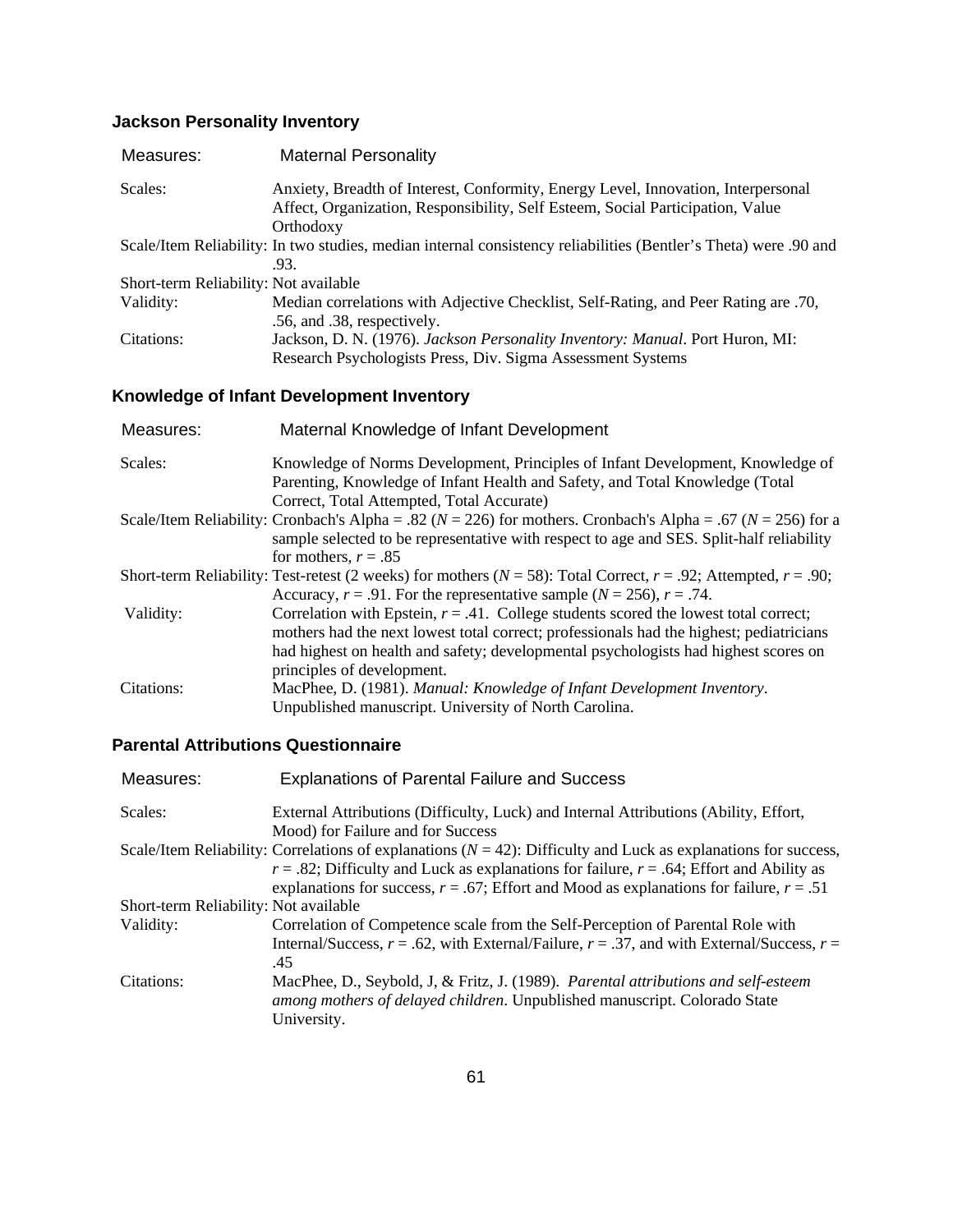# **Jackson Personality Inventory**

| Measures:                             | <b>Maternal Personality</b>                                                                                                                                                      |
|---------------------------------------|----------------------------------------------------------------------------------------------------------------------------------------------------------------------------------|
| Scales:                               | Anxiety, Breadth of Interest, Conformity, Energy Level, Innovation, Interpersonal<br>Affect, Organization, Responsibility, Self Esteem, Social Participation, Value<br>Orthodoxy |
|                                       | Scale/Item Reliability: In two studies, median internal consistency reliabilities (Bentler's Theta) were .90 and<br>.93.                                                         |
| Short-term Reliability: Not available |                                                                                                                                                                                  |
| Validity:                             | Median correlations with Adjective Checklist, Self-Rating, and Peer Rating are .70,<br>.56, and .38, respectively.                                                               |
| Citations:                            | Jackson, D. N. (1976). Jackson Personality Inventory: Manual. Port Huron, MI:<br>Research Psychologists Press, Div. Sigma Assessment Systems                                     |

# **Knowledge of Infant Development Inventory**

| Measures:  | Maternal Knowledge of Infant Development                                                                                                                       |
|------------|----------------------------------------------------------------------------------------------------------------------------------------------------------------|
| Scales:    | Knowledge of Norms Development, Principles of Infant Development, Knowledge of<br>Parenting, Knowledge of Infant Health and Safety, and Total Knowledge (Total |
|            | Correct, Total Attempted, Total Accurate)                                                                                                                      |
|            | Scale/Item Reliability: Cronbach's Alpha = .82 ( $N = 226$ ) for mothers. Cronbach's Alpha = .67 ( $N = 256$ ) for a                                           |
|            | sample selected to be representative with respect to age and SES. Split-half reliability                                                                       |
|            | for mothers, $r = .85$                                                                                                                                         |
|            | Short-term Reliability: Test-retest (2 weeks) for mothers ( $N = 58$ ): Total Correct, $r = .92$ ; Attempted, $r = .90$ ;                                      |
|            | Accuracy, $r = .91$ . For the representative sample ( $N = 256$ ), $r = .74$ .                                                                                 |
| Validity:  | Correlation with Epstein, $r = .41$ . College students scored the lowest total correct;                                                                        |
|            | mothers had the next lowest total correct; professionals had the highest; pediatricians                                                                        |
|            | had highest on health and safety; developmental psychologists had highest scores on                                                                            |
|            | principles of development.                                                                                                                                     |
| Citations: | MacPhee, D. (1981). Manual: Knowledge of Infant Development Inventory.                                                                                         |
|            | Unpublished manuscript. University of North Carolina.                                                                                                          |

# **Parental Attributions Questionnaire**

| Measures:                             | <b>Explanations of Parental Failure and Success</b>                                                                                                             |
|---------------------------------------|-----------------------------------------------------------------------------------------------------------------------------------------------------------------|
| Scales:                               | External Attributions (Difficulty, Luck) and Internal Attributions (Ability, Effort,                                                                            |
|                                       | Mood) for Failure and for Success                                                                                                                               |
|                                       | Scale/Item Reliability: Correlations of explanations $(N = 42)$ : Difficulty and Luck as explanations for success,                                              |
|                                       | $r = .82$ ; Difficulty and Luck as explanations for failure, $r = .64$ ; Effort and Ability as                                                                  |
|                                       | explanations for success, $r = .67$ ; Effort and Mood as explanations for failure, $r = .51$                                                                    |
| Short-term Reliability: Not available |                                                                                                                                                                 |
| Validity:                             | Correlation of Competence scale from the Self-Perception of Parental Role with                                                                                  |
|                                       | Internal/Success, $r = .62$ , with External/Failure, $r = .37$ , and with External/Success, $r =$<br>.45                                                        |
| Citations:                            | MacPhee, D., Seybold, J. & Fritz, J. (1989). Parental attributions and self-esteem<br>among mothers of delayed children. Unpublished manuscript. Colorado State |
|                                       | University.                                                                                                                                                     |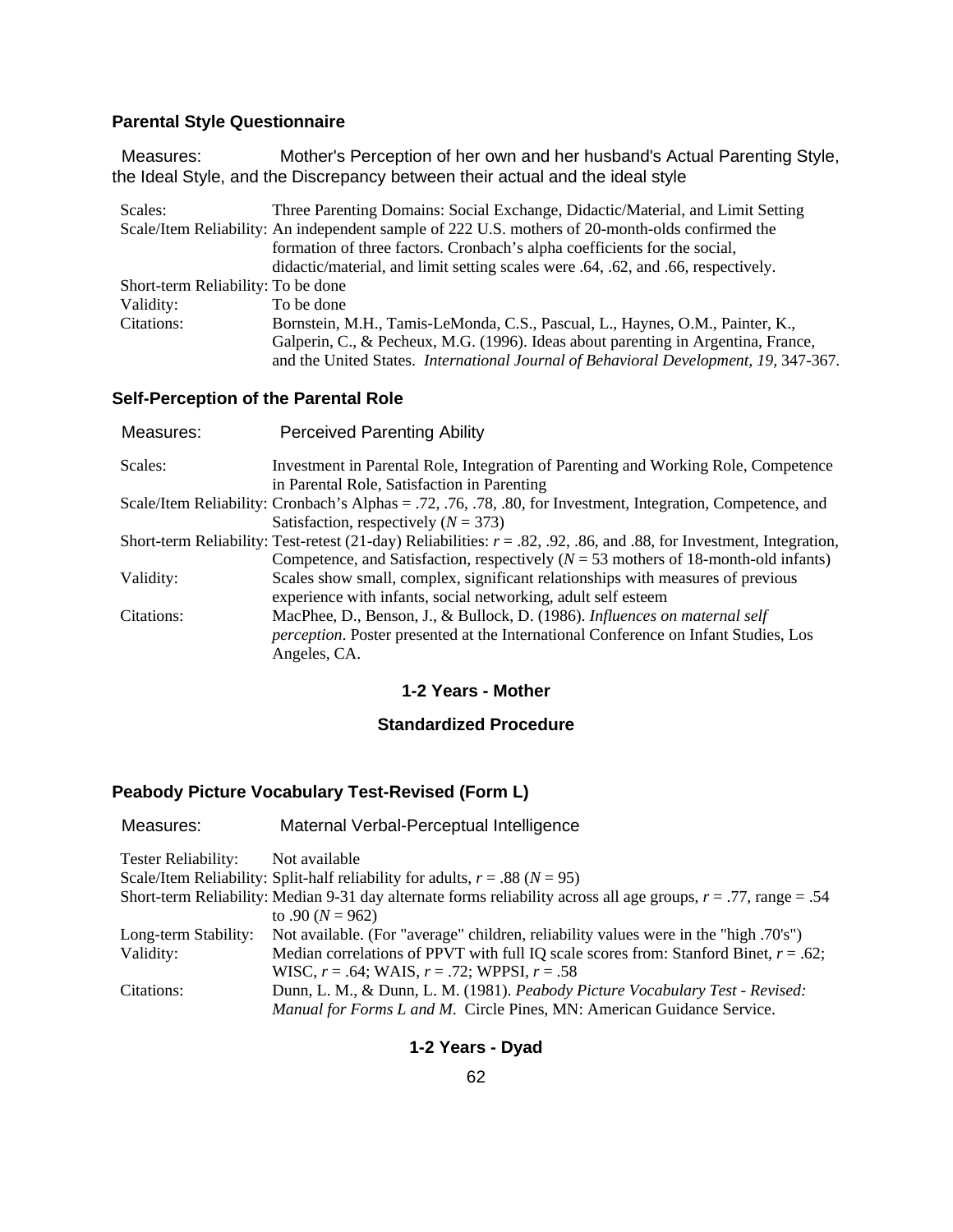# **Parental Style Questionnaire**

 Measures: Mother's Perception of her own and her husband's Actual Parenting Style, the Ideal Style, and the Discrepancy between their actual and the ideal style

| Scales:                            | Three Parenting Domains: Social Exchange, Didactic/Material, and Limit Setting                   |
|------------------------------------|--------------------------------------------------------------------------------------------------|
|                                    | Scale/Item Reliability: An independent sample of 222 U.S. mothers of 20-month-olds confirmed the |
|                                    | formation of three factors. Cronbach's alpha coefficients for the social,                        |
|                                    | didactic/material, and limit setting scales were .64, .62, and .66, respectively.                |
| Short-term Reliability: To be done |                                                                                                  |
| Validity:                          | To be done                                                                                       |
| Citations:                         | Bornstein, M.H., Tamis-LeMonda, C.S., Pascual, L., Haynes, O.M., Painter, K.,                    |
|                                    | Galperin, C., & Pecheux, M.G. (1996). Ideas about parenting in Argentina, France,                |
|                                    | and the United States. <i>International Journal of Behavioral Development</i> , 19, 347-367.     |

### **Self-Perception of the Parental Role**

| Measures:  | <b>Perceived Parenting Ability</b>                                                                                     |
|------------|------------------------------------------------------------------------------------------------------------------------|
| Scales:    | Investment in Parental Role, Integration of Parenting and Working Role, Competence                                     |
|            | in Parental Role, Satisfaction in Parenting                                                                            |
|            | Scale/Item Reliability: Cronbach's Alphas = .72, .76, .78, .80, for Investment, Integration, Competence, and           |
|            | Satisfaction, respectively ( $N = 373$ )                                                                               |
|            | Short-term Reliability: Test-retest (21-day) Reliabilities: $r = .82, .92, .86,$ and .88, for Investment, Integration, |
|            | Competence, and Satisfaction, respectively ( $N = 53$ mothers of 18-month-old infants)                                 |
| Validity:  | Scales show small, complex, significant relationships with measures of previous                                        |
|            | experience with infants, social networking, adult self esteem                                                          |
| Citations: | MacPhee, D., Benson, J., & Bullock, D. (1986). Influences on maternal self                                             |
|            | <i>perception</i> . Poster presented at the International Conference on Infant Studies, Los                            |
|            | Angeles, CA.                                                                                                           |

### **1-2 Years - Mother**

### **Standardized Procedure**

## **Peabody Picture Vocabulary Test-Revised (Form L)**

| Measures:            | Maternal Verbal-Perceptual Intelligence                                                                            |
|----------------------|--------------------------------------------------------------------------------------------------------------------|
| Tester Reliability:  | Not available                                                                                                      |
|                      | Scale/Item Reliability: Split-half reliability for adults, $r = .88$ ( $N = 95$ )                                  |
|                      | Short-term Reliability: Median 9-31 day alternate forms reliability across all age groups, $r = .77$ , range = .54 |
|                      | to .90 $(N = 962)$                                                                                                 |
| Long-term Stability: | Not available. (For "average" children, reliability values were in the "high .70's")                               |
| Validity:            | Median correlations of PPVT with full IQ scale scores from: Stanford Binet, $r = .62$ ;                            |
|                      | WISC, $r = .64$ ; WAIS, $r = .72$ ; WPPSI, $r = .58$                                                               |
| Citations:           | Dunn, L. M., & Dunn, L. M. (1981). Peabody Picture Vocabulary Test - Revised:                                      |
|                      | Manual for Forms L and M. Circle Pines, MN: American Guidance Service.                                             |

## **1-2 Years - Dyad**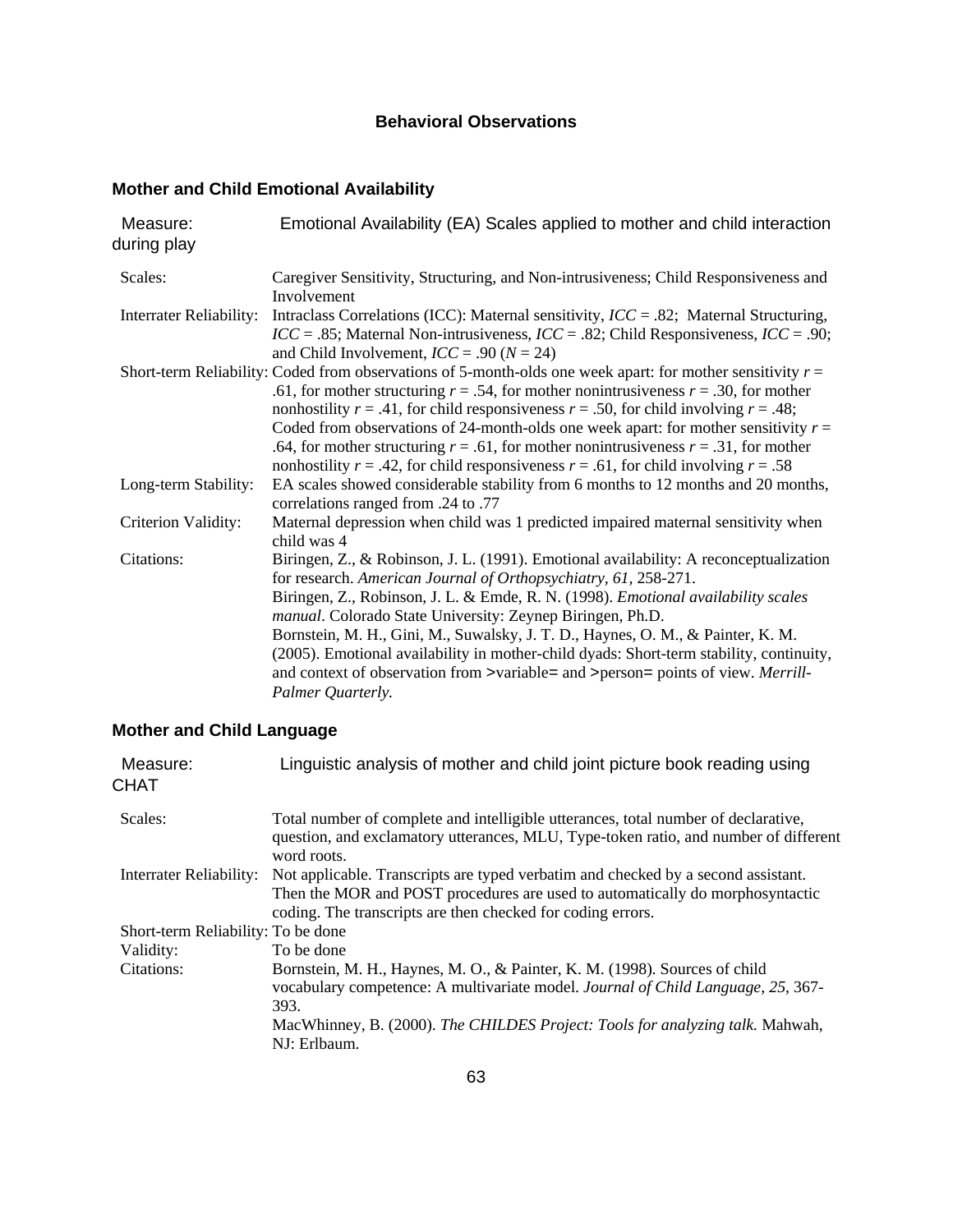# **Behavioral Observations**

# **Mother and Child Emotional Availability**

| Measure:<br>during play        | Emotional Availability (EA) Scales applied to mother and child interaction                                                                                                                                                                                                                                                                                                                                                                                                                                                                                                                        |
|--------------------------------|---------------------------------------------------------------------------------------------------------------------------------------------------------------------------------------------------------------------------------------------------------------------------------------------------------------------------------------------------------------------------------------------------------------------------------------------------------------------------------------------------------------------------------------------------------------------------------------------------|
| Scales:                        | Caregiver Sensitivity, Structuring, and Non-intrusiveness; Child Responsiveness and<br>Involvement                                                                                                                                                                                                                                                                                                                                                                                                                                                                                                |
| <b>Interrater Reliability:</b> | Intraclass Correlations (ICC): Maternal sensitivity, $ICC = .82$ ; Maternal Structuring,<br>$ICC = .85$ ; Maternal Non-intrusiveness, $ICC = .82$ ; Child Responsiveness, $ICC = .90$ ;<br>and Child Involvement, $ICC = .90 (N = 24)$                                                                                                                                                                                                                                                                                                                                                            |
|                                | Short-term Reliability: Coded from observations of 5-month-olds one week apart: for mother sensitivity $r =$<br>.61, for mother structuring $r = .54$ , for mother nonintrusiveness $r = .30$ , for mother<br>nonhostility $r = .41$ , for child responsiveness $r = .50$ , for child involving $r = .48$ ;<br>Coded from observations of 24-month-olds one week apart: for mother sensitivity $r =$<br>.64, for mother structuring $r = .61$ , for mother nonintrusiveness $r = .31$ , for mother<br>nonhostility $r = .42$ , for child responsiveness $r = .61$ , for child involving $r = .58$ |
| Long-term Stability:           | EA scales showed considerable stability from 6 months to 12 months and 20 months,<br>correlations ranged from .24 to .77                                                                                                                                                                                                                                                                                                                                                                                                                                                                          |
| Criterion Validity:            | Maternal depression when child was 1 predicted impaired maternal sensitivity when<br>child was 4                                                                                                                                                                                                                                                                                                                                                                                                                                                                                                  |
| Citations:                     | Biringen, Z., & Robinson, J. L. (1991). Emotional availability: A reconceptualization<br>for research. American Journal of Orthopsychiatry, 61, 258-271.<br>Biringen, Z., Robinson, J. L. & Emde, R. N. (1998). Emotional availability scales<br>manual. Colorado State University: Zeynep Biringen, Ph.D.<br>Bornstein, M. H., Gini, M., Suwalsky, J. T. D., Haynes, O. M., & Painter, K. M.<br>(2005). Emotional availability in mother-child dyads: Short-term stability, continuity,<br>and context of observation from >variable= and >person= points of view. Merrill-<br>Palmer Quarterly. |

# **Mother and Child Language**

| Measure:<br><b>CHAT</b>            | Linguistic analysis of mother and child joint picture book reading using                                                                                                                                                                                                |
|------------------------------------|-------------------------------------------------------------------------------------------------------------------------------------------------------------------------------------------------------------------------------------------------------------------------|
| Scales:                            | Total number of complete and intelligible utterances, total number of declarative,<br>question, and exclamatory utterances, MLU, Type-token ratio, and number of different<br>word roots.                                                                               |
| <b>Interrater Reliability:</b>     | Not applicable. Transcripts are typed verbatim and checked by a second assistant.<br>Then the MOR and POST procedures are used to automatically do morphosyntactic<br>coding. The transcripts are then checked for coding errors.                                       |
| Short-term Reliability: To be done |                                                                                                                                                                                                                                                                         |
| Validity:                          | To be done                                                                                                                                                                                                                                                              |
| Citations:                         | Bornstein, M. H., Haynes, M. O., & Painter, K. M. (1998). Sources of child<br>vocabulary competence: A multivariate model. Journal of Child Language, 25, 367-<br>393.<br>MacWhinney, B. (2000). The CHILDES Project: Tools for analyzing talk. Mahwah,<br>NJ: Erlbaum. |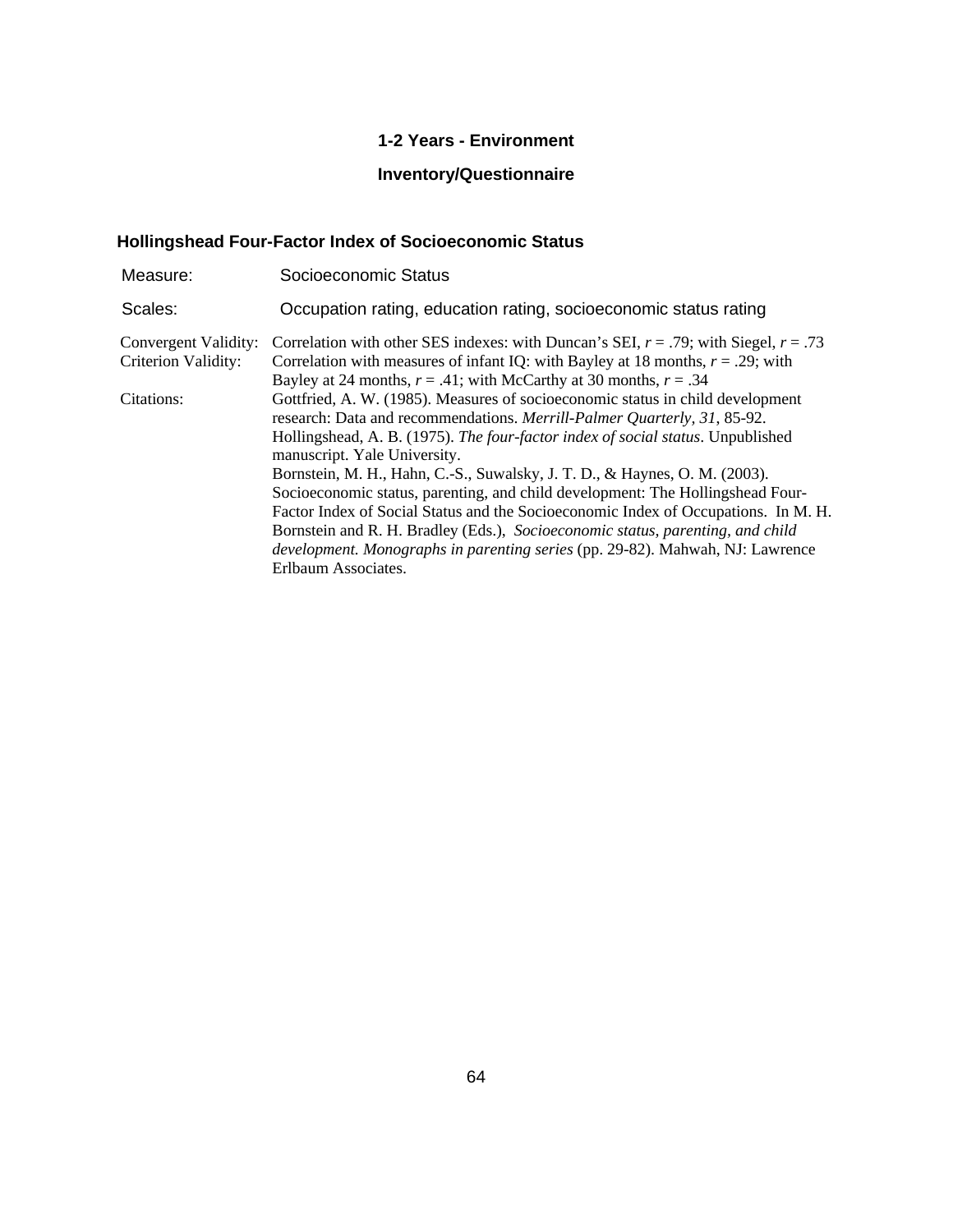# **1-2 Years - Environment**

# **Inventory/Questionnaire**

# **Hollingshead Four-Factor Index of Socioeconomic Status**

| Measure:                                           | Socioeconomic Status                                                                                                                                                                                                                                                                                                                                                                                                                                                                                                                                                                                                                                                                                                                 |
|----------------------------------------------------|--------------------------------------------------------------------------------------------------------------------------------------------------------------------------------------------------------------------------------------------------------------------------------------------------------------------------------------------------------------------------------------------------------------------------------------------------------------------------------------------------------------------------------------------------------------------------------------------------------------------------------------------------------------------------------------------------------------------------------------|
| Scales:                                            | Occupation rating, education rating, socioeconomic status rating                                                                                                                                                                                                                                                                                                                                                                                                                                                                                                                                                                                                                                                                     |
| Convergent Validity:<br><b>Criterion Validity:</b> | Correlation with other SES indexes: with Duncan's SEI, $r = .79$ ; with Siegel, $r = .73$<br>Correlation with measures of infant IQ: with Bayley at 18 months, $r = .29$ ; with<br>Bayley at 24 months, $r = .41$ ; with McCarthy at 30 months, $r = .34$                                                                                                                                                                                                                                                                                                                                                                                                                                                                            |
| Citations:                                         | Gottfried, A. W. (1985). Measures of socioeconomic status in child development<br>research: Data and recommendations. Merrill-Palmer Quarterly, 31, 85-92.<br>Hollingshead, A. B. (1975). The four-factor index of social status. Unpublished<br>manuscript. Yale University.<br>Bornstein, M. H., Hahn, C.-S., Suwalsky, J. T. D., & Haynes, O. M. (2003).<br>Socioeconomic status, parenting, and child development: The Hollingshead Four-<br>Factor Index of Social Status and the Socioeconomic Index of Occupations. In M. H.<br>Bornstein and R. H. Bradley (Eds.), Socioeconomic status, parenting, and child<br><i>development. Monographs in parenting series</i> (pp. 29-82). Mahwah, NJ: Lawrence<br>Erlbaum Associates. |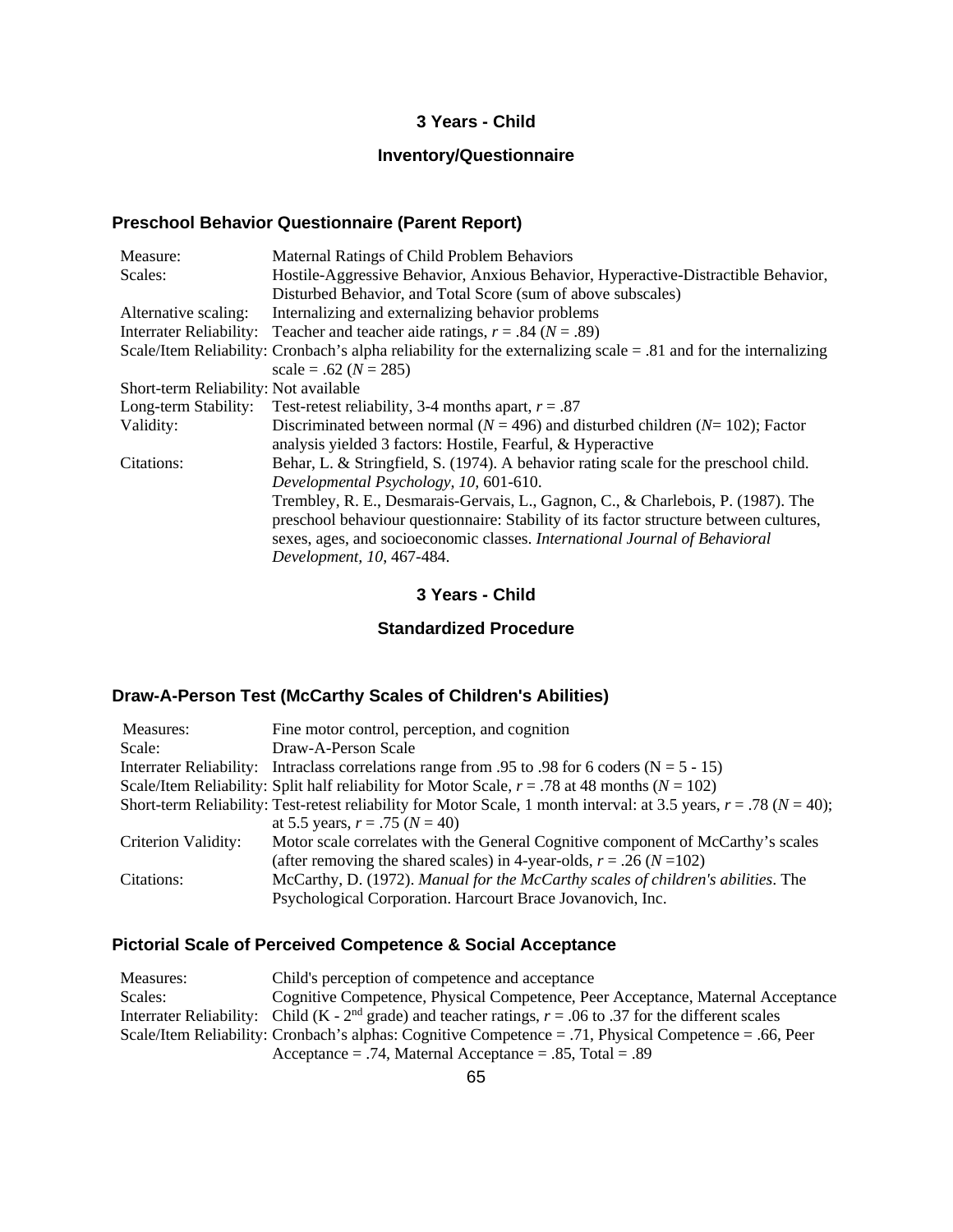### **3 Years - Child**

# **Inventory/Questionnaire**

### **Preschool Behavior Questionnaire (Parent Report)**

| Measure:                              | <b>Maternal Ratings of Child Problem Behaviors</b>                                                                  |
|---------------------------------------|---------------------------------------------------------------------------------------------------------------------|
| Scales:                               | Hostile-Aggressive Behavior, Anxious Behavior, Hyperactive-Distractible Behavior,                                   |
|                                       | Disturbed Behavior, and Total Score (sum of above subscales)                                                        |
| Alternative scaling:                  | Internalizing and externalizing behavior problems                                                                   |
| Interrater Reliability:               | Teacher and teacher aide ratings, $r = .84$ ( $N = .89$ )                                                           |
|                                       | Scale/Item Reliability: Cronbach's alpha reliability for the externalizing scale $= 0.81$ and for the internalizing |
|                                       | scale = .62 ( $N = 285$ )                                                                                           |
| Short-term Reliability: Not available |                                                                                                                     |
| Long-term Stability:                  | Test-retest reliability, 3-4 months apart, $r = .87$                                                                |
| Validity:                             | Discriminated between normal ( $N = 496$ ) and disturbed children ( $N = 102$ ); Factor                             |
|                                       | analysis yielded 3 factors: Hostile, Fearful, & Hyperactive                                                         |
| Citations:                            | Behar, L. & Stringfield, S. (1974). A behavior rating scale for the preschool child.                                |
|                                       | Developmental Psychology, 10, 601-610.                                                                              |
|                                       | Trembley, R. E., Desmarais-Gervais, L., Gagnon, C., & Charlebois, P. (1987). The                                    |
|                                       | preschool behaviour questionnaire: Stability of its factor structure between cultures,                              |
|                                       | sexes, ages, and socioeconomic classes. International Journal of Behavioral                                         |
|                                       | Development, 10, 467-484.                                                                                           |

## **3 Years - Child**

### **Standardized Procedure**

# **Draw-A-Person Test (McCarthy Scales of Children's Abilities)**

| Measures:           | Fine motor control, perception, and cognition                                                                            |
|---------------------|--------------------------------------------------------------------------------------------------------------------------|
| Scale:              | Draw-A-Person Scale                                                                                                      |
|                     | Interrater Reliability: Intraclass correlations range from .95 to .98 for 6 coders ( $N = 5 - 15$ )                      |
|                     | Scale/Item Reliability: Split half reliability for Motor Scale, $r = .78$ at 48 months ( $N = 102$ )                     |
|                     | Short-term Reliability: Test-retest reliability for Motor Scale, 1 month interval: at 3.5 years, $r = .78$ ( $N = 40$ ); |
|                     | at 5.5 years, $r = .75$ ( $N = 40$ )                                                                                     |
| Criterion Validity: | Motor scale correlates with the General Cognitive component of McCarthy's scales                                         |
|                     | (after removing the shared scales) in 4-year-olds, $r = .26$ ( $N = 102$ )                                               |
| Citations:          | McCarthy, D. (1972). Manual for the McCarthy scales of children's abilities. The                                         |
|                     | Psychological Corporation. Harcourt Brace Jovanovich, Inc.                                                               |

# **Pictorial Scale of Perceived Competence & Social Acceptance**

| Measures: | Child's perception of competence and acceptance                                                                |
|-----------|----------------------------------------------------------------------------------------------------------------|
| Scales:   | Cognitive Competence, Physical Competence, Peer Acceptance, Maternal Acceptance                                |
|           | Interrater Reliability: Child (K - $2nd$ grade) and teacher ratings, $r = .06$ to .37 for the different scales |
|           | Scale/Item Reliability: Cronbach's alphas: Cognitive Competence = .71, Physical Competence = .66, Peer         |
|           | Acceptance = .74, Maternal Acceptance = .85, Total = .89                                                       |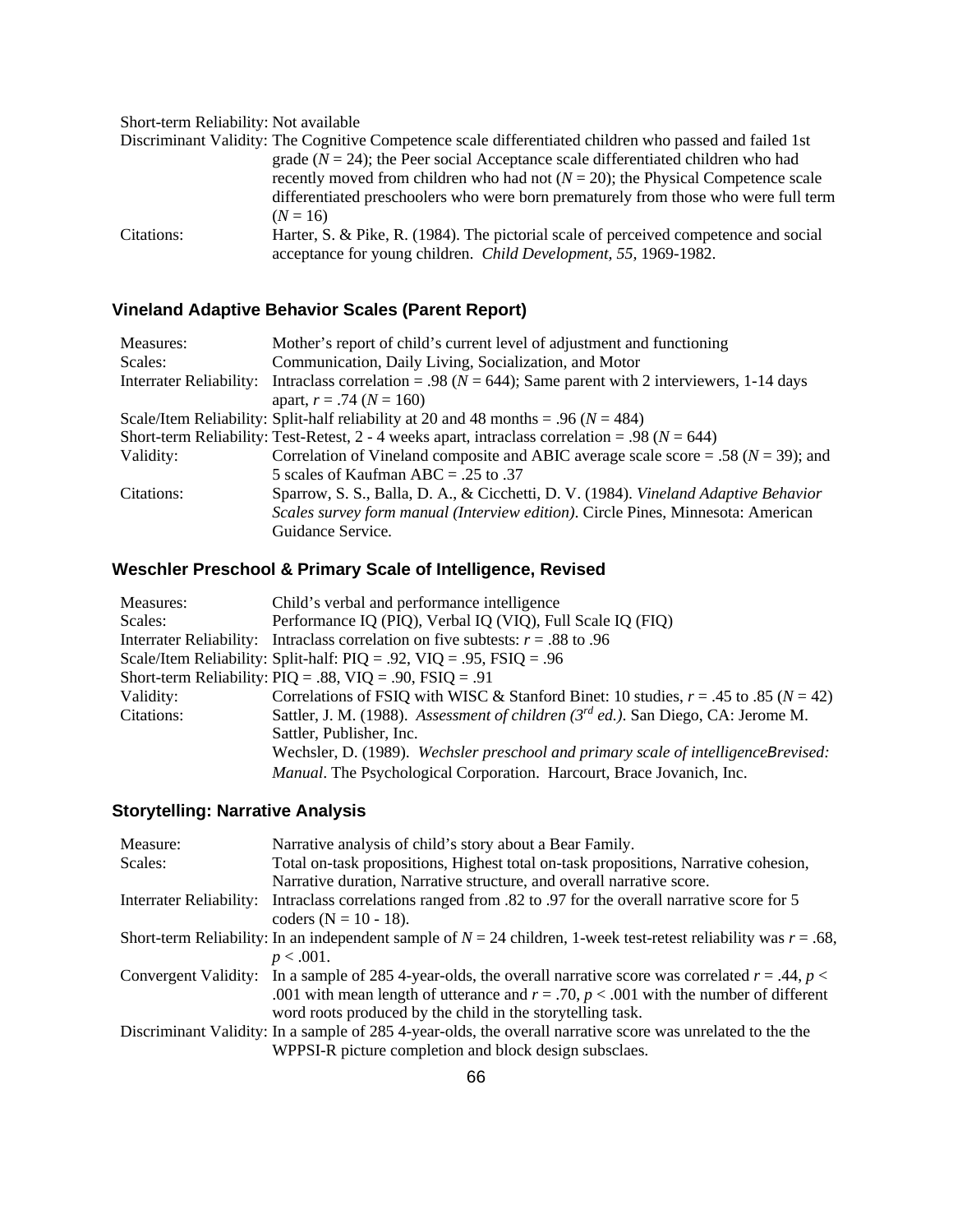Short-term Reliability: Not available

|            | Discriminant Validity: The Cognitive Competence scale differentiated children who passed and failed 1st |
|------------|---------------------------------------------------------------------------------------------------------|
|            | grade $(N = 24)$ ; the Peer social Acceptance scale differentiated children who had                     |
|            | recently moved from children who had not $(N = 20)$ ; the Physical Competence scale                     |
|            | differentiated preschoolers who were born prematurely from those who were full term                     |
|            | $(N = 16)$                                                                                              |
| Citations: | Harter, S. & Pike, R. (1984). The pictorial scale of perceived competence and social                    |
|            | acceptance for young children. <i>Child Development</i> , 55, 1969-1982.                                |

# **Vineland Adaptive Behavior Scales (Parent Report)**

| Measures:               | Mother's report of child's current level of adjustment and functioning                             |
|-------------------------|----------------------------------------------------------------------------------------------------|
| Scales:                 | Communication, Daily Living, Socialization, and Motor                                              |
| Interrater Reliability: | Intraclass correlation = .98 ( $N = 644$ ); Same parent with 2 interviewers, 1-14 days             |
|                         | apart, $r = .74$ ( $N = 160$ )                                                                     |
|                         | Scale/Item Reliability: Split-half reliability at 20 and 48 months = .96 ( $N = 484$ )             |
|                         | Short-term Reliability: Test-Retest, 2 - 4 weeks apart, intraclass correlation = .98 ( $N = 644$ ) |
| Validity:               | Correlation of Vineland composite and ABIC average scale score = .58 ( $N = 39$ ); and             |
|                         | 5 scales of Kaufman ABC = .25 to .37                                                               |
| Citations:              | Sparrow, S. S., Balla, D. A., & Cicchetti, D. V. (1984). Vineland Adaptive Behavior                |
|                         | Scales survey form manual (Interview edition). Circle Pines, Minnesota: American                   |
|                         | Guidance Service.                                                                                  |

# **Weschler Preschool & Primary Scale of Intelligence, Revised**

| Measures:  | Child's verbal and performance intelligence                                              |
|------------|------------------------------------------------------------------------------------------|
| Scales:    | Performance IQ (PIQ), Verbal IQ (VIQ), Full Scale IQ (FIQ)                               |
|            | Interrater Reliability: Intraclass correlation on five subtests: $r = .88$ to .96        |
|            | Scale/Item Reliability: Split-half: $PIQ = .92$ , $VIQ = .95$ , $FSIQ = .96$             |
|            | Short-term Reliability: $PIQ = .88$ , $VIQ = .90$ , $FSIQ = .91$                         |
| Validity:  | Correlations of FSIQ with WISC & Stanford Binet: 10 studies, $r = .45$ to $.85 (N = 42)$ |
| Citations: | Sattler, J. M. (1988). Assessment of children $3^{rd}$ ed.). San Diego, CA: Jerome M.    |
|            | Sattler, Publisher, Inc.                                                                 |
|            | Wechsler, D. (1989). Wechsler preschool and primary scale of intelligenceBrevised:       |
|            | Manual. The Psychological Corporation. Harcourt, Brace Jovanich, Inc.                    |

# **Storytelling: Narrative Analysis**

| Measure: | Narrative analysis of child's story about a Bear Family.                                                              |
|----------|-----------------------------------------------------------------------------------------------------------------------|
| Scales:  | Total on-task propositions, Highest total on-task propositions, Narrative cohesion,                                   |
|          | Narrative duration, Narrative structure, and overall narrative score.                                                 |
|          | Interrater Reliability: Intraclass correlations ranged from .82 to .97 for the overall narrative score for 5          |
|          | coders ( $N = 10 - 18$ ).                                                                                             |
|          | Short-term Reliability: In an independent sample of $N = 24$ children, 1-week test-retest reliability was $r = .68$ , |
|          | $p < .001$ .                                                                                                          |
|          | Convergent Validity: In a sample of 285 4-year-olds, the overall narrative score was correlated $r = .44$ , $p <$     |
|          | .001 with mean length of utterance and $r = .70$ , $p < .001$ with the number of different                            |
|          | word roots produced by the child in the storytelling task.                                                            |
|          | Discriminant Validity: In a sample of 285 4-year-olds, the overall narrative score was unrelated to the the           |
|          | WPPSI-R picture completion and block design subsclaes.                                                                |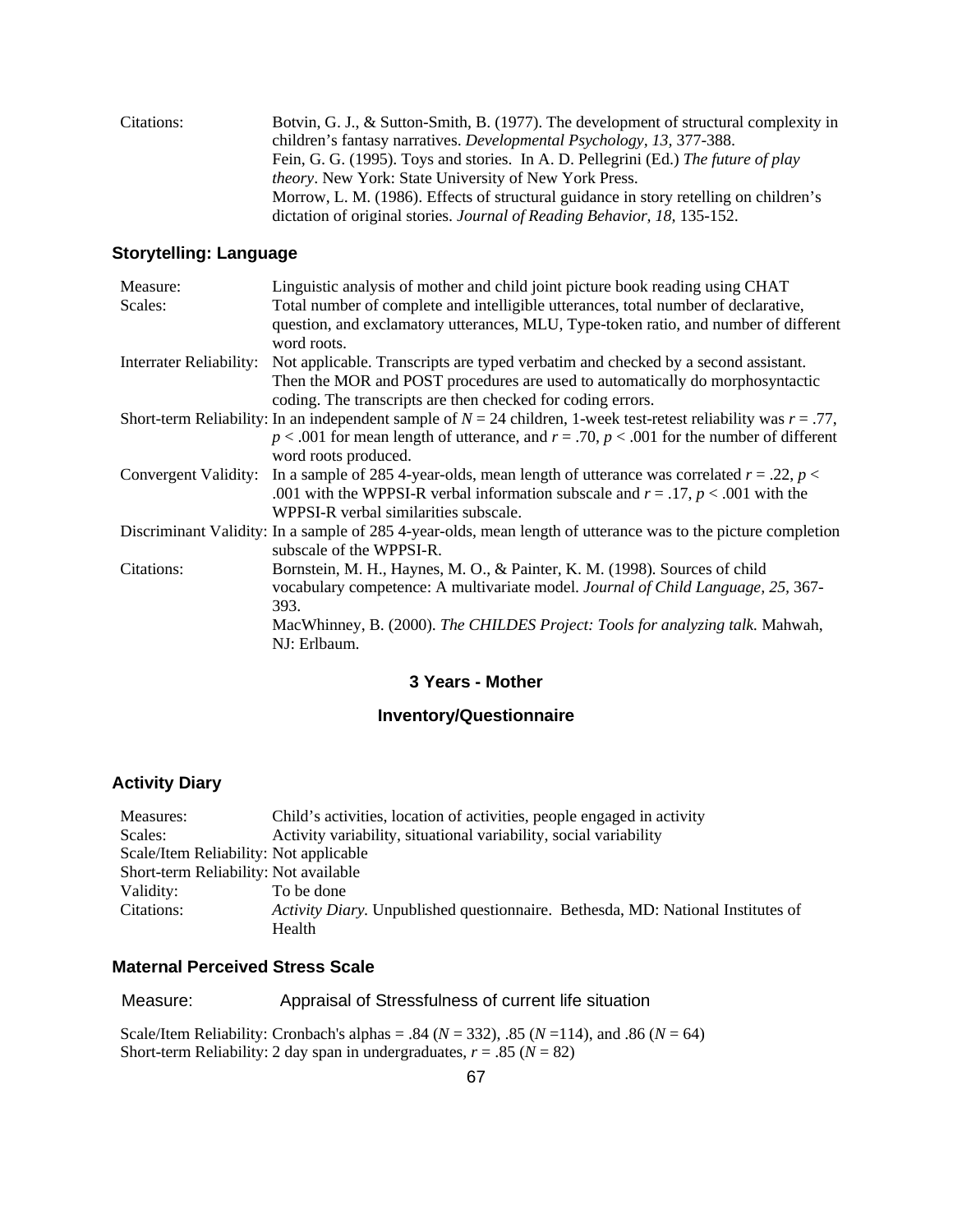| Citations: | Botvin, G. J., & Sutton-Smith, B. (1977). The development of structural complexity in |
|------------|---------------------------------------------------------------------------------------|
|            | children's fantasy narratives. Developmental Psychology, 13, 377-388.                 |
|            | Fein, G. G. (1995). Toys and stories. In A. D. Pellegrini (Ed.) The future of play    |
|            | <i>theory.</i> New York: State University of New York Press.                          |
|            | Morrow, L. M. (1986). Effects of structural guidance in story retelling on children's |
|            | dictation of original stories. Journal of Reading Behavior, 18, 135-152.              |
|            |                                                                                       |

## **Storytelling: Language**

| Measure:                | Linguistic analysis of mother and child joint picture book reading using CHAT                                                             |
|-------------------------|-------------------------------------------------------------------------------------------------------------------------------------------|
| Scales:                 | Total number of complete and intelligible utterances, total number of declarative,                                                        |
|                         | question, and exclamatory utterances, MLU, Type-token ratio, and number of different<br>word roots.                                       |
| Interrater Reliability: | Not applicable. Transcripts are typed verbatim and checked by a second assistant.                                                         |
|                         | Then the MOR and POST procedures are used to automatically do morphosyntactic                                                             |
|                         | coding. The transcripts are then checked for coding errors.                                                                               |
|                         | Short-term Reliability: In an independent sample of $N = 24$ children, 1-week test-retest reliability was $r = .77$ ,                     |
|                         | $p < .001$ for mean length of utterance, and $r = .70$ , $p < .001$ for the number of different                                           |
|                         | word roots produced.                                                                                                                      |
| Convergent Validity:    | In a sample of 285 4-year-olds, mean length of utterance was correlated $r = .22$ , $p <$                                                 |
|                         | .001 with the WPPSI-R verbal information subscale and $r = .17$ , $p < .001$ with the                                                     |
|                         | WPPSI-R verbal similarities subscale.                                                                                                     |
|                         | Discriminant Validity: In a sample of 285 4-year-olds, mean length of utterance was to the picture completion<br>subscale of the WPPSI-R. |
| Citations:              | Bornstein, M. H., Haynes, M. O., & Painter, K. M. (1998). Sources of child                                                                |
|                         | vocabulary competence: A multivariate model. Journal of Child Language, 25, 367-                                                          |
|                         | 393.                                                                                                                                      |
|                         | MacWhinney, B. (2000). The CHILDES Project: Tools for analyzing talk. Mahwah,                                                             |
|                         | NJ: Erlbaum.                                                                                                                              |

## **3 Years - Mother**

# **Inventory/Questionnaire**

# **Activity Diary**

| Measures:                              | Child's activities, location of activities, people engaged in activity          |
|----------------------------------------|---------------------------------------------------------------------------------|
| Scales:                                | Activity variability, situational variability, social variability               |
| Scale/Item Reliability: Not applicable |                                                                                 |
| Short-term Reliability: Not available  |                                                                                 |
| Validity:                              | To be done                                                                      |
| Citations:                             | Activity Diary. Unpublished questionnaire. Bethesda, MD: National Institutes of |
|                                        | Health                                                                          |

### **Maternal Perceived Stress Scale**

| Measure: | Appraisal of Stressfulness of current life situation |
|----------|------------------------------------------------------|
|----------|------------------------------------------------------|

 Scale/Item Reliability: Cronbach's alphas = .84 (*N* = 332), .85 (*N* =114), and .86 (*N* = 64) Short-term Reliability: 2 day span in undergraduates,  $r = .85$  ( $N = 82$ )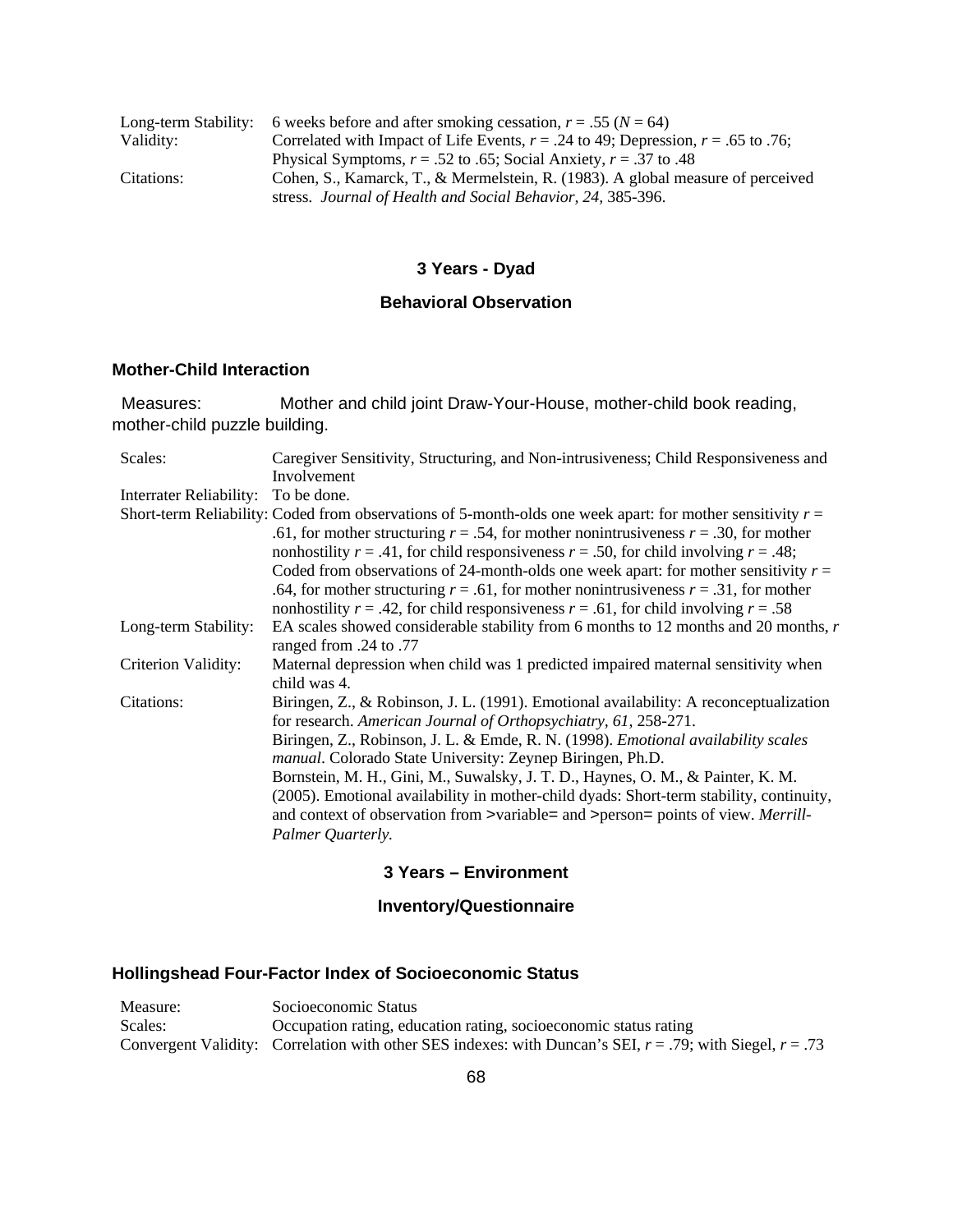|            | Long-term Stability: 6 weeks before and after smoking cessation, $r = .55$ ( $N = 64$ ) |
|------------|-----------------------------------------------------------------------------------------|
| Validity:  | Correlated with Impact of Life Events, $r = .24$ to 49; Depression, $r = .65$ to .76;   |
|            | Physical Symptoms, $r = .52$ to .65; Social Anxiety, $r = .37$ to .48                   |
| Citations: | Cohen, S., Kamarck, T., & Mermelstein, R. (1983). A global measure of perceived         |
|            | stress. Journal of Health and Social Behavior, 24, 385-396.                             |

# **3 Years - Dyad**

### **Behavioral Observation**

### **Mother-Child Interaction**

 Measures: Mother and child joint Draw-Your-House, mother-child book reading, mother-child puzzle building.

| Scales:                             | Caregiver Sensitivity, Structuring, and Non-intrusiveness; Child Responsiveness and                                                                                                                                                                                                                                                                                                                                                                                                                                                                                                                             |
|-------------------------------------|-----------------------------------------------------------------------------------------------------------------------------------------------------------------------------------------------------------------------------------------------------------------------------------------------------------------------------------------------------------------------------------------------------------------------------------------------------------------------------------------------------------------------------------------------------------------------------------------------------------------|
|                                     | Involvement                                                                                                                                                                                                                                                                                                                                                                                                                                                                                                                                                                                                     |
| Interrater Reliability: To be done. |                                                                                                                                                                                                                                                                                                                                                                                                                                                                                                                                                                                                                 |
|                                     | Short-term Reliability: Coded from observations of 5-month-olds one week apart: for mother sensitivity $r =$<br>.61, for mother structuring $r = .54$ , for mother nonintrusiveness $r = .30$ , for mother<br>nonhostility $r = .41$ , for child responsiveness $r = .50$ , for child involving $r = .48$ ;                                                                                                                                                                                                                                                                                                     |
|                                     | Coded from observations of 24-month-olds one week apart: for mother sensitivity $r =$<br>.64, for mother structuring $r = .61$ , for mother nonintrusiveness $r = .31$ , for mother<br>nonhostility $r = .42$ , for child responsiveness $r = .61$ , for child involving $r = .58$                                                                                                                                                                                                                                                                                                                              |
| Long-term Stability:                | EA scales showed considerable stability from 6 months to 12 months and 20 months, r<br>ranged from .24 to .77                                                                                                                                                                                                                                                                                                                                                                                                                                                                                                   |
| Criterion Validity:                 | Maternal depression when child was 1 predicted impaired maternal sensitivity when<br>child was 4.                                                                                                                                                                                                                                                                                                                                                                                                                                                                                                               |
| Citations:                          | Biringen, Z., & Robinson, J. L. (1991). Emotional availability: A reconceptualization<br>for research. American Journal of Orthopsychiatry, 61, 258-271.<br>Biringen, Z., Robinson, J. L. & Emde, R. N. (1998). <i>Emotional availability scales</i><br><i>manual.</i> Colorado State University: Zeynep Biringen, Ph.D.<br>Bornstein, M. H., Gini, M., Suwalsky, J. T. D., Haynes, O. M., & Painter, K. M.<br>(2005). Emotional availability in mother-child dyads: Short-term stability, continuity,<br>and context of observation from >variable= and >person= points of view. Merrill-<br>Palmer Quarterly. |

### **3 Years – Environment**

# **Inventory/Questionnaire**

# **Hollingshead Four-Factor Index of Socioeconomic Status**

| Measure: | Socioeconomic Status                                                                                           |
|----------|----------------------------------------------------------------------------------------------------------------|
| Scales:  | Occupation rating, education rating, socioeconomic status rating                                               |
|          | Convergent Validity: Correlation with other SES indexes: with Duncan's SEI, $r = .79$ ; with Siegel, $r = .73$ |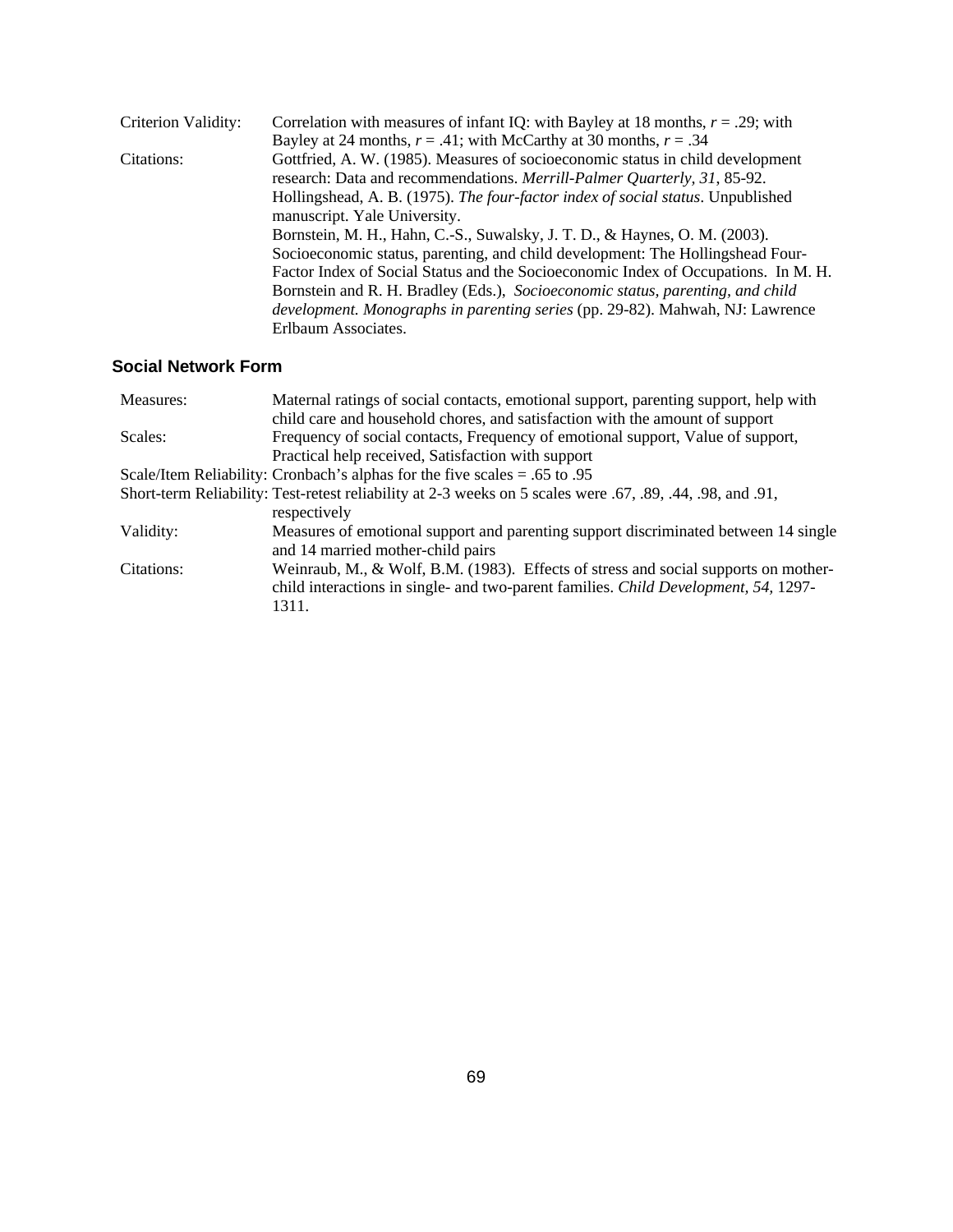| Criterion Validity: | Correlation with measures of infant IQ: with Bayley at 18 months, $r = .29$ ; with   |
|---------------------|--------------------------------------------------------------------------------------|
|                     | Bayley at 24 months, $r = .41$ ; with McCarthy at 30 months, $r = .34$               |
| Citations:          | Gottfried, A. W. (1985). Measures of socioeconomic status in child development       |
|                     | research: Data and recommendations. Merrill-Palmer Quarterly, 31, 85-92.             |
|                     | Hollingshead, A. B. (1975). The four-factor index of social status. Unpublished      |
|                     | manuscript. Yale University.                                                         |
|                     | Bornstein, M. H., Hahn, C.-S., Suwalsky, J. T. D., & Haynes, O. M. (2003).           |
|                     | Socioeconomic status, parenting, and child development: The Hollingshead Four-       |
|                     | Factor Index of Social Status and the Socioeconomic Index of Occupations. In M. H.   |
|                     | Bornstein and R. H. Bradley (Eds.), Socioeconomic status, parenting, and child       |
|                     | <i>development. Monographs in parenting series</i> (pp. 29-82). Mahwah, NJ: Lawrence |
|                     | Erlbaum Associates.                                                                  |

# **Social Network Form**

| Measures:  | Maternal ratings of social contacts, emotional support, parenting support, help with                       |
|------------|------------------------------------------------------------------------------------------------------------|
|            | child care and household chores, and satisfaction with the amount of support                               |
| Scales:    | Frequency of social contacts, Frequency of emotional support, Value of support,                            |
|            | Practical help received, Satisfaction with support                                                         |
|            | Scale/Item Reliability: Cronbach's alphas for the five scales $= .65$ to 0.95                              |
|            | Short-term Reliability: Test-retest reliability at 2-3 weeks on 5 scales were .67, .89, .44, .98, and .91, |
|            | respectively                                                                                               |
| Validity:  | Measures of emotional support and parenting support discriminated between 14 single                        |
|            | and 14 married mother-child pairs                                                                          |
| Citations: | Weinraub, M., & Wolf, B.M. (1983). Effects of stress and social supports on mother-                        |
|            | child interactions in single- and two-parent families. Child Development, 54, 1297-                        |
|            | 1311.                                                                                                      |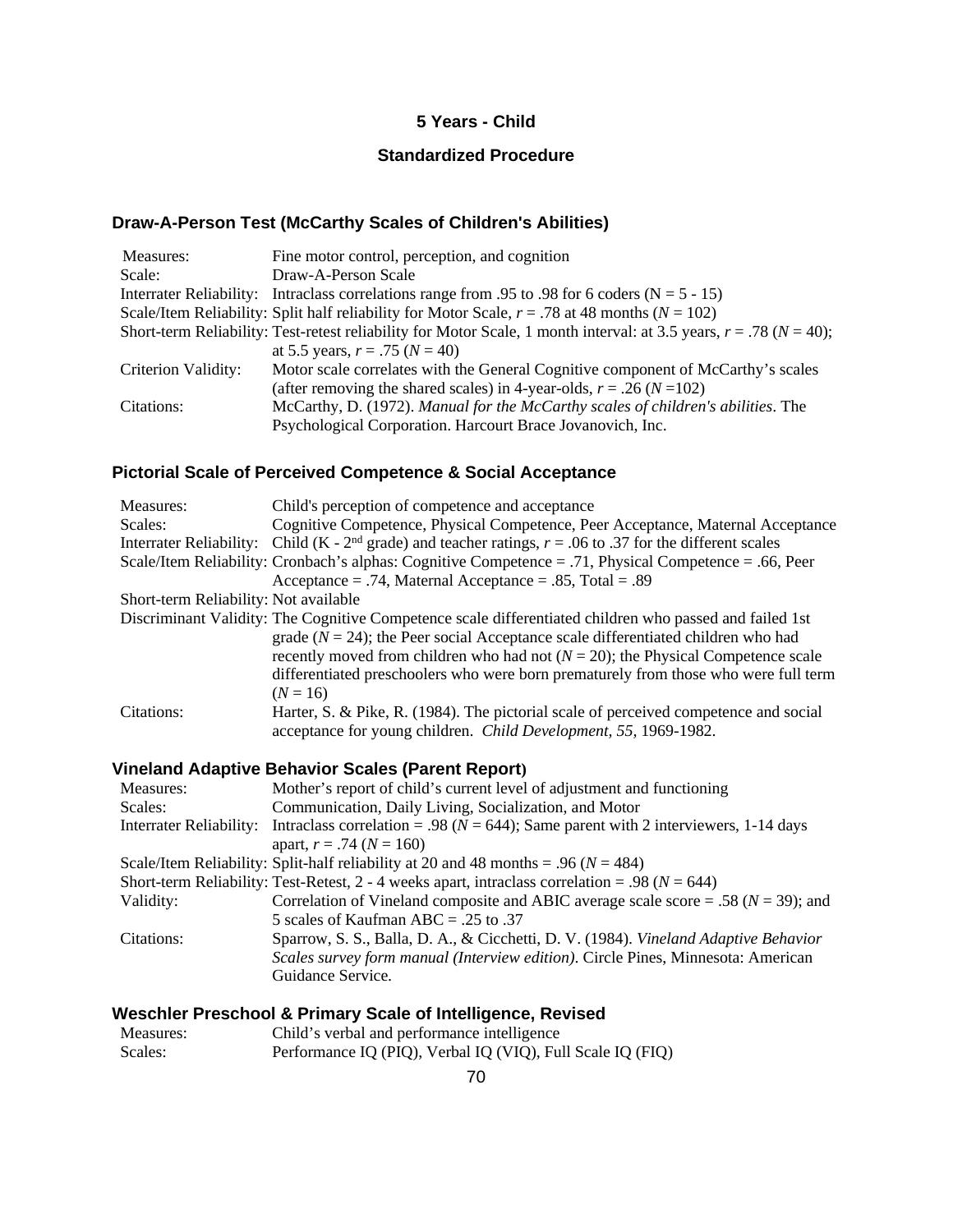## **5 Years - Child**

# **Standardized Procedure**

## **Draw-A-Person Test (McCarthy Scales of Children's Abilities)**

| Measures:           | Fine motor control, perception, and cognition                                                                            |
|---------------------|--------------------------------------------------------------------------------------------------------------------------|
| Scale:              | Draw-A-Person Scale                                                                                                      |
|                     | Interrater Reliability: Intraclass correlations range from .95 to .98 for 6 coders ( $N = 5 - 15$ )                      |
|                     | Scale/Item Reliability: Split half reliability for Motor Scale, $r = .78$ at 48 months ( $N = 102$ )                     |
|                     | Short-term Reliability: Test-retest reliability for Motor Scale, 1 month interval: at 3.5 years, $r = .78$ ( $N = 40$ ); |
|                     | at 5.5 years, $r = .75$ ( $N = 40$ )                                                                                     |
| Criterion Validity: | Motor scale correlates with the General Cognitive component of McCarthy's scales                                         |
|                     | (after removing the shared scales) in 4-year-olds, $r = .26$ ( $N = 102$ )                                               |
| Citations:          | McCarthy, D. (1972). Manual for the McCarthy scales of children's abilities. The                                         |
|                     | Psychological Corporation. Harcourt Brace Jovanovich, Inc.                                                               |

## **Pictorial Scale of Perceived Competence & Social Acceptance**

| Measures:                             | Child's perception of competence and acceptance                                                                                                          |
|---------------------------------------|----------------------------------------------------------------------------------------------------------------------------------------------------------|
| Scales:                               | Cognitive Competence, Physical Competence, Peer Acceptance, Maternal Acceptance                                                                          |
|                                       | Interrater Reliability: Child (K - $2nd$ grade) and teacher ratings, $r = .06$ to .37 for the different scales                                           |
|                                       | Scale/Item Reliability: Cronbach's alphas: Cognitive Competence = .71, Physical Competence = .66, Peer                                                   |
|                                       | Acceptance = .74, Maternal Acceptance = .85, Total = .89                                                                                                 |
| Short-term Reliability: Not available |                                                                                                                                                          |
|                                       | Discriminant Validity: The Cognitive Competence scale differentiated children who passed and failed 1st                                                  |
|                                       | grade ( $N = 24$ ); the Peer social Acceptance scale differentiated children who had                                                                     |
|                                       | recently moved from children who had not $(N = 20)$ ; the Physical Competence scale                                                                      |
|                                       | differentiated preschoolers who were born prematurely from those who were full term                                                                      |
|                                       | $(N = 16)$                                                                                                                                               |
| Citations:                            | Harter, S. & Pike, R. (1984). The pictorial scale of perceived competence and social<br>acceptance for young children. Child Development, 55, 1969-1982. |

## **Vineland Adaptive Behavior Scales (Parent Report)**

| Measures:               | Mother's report of child's current level of adjustment and functioning                             |
|-------------------------|----------------------------------------------------------------------------------------------------|
| Scales:                 | Communication, Daily Living, Socialization, and Motor                                              |
| Interrater Reliability: | Intraclass correlation = .98 ( $N = 644$ ); Same parent with 2 interviewers, 1-14 days             |
|                         | apart, $r = .74$ ( $N = 160$ )                                                                     |
|                         | Scale/Item Reliability: Split-half reliability at 20 and 48 months = .96 ( $N = 484$ )             |
|                         | Short-term Reliability: Test-Retest, 2 - 4 weeks apart, intraclass correlation = .98 ( $N = 644$ ) |
| Validity:               | Correlation of Vineland composite and ABIC average scale score = .58 ( $N = 39$ ); and             |
|                         | 5 scales of Kaufman ABC = .25 to .37                                                               |
| Citations:              | Sparrow, S. S., Balla, D. A., & Cicchetti, D. V. (1984). Vineland Adaptive Behavior                |
|                         | Scales survey form manual (Interview edition). Circle Pines, Minnesota: American                   |
|                         | Guidance Service.                                                                                  |

# **Weschler Preschool & Primary Scale of Intelligence, Revised**

| Measures: | Child's verbal and performance intelligence                |
|-----------|------------------------------------------------------------|
| Scales:   | Performance IQ (PIQ), Verbal IQ (VIQ), Full Scale IQ (FIQ) |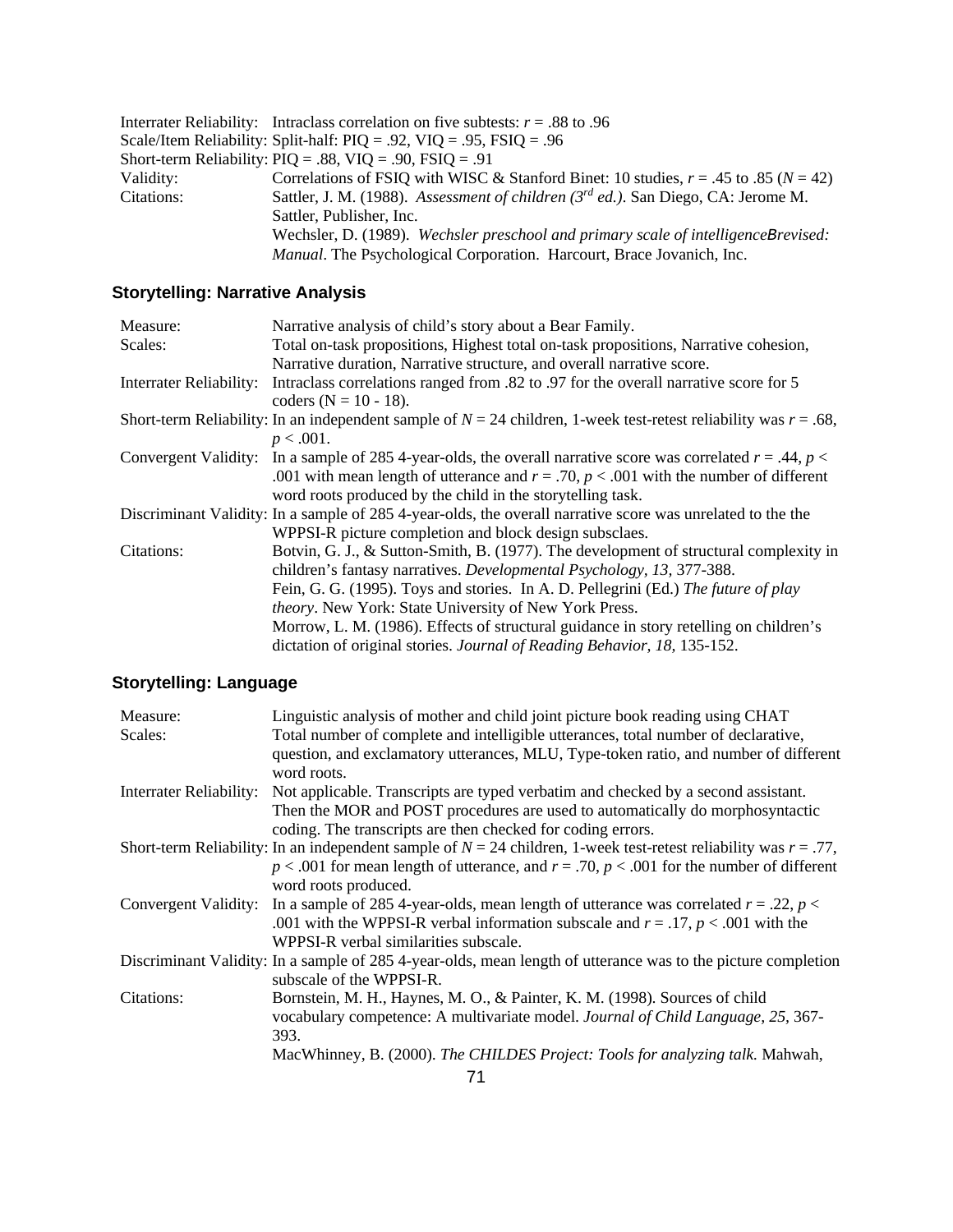|            | Interrater Reliability: Intraclass correlation on five subtests: $r = .88$ to .96        |
|------------|------------------------------------------------------------------------------------------|
|            | Scale/Item Reliability: Split-half: $PIQ = .92$ , $VIQ = .95$ , $FSIQ = .96$             |
|            | Short-term Reliability: $PIQ = .88$ , $VIQ = .90$ , $FSIQ = .91$                         |
| Validity:  | Correlations of FSIQ with WISC & Stanford Binet: 10 studies, $r = .45$ to $.85 (N = 42)$ |
| Citations: | Sattler, J. M. (1988). Assessment of children $(3^{rd}$ ed.). San Diego, CA: Jerome M.   |
|            | Sattler, Publisher, Inc.                                                                 |
|            | Wechsler, D. (1989). Wechsler preschool and primary scale of intelligenceBrevised:       |
|            | Manual. The Psychological Corporation. Harcourt, Brace Jovanich, Inc.                    |
|            |                                                                                          |

# **Storytelling: Narrative Analysis**

| Measure:                | Narrative analysis of child's story about a Bear Family.                                                              |
|-------------------------|-----------------------------------------------------------------------------------------------------------------------|
| Scales:                 | Total on-task propositions, Highest total on-task propositions, Narrative cohesion,                                   |
|                         | Narrative duration, Narrative structure, and overall narrative score.                                                 |
| Interrater Reliability: | Intraclass correlations ranged from .82 to .97 for the overall narrative score for 5                                  |
|                         | coders ( $N = 10 - 18$ ).                                                                                             |
|                         | Short-term Reliability: In an independent sample of $N = 24$ children, 1-week test-retest reliability was $r = .68$ , |
|                         | $p < .001$ .                                                                                                          |
|                         | Convergent Validity: In a sample of 285 4-year-olds, the overall narrative score was correlated $r = .44$ , $p <$     |
|                         | .001 with mean length of utterance and $r = .70$ , $p < .001$ with the number of different                            |
|                         | word roots produced by the child in the storytelling task.                                                            |
|                         | Discriminant Validity: In a sample of 285 4-year-olds, the overall narrative score was unrelated to the the           |
|                         | WPPSI-R picture completion and block design subsclaes.                                                                |
| Citations:              | Botvin, G. J., & Sutton-Smith, B. (1977). The development of structural complexity in                                 |
|                         | children's fantasy narratives. Developmental Psychology, 13, 377-388.                                                 |
|                         | Fein, G. G. (1995). Toys and stories. In A. D. Pellegrini (Ed.) The future of play                                    |
|                         | theory. New York: State University of New York Press.                                                                 |
|                         | Morrow, L. M. (1986). Effects of structural guidance in story retelling on children's                                 |
|                         | dictation of original stories. Journal of Reading Behavior, 18, 135-152.                                              |

# **Storytelling: Language**

| Measure:                       | Linguistic analysis of mother and child joint picture book reading using CHAT                                         |
|--------------------------------|-----------------------------------------------------------------------------------------------------------------------|
| Scales:                        | Total number of complete and intelligible utterances, total number of declarative,                                    |
|                                | question, and exclamatory utterances, MLU, Type-token ratio, and number of different<br>word roots.                   |
| <b>Interrater Reliability:</b> | Not applicable. Transcripts are typed verbatim and checked by a second assistant.                                     |
|                                | Then the MOR and POST procedures are used to automatically do morphosyntactic                                         |
|                                | coding. The transcripts are then checked for coding errors.                                                           |
|                                | Short-term Reliability: In an independent sample of $N = 24$ children, 1-week test-retest reliability was $r = .77$ , |
|                                | $p < .001$ for mean length of utterance, and $r = .70$ , $p < .001$ for the number of different                       |
|                                | word roots produced.                                                                                                  |
|                                | Convergent Validity: In a sample of 285 4-year-olds, mean length of utterance was correlated $r = .22$ , $p <$        |
|                                | .001 with the WPPSI-R verbal information subscale and $r = .17$ , $p < .001$ with the                                 |
|                                | WPPSI-R verbal similarities subscale.                                                                                 |
|                                | Discriminant Validity: In a sample of 285 4-year-olds, mean length of utterance was to the picture completion         |
|                                | subscale of the WPPSI-R.                                                                                              |
| Citations:                     | Bornstein, M. H., Haynes, M. O., & Painter, K. M. (1998). Sources of child                                            |
|                                | vocabulary competence: A multivariate model. Journal of Child Language, 25, 367-                                      |
|                                | 393.                                                                                                                  |
|                                | MacWhinney, B. (2000). The CHILDES Project: Tools for analyzing talk. Mahwah,                                         |
|                                |                                                                                                                       |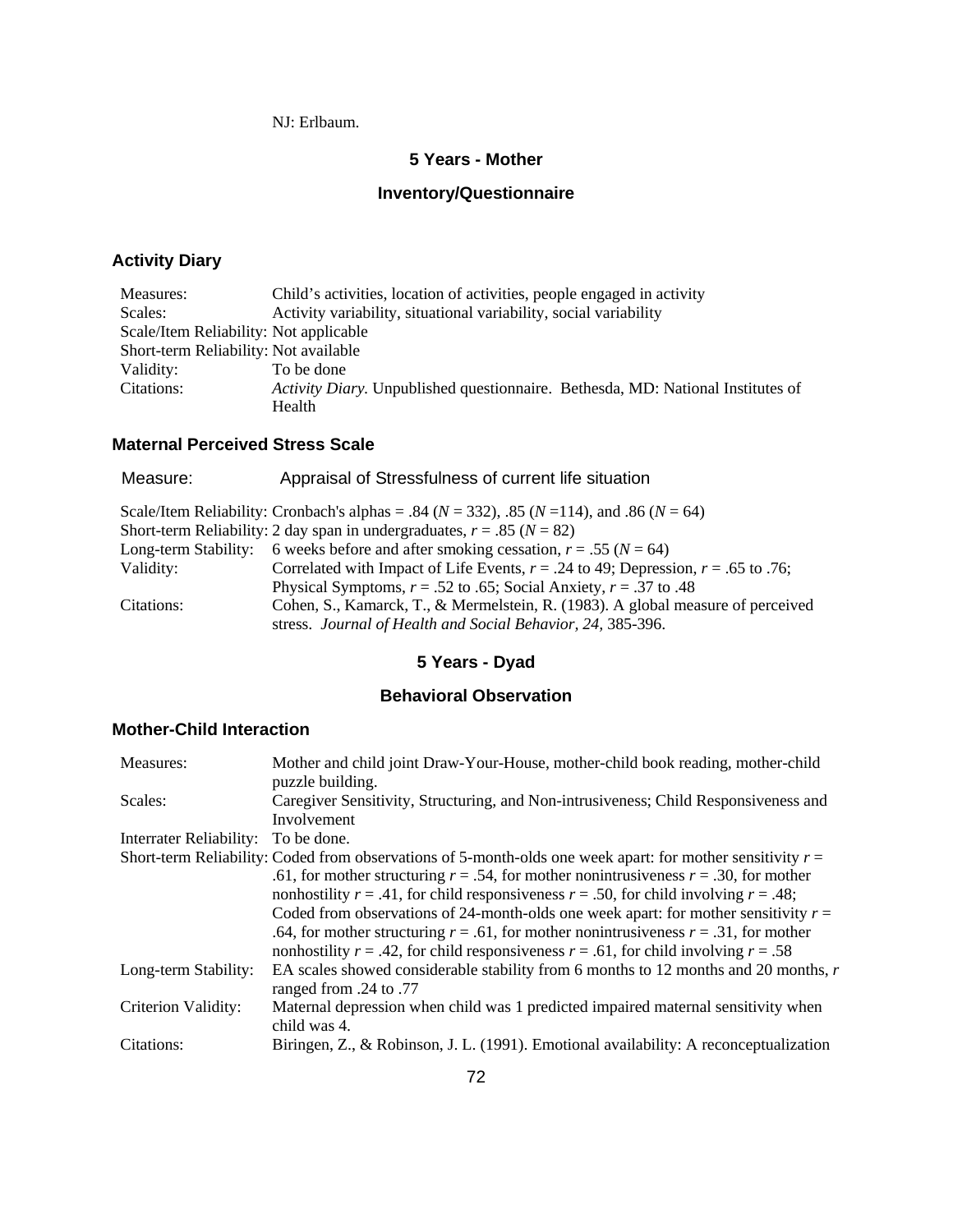NJ: Erlbaum.

### **5 Years - Mother**

# **Inventory/Questionnaire**

# **Activity Diary**

| Measures:                              | Child's activities, location of activities, people engaged in activity          |
|----------------------------------------|---------------------------------------------------------------------------------|
| Scales:                                | Activity variability, situational variability, social variability               |
| Scale/Item Reliability: Not applicable |                                                                                 |
| Short-term Reliability: Not available  |                                                                                 |
| Validity:                              | To be done                                                                      |
| Citations:                             | Activity Diary. Unpublished questionnaire. Bethesda, MD: National Institutes of |
|                                        | Health                                                                          |

# **Maternal Perceived Stress Scale**

| Measure:             | Appraisal of Stressfulness of current life situation                                                   |
|----------------------|--------------------------------------------------------------------------------------------------------|
|                      | Scale/Item Reliability: Cronbach's alphas = .84 ( $N = 332$ ), .85 ( $N = 114$ ), and .86 ( $N = 64$ ) |
|                      | Short-term Reliability: 2 day span in undergraduates, $r = .85$ ( $N = 82$ )                           |
| Long-term Stability: | 6 weeks before and after smoking cessation, $r = .55$ ( $N = 64$ )                                     |
| Validity:            | Correlated with Impact of Life Events, $r = .24$ to 49; Depression, $r = .65$ to .76;                  |
|                      | Physical Symptoms, $r = .52$ to .65; Social Anxiety, $r = .37$ to .48                                  |
| Citations:           | Cohen, S., Kamarck, T., & Mermelstein, R. (1983). A global measure of perceived                        |
|                      | stress. Journal of Health and Social Behavior, 24, 385-396.                                            |
|                      |                                                                                                        |

# **5 Years - Dyad**

# **Behavioral Observation**

### **Mother-Child Interaction**

| Measures:               | Mother and child joint Draw-Your-House, mother-child book reading, mother-child<br>puzzle building.                                                                                 |
|-------------------------|-------------------------------------------------------------------------------------------------------------------------------------------------------------------------------------|
| Scales:                 | Caregiver Sensitivity, Structuring, and Non-intrusiveness; Child Responsiveness and<br>Involvement                                                                                  |
| Interrater Reliability: | To be done.                                                                                                                                                                         |
|                         | Short-term Reliability: Coded from observations of 5-month-olds one week apart: for mother sensitivity $r =$                                                                        |
|                         | .61, for mother structuring $r = .54$ , for mother nonintrusiveness $r = .30$ , for mother                                                                                          |
|                         | nonhostility $r = .41$ , for child responsiveness $r = .50$ , for child involving $r = .48$ ;                                                                                       |
|                         | Coded from observations of 24-month-olds one week apart: for mother sensitivity $r =$<br>.64, for mother structuring $r = .61$ , for mother nonintrusiveness $r = .31$ , for mother |
|                         | nonhostility $r = .42$ , for child responsiveness $r = .61$ , for child involving $r = .58$                                                                                         |
| Long-term Stability:    | EA scales showed considerable stability from 6 months to 12 months and 20 months, r<br>ranged from .24 to .77                                                                       |
| Criterion Validity:     | Maternal depression when child was 1 predicted impaired maternal sensitivity when<br>child was 4.                                                                                   |
| Citations:              | Biringen, Z., & Robinson, J. L. (1991). Emotional availability: A reconceptualization                                                                                               |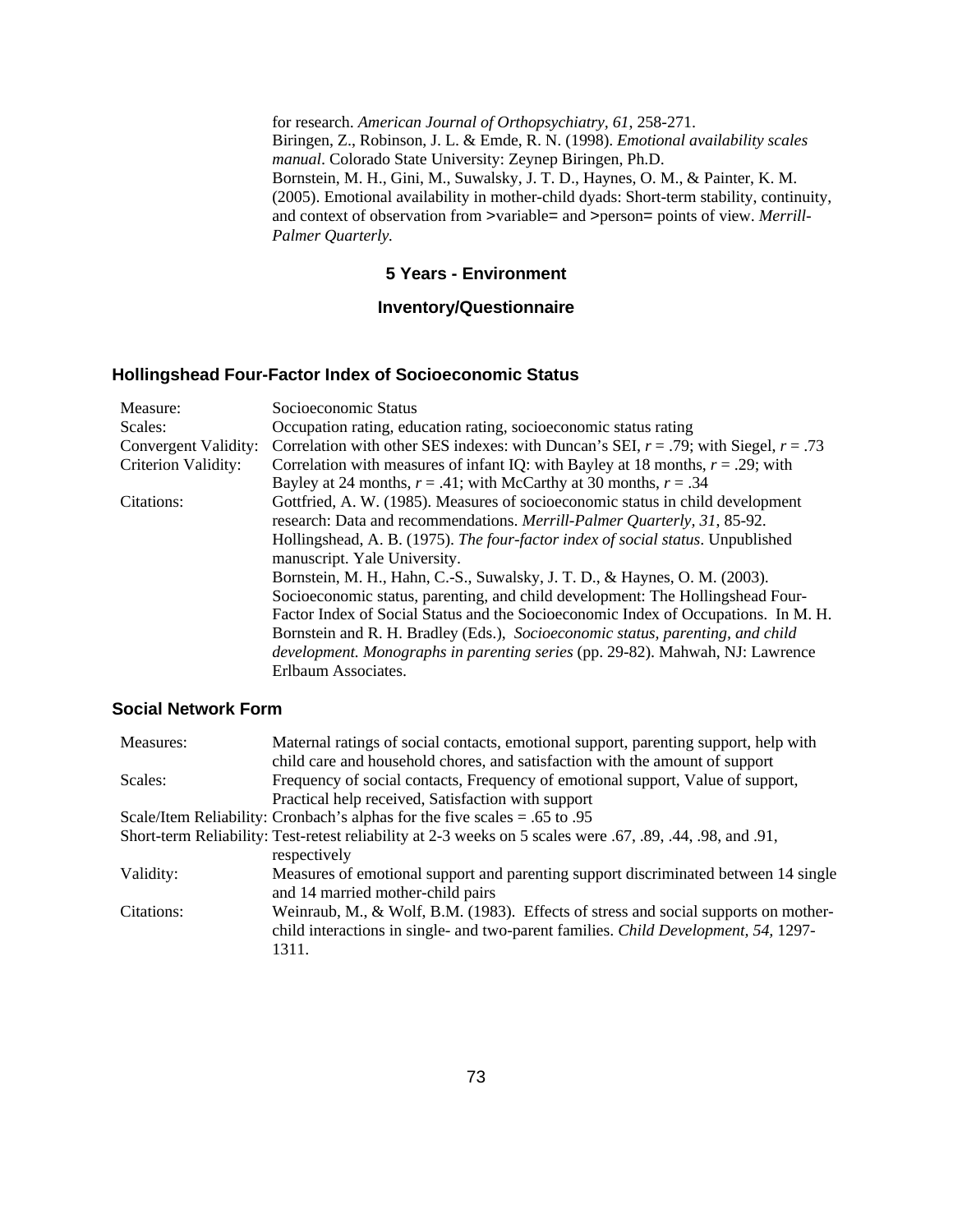for research. *American Journal of Orthopsychiatry, 61*, 258-271. Biringen, Z., Robinson, J. L. & Emde, R. N. (1998). *Emotional availability scales manual*. Colorado State University: Zeynep Biringen, Ph.D. Bornstein, M. H., Gini, M., Suwalsky, J. T. D., Haynes, O. M., & Painter, K. M. (2005). Emotional availability in mother-child dyads: Short-term stability, continuity, and context of observation from >variable= and >person= points of view. *Merrill-Palmer Quarterly.*

#### **5 Years - Environment**

#### **Inventory/Questionnaire**

#### **Hollingshead Four-Factor Index of Socioeconomic Status**

| Measure:                                                                                                                                                     | Socioeconomic Status                                                                      |  |  |
|--------------------------------------------------------------------------------------------------------------------------------------------------------------|-------------------------------------------------------------------------------------------|--|--|
| Scales:                                                                                                                                                      | Occupation rating, education rating, socioeconomic status rating                          |  |  |
| Convergent Validity:                                                                                                                                         | Correlation with other SES indexes: with Duncan's SEI, $r = .79$ ; with Siegel, $r = .73$ |  |  |
| <b>Criterion Validity:</b>                                                                                                                                   | Correlation with measures of infant IQ: with Bayley at 18 months, $r = .29$ ; with        |  |  |
|                                                                                                                                                              | Bayley at 24 months, $r = .41$ ; with McCarthy at 30 months, $r = .34$                    |  |  |
| Citations:                                                                                                                                                   | Gottfried, A. W. (1985). Measures of socioeconomic status in child development            |  |  |
|                                                                                                                                                              | research: Data and recommendations. Merrill-Palmer Quarterly, 31, 85-92.                  |  |  |
| Hollingshead, A. B. (1975). The four-factor index of social status. Unpublished                                                                              |                                                                                           |  |  |
| manuscript. Yale University.                                                                                                                                 |                                                                                           |  |  |
| Bornstein, M. H., Hahn, C.-S., Suwalsky, J. T. D., & Haynes, O. M. (2003).<br>Socioeconomic status, parenting, and child development: The Hollingshead Four- |                                                                                           |  |  |
|                                                                                                                                                              |                                                                                           |  |  |
|                                                                                                                                                              | Bornstein and R. H. Bradley (Eds.), Socioeconomic status, parenting, and child            |  |  |
|                                                                                                                                                              | <i>development. Monographs in parenting series</i> (pp. 29-82). Mahwah, NJ: Lawrence      |  |  |
|                                                                                                                                                              | Erlbaum Associates.                                                                       |  |  |

#### **Social Network Form**

| Measures:  | Maternal ratings of social contacts, emotional support, parenting support, help with                       |
|------------|------------------------------------------------------------------------------------------------------------|
|            | child care and household chores, and satisfaction with the amount of support                               |
| Scales:    | Frequency of social contacts, Frequency of emotional support, Value of support,                            |
|            | Practical help received, Satisfaction with support                                                         |
|            | Scale/Item Reliability: Cronbach's alphas for the five scales $= .65$ to 0.95                              |
|            | Short-term Reliability: Test-retest reliability at 2-3 weeks on 5 scales were .67, .89, .44, .98, and .91, |
|            | respectively                                                                                               |
| Validity:  | Measures of emotional support and parenting support discriminated between 14 single                        |
|            | and 14 married mother-child pairs                                                                          |
| Citations: | Weinraub, M., & Wolf, B.M. (1983). Effects of stress and social supports on mother-                        |
|            | child interactions in single- and two-parent families. Child Development, 54, 1297-                        |
|            | 1311.                                                                                                      |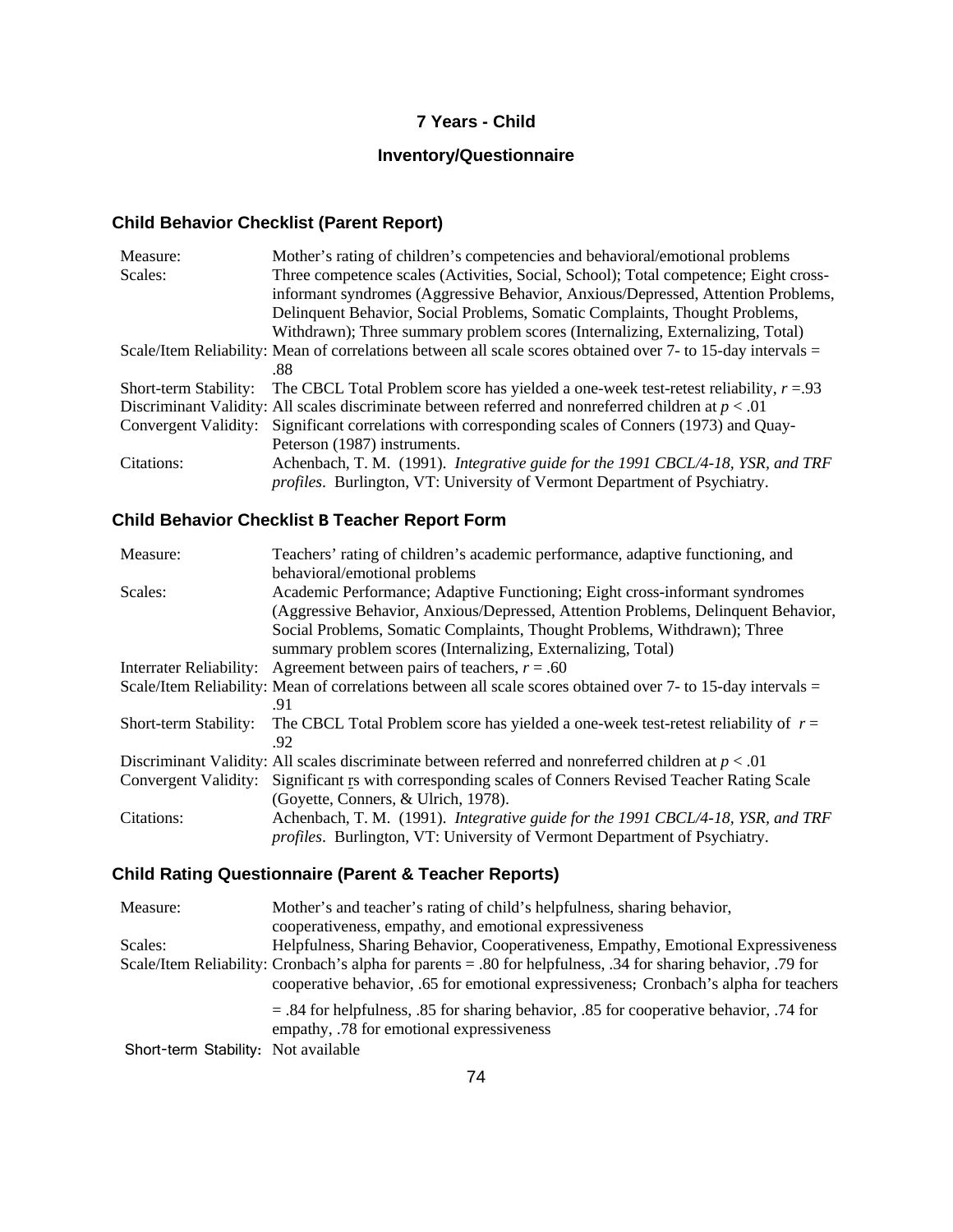# **7 Years - Child**

# **Inventory/Questionnaire**

# **Child Behavior Checklist (Parent Report)**

| Three competence scales (Activities, Social, School); Total competence; Eight cross-<br>Scales:<br>informant syndromes (Aggressive Behavior, Anxious/Depressed, Attention Problems, |
|-------------------------------------------------------------------------------------------------------------------------------------------------------------------------------------|
|                                                                                                                                                                                     |
|                                                                                                                                                                                     |
| Delinquent Behavior, Social Problems, Somatic Complaints, Thought Problems,                                                                                                         |
| Withdrawn); Three summary problem scores (Internalizing, Externalizing, Total)                                                                                                      |
| Scale/Item Reliability: Mean of correlations between all scale scores obtained over 7- to 15-day intervals =                                                                        |
| .88                                                                                                                                                                                 |
| The CBCL Total Problem score has yielded a one-week test-retest reliability, $r = 0.93$<br>Short-term Stability:                                                                    |
| Discriminant Validity: All scales discriminate between referred and nonreferred children at $p < .01$                                                                               |
| Convergent Validity: Significant correlations with corresponding scales of Conners (1973) and Quay-                                                                                 |
| Peterson (1987) instruments.                                                                                                                                                        |
| Achenbach, T. M. (1991). Integrative guide for the 1991 CBCL/4-18, YSR, and TRF<br>Citations:                                                                                       |
| <i>profiles.</i> Burlington, VT: University of Vermont Department of Psychiatry.                                                                                                    |

# **Child Behavior Checklist B Teacher Report Form**

| Measure:                | Teachers' rating of children's academic performance, adaptive functioning, and                               |  |
|-------------------------|--------------------------------------------------------------------------------------------------------------|--|
|                         | behavioral/emotional problems                                                                                |  |
| Scales:                 | Academic Performance; Adaptive Functioning; Eight cross-informant syndromes                                  |  |
|                         | (Aggressive Behavior, Anxious/Depressed, Attention Problems, Delinquent Behavior,                            |  |
|                         | Social Problems, Somatic Complaints, Thought Problems, Withdrawn); Three                                     |  |
|                         | summary problem scores (Internalizing, Externalizing, Total)                                                 |  |
| Interrater Reliability: | Agreement between pairs of teachers, $r = .60$                                                               |  |
|                         | Scale/Item Reliability: Mean of correlations between all scale scores obtained over 7- to 15-day intervals = |  |
|                         | -91                                                                                                          |  |
| Short-term Stability:   | The CBCL Total Problem score has yielded a one-week test-retest reliability of $r =$                         |  |
|                         | .92                                                                                                          |  |
|                         | Discriminant Validity: All scales discriminate between referred and nonreferred children at $p < 0.01$       |  |
|                         | Convergent Validity: Significant Is with corresponding scales of Conners Revised Teacher Rating Scale        |  |
|                         | (Goyette, Conners, & Ulrich, 1978).                                                                          |  |
| Citations:              | Achenbach, T. M. (1991). Integrative guide for the 1991 CBCL/4-18, YSR, and TRF                              |  |
|                         | <i>profiles.</i> Burlington, VT: University of Vermont Department of Psychiatry.                             |  |
|                         |                                                                                                              |  |

# **Child Rating Questionnaire (Parent & Teacher Reports)**

| Measure:                            | Mother's and teacher's rating of child's helpfulness, sharing behavior,                                                               |  |  |
|-------------------------------------|---------------------------------------------------------------------------------------------------------------------------------------|--|--|
|                                     | cooperativeness, empathy, and emotional expressiveness                                                                                |  |  |
| Scales:                             | Helpfulness, Sharing Behavior, Cooperativeness, Empathy, Emotional Expressiveness                                                     |  |  |
|                                     | Scale/Item Reliability: Cronbach's alpha for parents = .80 for helpfulness, .34 for sharing behavior, .79 for                         |  |  |
|                                     | cooperative behavior, .65 for emotional expressiveness; Cronbach's alpha for teachers                                                 |  |  |
|                                     | $=$ .84 for helpfulness, .85 for sharing behavior, .85 for cooperative behavior, .74 for<br>empathy, .78 for emotional expressiveness |  |  |
| Short-term Stability: Not available |                                                                                                                                       |  |  |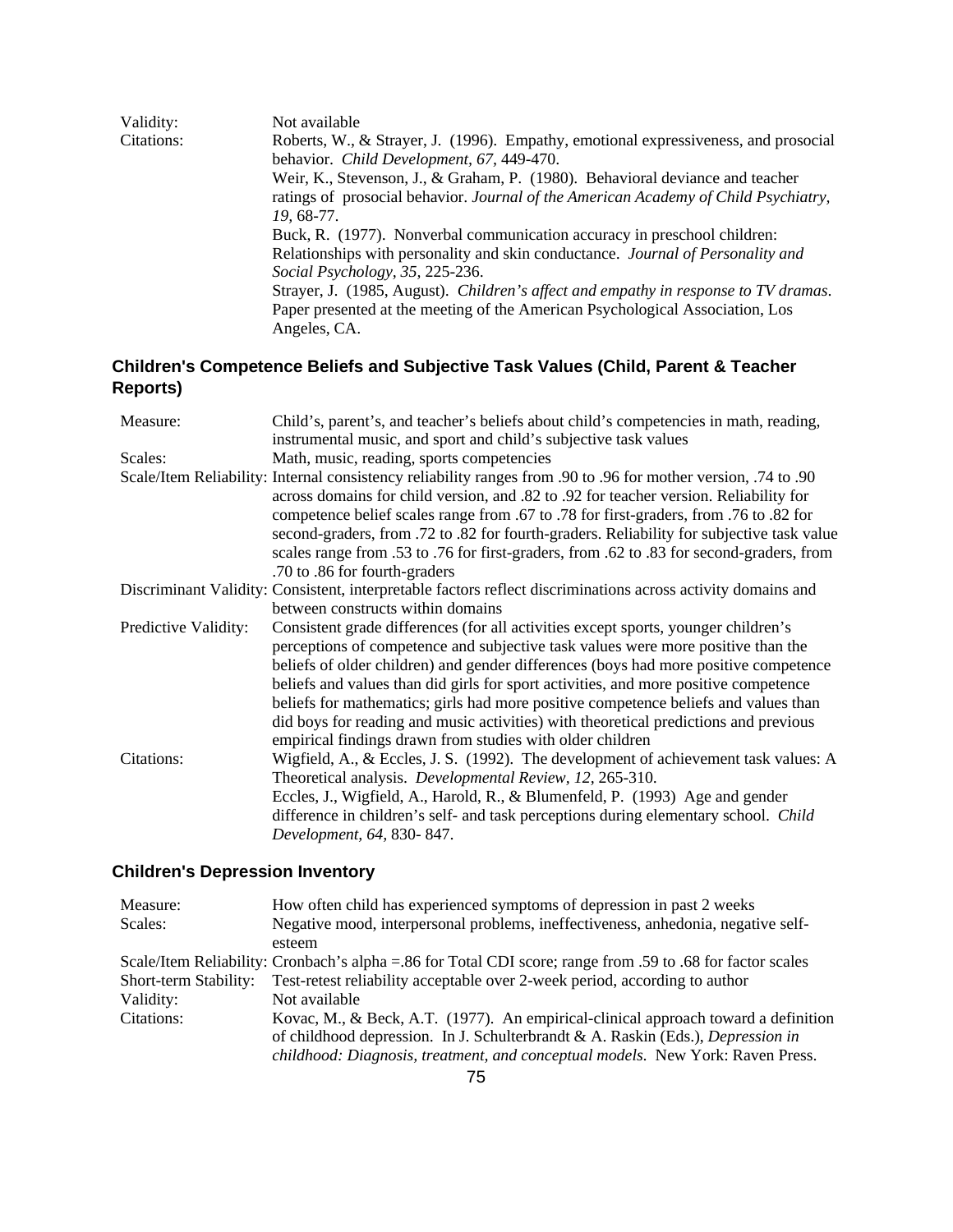| Validity:  | Not available                                                                       |
|------------|-------------------------------------------------------------------------------------|
| Citations: | Roberts, W., & Strayer, J. (1996). Empathy, emotional expressiveness, and prosocial |
|            | behavior. Child Development, 67, 449-470.                                           |
|            | Weir, K., Stevenson, J., & Graham, P. (1980). Behavioral deviance and teacher       |
|            | ratings of prosocial behavior. Journal of the American Academy of Child Psychiatry, |
|            | 19.68-77.                                                                           |
|            | Buck, R. (1977). Nonverbal communication accuracy in preschool children:            |
|            | Relationships with personality and skin conductance. Journal of Personality and     |
|            | Social Psychology, 35, 225-236.                                                     |
|            | Strayer, J. (1985, August). Children's affect and empathy in response to TV dramas. |
|            | Paper presented at the meeting of the American Psychological Association, Los       |
|            | Angeles, CA.                                                                        |

# **Children's Competence Beliefs and Subjective Task Values (Child, Parent & Teacher Reports)**

| Measure:                                                                                                                                          | Child's, parent's, and teacher's beliefs about child's competencies in math, reading,<br>instrumental music, and sport and child's subjective task values                                                                                                                                                                                                                                                                                                                                                                                                                                          |
|---------------------------------------------------------------------------------------------------------------------------------------------------|----------------------------------------------------------------------------------------------------------------------------------------------------------------------------------------------------------------------------------------------------------------------------------------------------------------------------------------------------------------------------------------------------------------------------------------------------------------------------------------------------------------------------------------------------------------------------------------------------|
| Scales:                                                                                                                                           | Math, music, reading, sports competencies                                                                                                                                                                                                                                                                                                                                                                                                                                                                                                                                                          |
|                                                                                                                                                   | 90. Scale/Item Reliability: Internal consistency reliability ranges from .90 to .96 for mother version, .74 to<br>across domains for child version, and .82 to .92 for teacher version. Reliability for<br>competence belief scales range from .67 to .78 for first-graders, from .76 to .82 for<br>second-graders, from .72 to .82 for fourth-graders. Reliability for subjective task value<br>scales range from .53 to .76 for first-graders, from .62 to .83 for second-graders, from<br>.70 to .86 for fourth-graders                                                                         |
| Discriminant Validity: Consistent, interpretable factors reflect discriminations across activity domains and<br>between constructs within domains |                                                                                                                                                                                                                                                                                                                                                                                                                                                                                                                                                                                                    |
|                                                                                                                                                   |                                                                                                                                                                                                                                                                                                                                                                                                                                                                                                                                                                                                    |
| Predictive Validity:                                                                                                                              | Consistent grade differences (for all activities except sports, younger children's<br>perceptions of competence and subjective task values were more positive than the<br>beliefs of older children) and gender differences (boys had more positive competence<br>beliefs and values than did girls for sport activities, and more positive competence<br>beliefs for mathematics; girls had more positive competence beliefs and values than<br>did boys for reading and music activities) with theoretical predictions and previous<br>empirical findings drawn from studies with older children |
| Citations:                                                                                                                                        | Wigfield, A., & Eccles, J. S. (1992). The development of achievement task values: A<br>Theoretical analysis. Developmental Review, 12, 265-310.<br>Eccles, J., Wigfield, A., Harold, R., & Blumenfeld, P. (1993) Age and gender<br>difference in children's self- and task perceptions during elementary school. Child<br>Development, 64, 830-847.                                                                                                                                                                                                                                                |

# **Children's Depression Inventory**

| Measure:              | How often child has experienced symptoms of depression in past 2 weeks                                     |  |
|-----------------------|------------------------------------------------------------------------------------------------------------|--|
| Scales:               | Negative mood, interpersonal problems, ineffectiveness, anhedonia, negative self-                          |  |
|                       | esteem                                                                                                     |  |
|                       | Scale/Item Reliability: Cronbach's alpha = 86 for Total CDI score; range from .59 to .68 for factor scales |  |
| Short-term Stability: | Test-retest reliability acceptable over 2-week period, according to author                                 |  |
| Validity:             | Not available                                                                                              |  |
| Citations:            | Kovac, M., & Beck, A.T. (1977). An empirical-clinical approach toward a definition                         |  |
|                       | of childhood depression. In J. Schulterbrandt & A. Raskin (Eds.), Depression in                            |  |
|                       | childhood: Diagnosis, treatment, and conceptual models. New York: Raven Press.                             |  |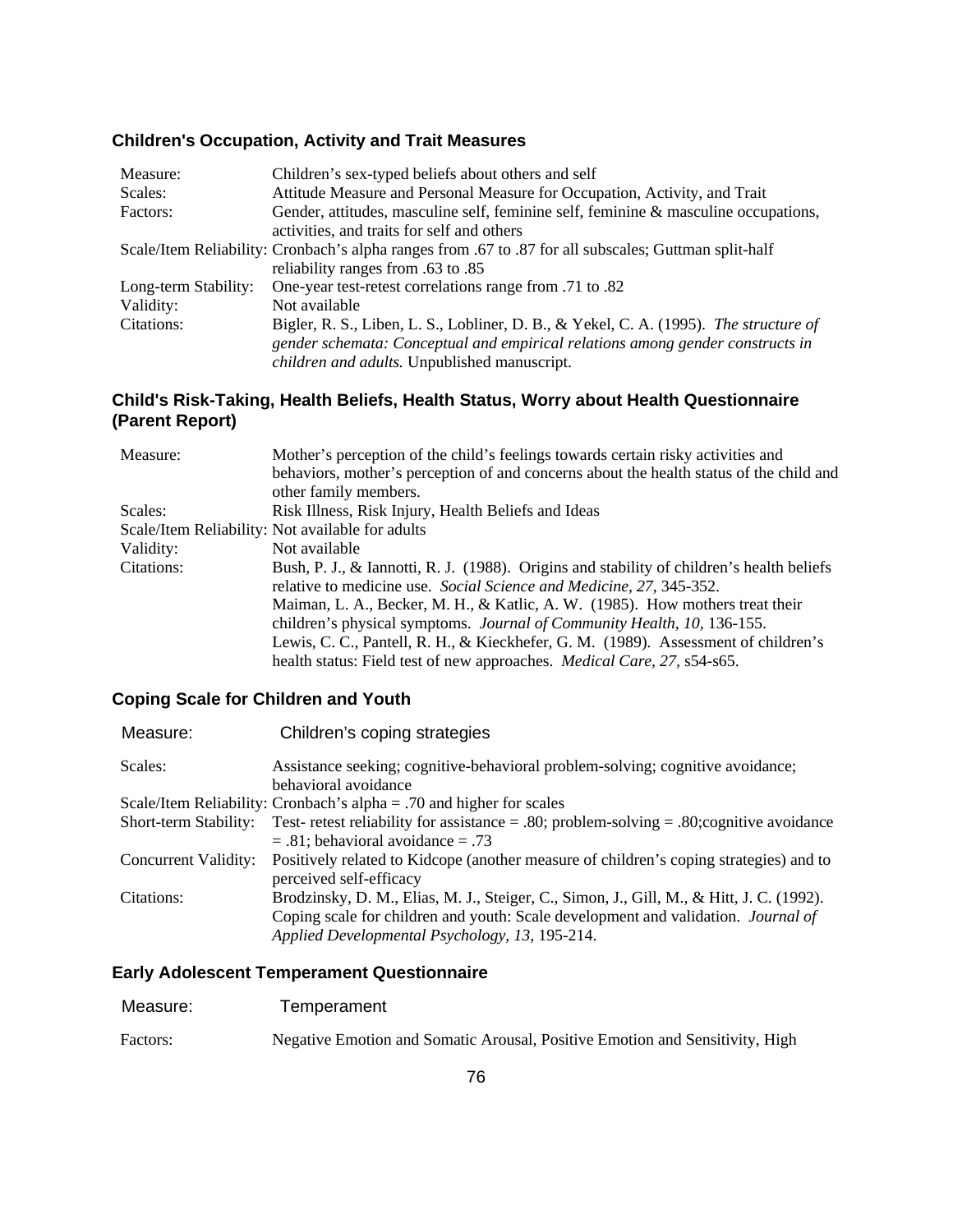### **Children's Occupation, Activity and Trait Measures**

| Measure:                                                                                              | Children's sex-typed beliefs about others and self                                    |  |
|-------------------------------------------------------------------------------------------------------|---------------------------------------------------------------------------------------|--|
| Scales:                                                                                               | Attitude Measure and Personal Measure for Occupation, Activity, and Trait             |  |
| Factors:                                                                                              | Gender, attitudes, masculine self, feminine self, feminine & masculine occupations,   |  |
|                                                                                                       | activities, and traits for self and others                                            |  |
| Scale/Item Reliability: Cronbach's alpha ranges from .67 to .87 for all subscales; Guttman split-half |                                                                                       |  |
| reliability ranges from .63 to .85                                                                    |                                                                                       |  |
| Long-term Stability:                                                                                  | One-year test-retest correlations range from .71 to .82                               |  |
| Validity:                                                                                             | Not available                                                                         |  |
| Citations:                                                                                            | Bigler, R. S., Liben, L. S., Lobliner, D. B., & Yekel, C. A. (1995). The structure of |  |
|                                                                                                       | gender schemata: Conceptual and empirical relations among gender constructs in        |  |
|                                                                                                       | children and adults. Unpublished manuscript.                                          |  |

### **Child's Risk-Taking, Health Beliefs, Health Status, Worry about Health Questionnaire (Parent Report)**

| Measure:   | Mother's perception of the child's feelings towards certain risky activities and          |
|------------|-------------------------------------------------------------------------------------------|
|            | behaviors, mother's perception of and concerns about the health status of the child and   |
|            | other family members.                                                                     |
| Scales:    | Risk Illness, Risk Injury, Health Beliefs and Ideas                                       |
|            | Scale/Item Reliability: Not available for adults                                          |
| Validity:  | Not available                                                                             |
| Citations: | Bush, P. J., & Iannotti, R. J. (1988). Origins and stability of children's health beliefs |
|            | relative to medicine use. Social Science and Medicine, 27, 345-352.                       |
|            | Maiman, L. A., Becker, M. H., & Katlic, A. W. (1985). How mothers treat their             |
|            | children's physical symptoms. <i>Journal of Community Health</i> , 10, 136-155.           |
|            | Lewis, C. C., Pantell, R. H., & Kieckhefer, G. M. (1989). Assessment of children's        |
|            | health status: Field test of new approaches. <i>Medical Care</i> , 27, s54-s65.           |

### **Coping Scale for Children and Youth**

| Assistance seeking; cognitive-behavioral problem-solving; cognitive avoidance;            |
|-------------------------------------------------------------------------------------------|
|                                                                                           |
|                                                                                           |
| Test- retest reliability for assistance = .80; problem-solving = .80; cognitive avoidance |
|                                                                                           |
| Positively related to Kidcope (another measure of children's coping strategies) and to    |
|                                                                                           |
| Brodzinsky, D. M., Elias, M. J., Steiger, C., Simon, J., Gill, M., & Hitt, J. C. (1992).  |
| Coping scale for children and youth: Scale development and validation. <i>Journal of</i>  |
|                                                                                           |
|                                                                                           |

### **Early Adolescent Temperament Questionnaire**

| Measure:<br>Temperament |  |
|-------------------------|--|
|-------------------------|--|

Factors: Negative Emotion and Somatic Arousal, Positive Emotion and Sensitivity, High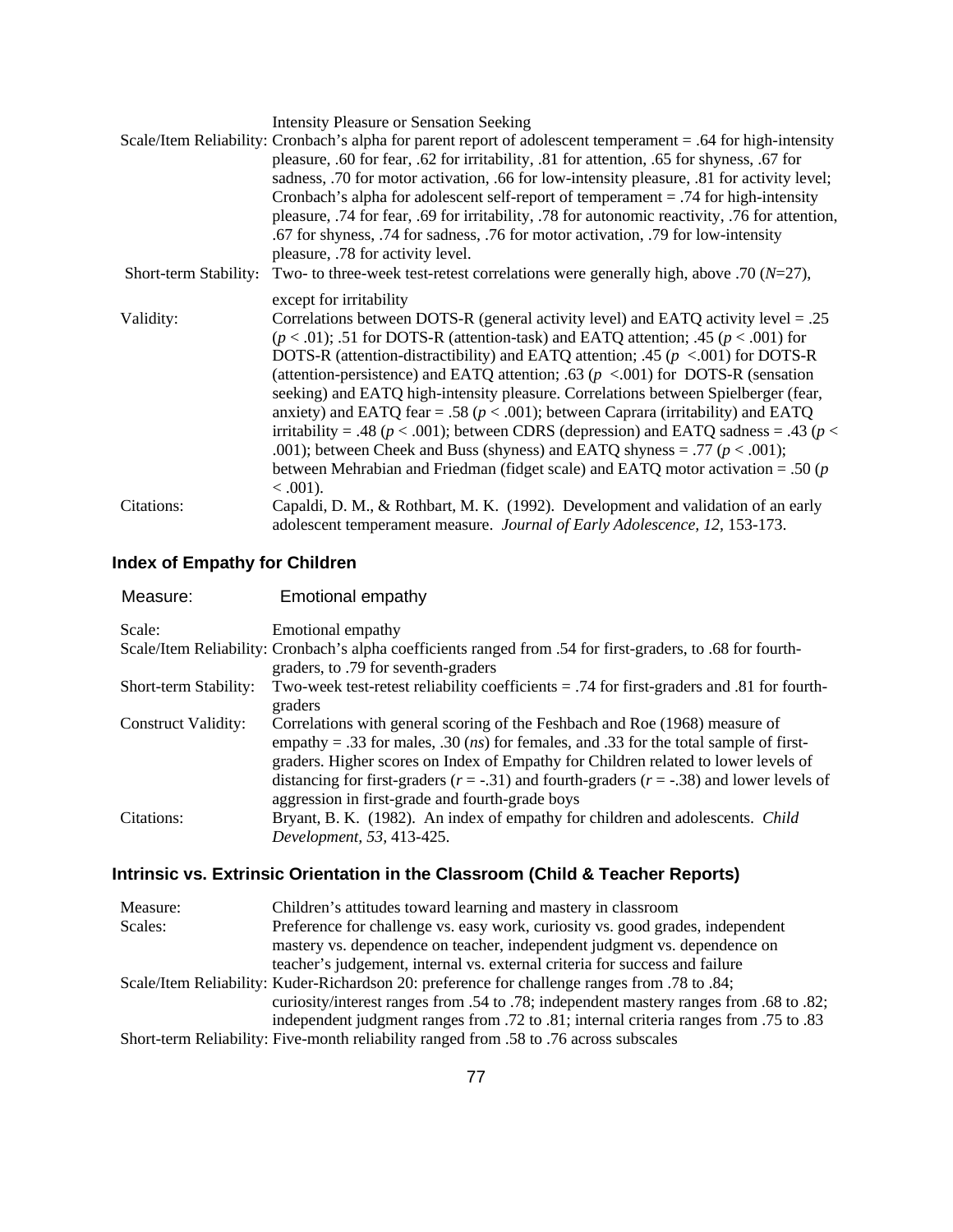|                       | <b>Intensity Pleasure or Sensation Seeking</b>                                                                                                                 |
|-----------------------|----------------------------------------------------------------------------------------------------------------------------------------------------------------|
|                       | Scale/Item Reliability: Cronbach's alpha for parent report of adolescent temperament = .64 for high-intensity                                                  |
|                       | pleasure, .60 for fear, .62 for irritability, .81 for attention, .65 for shyness, .67 for                                                                      |
|                       | sadness, .70 for motor activation, .66 for low-intensity pleasure, .81 for activity level;                                                                     |
|                       | Cronbach's alpha for adolescent self-report of temperament = .74 for high-intensity                                                                            |
|                       | pleasure, .74 for fear, .69 for irritability, .78 for autonomic reactivity, .76 for attention,                                                                 |
|                       | .67 for shyness, .74 for sadness, .76 for motor activation, .79 for low-intensity<br>pleasure, .78 for activity level.                                         |
| Short-term Stability: | Two- to three-week test-retest correlations were generally high, above .70 ( $N=27$ ),                                                                         |
|                       | except for irritability                                                                                                                                        |
|                       |                                                                                                                                                                |
| Validity:             | Correlations between DOTS-R (general activity level) and EATQ activity level = $.25$                                                                           |
|                       | $(p < .01)$ ; .51 for DOTS-R (attention-task) and EATQ attention; .45 ( $p < .001$ ) for                                                                       |
|                       | DOTS-R (attention-distractibility) and EATQ attention; .45 ( $p < .001$ ) for DOTS-R                                                                           |
|                       | (attention-persistence) and EATQ attention; .63 ( $p < .001$ ) for DOTS-R (sensation                                                                           |
|                       | seeking) and EATQ high-intensity pleasure. Correlations between Spielberger (fear,                                                                             |
|                       | anxiety) and EATQ fear = .58 ( $p < .001$ ); between Caprara (irritability) and EATQ                                                                           |
|                       | irritability = .48 ( $p < .001$ ); between CDRS (depression) and EATQ sadness = .43 ( $p <$                                                                    |
|                       | .001); between Cheek and Buss (shyness) and EATQ shyness = .77 ( $p < .001$ );                                                                                 |
|                       | between Mehrabian and Friedman (fidget scale) and EATQ motor activation = .50 ( $p$ )                                                                          |
|                       | $< .001$ ).                                                                                                                                                    |
| Citations:            | Capaldi, D. M., & Rothbart, M. K. (1992). Development and validation of an early<br>adolescent temperament measure. Journal of Early Adolescence, 12, 153-173. |
|                       |                                                                                                                                                                |

# **Index of Empathy for Children**

| Measure:                   | Emotional empathy                                                                                                                                                                                                                                                                                                                                                                                                           |
|----------------------------|-----------------------------------------------------------------------------------------------------------------------------------------------------------------------------------------------------------------------------------------------------------------------------------------------------------------------------------------------------------------------------------------------------------------------------|
| Scale:                     | Emotional empathy                                                                                                                                                                                                                                                                                                                                                                                                           |
|                            | Scale/Item Reliability: Cronbach's alpha coefficients ranged from .54 for first-graders, to .68 for fourth-<br>graders, to .79 for seventh-graders                                                                                                                                                                                                                                                                          |
| Short-term Stability:      | Two-week test-retest reliability coefficients $= .74$ for first-graders and 0.81 for fourth-<br>graders                                                                                                                                                                                                                                                                                                                     |
| <b>Construct Validity:</b> | Correlations with general scoring of the Feshbach and Roe (1968) measure of<br>empathy = .33 for males, .30 ( <i>ns</i> ) for females, and .33 for the total sample of first-<br>graders. Higher scores on Index of Empathy for Children related to lower levels of<br>distancing for first-graders ( $r = -.31$ ) and fourth-graders ( $r = -.38$ ) and lower levels of<br>aggression in first-grade and fourth-grade boys |
| Citations:                 | Bryant, B. K. (1982). An index of empathy for children and adolescents. Child<br>Development, 53, 413-425.                                                                                                                                                                                                                                                                                                                  |

# **Intrinsic vs. Extrinsic Orientation in the Classroom (Child & Teacher Reports)**

| Measure: | Children's attitudes toward learning and mastery in classroom                                 |
|----------|-----------------------------------------------------------------------------------------------|
| Scales:  | Preference for challenge vs. easy work, curiosity vs. good grades, independent                |
|          | mastery vs. dependence on teacher, independent judgment vs. dependence on                     |
|          | teacher's judgement, internal vs. external criteria for success and failure                   |
|          | Scale/Item Reliability: Kuder-Richardson 20: preference for challenge ranges from .78 to .84; |
|          | curiosity/interest ranges from .54 to .78; independent mastery ranges from .68 to .82;        |
|          | independent judgment ranges from .72 to .81; internal criteria ranges from .75 to .83         |
|          | Short-term Reliability: Five-month reliability ranged from .58 to .76 across subscales        |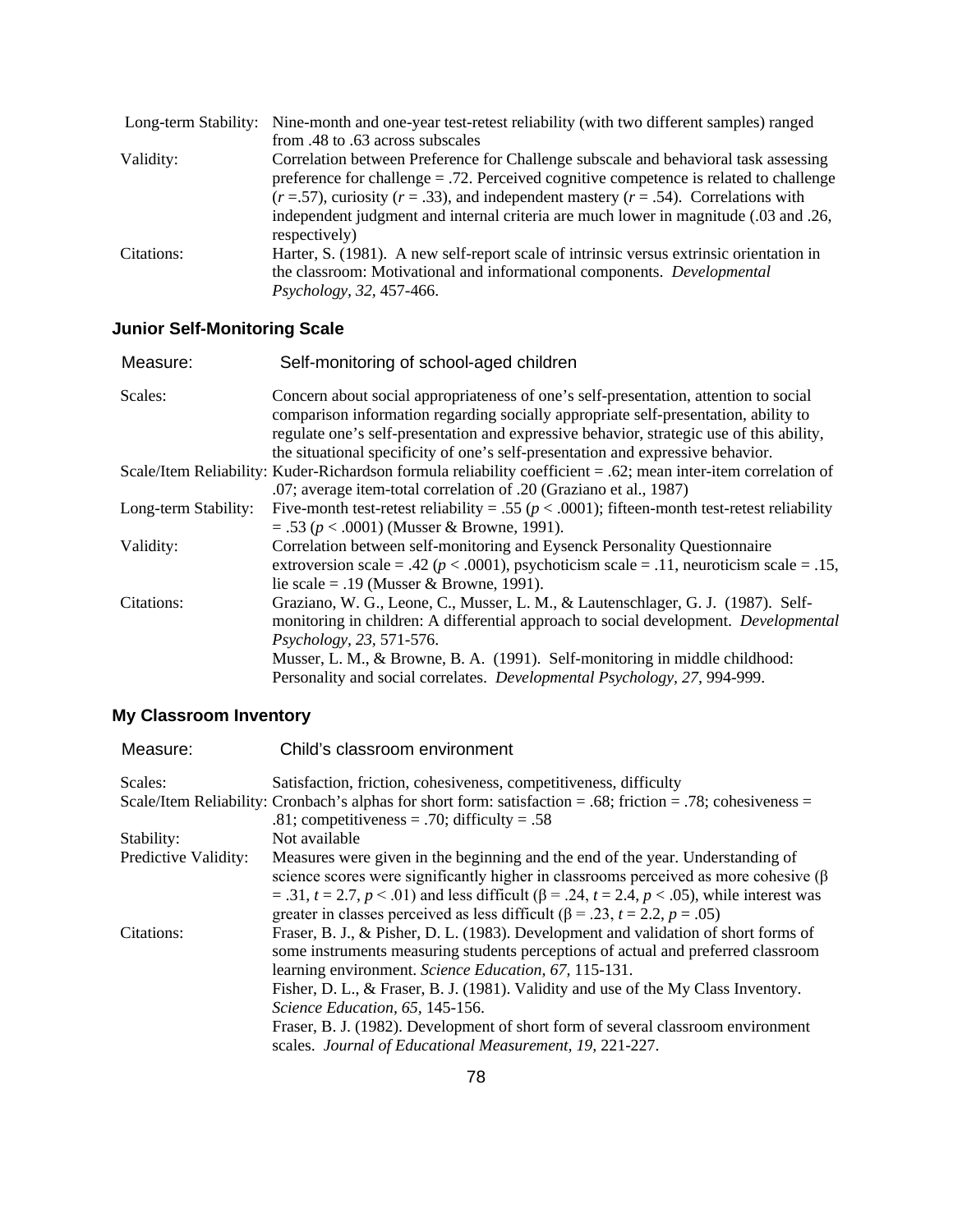|            | Long-term Stability: Nine-month and one-year test-retest reliability (with two different samples) ranged                                                                                                                                                                          |
|------------|-----------------------------------------------------------------------------------------------------------------------------------------------------------------------------------------------------------------------------------------------------------------------------------|
|            | from .48 to .63 across subscales                                                                                                                                                                                                                                                  |
| Validity:  | Correlation between Preference for Challenge subscale and behavioral task assessing<br>preference for challenge $= .72$ . Perceived cognitive competence is related to challenge<br>$(r = .57)$ , curiosity $(r = .33)$ , and independent mastery $(r = .54)$ . Correlations with |
|            | independent judgment and internal criteria are much lower in magnitude (.03 and .26,<br>respectively)                                                                                                                                                                             |
| Citations: | Harter, S. (1981). A new self-report scale of intrinsic versus extrinsic orientation in<br>the classroom: Motivational and informational components. Developmental<br>Psychology, 32, 457-466.                                                                                    |

# **Junior Self-Monitoring Scale**

| Measure:             | Self-monitoring of school-aged children                                                                                                                                                                                                                                                                                                                                 |
|----------------------|-------------------------------------------------------------------------------------------------------------------------------------------------------------------------------------------------------------------------------------------------------------------------------------------------------------------------------------------------------------------------|
| Scales:              | Concern about social appropriateness of one's self-presentation, attention to social<br>comparison information regarding socially appropriate self-presentation, ability to<br>regulate one's self-presentation and expressive behavior, strategic use of this ability,<br>the situational specificity of one's self-presentation and expressive behavior.              |
|                      | Scale/Item Reliability: Kuder-Richardson formula reliability coefficient = .62; mean inter-item correlation of<br>.07; average item-total correlation of .20 (Graziano et al., 1987)                                                                                                                                                                                    |
| Long-term Stability: | Five-month test-retest reliability = .55 ( $p < .0001$ ); fifteen-month test-retest reliability<br>$= .53 (p < .0001)$ (Musser & Browne, 1991).                                                                                                                                                                                                                         |
| Validity:            | Correlation between self-monitoring and Eysenck Personality Questionnaire<br>extroversion scale = .42 ( $p < .0001$ ), psychoticism scale = .11, neuroticism scale = .15,<br>lie scale = .19 (Musser & Browne, 1991).                                                                                                                                                   |
| Citations:           | Graziano, W. G., Leone, C., Musser, L. M., & Lautenschlager, G. J. (1987). Self-<br>monitoring in children: A differential approach to social development. <i>Developmental</i><br>Psychology, 23, 571-576.<br>Musser, L. M., & Browne, B. A. (1991). Self-monitoring in middle childhood:<br>Personality and social correlates. Developmental Psychology, 27, 994-999. |

# **My Classroom Inventory**

| Measure:             | Child's classroom environment                                                                                                                                                                                                                                                                                                                                                                                                                                                                              |
|----------------------|------------------------------------------------------------------------------------------------------------------------------------------------------------------------------------------------------------------------------------------------------------------------------------------------------------------------------------------------------------------------------------------------------------------------------------------------------------------------------------------------------------|
| Scales:              | Satisfaction, friction, cohesiveness, competitiveness, difficulty                                                                                                                                                                                                                                                                                                                                                                                                                                          |
|                      | Scale/Item Reliability: Cronbach's alphas for short form: satisfaction = .68; friction = .78; cohesiveness =<br>.81; competitiveness = .70; difficulty = .58                                                                                                                                                                                                                                                                                                                                               |
| Stability:           | Not available                                                                                                                                                                                                                                                                                                                                                                                                                                                                                              |
| Predictive Validity: | Measures were given in the beginning and the end of the year. Understanding of<br>science scores were significantly higher in classrooms perceived as more cohesive $(\beta)$<br>= .31, $t = 2.7$ , $p < .01$ ) and less difficult ( $\beta$ = .24, $t = 2.4$ , $p < .05$ ), while interest was<br>greater in classes perceived as less difficult ( $\beta$ = .23, t = 2.2, p = .05)                                                                                                                       |
| Citations:           | Fraser, B. J., & Pisher, D. L. (1983). Development and validation of short forms of<br>some instruments measuring students perceptions of actual and preferred classroom<br>learning environment. Science Education, 67, 115-131.<br>Fisher, D. L., & Fraser, B. J. (1981). Validity and use of the My Class Inventory.<br>Science Education, 65, 145-156.<br>Fraser, B. J. (1982). Development of short form of several classroom environment<br>scales. Journal of Educational Measurement, 19, 221-227. |
|                      |                                                                                                                                                                                                                                                                                                                                                                                                                                                                                                            |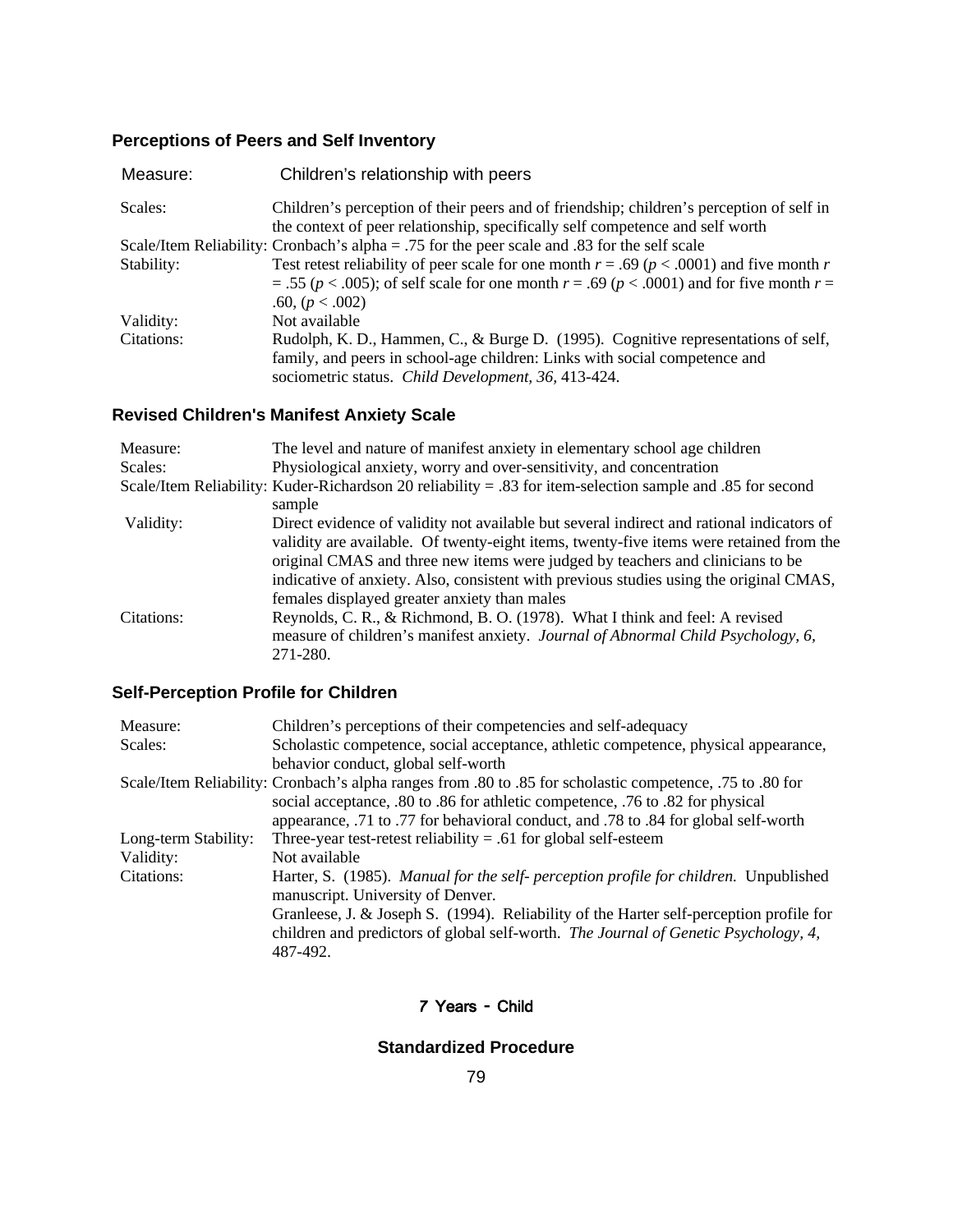# **Perceptions of Peers and Self Inventory**

| Measure:   | Children's relationship with peers                                                                                                                                        |
|------------|---------------------------------------------------------------------------------------------------------------------------------------------------------------------------|
| Scales:    | Children's perception of their peers and of friendship; children's perception of self in<br>the context of peer relationship, specifically self competence and self worth |
|            | Scale/Item Reliability: Cronbach's alpha = .75 for the peer scale and .83 for the self scale                                                                              |
| Stability: | Test retest reliability of peer scale for one month $r = .69$ ( $p < .0001$ ) and five month r                                                                            |
|            | $= .55 (p < .005)$ ; of self scale for one month $r = .69 (p < .0001)$ and for five month $r =$<br>.60, $(p < .002)$                                                      |
| Validity:  | Not available                                                                                                                                                             |
| Citations: | Rudolph, K. D., Hammen, C., & Burge D. (1995). Cognitive representations of self,                                                                                         |
|            | family, and peers in school-age children: Links with social competence and<br>sociometric status. Child Development, 36, 413-424.                                         |

# **Revised Children's Manifest Anxiety Scale**

| Measure:   | The level and nature of manifest anxiety in elementary school age children                                 |
|------------|------------------------------------------------------------------------------------------------------------|
| Scales:    | Physiological anxiety, worry and over-sensitivity, and concentration                                       |
|            | Scale/Item Reliability: Kuder-Richardson 20 reliability = .83 for item-selection sample and .85 for second |
|            | sample                                                                                                     |
| Validity:  | Direct evidence of validity not available but several indirect and rational indicators of                  |
|            | validity are available. Of twenty-eight items, twenty-five items were retained from the                    |
|            | original CMAS and three new items were judged by teachers and clinicians to be                             |
|            | indicative of anxiety. Also, consistent with previous studies using the original CMAS,                     |
|            | females displayed greater anxiety than males                                                               |
| Citations: | Reynolds, C. R., & Richmond, B. O. (1978). What I think and feel: A revised                                |
|            | measure of children's manifest anxiety. Journal of Abnormal Child Psychology, 6,                           |
|            | 271-280.                                                                                                   |

# **Self-Perception Profile for Children**

| Measure:             | Children's perceptions of their competencies and self-adequacy                                            |
|----------------------|-----------------------------------------------------------------------------------------------------------|
| Scales:              | Scholastic competence, social acceptance, athletic competence, physical appearance,                       |
|                      | behavior conduct, global self-worth                                                                       |
|                      | Scale/Item Reliability: Cronbach's alpha ranges from .80 to .85 for scholastic competence, .75 to .80 for |
|                      | social acceptance, .80 to .86 for athletic competence, .76 to .82 for physical                            |
|                      | appearance, .71 to .77 for behavioral conduct, and .78 to .84 for global self-worth                       |
| Long-term Stability: | Three-year test-retest reliability = .61 for global self-esteem                                           |
| Validity:            | Not available                                                                                             |
| Citations:           | Harter, S. (1985). Manual for the self- perception profile for children. Unpublished                      |
|                      | manuscript. University of Denver.                                                                         |
|                      | Granleese, J. & Joseph S. (1994). Reliability of the Harter self-perception profile for                   |
|                      | children and predictors of global self-worth. The Journal of Genetic Psychology, 4,                       |
|                      | 487-492.                                                                                                  |

### 7 Years - Child

# **Standardized Procedure**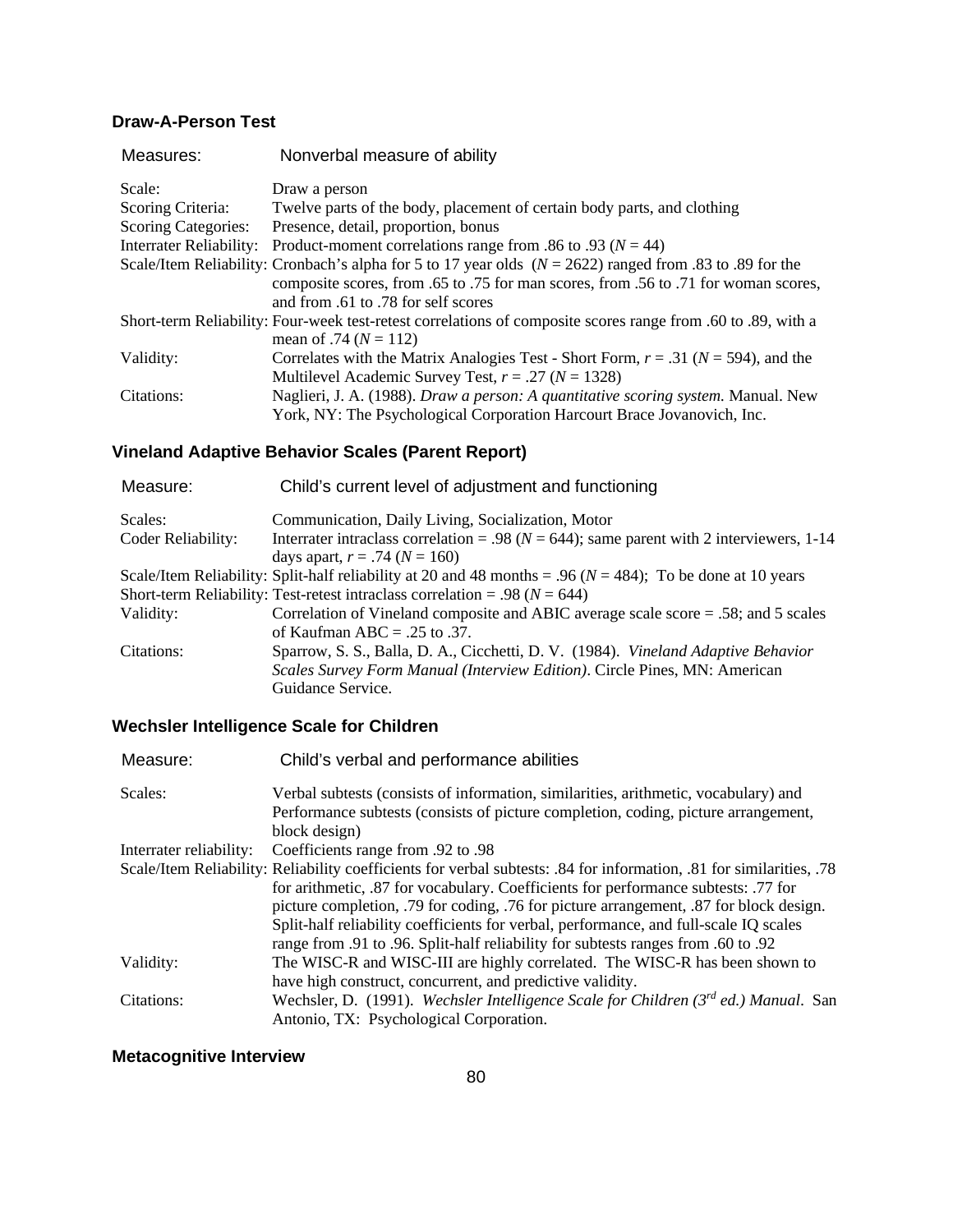# **Draw-A-Person Test**

|        | Measures:                      | Nonverbal measure of ability                                                                                 |
|--------|--------------------------------|--------------------------------------------------------------------------------------------------------------|
| Scale: |                                | Draw a person                                                                                                |
|        | Scoring Criteria:              | Twelve parts of the body, placement of certain body parts, and clothing                                      |
|        | <b>Scoring Categories:</b>     | Presence, detail, proportion, bonus                                                                          |
|        | <b>Interrater Reliability:</b> | Product-moment correlations range from .86 to .93 ( $N = 44$ )                                               |
|        |                                | Scale/Item Reliability: Cronbach's alpha for 5 to 17 year olds $(N = 2622)$ ranged from .83 to .89 for the   |
|        |                                | composite scores, from .65 to .75 for man scores, from .56 to .71 for woman scores,                          |
|        |                                | and from .61 to .78 for self scores                                                                          |
|        |                                | Short-term Reliability: Four-week test-retest correlations of composite scores range from .60 to .89, with a |
|        |                                | mean of .74 ( $N = 112$ )                                                                                    |
|        | Validity:                      | Correlates with the Matrix Analogies Test - Short Form, $r = .31$ ( $N = 594$ ), and the                     |
|        |                                | Multilevel Academic Survey Test, $r = .27$ ( $N = 1328$ )                                                    |
|        | Citations:                     | Naglieri, J. A. (1988). Draw a person: A quantitative scoring system. Manual. New                            |
|        |                                | York, NY: The Psychological Corporation Harcourt Brace Jovanovich, Inc.                                      |
|        |                                |                                                                                                              |

# **Vineland Adaptive Behavior Scales (Parent Report)**

| Measure:           | Child's current level of adjustment and functioning                                                            |
|--------------------|----------------------------------------------------------------------------------------------------------------|
| Scales:            | Communication, Daily Living, Socialization, Motor                                                              |
| Coder Reliability: | Interrater intraclass correlation = .98 ( $N = 644$ ); same parent with 2 interviewers, 1-14                   |
|                    | days apart, $r = .74$ ( $N = 160$ )                                                                            |
|                    | Scale/Item Reliability: Split-half reliability at 20 and 48 months = .96 ( $N = 484$ ); To be done at 10 years |
|                    | Short-term Reliability: Test-retest intraclass correlation = .98 ( $N = 644$ )                                 |
| Validity:          | Correlation of Vineland composite and ABIC average scale score = .58; and 5 scales                             |
|                    | of Kaufman ABC = $.25$ to $.37$ .                                                                              |
| Citations:         | Sparrow, S. S., Balla, D. A., Cicchetti, D. V. (1984). Vineland Adaptive Behavior                              |
|                    | Scales Survey Form Manual (Interview Edition). Circle Pines, MN: American                                      |
|                    | Guidance Service.                                                                                              |
|                    |                                                                                                                |

# **Wechsler Intelligence Scale for Children**

| Measure:                | Child's verbal and performance abilities                                                                             |
|-------------------------|----------------------------------------------------------------------------------------------------------------------|
| Scales:                 | Verbal subtests (consists of information, similarities, arithmetic, vocabulary) and                                  |
|                         | Performance subtests (consists of picture completion, coding, picture arrangement,                                   |
|                         | block design)                                                                                                        |
| Interrater reliability: | Ocefficients range from .92 to .98                                                                                   |
|                         | Scale/Item Reliability: Reliability coefficients for verbal subtests: .84 for information, .81 for similarities, .78 |
|                         | for arithmetic, .87 for vocabulary. Coefficients for performance subtests: .77 for                                   |
|                         | picture completion, .79 for coding, .76 for picture arrangement, .87 for block design.                               |
|                         | Split-half reliability coefficients for verbal, performance, and full-scale IQ scales                                |
|                         | range from .91 to .96. Split-half reliability for subtests ranges from .60 to .92                                    |
| Validity:               | The WISC-R and WISC-III are highly correlated. The WISC-R has been shown to                                          |
|                         | have high construct, concurrent, and predictive validity.                                                            |
| Citations:              | Wechsler, D. (1991). Wechsler Intelligence Scale for Children $(3^{rd}$ ed.) Manual. San                             |
|                         | Antonio, TX: Psychological Corporation.                                                                              |

# **Metacognitive Interview**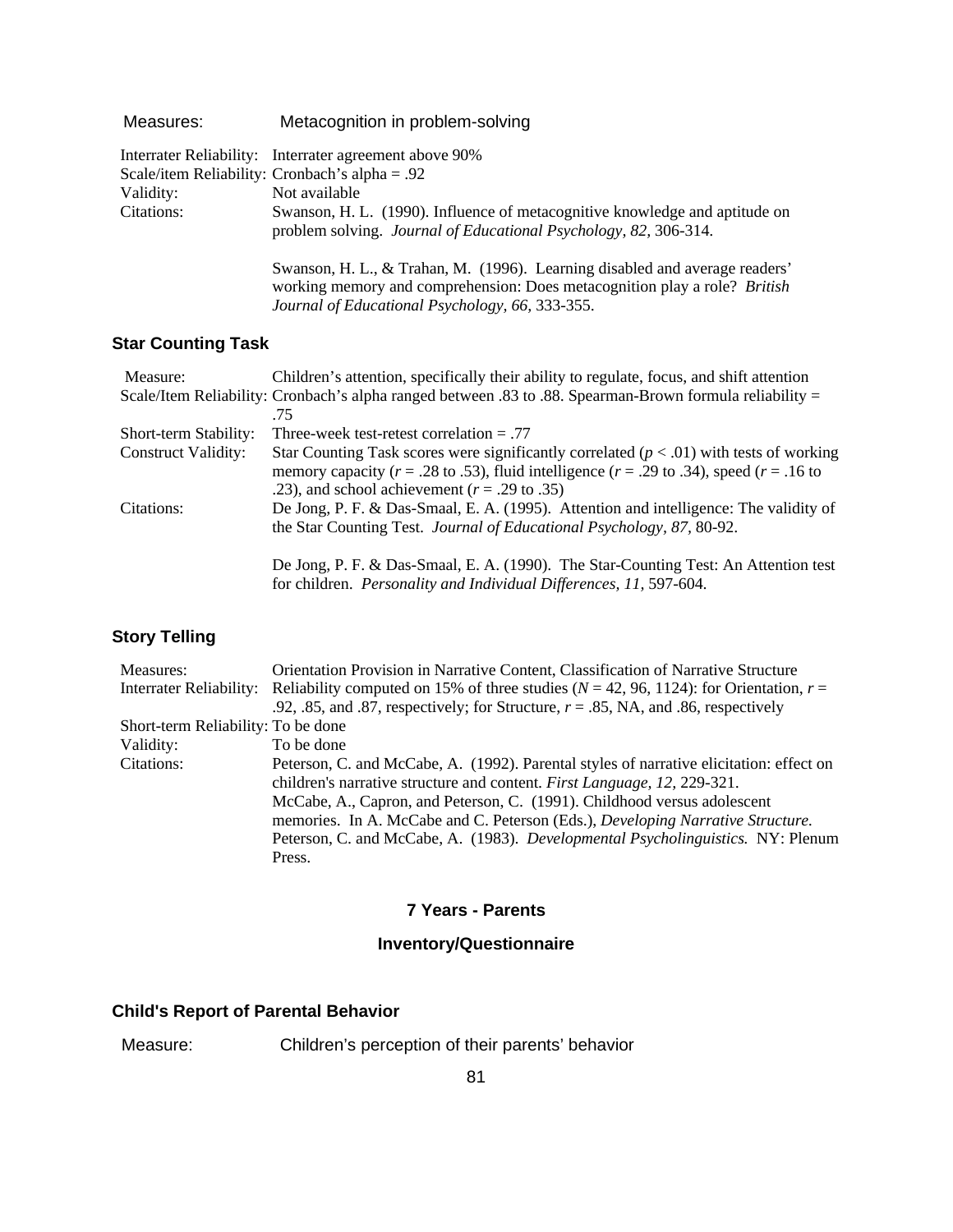| Measures:  | Metacognition in problem-solving                                                                                                                                                                            |
|------------|-------------------------------------------------------------------------------------------------------------------------------------------------------------------------------------------------------------|
|            | Interrater Reliability: Interrater agreement above 90%                                                                                                                                                      |
|            | Scale/item Reliability: Cronbach's alpha = .92                                                                                                                                                              |
| Validity:  | Not available                                                                                                                                                                                               |
| Citations: | Swanson, H. L. (1990). Influence of metacognitive knowledge and aptitude on<br>problem solving. <i>Journal of Educational Psychology</i> , 82, 306-314.                                                     |
|            | Swanson, H. L., & Trahan, M. (1996). Learning disabled and average readers'<br>working memory and comprehension: Does metacognition play a role? British<br>Journal of Educational Psychology, 66, 333-355. |

# **Star Counting Task**

| Measure:                   | Children's attention, specifically their ability to regulate, focus, and shift attention                 |
|----------------------------|----------------------------------------------------------------------------------------------------------|
|                            | Scale/Item Reliability: Cronbach's alpha ranged between .83 to .88. Spearman-Brown formula reliability = |
|                            | -75                                                                                                      |
| Short-term Stability:      | Three-week test-retest correlation $= .77$                                                               |
| <b>Construct Validity:</b> | Star Counting Task scores were significantly correlated ( $p < .01$ ) with tests of working              |
|                            | memory capacity ( $r = .28$ to .53), fluid intelligence ( $r = .29$ to .34), speed ( $r = .16$ to        |
|                            | .23), and school achievement ( $r = .29$ to .35)                                                         |
| Citations:                 | De Jong, P. F. & Das-Smaal, E. A. (1995). Attention and intelligence: The validity of                    |
|                            | the Star Counting Test. <i>Journal of Educational Psychology</i> , 87, 80-92.                            |
|                            |                                                                                                          |
|                            | De Jong, P. F. & Das-Smaal, E. A. (1990). The Star-Counting Test: An Attention test                      |
|                            | for children. Personality and Individual Differences, 11, 597-604.                                       |

# **Story Telling**

| Orientation Provision in Narrative Content, Classification of Narrative Structure                                   |  |
|---------------------------------------------------------------------------------------------------------------------|--|
| Interrater Reliability: Reliability computed on 15% of three studies ( $N = 42, 96, 1124$ ): for Orientation, $r =$ |  |
| .92, .85, and .87, respectively; for Structure, $r = .85$ , NA, and .86, respectively                               |  |
| Short-term Reliability: To be done                                                                                  |  |
| To be done                                                                                                          |  |
| Peterson, C. and McCabe, A. (1992). Parental styles of narrative elicitation: effect on                             |  |
| children's narrative structure and content. <i>First Language</i> , 12, 229-321.                                    |  |
| McCabe, A., Capron, and Peterson, C. (1991). Childhood versus adolescent                                            |  |
| memories. In A. McCabe and C. Peterson (Eds.), Developing Narrative Structure.                                      |  |
| Peterson, C. and McCabe, A. (1983). Developmental Psycholinguistics. NY: Plenum                                     |  |
| Press.                                                                                                              |  |
|                                                                                                                     |  |

### **7 Years - Parents**

# **Inventory/Questionnaire**

### **Child's Report of Parental Behavior**

Measure: Children's perception of their parents' behavior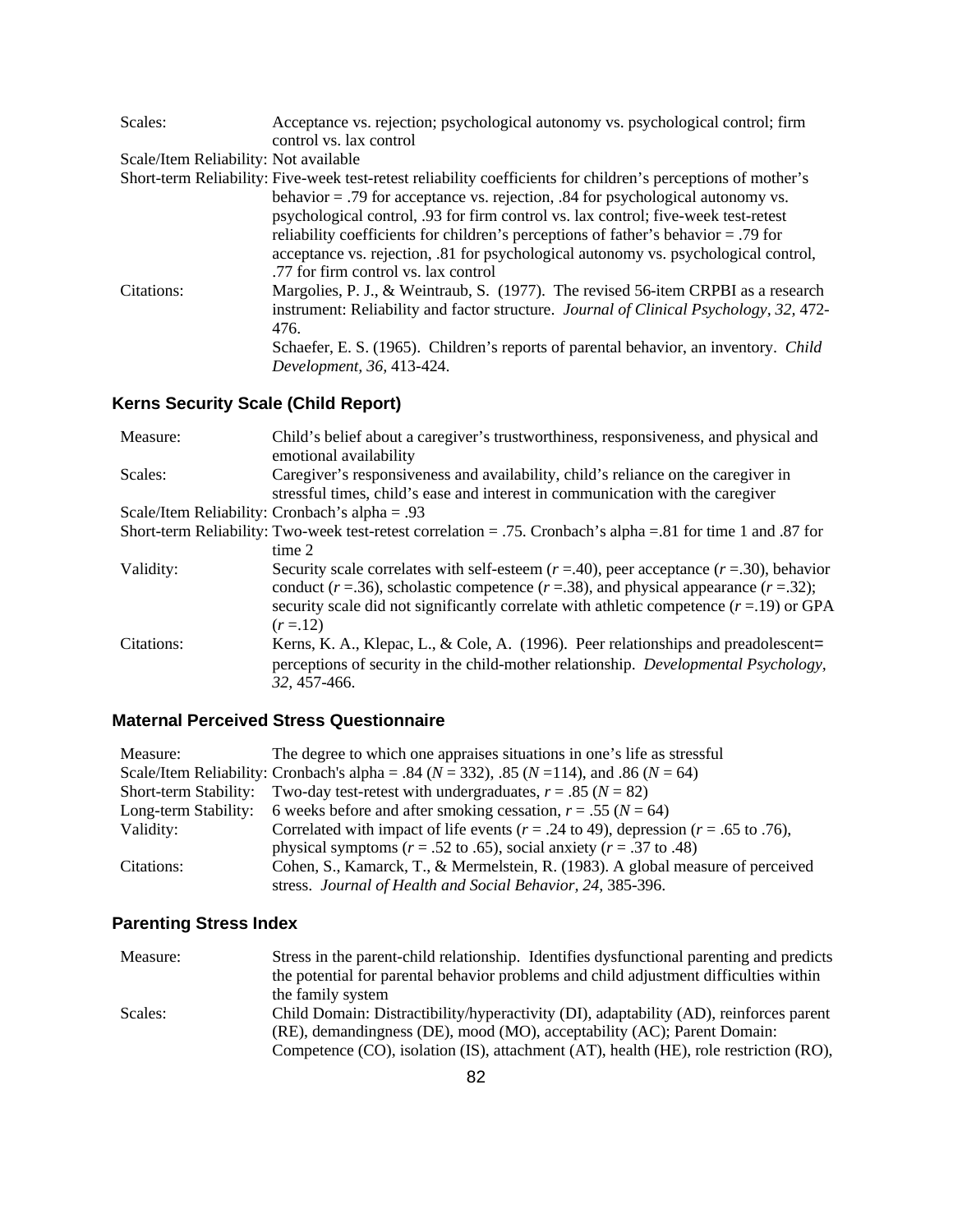| Scales:                               | Acceptance vs. rejection; psychological autonomy vs. psychological control; firm                              |
|---------------------------------------|---------------------------------------------------------------------------------------------------------------|
|                                       | control vs. lax control                                                                                       |
| Scale/Item Reliability: Not available |                                                                                                               |
|                                       | Short-term Reliability: Five-week test-retest reliability coefficients for children's perceptions of mother's |
|                                       | behavior $=$ .79 for acceptance vs. rejection, .84 for psychological autonomy vs.                             |
|                                       | psychological control, .93 for firm control vs. lax control; five-week test-retest                            |
|                                       | reliability coefficients for children's perceptions of father's behavior = .79 for                            |
|                                       | acceptance vs. rejection, 81 for psychological autonomy vs. psychological control,                            |
|                                       | .77 for firm control vs. lax control                                                                          |
| Citations:                            | Margolies, P. J., & Weintraub, S. (1977). The revised 56-item CRPBI as a research                             |
|                                       | instrument: Reliability and factor structure. Journal of Clinical Psychology, 32, 472-                        |
|                                       | 476.                                                                                                          |
|                                       | Schaefer, E. S. (1965). Children's reports of parental behavior, an inventory. Child                          |
|                                       | Development, 36, 413-424.                                                                                     |

# **Kerns Security Scale (Child Report)**

| Measure:   | Child's belief about a caregiver's trustworthiness, responsiveness, and physical and<br>emotional availability                                                                                                                                                                                   |
|------------|--------------------------------------------------------------------------------------------------------------------------------------------------------------------------------------------------------------------------------------------------------------------------------------------------|
| Scales:    | Caregiver's responsiveness and availability, child's reliance on the caregiver in<br>stressful times, child's ease and interest in communication with the caregiver                                                                                                                              |
|            | Scale/Item Reliability: Cronbach's alpha = .93                                                                                                                                                                                                                                                   |
|            | Short-term Reliability: Two-week test-retest correlation = .75. Cronbach's alpha = .81 for time 1 and .87 for                                                                                                                                                                                    |
|            | time 2                                                                                                                                                                                                                                                                                           |
| Validity:  | Security scale correlates with self-esteem $(r = .40)$ , peer acceptance $(r = .30)$ , behavior<br>conduct ( $r = .36$ ), scholastic competence ( $r = .38$ ), and physical appearance ( $r = .32$ );<br>security scale did not significantly correlate with athletic competence $(r=19)$ or GPA |
|            | $(r = 12)$                                                                                                                                                                                                                                                                                       |
| Citations: | Kerns, K. A., Klepac, L., & Cole, A. (1996). Peer relationships and preadolescent=<br>perceptions of security in the child-mother relationship. <i>Developmental Psychology</i> ,<br>32, 457-466.                                                                                                |

# **Maternal Perceived Stress Questionnaire**

| Measure:              | The degree to which one appraises situations in one's life as stressful                               |
|-----------------------|-------------------------------------------------------------------------------------------------------|
|                       | Scale/Item Reliability: Cronbach's alpha = .84 ( $N = 332$ ), .85 ( $N = 114$ ), and .86 ( $N = 64$ ) |
| Short-term Stability: | Two-day test-retest with undergraduates, $r = .85$ ( $N = 82$ )                                       |
|                       | Long-term Stability: 6 weeks before and after smoking cessation, $r = .55$ ( $N = 64$ )               |
| Validity:             | Correlated with impact of life events ( $r = .24$ to 49), depression ( $r = .65$ to .76),             |
|                       | physical symptoms ( $r = .52$ to .65), social anxiety ( $r = .37$ to .48)                             |
| Citations:            | Cohen, S., Kamarck, T., & Mermelstein, R. (1983). A global measure of perceived                       |
|                       | stress. Journal of Health and Social Behavior, 24, 385-396.                                           |

# **Parenting Stress Index**

| Measure: | Stress in the parent-child relationship. Identifies dysfunctional parenting and predicts |
|----------|------------------------------------------------------------------------------------------|
|          | the potential for parental behavior problems and child adjustment difficulties within    |
|          | the family system                                                                        |
| Scales:  | Child Domain: Distractibility/hyperactivity (DI), adaptability (AD), reinforces parent   |
|          | (RE), demandingness (DE), mood (MO), acceptability (AC); Parent Domain:                  |
|          | Competence (CO), isolation (IS), attachment (AT), health (HE), role restriction (RO),    |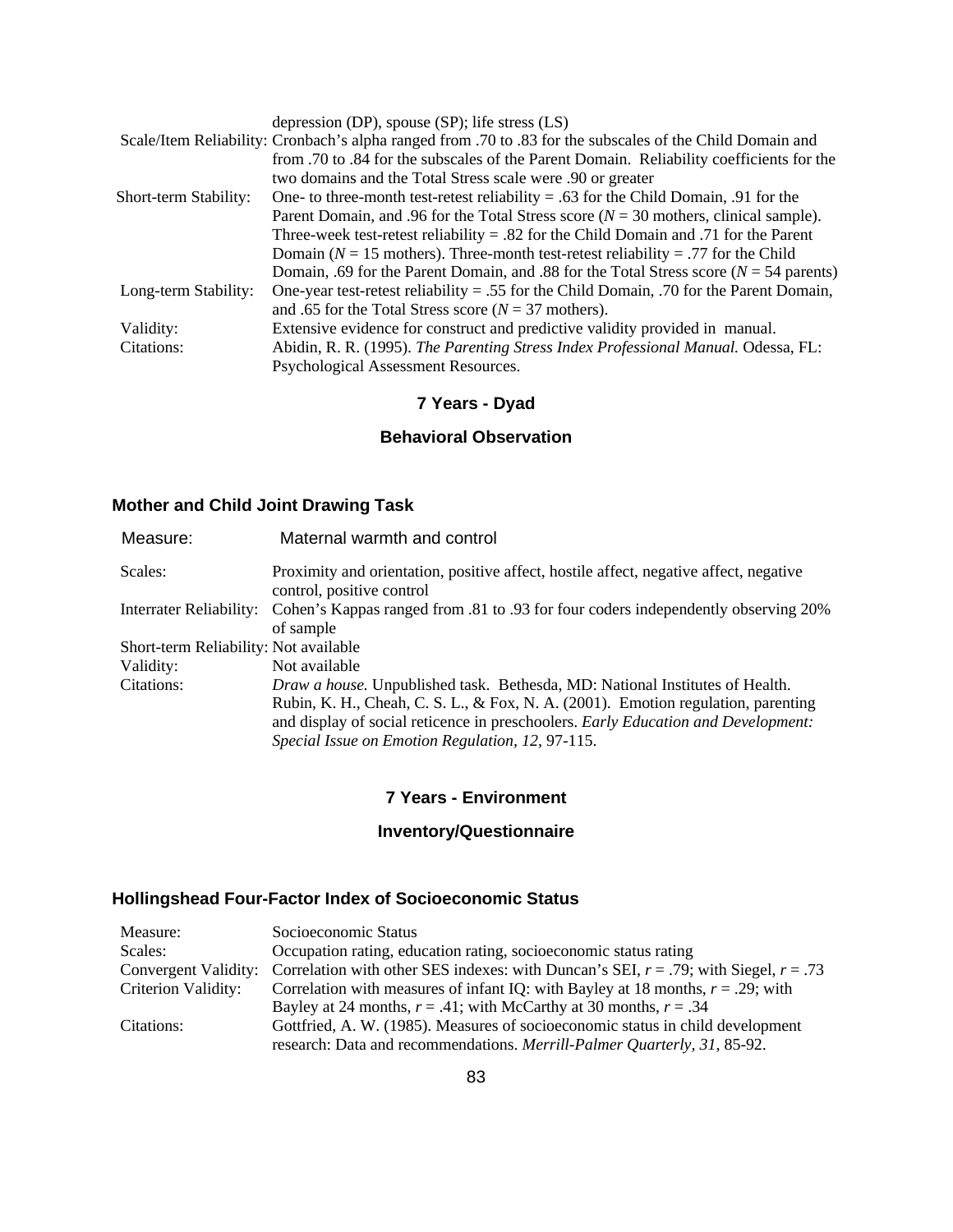|                       | depression (DP), spouse $(SP)$ ; life stress $(LS)$                                                       |
|-----------------------|-----------------------------------------------------------------------------------------------------------|
|                       | Scale/Item Reliability: Cronbach's alpha ranged from .70 to .83 for the subscales of the Child Domain and |
|                       | from .70 to .84 for the subscales of the Parent Domain. Reliability coefficients for the                  |
|                       | two domains and the Total Stress scale were .90 or greater                                                |
| Short-term Stability: | One- to three-month test-retest reliability $= .63$ for the Child Domain, 0.91 for the                    |
|                       | Parent Domain, and .96 for the Total Stress score ( $N = 30$ mothers, clinical sample).                   |
|                       | Three-week test-retest reliability $= .82$ for the Child Domain and .71 for the Parent                    |
|                       | Domain ( $N = 15$ mothers). Three-month test-retest reliability = .77 for the Child                       |
|                       | Domain, .69 for the Parent Domain, and .88 for the Total Stress score ( $N = 54$ parents)                 |
| Long-term Stability:  | One-year test-retest reliability = .55 for the Child Domain, .70 for the Parent Domain,                   |
|                       | and .65 for the Total Stress score ( $N = 37$ mothers).                                                   |
| Validity:             | Extensive evidence for construct and predictive validity provided in manual.                              |
| Citations:            | Abidin, R. R. (1995). The Parenting Stress Index Professional Manual. Odessa, FL:                         |
|                       | Psychological Assessment Resources.                                                                       |

# **7 Years - Dyad**

### **Behavioral Observation**

# **Mother and Child Joint Drawing Task**

| Measure:                              | Maternal warmth and control                                                                                            |
|---------------------------------------|------------------------------------------------------------------------------------------------------------------------|
| Scales:                               | Proximity and orientation, positive affect, hostile affect, negative affect, negative<br>control, positive control     |
|                                       | Interrater Reliability: Cohen's Kappas ranged from .81 to .93 for four coders independently observing 20%<br>of sample |
| Short-term Reliability: Not available |                                                                                                                        |
| Validity:                             | Not available                                                                                                          |
| Citations:                            | Draw a house. Unpublished task. Bethesda, MD: National Institutes of Health.                                           |
|                                       | Rubin, K. H., Cheah, C. S. L., & Fox, N. A. $(2001)$ . Emotion regulation, parenting                                   |
|                                       | and display of social reticence in preschoolers. Early Education and Development:                                      |
|                                       | Special Issue on Emotion Regulation, 12, 97-115.                                                                       |

#### **7 Years - Environment**

### **Inventory/Questionnaire**

# **Hollingshead Four-Factor Index of Socioeconomic Status**

| Socioeconomic Status                                                                                           |
|----------------------------------------------------------------------------------------------------------------|
| Occupation rating, education rating, socioeconomic status rating                                               |
| Convergent Validity: Correlation with other SES indexes: with Duncan's SEI, $r = .79$ ; with Siegel, $r = .73$ |
| Correlation with measures of infant IQ: with Bayley at 18 months, $r = .29$ ; with                             |
| Bayley at 24 months, $r = .41$ ; with McCarthy at 30 months, $r = .34$                                         |
| Gottfried, A. W. (1985). Measures of socioeconomic status in child development                                 |
| research: Data and recommendations. Merrill-Palmer Quarterly, 31, 85-92.                                       |
|                                                                                                                |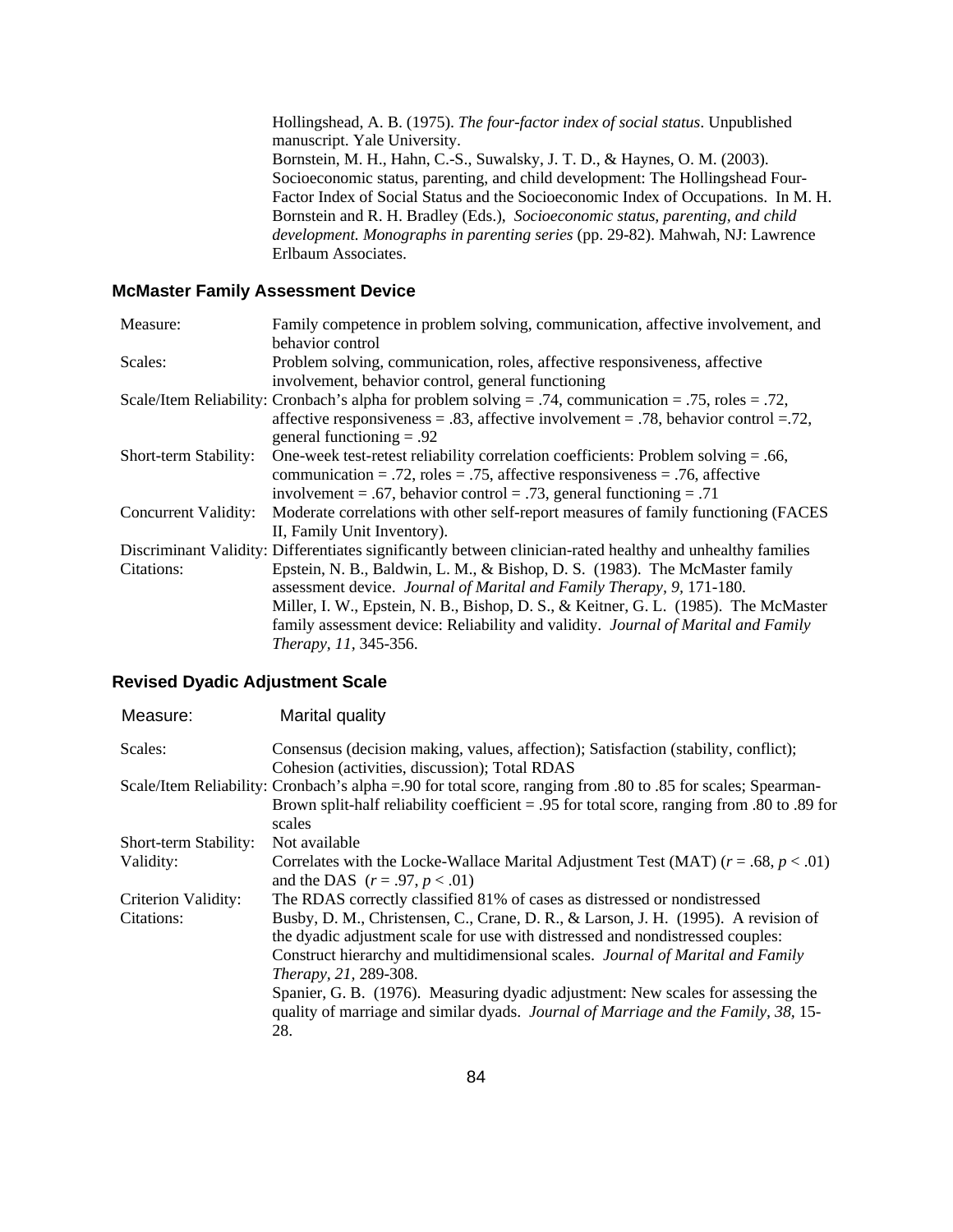Hollingshead, A. B. (1975). *The four-factor index of social status*. Unpublished manuscript. Yale University. Bornstein, M. H., Hahn, C.-S., Suwalsky, J. T. D., & Haynes, O. M. (2003). Socioeconomic status, parenting, and child development: The Hollingshead Four-Factor Index of Social Status and the Socioeconomic Index of Occupations. In M. H. Bornstein and R. H. Bradley (Eds.), *Socioeconomic status, parenting, and child development. Monographs in parenting series* (pp. 29-82). Mahwah, NJ: Lawrence Erlbaum Associates.

#### **McMaster Family Assessment Device**

| Measure:              | Family competence in problem solving, communication, affective involvement, and                            |
|-----------------------|------------------------------------------------------------------------------------------------------------|
|                       | behavior control                                                                                           |
| Scales:               | Problem solving, communication, roles, affective responsiveness, affective                                 |
|                       | involvement, behavior control, general functioning                                                         |
|                       | Scale/Item Reliability: Cronbach's alpha for problem solving = .74, communication = .75, roles = .72,      |
|                       | affective responsiveness = .83, affective involvement = .78, behavior control = .72,                       |
|                       | general functioning $= .92$                                                                                |
| Short-term Stability: | One-week test-retest reliability correlation coefficients: Problem solving $= .66$ ,                       |
|                       | communication = .72, roles = .75, affective responsiveness = .76, affective                                |
|                       | involvement = .67, behavior control = .73, general functioning = .71                                       |
| Concurrent Validity:  | Moderate correlations with other self-report measures of family functioning (FACES                         |
|                       | II, Family Unit Inventory).                                                                                |
|                       | Discriminant Validity: Differentiates significantly between clinician-rated healthy and unhealthy families |
| Citations:            | Epstein, N. B., Baldwin, L. M., & Bishop, D. S. (1983). The McMaster family                                |
|                       | assessment device. Journal of Marital and Family Therapy, 9, 171-180.                                      |
|                       | Miller, I. W., Epstein, N. B., Bishop, D. S., & Keitner, G. L. (1985). The McMaster                        |
|                       | family assessment device: Reliability and validity. Journal of Marital and Family                          |
|                       | Therapy, 11, 345-356.                                                                                      |

#### **Revised Dyadic Adjustment Scale**

| Measure:              | Marital quality                                                                                                                                                                                                                                                                                                                                                                                                                                           |
|-----------------------|-----------------------------------------------------------------------------------------------------------------------------------------------------------------------------------------------------------------------------------------------------------------------------------------------------------------------------------------------------------------------------------------------------------------------------------------------------------|
| Scales:               | Consensus (decision making, values, affection); Satisfaction (stability, conflict);                                                                                                                                                                                                                                                                                                                                                                       |
|                       | Cohesion (activities, discussion); Total RDAS<br>Scale/Item Reliability: Cronbach's alpha = 90 for total score, ranging from .80 to .85 for scales; Spearman-<br>Brown split-half reliability coefficient = .95 for total score, ranging from .80 to .89 for<br>scales                                                                                                                                                                                    |
| Short-term Stability: | Not available                                                                                                                                                                                                                                                                                                                                                                                                                                             |
| Validity:             | Correlates with the Locke-Wallace Marital Adjustment Test (MAT) ( $r = .68$ , $p < .01$ )<br>and the DAS $(r = .97, p < .01)$                                                                                                                                                                                                                                                                                                                             |
| Criterion Validity:   | The RDAS correctly classified 81% of cases as distressed or nondistressed                                                                                                                                                                                                                                                                                                                                                                                 |
| Citations:            | Busby, D. M., Christensen, C., Crane, D. R., & Larson, J. H. (1995). A revision of<br>the dyadic adjustment scale for use with distressed and nondistressed couples:<br>Construct hierarchy and multidimensional scales. Journal of Marital and Family<br>Therapy, 21, 289-308.<br>Spanier, G. B. (1976). Measuring dyadic adjustment: New scales for assessing the<br>quality of marriage and similar dyads. Journal of Marriage and the Family, 38, 15- |
|                       | 28.                                                                                                                                                                                                                                                                                                                                                                                                                                                       |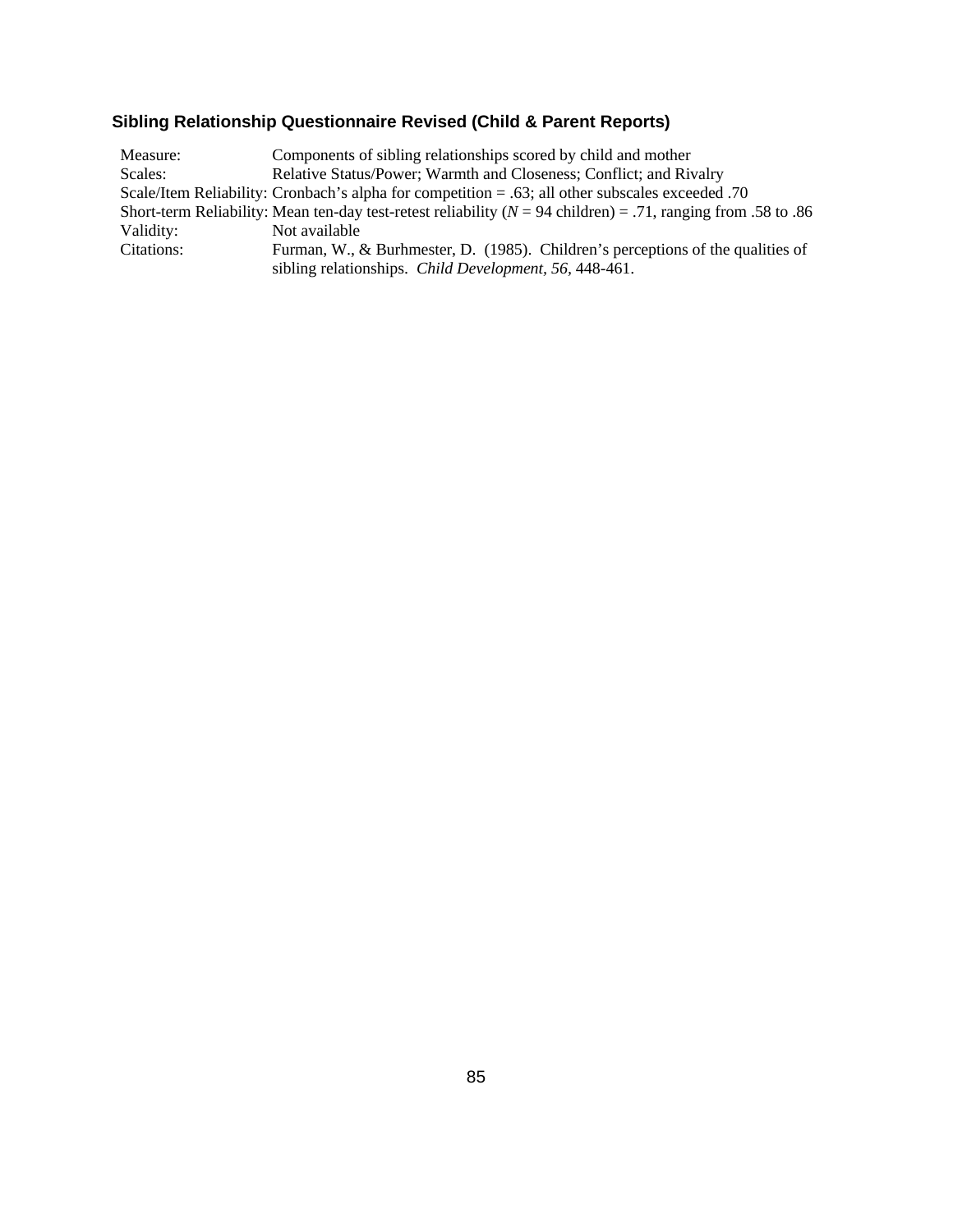# **Sibling Relationship Questionnaire Revised (Child & Parent Reports)**

| Measure:   | Components of sibling relationships scored by child and mother                                                   |
|------------|------------------------------------------------------------------------------------------------------------------|
| Scales:    | Relative Status/Power; Warmth and Closeness; Conflict; and Rivalry                                               |
|            | O. Scale/Item Reliability: Cronbach's alpha for competition = .63; all other subscales exceeded .70              |
|            | Short-term Reliability: Mean ten-day test-retest reliability ( $N = 94$ children) = .71, ranging from .58 to .86 |
| Validity:  | Not available                                                                                                    |
| Citations: | Furman, W., & Burhmester, D. (1985). Children's perceptions of the qualities of                                  |
|            | sibling relationships. Child Development, 56, 448-461.                                                           |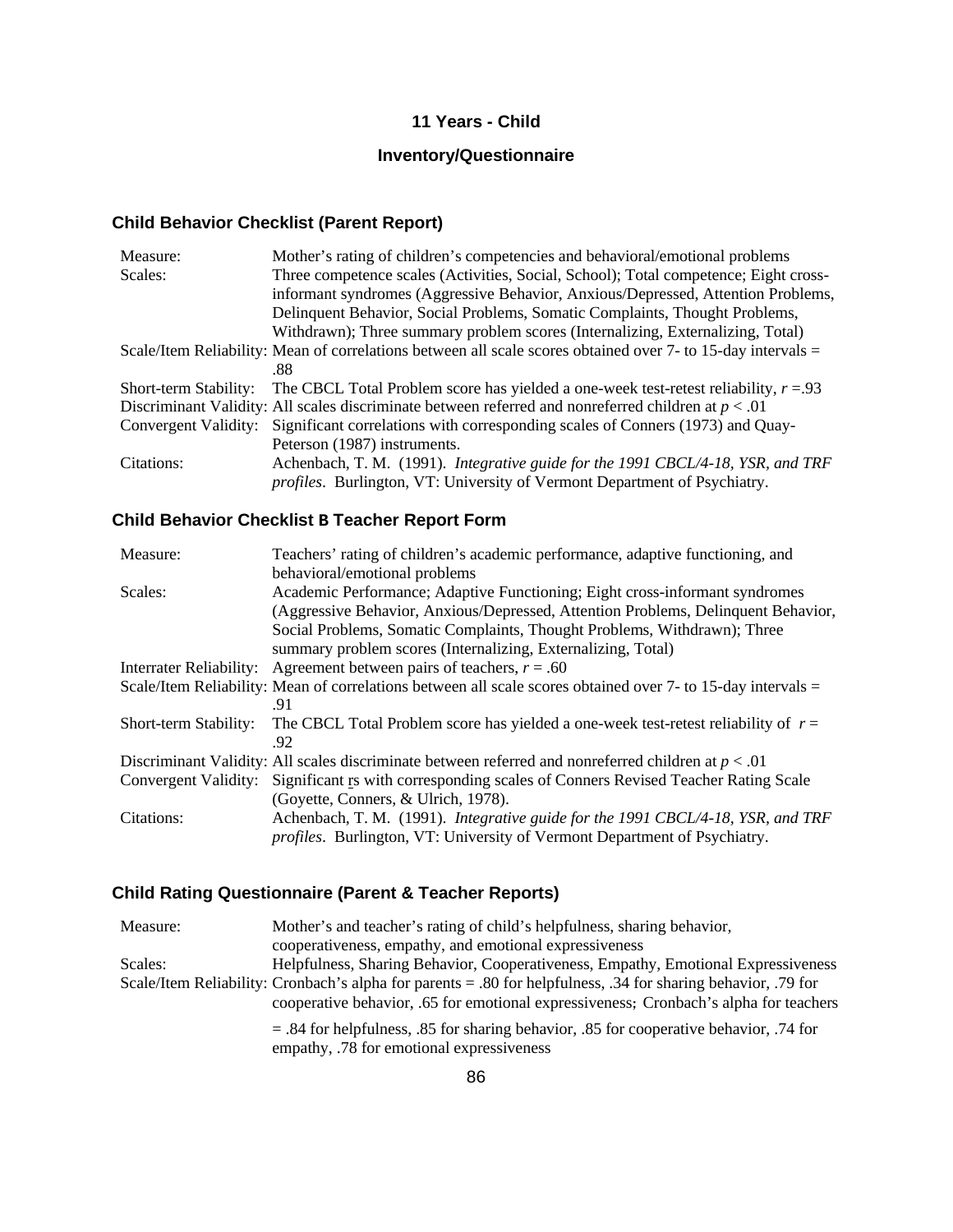#### **11 Years - Child**

# **Inventory/Questionnaire**

# **Child Behavior Checklist (Parent Report)**

| Measure:              | Mother's rating of children's competencies and behavioral/emotional problems                                 |
|-----------------------|--------------------------------------------------------------------------------------------------------------|
| Scales:               | Three competence scales (Activities, Social, School); Total competence; Eight cross-                         |
|                       | informant syndromes (Aggressive Behavior, Anxious/Depressed, Attention Problems,                             |
|                       | Delinquent Behavior, Social Problems, Somatic Complaints, Thought Problems,                                  |
|                       | Withdrawn); Three summary problem scores (Internalizing, Externalizing, Total)                               |
|                       | Scale/Item Reliability: Mean of correlations between all scale scores obtained over 7- to 15-day intervals = |
|                       | .88                                                                                                          |
| Short-term Stability: | The CBCL Total Problem score has yielded a one-week test-retest reliability, $r = 0.93$                      |
|                       | Discriminant Validity: All scales discriminate between referred and nonreferred children at $p < .01$        |
|                       | Convergent Validity: Significant correlations with corresponding scales of Conners (1973) and Quay-          |
|                       | Peterson (1987) instruments.                                                                                 |
| Citations:            | Achenbach, T. M. (1991). Integrative guide for the 1991 CBCL/4-18, YSR, and TRF                              |
|                       | <i>profiles.</i> Burlington, VT: University of Vermont Department of Psychiatry.                             |

# **Child Behavior Checklist B Teacher Report Form**

| Measure:                | Teachers' rating of children's academic performance, adaptive functioning, and                               |
|-------------------------|--------------------------------------------------------------------------------------------------------------|
|                         | behavioral/emotional problems                                                                                |
| Scales:                 | Academic Performance; Adaptive Functioning; Eight cross-informant syndromes                                  |
|                         | (Aggressive Behavior, Anxious/Depressed, Attention Problems, Delinquent Behavior,                            |
|                         | Social Problems, Somatic Complaints, Thought Problems, Withdrawn); Three                                     |
|                         | summary problem scores (Internalizing, Externalizing, Total)                                                 |
| Interrater Reliability: | Agreement between pairs of teachers, $r = .60$                                                               |
|                         | Scale/Item Reliability: Mean of correlations between all scale scores obtained over 7- to 15-day intervals = |
|                         | .91                                                                                                          |
| Short-term Stability:   | The CBCL Total Problem score has yielded a one-week test-retest reliability of $r =$                         |
|                         | .92                                                                                                          |
|                         | Discriminant Validity: All scales discriminate between referred and nonreferred children at $p < 0.01$       |
|                         | Convergent Validity: Significant Is with corresponding scales of Conners Revised Teacher Rating Scale        |
|                         | (Goyette, Conners, & Ulrich, 1978).                                                                          |
| Citations:              | Achenbach, T. M. (1991). Integrative guide for the 1991 CBCL/4-18, YSR, and TRF                              |
|                         | <i>profiles.</i> Burlington, VT: University of Vermont Department of Psychiatry.                             |

# **Child Rating Questionnaire (Parent & Teacher Reports)**

| Measure: | Mother's and teacher's rating of child's helpfulness, sharing behavior,                                                               |
|----------|---------------------------------------------------------------------------------------------------------------------------------------|
|          | cooperativeness, empathy, and emotional expressiveness                                                                                |
| Scales:  | Helpfulness, Sharing Behavior, Cooperativeness, Empathy, Emotional Expressiveness                                                     |
|          | Scale/Item Reliability: Cronbach's alpha for parents = .80 for helpfulness, .34 for sharing behavior, .79 for                         |
|          | cooperative behavior, .65 for emotional expressiveness; Cronbach's alpha for teachers                                                 |
|          | $=$ .84 for helpfulness, .85 for sharing behavior, .85 for cooperative behavior, .74 for<br>empathy, .78 for emotional expressiveness |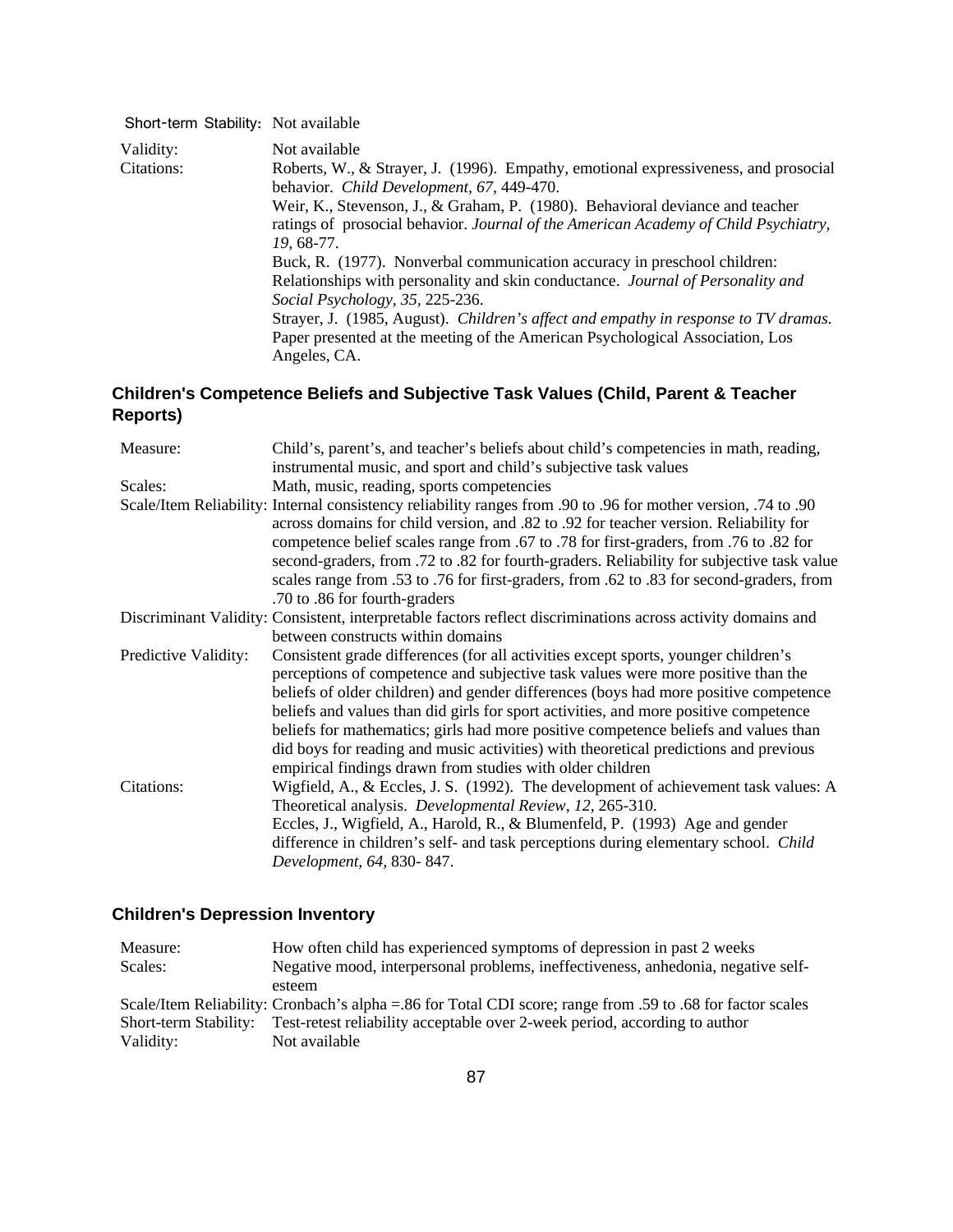| Short-term Stability: Not available |                                                                                                                                                                                                |
|-------------------------------------|------------------------------------------------------------------------------------------------------------------------------------------------------------------------------------------------|
| Validity:<br>Citations:             | Not available<br>Roberts, W., & Strayer, J. (1996). Empathy, emotional expressiveness, and prosocial<br>behavior. Child Development, 67, 449-470.                                              |
|                                     | Weir, K., Stevenson, J., & Graham, P. (1980). Behavioral deviance and teacher<br>ratings of prosocial behavior. Journal of the American Academy of Child Psychiatry,<br>19.68-77.              |
|                                     | Buck, R. (1977). Nonverbal communication accuracy in preschool children:<br>Relationships with personality and skin conductance. Journal of Personality and<br>Social Psychology, 35, 225-236. |
|                                     | Strayer, J. (1985, August). Children's affect and empathy in response to TV dramas.<br>Paper presented at the meeting of the American Psychological Association, Los<br>Angeles, CA.           |

# **Children's Competence Beliefs and Subjective Task Values (Child, Parent & Teacher Reports)**

| Measure:             | Child's, parent's, and teacher's beliefs about child's competencies in math, reading,<br>instrumental music, and sport and child's subjective task values                                                                                                                                                                                                                                                                                                                                                                                                                                          |
|----------------------|----------------------------------------------------------------------------------------------------------------------------------------------------------------------------------------------------------------------------------------------------------------------------------------------------------------------------------------------------------------------------------------------------------------------------------------------------------------------------------------------------------------------------------------------------------------------------------------------------|
| Scales:              | Math, music, reading, sports competencies                                                                                                                                                                                                                                                                                                                                                                                                                                                                                                                                                          |
|                      | 90. Scale/Item Reliability: Internal consistency reliability ranges from .90 to .96 for mother version, .74 to<br>across domains for child version, and .82 to .92 for teacher version. Reliability for<br>competence belief scales range from .67 to .78 for first-graders, from .76 to .82 for<br>second-graders, from .72 to .82 for fourth-graders. Reliability for subjective task value<br>scales range from .53 to .76 for first-graders, from .62 to .83 for second-graders, from<br>.70 to .86 for fourth-graders                                                                         |
|                      | Discriminant Validity: Consistent, interpretable factors reflect discriminations across activity domains and<br>between constructs within domains                                                                                                                                                                                                                                                                                                                                                                                                                                                  |
| Predictive Validity: | Consistent grade differences (for all activities except sports, younger children's<br>perceptions of competence and subjective task values were more positive than the<br>beliefs of older children) and gender differences (boys had more positive competence<br>beliefs and values than did girls for sport activities, and more positive competence<br>beliefs for mathematics; girls had more positive competence beliefs and values than<br>did boys for reading and music activities) with theoretical predictions and previous<br>empirical findings drawn from studies with older children |
| Citations:           | Wigfield, A., & Eccles, J. S. (1992). The development of achievement task values: A<br>Theoretical analysis. Developmental Review, 12, 265-310.<br>Eccles, J., Wigfield, A., Harold, R., & Blumenfeld, P. (1993) Age and gender<br>difference in children's self- and task perceptions during elementary school. Child<br>Development, 64, 830-847.                                                                                                                                                                                                                                                |

# **Children's Depression Inventory**

| Measure:                                                                                                   | How often child has experienced symptoms of depression in past 2 weeks            |  |
|------------------------------------------------------------------------------------------------------------|-----------------------------------------------------------------------------------|--|
| Scales:                                                                                                    | Negative mood, interpersonal problems, ineffectiveness, anhedonia, negative self- |  |
|                                                                                                            | esteem                                                                            |  |
| Scale/Item Reliability: Cronbach's alpha = 86 for Total CDI score; range from .59 to .68 for factor scales |                                                                                   |  |
| Short-term Stability:                                                                                      | Test-retest reliability acceptable over 2-week period, according to author        |  |
| Validity:                                                                                                  | Not available                                                                     |  |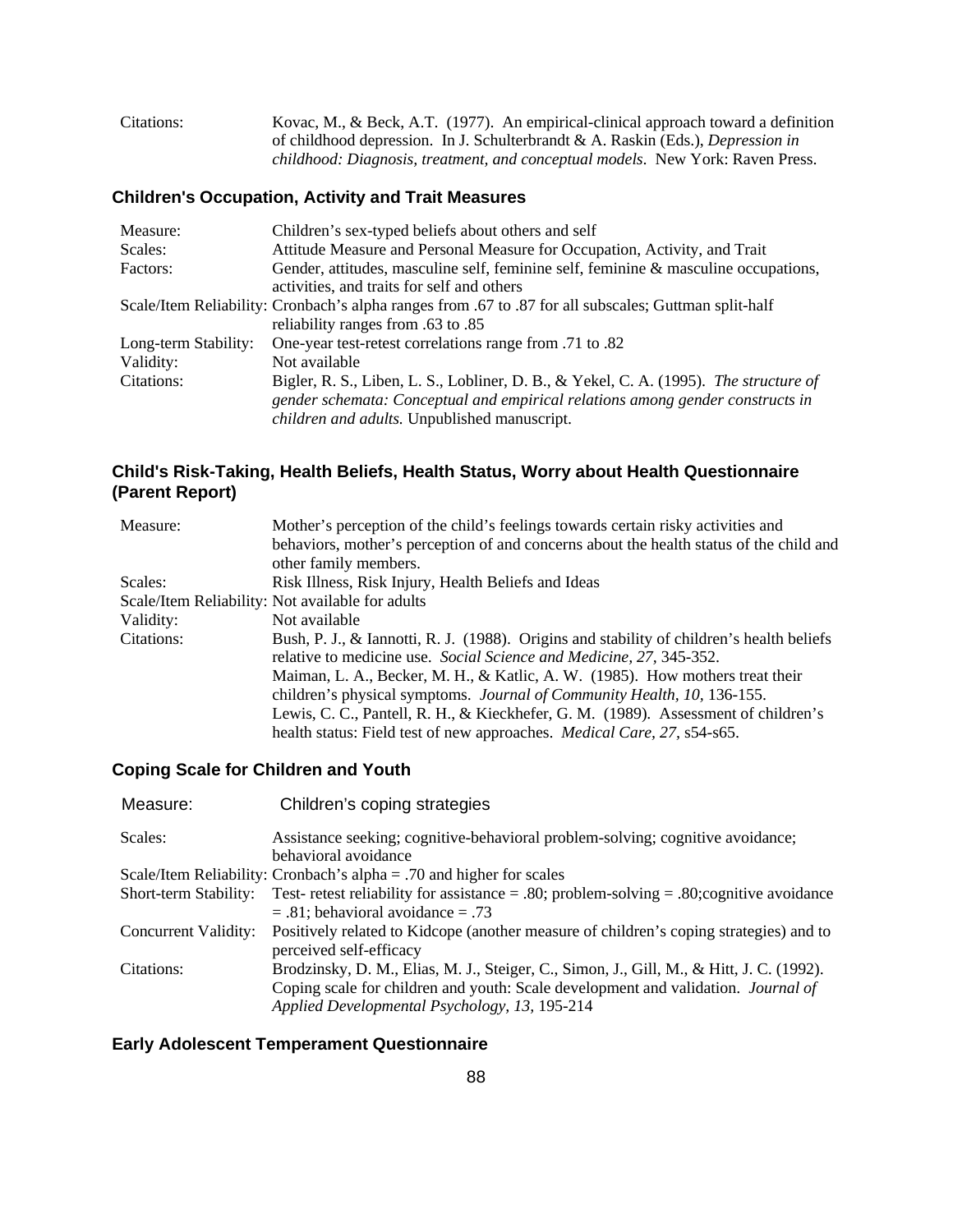| Citations: | Kovac, M., & Beck, A.T. (1977). An empirical-clinical approach toward a definition |
|------------|------------------------------------------------------------------------------------|
|            | of childhood depression. In J. Schulterbrandt & A. Raskin (Eds.), Depression in    |
|            | childhood: Diagnosis, treatment, and conceptual models. New York: Raven Press.     |

### **Children's Occupation, Activity and Trait Measures**

| Measure:             | Children's sex-typed beliefs about others and self                                                    |
|----------------------|-------------------------------------------------------------------------------------------------------|
| Scales:              | Attitude Measure and Personal Measure for Occupation, Activity, and Trait                             |
| Factors:             | Gender, attitudes, masculine self, feminine self, feminine & masculine occupations,                   |
|                      | activities, and traits for self and others                                                            |
|                      | Scale/Item Reliability: Cronbach's alpha ranges from .67 to .87 for all subscales; Guttman split-half |
|                      | reliability ranges from .63 to .85                                                                    |
| Long-term Stability: | One-year test-retest correlations range from .71 to .82                                               |
| Validity:            | Not available                                                                                         |
| Citations:           | Bigler, R. S., Liben, L. S., Lobliner, D. B., & Yekel, C. A. (1995). The structure of                 |
|                      | gender schemata: Conceptual and empirical relations among gender constructs in                        |
|                      | children and adults. Unpublished manuscript.                                                          |

### **Child's Risk-Taking, Health Beliefs, Health Status, Worry about Health Questionnaire (Parent Report)**

| Measure:   | Mother's perception of the child's feelings towards certain risky activities and          |
|------------|-------------------------------------------------------------------------------------------|
|            | behaviors, mother's perception of and concerns about the health status of the child and   |
|            | other family members.                                                                     |
| Scales:    | Risk Illness, Risk Injury, Health Beliefs and Ideas                                       |
|            | Scale/Item Reliability: Not available for adults                                          |
| Validity:  | Not available                                                                             |
| Citations: | Bush, P. J., & Iannotti, R. J. (1988). Origins and stability of children's health beliefs |
|            | relative to medicine use. Social Science and Medicine, 27, 345-352.                       |
|            | Maiman, L. A., Becker, M. H., & Katlic, A. W. (1985). How mothers treat their             |
|            | children's physical symptoms. <i>Journal of Community Health</i> , 10, 136-155.           |
|            | Lewis, C. C., Pantell, R. H., & Kieckhefer, G. M. (1989). Assessment of children's        |
|            | health status: Field test of new approaches. <i>Medical Care</i> , 27, s54-s65.           |

### **Coping Scale for Children and Youth**

| Measure:              | Children's coping strategies                                                              |
|-----------------------|-------------------------------------------------------------------------------------------|
| Scales:               | Assistance seeking; cognitive-behavioral problem-solving; cognitive avoidance;            |
|                       | behavioral avoidance                                                                      |
|                       | Scale/Item Reliability: Cronbach's alpha = .70 and higher for scales                      |
| Short-term Stability: | Test- retest reliability for assistance = .80; problem-solving = .80; cognitive avoidance |
|                       | $= .81$ ; behavioral avoidance $= .73$                                                    |
| Concurrent Validity:  | Positively related to Kidcope (another measure of children's coping strategies) and to    |
|                       | perceived self-efficacy                                                                   |
| Citations:            | Brodzinsky, D. M., Elias, M. J., Steiger, C., Simon, J., Gill, M., & Hitt, J. C. (1992).  |
|                       | Coping scale for children and youth: Scale development and validation. Journal of         |
|                       | Applied Developmental Psychology, 13, 195-214                                             |

### **Early Adolescent Temperament Questionnaire**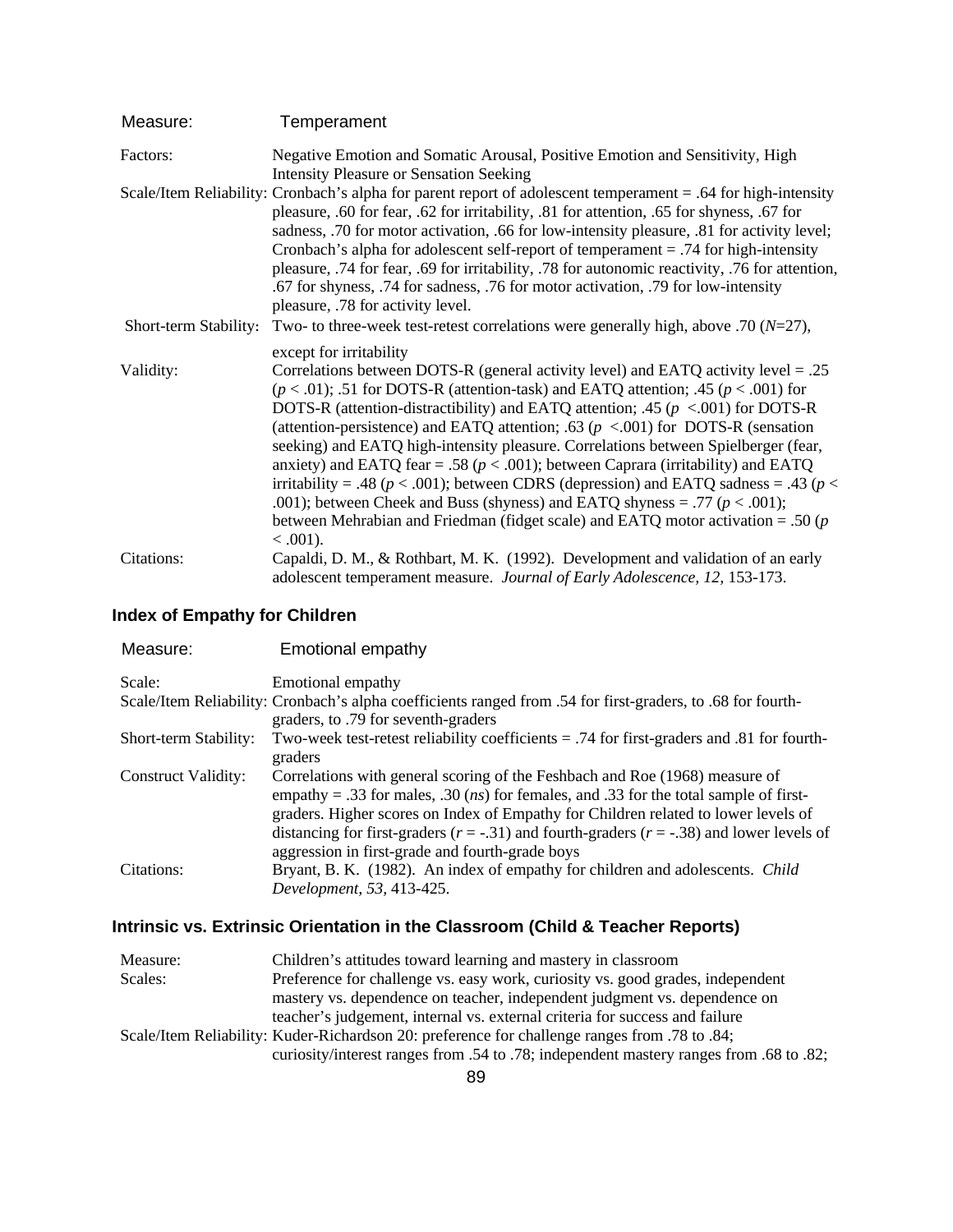| Measure:              | Temperament                                                                                                                                                                                                                                                                                                                                                                                                                                                                                                                                                                                                                                                                                                                                                                                                                                                      |
|-----------------------|------------------------------------------------------------------------------------------------------------------------------------------------------------------------------------------------------------------------------------------------------------------------------------------------------------------------------------------------------------------------------------------------------------------------------------------------------------------------------------------------------------------------------------------------------------------------------------------------------------------------------------------------------------------------------------------------------------------------------------------------------------------------------------------------------------------------------------------------------------------|
| Factors:              | Negative Emotion and Somatic Arousal, Positive Emotion and Sensitivity, High<br><b>Intensity Pleasure or Sensation Seeking</b>                                                                                                                                                                                                                                                                                                                                                                                                                                                                                                                                                                                                                                                                                                                                   |
|                       | Scale/Item Reliability: Cronbach's alpha for parent report of adolescent temperament = .64 for high-intensity<br>pleasure, .60 for fear, .62 for irritability, .81 for attention, .65 for shyness, .67 for<br>sadness, .70 for motor activation, .66 for low-intensity pleasure, .81 for activity level;<br>Cronbach's alpha for adolescent self-report of temperament = .74 for high-intensity<br>pleasure, .74 for fear, .69 for irritability, .78 for autonomic reactivity, .76 for attention,<br>.67 for shyness, .74 for sadness, .76 for motor activation, .79 for low-intensity<br>pleasure, .78 for activity level.                                                                                                                                                                                                                                      |
| Short-term Stability: | Two- to three-week test-retest correlations were generally high, above .70 ( $N=27$ ),                                                                                                                                                                                                                                                                                                                                                                                                                                                                                                                                                                                                                                                                                                                                                                           |
| Validity:             | except for irritability<br>Correlations between DOTS-R (general activity level) and EATQ activity level = $.25$<br>$(p < .01)$ ; .51 for DOTS-R (attention-task) and EATQ attention; .45 ( $p < .001$ ) for<br>DOTS-R (attention-distractibility) and EATQ attention; .45 ( $p < .001$ ) for DOTS-R<br>(attention-persistence) and EATQ attention; .63 ( $p < .001$ ) for DOTS-R (sensation<br>seeking) and EATQ high-intensity pleasure. Correlations between Spielberger (fear,<br>anxiety) and EATQ fear = .58 ( $p < .001$ ); between Caprara (irritability) and EATQ<br>irritability = .48 ( $p < .001$ ); between CDRS (depression) and EATQ sadness = .43 ( $p <$<br>.001); between Cheek and Buss (shyness) and EATQ shyness = .77 ( $p < .001$ );<br>between Mehrabian and Friedman (fidget scale) and EATQ motor activation = .50 ( $p$ )<br>$0.001$ . |
| Citations:            | Capaldi, D. M., & Rothbart, M. K. (1992). Development and validation of an early<br>adolescent temperament measure. Journal of Early Adolescence, 12, 153-173.                                                                                                                                                                                                                                                                                                                                                                                                                                                                                                                                                                                                                                                                                                   |

### **Index of Empathy for Children**

| Measure:              | Emotional empathy                                                                                                                                                                                                                                                                                                                                                                                                           |
|-----------------------|-----------------------------------------------------------------------------------------------------------------------------------------------------------------------------------------------------------------------------------------------------------------------------------------------------------------------------------------------------------------------------------------------------------------------------|
| Scale:                | Emotional empathy                                                                                                                                                                                                                                                                                                                                                                                                           |
|                       | Scale/Item Reliability: Cronbach's alpha coefficients ranged from .54 for first-graders, to .68 for fourth-<br>graders, to .79 for seventh-graders                                                                                                                                                                                                                                                                          |
| Short-term Stability: | Two-week test-retest reliability coefficients $= .74$ for first-graders and 0.81 for fourth-<br>graders                                                                                                                                                                                                                                                                                                                     |
| Construct Validity:   | Correlations with general scoring of the Feshbach and Roe (1968) measure of<br>empathy = .33 for males, .30 ( <i>ns</i> ) for females, and .33 for the total sample of first-<br>graders. Higher scores on Index of Empathy for Children related to lower levels of<br>distancing for first-graders ( $r = -.31$ ) and fourth-graders ( $r = -.38$ ) and lower levels of<br>aggression in first-grade and fourth-grade boys |
| Citations:            | Bryant, B. K. (1982). An index of empathy for children and adolescents. <i>Child</i><br>Development, 53, 413-425.                                                                                                                                                                                                                                                                                                           |

# **Intrinsic vs. Extrinsic Orientation in the Classroom (Child & Teacher Reports)**

| Measure: | Children's attitudes toward learning and mastery in classroom                                 |
|----------|-----------------------------------------------------------------------------------------------|
| Scales:  | Preference for challenge vs. easy work, curiosity vs. good grades, independent                |
|          | mastery vs. dependence on teacher, independent judgment vs. dependence on                     |
|          | teacher's judgement, internal vs. external criteria for success and failure                   |
|          | Scale/Item Reliability: Kuder-Richardson 20: preference for challenge ranges from .78 to .84; |
|          | curiosity/interest ranges from .54 to .78; independent mastery ranges from .68 to .82;        |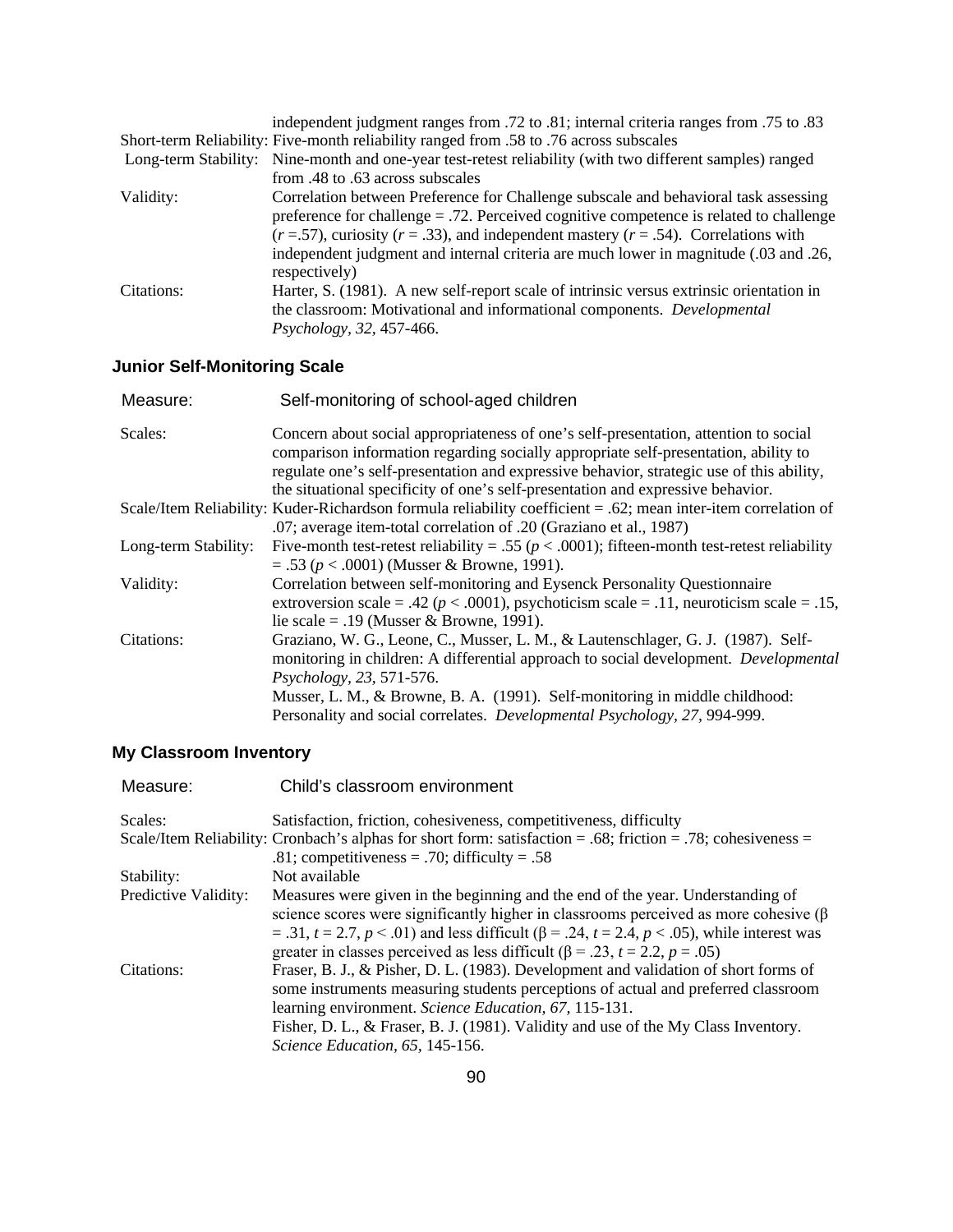|            | independent judgment ranges from .72 to .81; internal criteria ranges from .75 to .83                    |
|------------|----------------------------------------------------------------------------------------------------------|
|            | Short-term Reliability: Five-month reliability ranged from .58 to .76 across subscales                   |
|            | Long-term Stability: Nine-month and one-year test-retest reliability (with two different samples) ranged |
|            | from .48 to .63 across subscales                                                                         |
| Validity:  | Correlation between Preference for Challenge subscale and behavioral task assessing                      |
|            | preference for challenge $= .72$ . Perceived cognitive competence is related to challenge                |
|            | $(r = .57)$ , curiosity $(r = .33)$ , and independent mastery $(r = .54)$ . Correlations with            |
|            | independent judgment and internal criteria are much lower in magnitude (.03 and .26,<br>respectively)    |
| Citations: | Harter, S. (1981). A new self-report scale of intrinsic versus extrinsic orientation in                  |
|            | the classroom: Motivational and informational components. Developmental                                  |
|            | Psychology, 32, 457-466.                                                                                 |

# **Junior Self-Monitoring Scale**

| Measure:             | Self-monitoring of school-aged children                                                                                                                                                                                                                                                                                                                                         |
|----------------------|---------------------------------------------------------------------------------------------------------------------------------------------------------------------------------------------------------------------------------------------------------------------------------------------------------------------------------------------------------------------------------|
| Scales:              | Concern about social appropriateness of one's self-presentation, attention to social<br>comparison information regarding socially appropriate self-presentation, ability to<br>regulate one's self-presentation and expressive behavior, strategic use of this ability,<br>the situational specificity of one's self-presentation and expressive behavior.                      |
|                      | Scale/Item Reliability: Kuder-Richardson formula reliability coefficient = .62; mean inter-item correlation of<br>.07; average item-total correlation of .20 (Graziano et al., 1987)                                                                                                                                                                                            |
| Long-term Stability: | Five-month test-retest reliability = .55 ( $p < .0001$ ); fifteen-month test-retest reliability<br>$= .53$ ( $p < .0001$ ) (Musser & Browne, 1991).                                                                                                                                                                                                                             |
| Validity:            | Correlation between self-monitoring and Eysenck Personality Questionnaire<br>extroversion scale = .42 ( $p < .0001$ ), psychoticism scale = .11, neuroticism scale = .15,<br>lie scale = .19 (Musser & Browne, 1991).                                                                                                                                                           |
| Citations:           | Graziano, W. G., Leone, C., Musser, L. M., & Lautenschlager, G. J. (1987). Self-<br>monitoring in children: A differential approach to social development. <i>Developmental</i><br><i>Psychology</i> , 23, 571-576.<br>Musser, L. M., & Browne, B. A. (1991). Self-monitoring in middle childhood:<br>Personality and social correlates. Developmental Psychology, 27, 994-999. |

# **My Classroom Inventory**

| Measure:             | Child's classroom environment                                                                                                                                                                                                                                                                                           |
|----------------------|-------------------------------------------------------------------------------------------------------------------------------------------------------------------------------------------------------------------------------------------------------------------------------------------------------------------------|
| Scales:              | Satisfaction, friction, cohesiveness, competitiveness, difficulty                                                                                                                                                                                                                                                       |
|                      | Scale/Item Reliability: Cronbach's alphas for short form: satisfaction = .68; friction = .78; cohesiveness =<br>.81; competitiveness = .70; difficulty = .58                                                                                                                                                            |
| Stability:           | Not available                                                                                                                                                                                                                                                                                                           |
| Predictive Validity: | Measures were given in the beginning and the end of the year. Understanding of<br>science scores were significantly higher in classrooms perceived as more cohesive $(\beta$                                                                                                                                            |
|                      | = .31, $t = 2.7$ , $p < .01$ ) and less difficult ( $\beta$ = .24, $t = 2.4$ , $p < .05$ ), while interest was<br>greater in classes perceived as less difficult ( $\beta$ = .23, t = 2.2, p = .05)                                                                                                                     |
| Citations:           | Fraser, B. J., & Pisher, D. L. (1983). Development and validation of short forms of<br>some instruments measuring students perceptions of actual and preferred classroom<br>learning environment. Science Education, 67, 115-131.<br>Fisher, D. L., & Fraser, B. J. (1981). Validity and use of the My Class Inventory. |
|                      | Science Education, 65, 145-156.                                                                                                                                                                                                                                                                                         |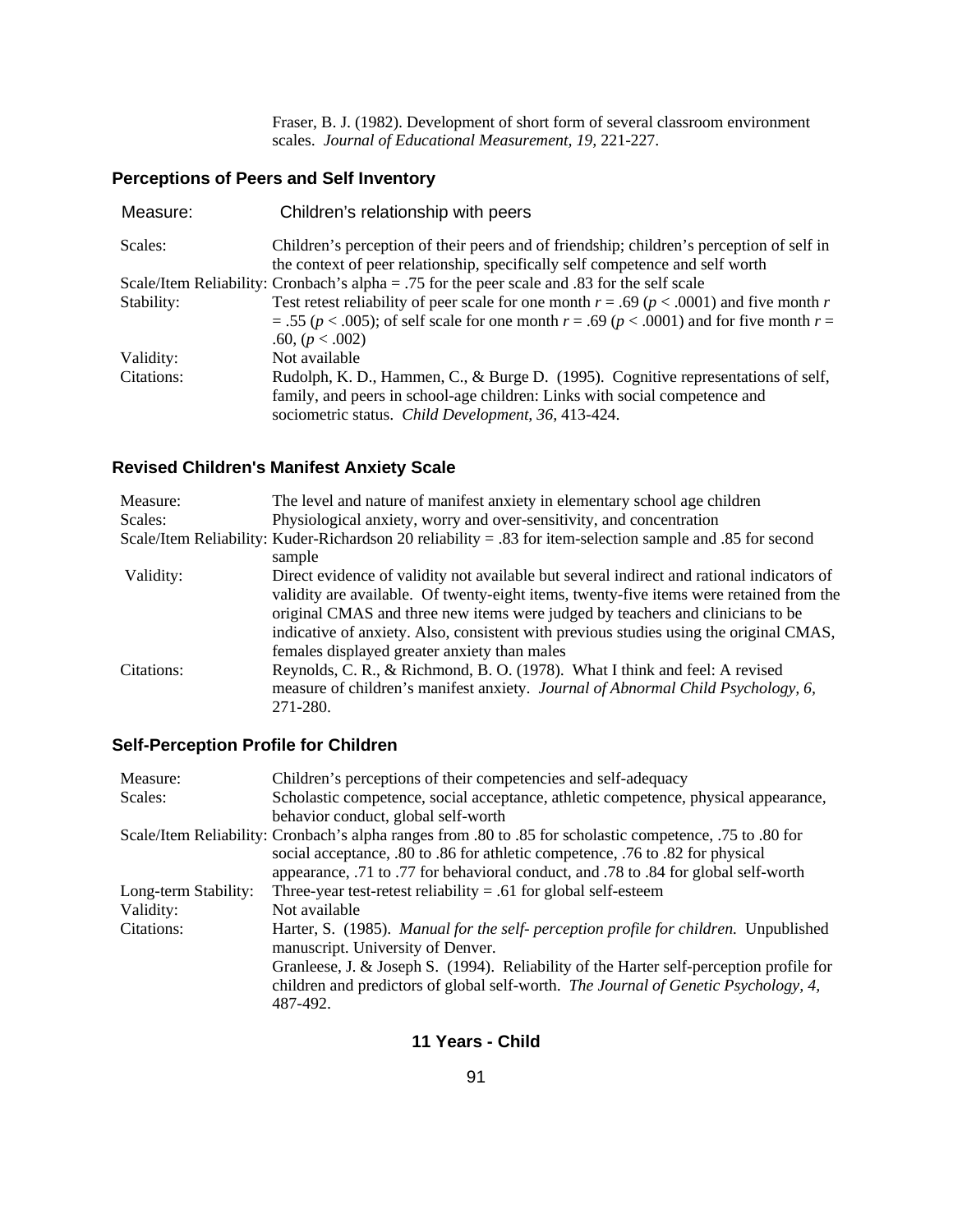Fraser, B. J. (1982). Development of short form of several classroom environment scales. *Journal of Educational Measurement, 19,* 221-227.

# **Perceptions of Peers and Self Inventory**

| Children's relationship with peers                                                                                                                                        |
|---------------------------------------------------------------------------------------------------------------------------------------------------------------------------|
| Children's perception of their peers and of friendship; children's perception of self in<br>the context of peer relationship, specifically self competence and self worth |
| Scale/Item Reliability: Cronbach's alpha = .75 for the peer scale and .83 for the self scale                                                                              |
| Test retest reliability of peer scale for one month $r = .69$ ( $p < .0001$ ) and five month r                                                                            |
| $= .55 (p < .005)$ ; of self scale for one month $r = .69 (p < .0001)$ and for five month $r =$                                                                           |
| .60, $(p < .002)$                                                                                                                                                         |
| Not available                                                                                                                                                             |
| Rudolph, K. D., Hammen, C., & Burge D. (1995). Cognitive representations of self,                                                                                         |
| family, and peers in school-age children: Links with social competence and                                                                                                |
| sociometric status. Child Development, 36, 413-424.                                                                                                                       |
|                                                                                                                                                                           |

# **Revised Children's Manifest Anxiety Scale**

| Measure:   | The level and nature of manifest anxiety in elementary school age children                                 |
|------------|------------------------------------------------------------------------------------------------------------|
| Scales:    | Physiological anxiety, worry and over-sensitivity, and concentration                                       |
|            | Scale/Item Reliability: Kuder-Richardson 20 reliability = .83 for item-selection sample and .85 for second |
|            | sample                                                                                                     |
| Validity:  | Direct evidence of validity not available but several indirect and rational indicators of                  |
|            | validity are available. Of twenty-eight items, twenty-five items were retained from the                    |
|            | original CMAS and three new items were judged by teachers and clinicians to be                             |
|            | indicative of anxiety. Also, consistent with previous studies using the original CMAS,                     |
|            | females displayed greater anxiety than males                                                               |
| Citations: | Reynolds, C. R., & Richmond, B. O. (1978). What I think and feel: A revised                                |
|            | measure of children's manifest anxiety. Journal of Abnormal Child Psychology, 6,                           |
|            | 271-280.                                                                                                   |

### **Self-Perception Profile for Children**

| Measure:             | Children's perceptions of their competencies and self-adequacy                                                                                                                             |
|----------------------|--------------------------------------------------------------------------------------------------------------------------------------------------------------------------------------------|
| Scales:              | Scholastic competence, social acceptance, athletic competence, physical appearance,                                                                                                        |
|                      | behavior conduct, global self-worth                                                                                                                                                        |
|                      | Scale/Item Reliability: Cronbach's alpha ranges from .80 to .85 for scholastic competence, .75 to .80 for                                                                                  |
|                      | social acceptance, .80 to .86 for athletic competence, .76 to .82 for physical                                                                                                             |
|                      | appearance, .71 to .77 for behavioral conduct, and .78 to .84 for global self-worth                                                                                                        |
| Long-term Stability: | Three-year test-retest reliability = .61 for global self-esteem                                                                                                                            |
| Validity:            | Not available                                                                                                                                                                              |
| Citations:           | Harter, S. (1985). Manual for the self- perception profile for children. Unpublished<br>manuscript. University of Denver.                                                                  |
|                      | Granleese, J. & Joseph S. (1994). Reliability of the Harter self-perception profile for<br>children and predictors of global self-worth. The Journal of Genetic Psychology, 4,<br>487-492. |

#### **11 Years - Child**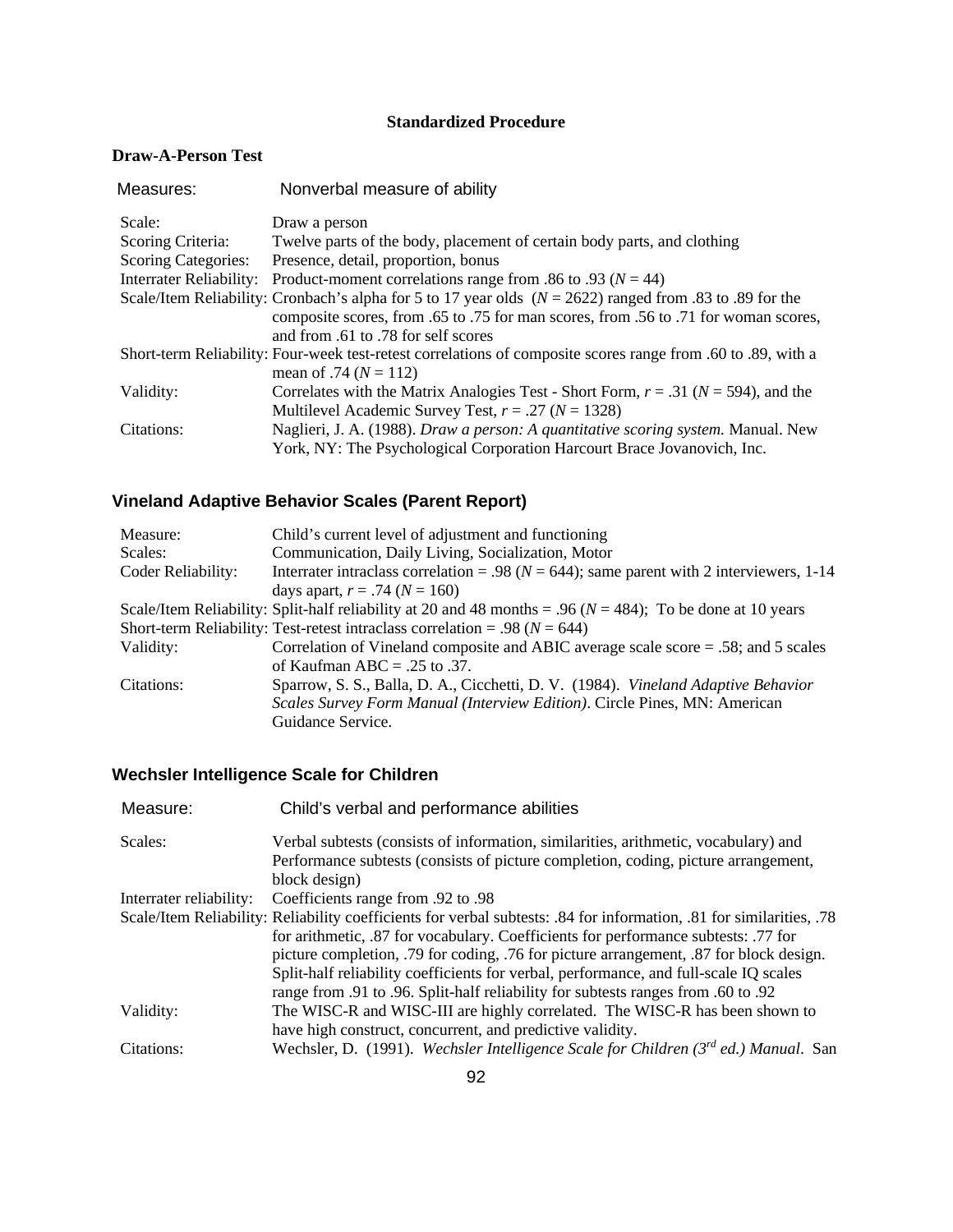### **Standardized Procedure**

#### **Draw-A-Person Test**

| Measures:                  | Nonverbal measure of ability                                                                                 |
|----------------------------|--------------------------------------------------------------------------------------------------------------|
| Scale:                     | Draw a person                                                                                                |
| Scoring Criteria:          | Twelve parts of the body, placement of certain body parts, and clothing                                      |
| <b>Scoring Categories:</b> | Presence, detail, proportion, bonus                                                                          |
| Interrater Reliability:    | Product-moment correlations range from .86 to .93 ( $N = 44$ )                                               |
|                            | Scale/Item Reliability: Cronbach's alpha for 5 to 17 year olds $(N = 2622)$ ranged from 0.83 to 0.89 for the |
|                            | composite scores, from .65 to .75 for man scores, from .56 to .71 for woman scores,                          |
|                            | and from .61 to .78 for self scores                                                                          |
|                            | Short-term Reliability: Four-week test-retest correlations of composite scores range from .60 to .89, with a |
|                            | mean of .74 ( $N = 112$ )                                                                                    |
| Validity:                  | Correlates with the Matrix Analogies Test - Short Form, $r = .31$ ( $N = 594$ ), and the                     |
|                            | Multilevel Academic Survey Test, $r = .27$ ( $N = 1328$ )                                                    |
| Citations:                 | Naglieri, J. A. (1988). Draw a person: A quantitative scoring system. Manual. New                            |
|                            | York, NY: The Psychological Corporation Harcourt Brace Jovanovich, Inc.                                      |

# **Vineland Adaptive Behavior Scales (Parent Report)**

| Measure:           | Child's current level of adjustment and functioning                                                            |
|--------------------|----------------------------------------------------------------------------------------------------------------|
| Scales:            | Communication, Daily Living, Socialization, Motor                                                              |
| Coder Reliability: | Interrater intraclass correlation = .98 ( $N = 644$ ); same parent with 2 interviewers, 1-14                   |
|                    | days apart, $r = .74$ ( $N = 160$ )                                                                            |
|                    | Scale/Item Reliability: Split-half reliability at 20 and 48 months = .96 ( $N = 484$ ); To be done at 10 years |
|                    | Short-term Reliability: Test-retest intraclass correlation = .98 ( $N = 644$ )                                 |
| Validity:          | Correlation of Vineland composite and ABIC average scale score $= .58$ ; and 5 scales                          |
|                    | of Kaufman ABC = $.25$ to $.37$ .                                                                              |
| Citations:         | Sparrow, S. S., Balla, D. A., Cicchetti, D. V. (1984). Vineland Adaptive Behavior                              |
|                    | Scales Survey Form Manual (Interview Edition). Circle Pines, MN: American                                      |
|                    | Guidance Service.                                                                                              |

# **Wechsler Intelligence Scale for Children**

| Measure:                | Child's verbal and performance abilities                                                                             |
|-------------------------|----------------------------------------------------------------------------------------------------------------------|
| Scales:                 | Verbal subtests (consists of information, similarities, arithmetic, vocabulary) and                                  |
|                         | Performance subtests (consists of picture completion, coding, picture arrangement,                                   |
|                         | block design)                                                                                                        |
| Interrater reliability: | Ocefficients range from .92 to .98                                                                                   |
|                         | Scale/Item Reliability: Reliability coefficients for verbal subtests: .84 for information, .81 for similarities, .78 |
|                         | for arithmetic, .87 for vocabulary. Coefficients for performance subtests: .77 for                                   |
|                         | picture completion, .79 for coding, .76 for picture arrangement, .87 for block design.                               |
|                         | Split-half reliability coefficients for verbal, performance, and full-scale IQ scales                                |
|                         | range from .91 to .96. Split-half reliability for subtests ranges from .60 to .92                                    |
| Validity:               | The WISC-R and WISC-III are highly correlated. The WISC-R has been shown to                                          |
|                         | have high construct, concurrent, and predictive validity.                                                            |
| Citations:              | Wechsler, D. (1991). Wechsler Intelligence Scale for Children $(3^{rd}$ ed.) Manual. San                             |
|                         |                                                                                                                      |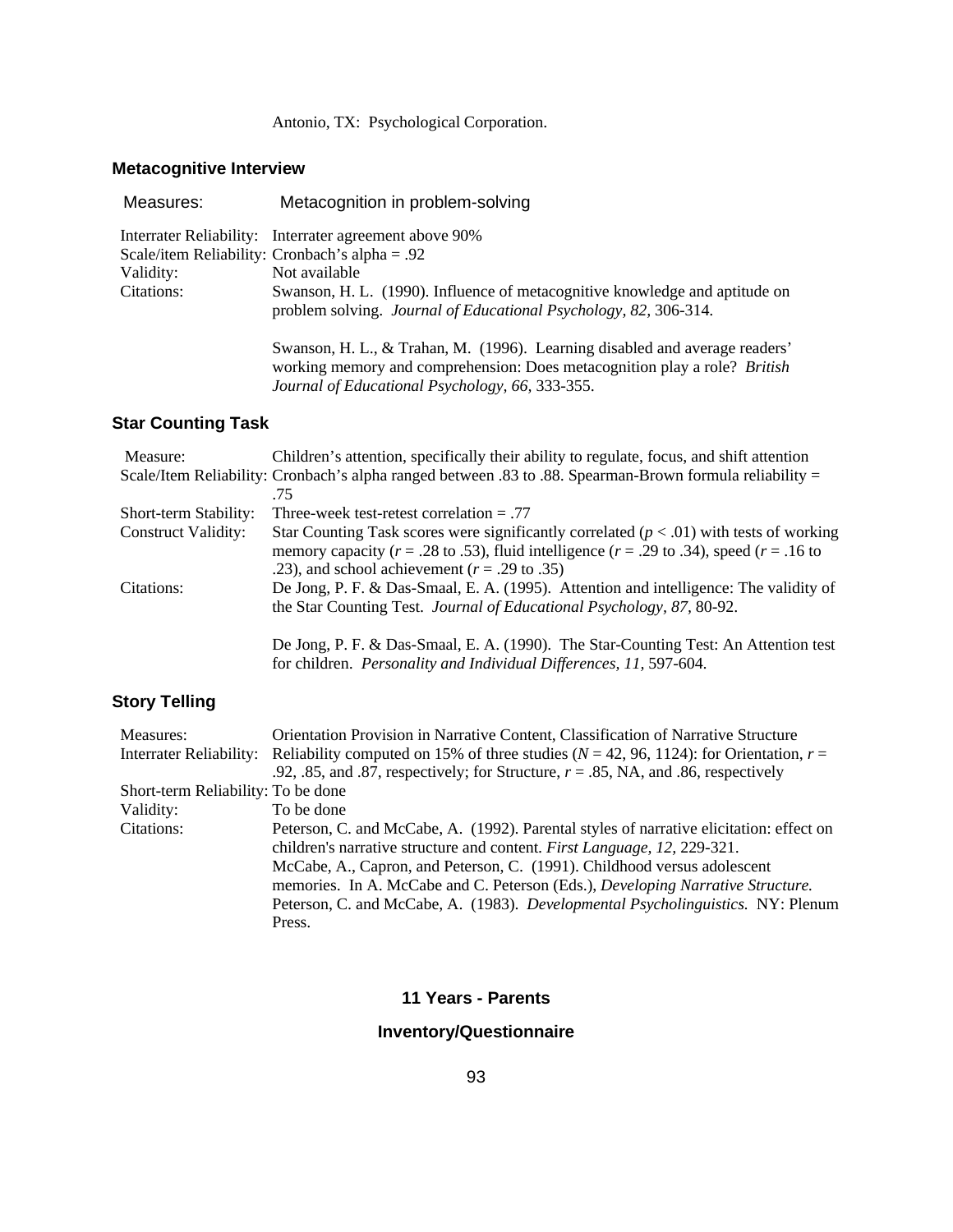### Antonio, TX: Psychological Corporation.

# **Metacognitive Interview**

| Measures:  | Metacognition in problem-solving                                                                                                                                                                                   |
|------------|--------------------------------------------------------------------------------------------------------------------------------------------------------------------------------------------------------------------|
|            | Interrater Reliability: Interrater agreement above 90%                                                                                                                                                             |
|            | Scale/item Reliability: Cronbach's alpha = .92                                                                                                                                                                     |
| Validity:  | Not available                                                                                                                                                                                                      |
| Citations: | Swanson, H. L. (1990). Influence of metacognitive knowledge and aptitude on<br>problem solving. Journal of Educational Psychology, 82, 306-314.                                                                    |
|            | Swanson, H. L., & Trahan, M. (1996). Learning disabled and average readers'<br>working memory and comprehension: Does metacognition play a role? <i>British</i><br>Journal of Educational Psychology, 66, 333-355. |

# **Star Counting Task**

| Measure:                   | Children's attention, specifically their ability to regulate, focus, and shift attention                 |
|----------------------------|----------------------------------------------------------------------------------------------------------|
|                            | Scale/Item Reliability: Cronbach's alpha ranged between .83 to .88. Spearman-Brown formula reliability = |
|                            | -75                                                                                                      |
| Short-term Stability:      | Three-week test-retest correlation $= .77$                                                               |
| <b>Construct Validity:</b> | Star Counting Task scores were significantly correlated ( $p < .01$ ) with tests of working              |
|                            | memory capacity ( $r = .28$ to .53), fluid intelligence ( $r = .29$ to .34), speed ( $r = .16$ to        |
|                            | .23), and school achievement ( $r = .29$ to .35)                                                         |
| Citations:                 | De Jong, P. F. & Das-Smaal, E. A. (1995). Attention and intelligence: The validity of                    |
|                            | the Star Counting Test. Journal of Educational Psychology, 87, 80-92.                                    |
|                            |                                                                                                          |
|                            | De Jong, P. F. & Das-Smaal, E. A. (1990). The Star-Counting Test: An Attention test                      |

for children. *Personality and Individual Differences, 11,* 597-604.

### **Story Telling**

| Measures:                          | Orientation Provision in Narrative Content, Classification of Narrative Structure                                   |
|------------------------------------|---------------------------------------------------------------------------------------------------------------------|
|                                    | Interrater Reliability: Reliability computed on 15% of three studies ( $N = 42, 96, 1124$ ): for Orientation, $r =$ |
|                                    | .92, .85, and .87, respectively; for Structure, $r = .85$ , NA, and .86, respectively                               |
| Short-term Reliability: To be done |                                                                                                                     |
| Validity:                          | To be done                                                                                                          |
| Citations:                         | Peterson, C. and McCabe, A. (1992). Parental styles of narrative elicitation: effect on                             |
|                                    | children's narrative structure and content. First Language, 12, 229-321.                                            |
|                                    | McCabe, A., Capron, and Peterson, C. (1991). Childhood versus adolescent                                            |
|                                    | memories. In A. McCabe and C. Peterson (Eds.), Developing Narrative Structure.                                      |
|                                    | Peterson, C. and McCabe, A. (1983). Developmental Psycholinguistics. NY: Plenum                                     |
|                                    | Press.                                                                                                              |

# **11 Years - Parents**

# **Inventory/Questionnaire**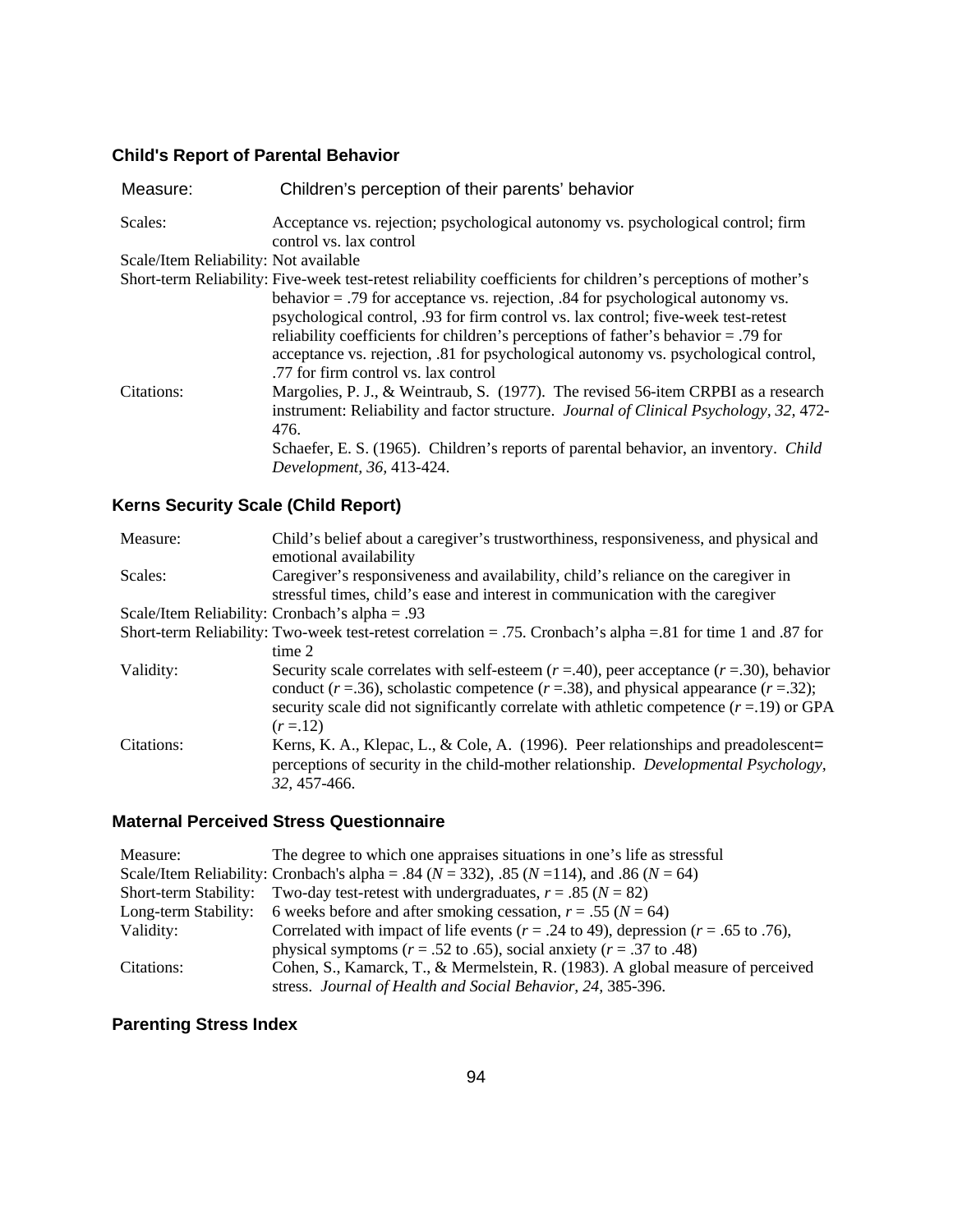# **Child's Report of Parental Behavior**

| Measure:                              | Children's perception of their parents' behavior                                                                                                                                                                                                                                                                                                                                                                                                                                                              |
|---------------------------------------|---------------------------------------------------------------------------------------------------------------------------------------------------------------------------------------------------------------------------------------------------------------------------------------------------------------------------------------------------------------------------------------------------------------------------------------------------------------------------------------------------------------|
| Scales:                               | Acceptance vs. rejection; psychological autonomy vs. psychological control; firm<br>control vs. lax control                                                                                                                                                                                                                                                                                                                                                                                                   |
| Scale/Item Reliability: Not available |                                                                                                                                                                                                                                                                                                                                                                                                                                                                                                               |
|                                       | Short-term Reliability: Five-week test-retest reliability coefficients for children's perceptions of mother's<br>behavior $=$ .79 for acceptance vs. rejection, .84 for psychological autonomy vs.<br>psychological control, .93 for firm control vs. lax control; five-week test-retest<br>reliability coefficients for children's perceptions of father's behavior = .79 for<br>acceptance vs. rejection, .81 for psychological autonomy vs. psychological control,<br>.77 for firm control vs. lax control |
| Citations:                            | Margolies, P. J., & Weintraub, S. (1977). The revised 56-item CRPBI as a research<br>instrument: Reliability and factor structure. Journal of Clinical Psychology, 32, 472-<br>476.<br>Schaefer, E. S. (1965). Children's reports of parental behavior, an inventory. Child<br>Development, 36, 413-424.                                                                                                                                                                                                      |

# **Kerns Security Scale (Child Report)**

| Measure:   | Child's belief about a caregiver's trustworthiness, responsiveness, and physical and<br>emotional availability                                                                                                                                                                                                 |
|------------|----------------------------------------------------------------------------------------------------------------------------------------------------------------------------------------------------------------------------------------------------------------------------------------------------------------|
| Scales:    | Caregiver's responsiveness and availability, child's reliance on the caregiver in<br>stressful times, child's ease and interest in communication with the caregiver                                                                                                                                            |
|            | Scale/Item Reliability: Cronbach's alpha = .93                                                                                                                                                                                                                                                                 |
|            | Short-term Reliability: Two-week test-retest correlation = .75. Cronbach's alpha = .81 for time 1 and .87 for                                                                                                                                                                                                  |
|            | time 2                                                                                                                                                                                                                                                                                                         |
| Validity:  | Security scale correlates with self-esteem $(r = .40)$ , peer acceptance $(r = .30)$ , behavior<br>conduct ( $r = .36$ ), scholastic competence ( $r = .38$ ), and physical appearance ( $r = .32$ );<br>security scale did not significantly correlate with athletic competence $(r=19)$ or GPA<br>$(r = 12)$ |
| Citations: | Kerns, K. A., Klepac, L., & Cole, A. (1996). Peer relationships and preadolescent=<br>perceptions of security in the child-mother relationship. <i>Developmental Psychology</i> ,<br>32, 457-466.                                                                                                              |

### **Maternal Perceived Stress Questionnaire**

| Measure:              | The degree to which one appraises situations in one's life as stressful                               |
|-----------------------|-------------------------------------------------------------------------------------------------------|
|                       | Scale/Item Reliability: Cronbach's alpha = .84 ( $N = 332$ ), .85 ( $N = 114$ ), and .86 ( $N = 64$ ) |
| Short-term Stability: | Two-day test-retest with undergraduates, $r = .85$ ( $N = 82$ )                                       |
|                       | Long-term Stability: 6 weeks before and after smoking cessation, $r = .55$ ( $N = 64$ )               |
| Validity:             | Correlated with impact of life events ( $r = .24$ to 49), depression ( $r = .65$ to .76),             |
|                       | physical symptoms ( $r = .52$ to .65), social anxiety ( $r = .37$ to .48)                             |
| Citations:            | Cohen, S., Kamarck, T., & Mermelstein, R. (1983). A global measure of perceived                       |
|                       | stress. Journal of Health and Social Behavior, 24, 385-396.                                           |

# **Parenting Stress Index**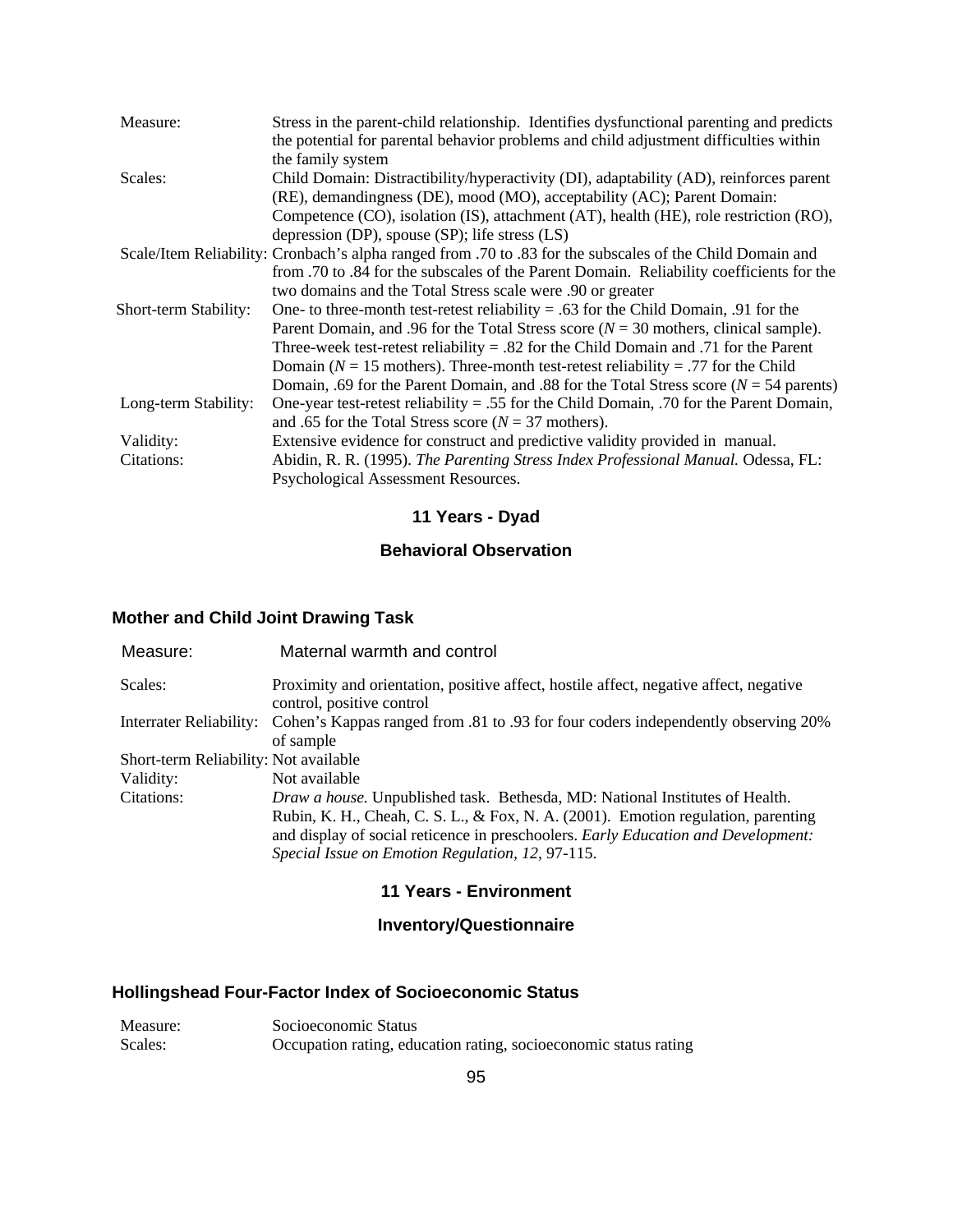| Measure:              | Stress in the parent-child relationship. Identifies dysfunctional parenting and predicts<br>the potential for parental behavior problems and child adjustment difficulties within |
|-----------------------|-----------------------------------------------------------------------------------------------------------------------------------------------------------------------------------|
|                       | the family system                                                                                                                                                                 |
| Scales:               | Child Domain: Distractibility/hyperactivity (DI), adaptability (AD), reinforces parent                                                                                            |
|                       | (RE), demandingness (DE), mood (MO), acceptability (AC); Parent Domain:                                                                                                           |
|                       | Competence (CO), isolation (IS), attachment (AT), health (HE), role restriction (RO),                                                                                             |
|                       | depression (DP), spouse $(SP)$ ; life stress $(LS)$                                                                                                                               |
|                       | Scale/Item Reliability: Cronbach's alpha ranged from .70 to .83 for the subscales of the Child Domain and                                                                         |
|                       | from .70 to .84 for the subscales of the Parent Domain. Reliability coefficients for the                                                                                          |
|                       | two domains and the Total Stress scale were .90 or greater                                                                                                                        |
| Short-term Stability: | One- to three-month test-retest reliability = .63 for the Child Domain, .91 for the                                                                                               |
|                       | Parent Domain, and .96 for the Total Stress score ( $N = 30$ mothers, clinical sample).                                                                                           |
|                       | Three-week test-retest reliability $= .82$ for the Child Domain and .71 for the Parent                                                                                            |
|                       | Domain ( $N = 15$ mothers). Three-month test-retest reliability = .77 for the Child                                                                                               |
|                       | Domain, .69 for the Parent Domain, and .88 for the Total Stress score ( $N = 54$ parents)                                                                                         |
| Long-term Stability:  | One-year test-retest reliability = .55 for the Child Domain, .70 for the Parent Domain,                                                                                           |
|                       | and .65 for the Total Stress score ( $N = 37$ mothers).                                                                                                                           |
| Validity:             | Extensive evidence for construct and predictive validity provided in manual.                                                                                                      |
| Citations:            | Abidin, R. R. (1995). The Parenting Stress Index Professional Manual. Odessa, FL:                                                                                                 |
|                       | Psychological Assessment Resources.                                                                                                                                               |

# **11 Years - Dyad**

### **Behavioral Observation**

# **Mother and Child Joint Drawing Task**

| Measure:                              | Maternal warmth and control                                                                                                                                                                                                                                                                                |
|---------------------------------------|------------------------------------------------------------------------------------------------------------------------------------------------------------------------------------------------------------------------------------------------------------------------------------------------------------|
| Scales:                               | Proximity and orientation, positive affect, hostile affect, negative affect, negative<br>control, positive control                                                                                                                                                                                         |
|                                       | Interrater Reliability: Cohen's Kappas ranged from .81 to .93 for four coders independently observing 20%<br>of sample                                                                                                                                                                                     |
| Short-term Reliability: Not available |                                                                                                                                                                                                                                                                                                            |
| Validity:                             | Not available                                                                                                                                                                                                                                                                                              |
| Citations:                            | Draw a house. Unpublished task. Bethesda, MD: National Institutes of Health.<br>Rubin, K. H., Cheah, C. S. L., & Fox, N. A. (2001). Emotion regulation, parenting<br>and display of social reticence in preschoolers. Early Education and Development:<br>Special Issue on Emotion Regulation, 12, 97-115. |

### **11 Years - Environment**

### **Inventory/Questionnaire**

### **Hollingshead Four-Factor Index of Socioeconomic Status**

| Measure: | Socioeconomic Status                                             |
|----------|------------------------------------------------------------------|
| Scales:  | Occupation rating, education rating, socioeconomic status rating |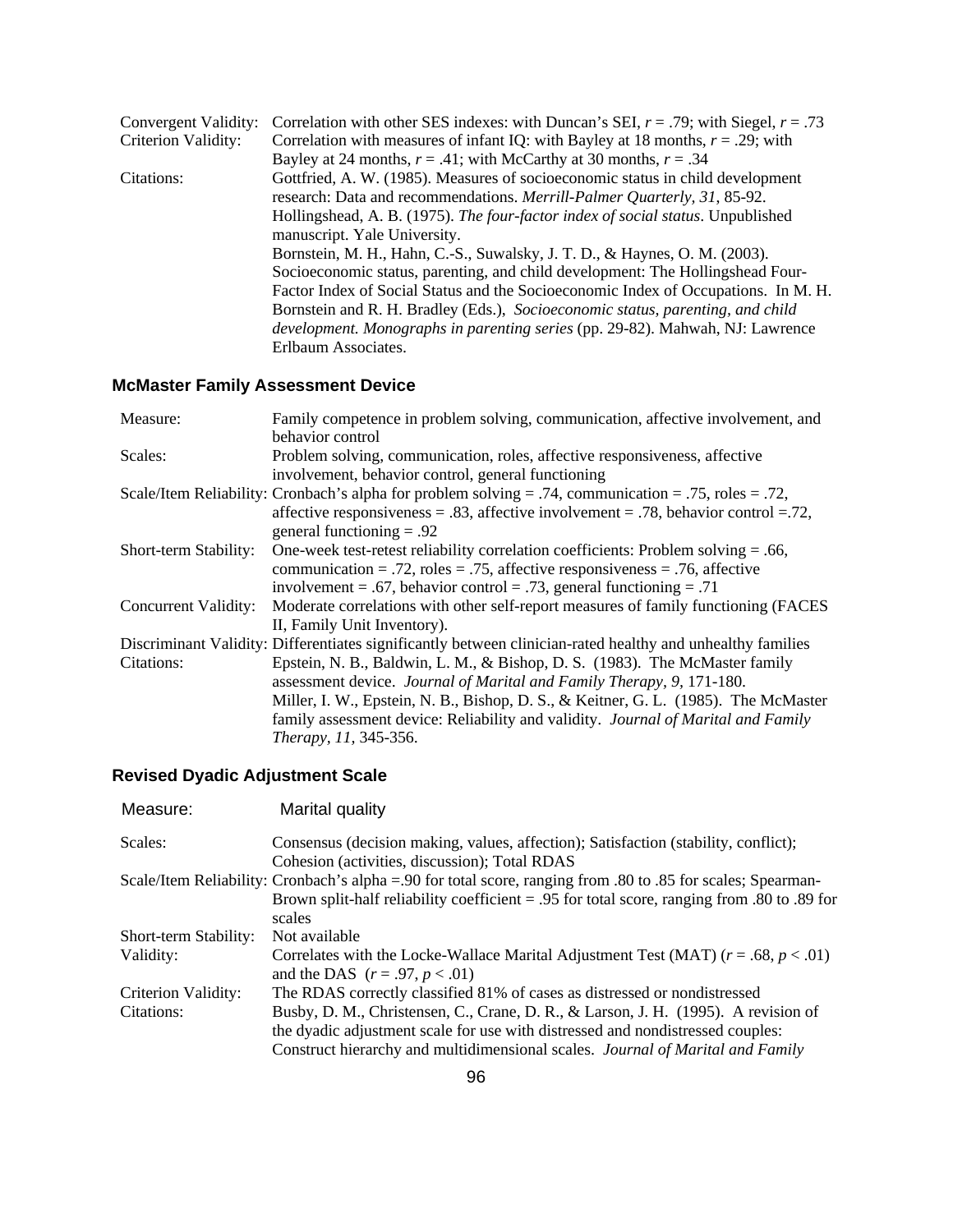| Convergent Validity: | Correlation with other SES indexes: with Duncan's SEI, $r = .79$ ; with Siegel, $r = .73$ |
|----------------------|-------------------------------------------------------------------------------------------|
| Criterion Validity:  | Correlation with measures of infant IQ: with Bayley at 18 months, $r = .29$ ; with        |
|                      | Bayley at 24 months, $r = .41$ ; with McCarthy at 30 months, $r = .34$                    |
| Citations:           | Gottfried, A. W. (1985). Measures of socioeconomic status in child development            |
|                      | research: Data and recommendations. Merrill-Palmer Quarterly, 31, 85-92.                  |
|                      | Hollingshead, A. B. (1975). The four-factor index of social status. Unpublished           |
|                      | manuscript. Yale University.                                                              |
|                      | Bornstein, M. H., Hahn, C.-S., Suwalsky, J. T. D., & Haynes, O. M. (2003).                |
|                      | Socioeconomic status, parenting, and child development: The Hollingshead Four-            |
|                      | Factor Index of Social Status and the Socioeconomic Index of Occupations. In M. H.        |
|                      | Bornstein and R. H. Bradley (Eds.), Socioeconomic status, parenting, and child            |
|                      | <i>development. Monographs in parenting series</i> (pp. 29-82). Mahwah, NJ: Lawrence      |
|                      | Erlbaum Associates.                                                                       |

# **McMaster Family Assessment Device**

| Measure:              | Family competence in problem solving, communication, affective involvement, and                            |
|-----------------------|------------------------------------------------------------------------------------------------------------|
|                       | behavior control                                                                                           |
| Scales:               | Problem solving, communication, roles, affective responsiveness, affective                                 |
|                       | involvement, behavior control, general functioning                                                         |
|                       | Scale/Item Reliability: Cronbach's alpha for problem solving = .74, communication = .75, roles = .72,      |
|                       | affective responsiveness = .83, affective involvement = .78, behavior control = .72,                       |
|                       | general functioning $= .92$                                                                                |
| Short-term Stability: | One-week test-retest reliability correlation coefficients: Problem solving $= .66$ ,                       |
|                       | communication = .72, roles = .75, affective responsiveness = .76, affective                                |
|                       | involvement = .67, behavior control = .73, general functioning = .71                                       |
| Concurrent Validity:  | Moderate correlations with other self-report measures of family functioning (FACES                         |
|                       | II, Family Unit Inventory).                                                                                |
|                       | Discriminant Validity: Differentiates significantly between clinician-rated healthy and unhealthy families |
| Citations:            | Epstein, N. B., Baldwin, L. M., & Bishop, D. S. (1983). The McMaster family                                |
|                       | assessment device. Journal of Marital and Family Therapy, 9, 171-180.                                      |
|                       | Miller, I. W., Epstein, N. B., Bishop, D. S., & Keitner, G. L. (1985). The McMaster                        |
|                       | family assessment device: Reliability and validity. Journal of Marital and Family                          |
|                       | Therapy, 11, 345-356.                                                                                      |

# **Revised Dyadic Adjustment Scale**

| Measure:              | Marital quality                                                                                              |
|-----------------------|--------------------------------------------------------------------------------------------------------------|
| Scales:               | Consensus (decision making, values, affection); Satisfaction (stability, conflict);                          |
|                       | Cohesion (activities, discussion); Total RDAS                                                                |
|                       | Scale/Item Reliability: Cronbach's alpha = 90 for total score, ranging from .80 to .85 for scales; Spearman- |
|                       | Brown split-half reliability coefficient = .95 for total score, ranging from .80 to .89 for                  |
|                       | scales                                                                                                       |
| Short-term Stability: | Not available                                                                                                |
| Validity:             | Correlates with the Locke-Wallace Marital Adjustment Test (MAT) $(r = .68, p < .01)$                         |
|                       | and the DAS $(r = .97, p < .01)$                                                                             |
| Criterion Validity:   | The RDAS correctly classified 81% of cases as distressed or nondistressed                                    |
| Citations:            | Busby, D. M., Christensen, C., Crane, D. R., & Larson, J. H. (1995). A revision of                           |
|                       | the dyadic adjustment scale for use with distressed and nondistressed couples:                               |
|                       | Construct hierarchy and multidimensional scales. Journal of Marital and Family                               |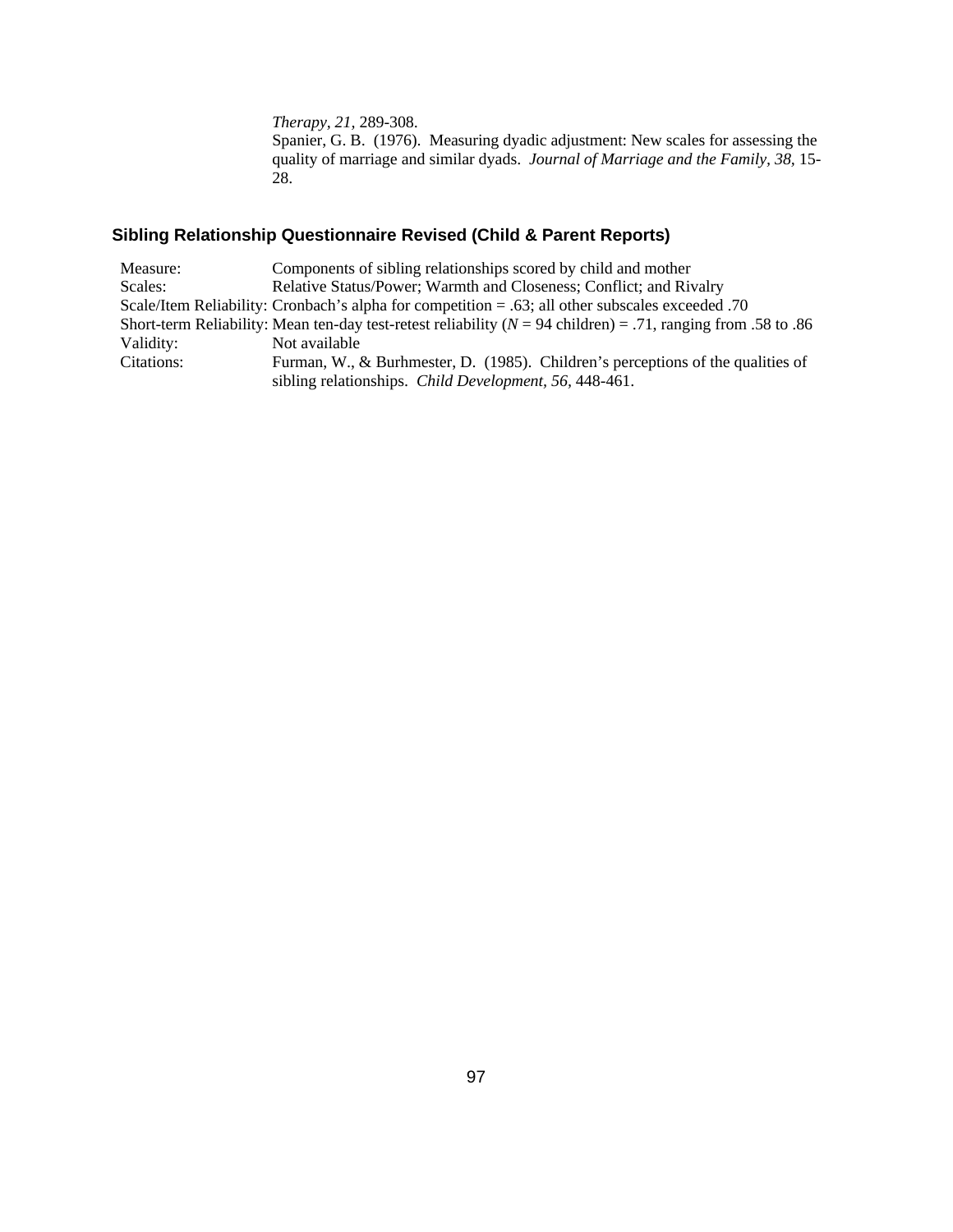*Therapy, 21,* 289-308.

Spanier, G. B. (1976). Measuring dyadic adjustment: New scales for assessing the quality of marriage and similar dyads. *Journal of Marriage and the Family, 38,* 15- 28.

# **Sibling Relationship Questionnaire Revised (Child & Parent Reports)**

| Components of sibling relationships scored by child and mother                                                   |
|------------------------------------------------------------------------------------------------------------------|
| Relative Status/Power; Warmth and Closeness; Conflict; and Rivalry                                               |
| Scale/Item Reliability: Cronbach's alpha for competition $= .63$ ; all other subscales exceeded 0.70             |
| Short-term Reliability: Mean ten-day test-retest reliability ( $N = 94$ children) = .71, ranging from .58 to .86 |
| Not available                                                                                                    |
| Furman, W., & Burhmester, D. (1985). Children's perceptions of the qualities of                                  |
| sibling relationships. Child Development, 56, 448-461.                                                           |
|                                                                                                                  |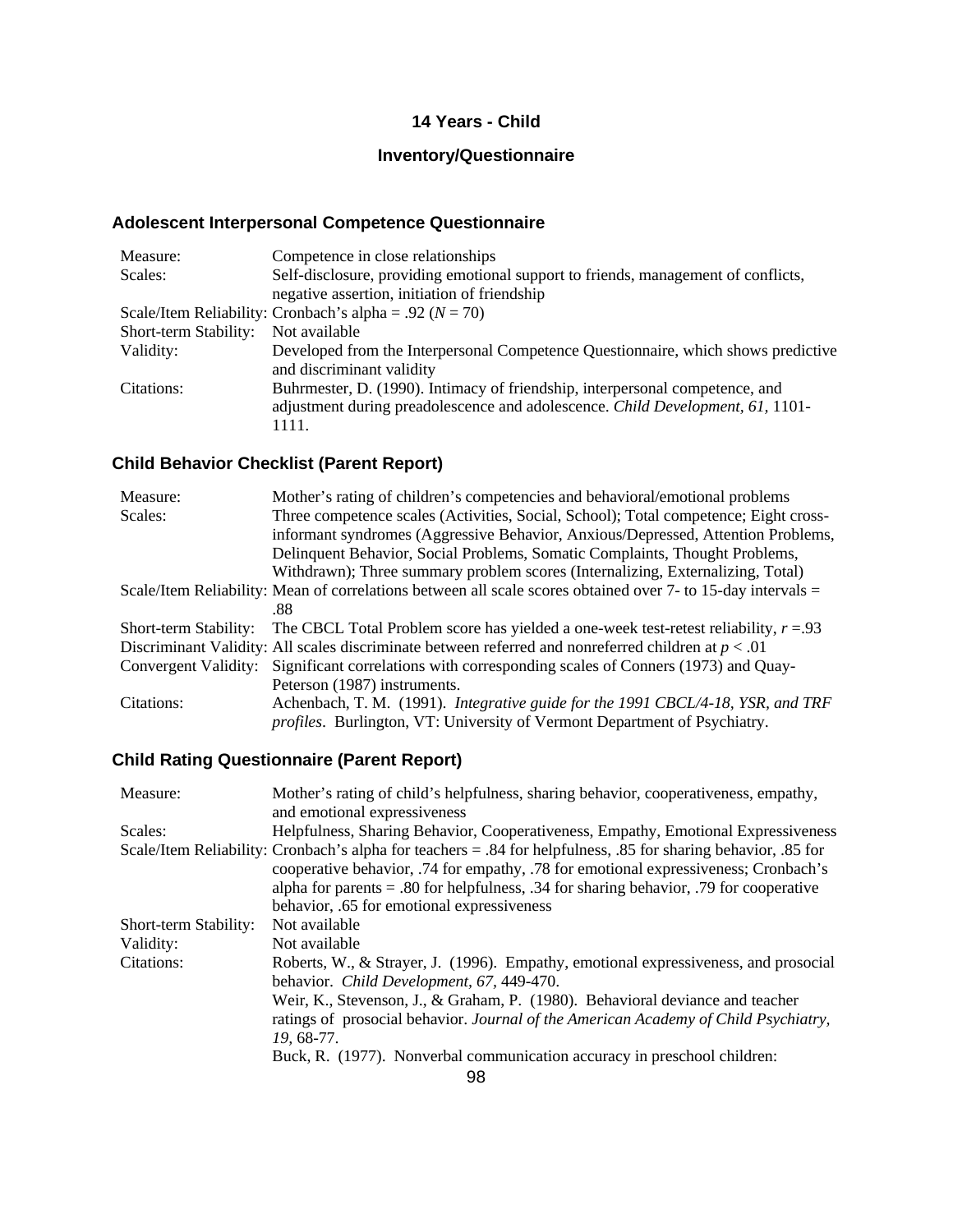### **14 Years - Child**

# **Inventory/Questionnaire**

# **Adolescent Interpersonal Competence Questionnaire**

| Measure:                                                    | Competence in close relationships                                                                                                                                       |  |
|-------------------------------------------------------------|-------------------------------------------------------------------------------------------------------------------------------------------------------------------------|--|
| Scales:                                                     | Self-disclosure, providing emotional support to friends, management of conflicts,                                                                                       |  |
|                                                             | negative assertion, initiation of friendship                                                                                                                            |  |
| Scale/Item Reliability: Cronbach's alpha = .92 ( $N = 70$ ) |                                                                                                                                                                         |  |
| Short-term Stability:                                       | Not available                                                                                                                                                           |  |
| Validity:                                                   | Developed from the Interpersonal Competence Questionnaire, which shows predictive<br>and discriminant validity                                                          |  |
| Citations:                                                  | Buhrmester, D. (1990). Intimacy of friendship, interpersonal competence, and<br>adjustment during preadolescence and adolescence. Child Development, 61, 1101-<br>1111. |  |

### **Child Behavior Checklist (Parent Report)**

| Measure:                                                                                                     | Mother's rating of children's competencies and behavioral/emotional problems                          |  |
|--------------------------------------------------------------------------------------------------------------|-------------------------------------------------------------------------------------------------------|--|
| Scales:                                                                                                      | Three competence scales (Activities, Social, School); Total competence; Eight cross-                  |  |
|                                                                                                              | informant syndromes (Aggressive Behavior, Anxious/Depressed, Attention Problems,                      |  |
|                                                                                                              | Delinquent Behavior, Social Problems, Somatic Complaints, Thought Problems,                           |  |
|                                                                                                              | Withdrawn); Three summary problem scores (Internalizing, Externalizing, Total)                        |  |
| Scale/Item Reliability: Mean of correlations between all scale scores obtained over 7- to 15-day intervals = |                                                                                                       |  |
|                                                                                                              | .88                                                                                                   |  |
| Short-term Stability:                                                                                        | The CBCL Total Problem score has yielded a one-week test-retest reliability, $r = 0.93$               |  |
|                                                                                                              | Discriminant Validity: All scales discriminate between referred and nonreferred children at $p < .01$ |  |
|                                                                                                              | Convergent Validity: Significant correlations with corresponding scales of Conners (1973) and Quay-   |  |
|                                                                                                              | Peterson (1987) instruments.                                                                          |  |
| Citations:                                                                                                   | Achenbach, T. M. (1991). Integrative guide for the 1991 CBCL/4-18, YSR, and TRF                       |  |
|                                                                                                              | profiles. Burlington, VT: University of Vermont Department of Psychiatry.                             |  |

# **Child Rating Questionnaire (Parent Report)**

| Measure:              | Mother's rating of child's helpfulness, sharing behavior, cooperativeness, empathy,                            |  |  |
|-----------------------|----------------------------------------------------------------------------------------------------------------|--|--|
|                       | and emotional expressiveness                                                                                   |  |  |
| Scales:               | Helpfulness, Sharing Behavior, Cooperativeness, Empathy, Emotional Expressiveness                              |  |  |
|                       | Scale/Item Reliability: Cronbach's alpha for teachers = .84 for helpfulness, .85 for sharing behavior, .85 for |  |  |
|                       | cooperative behavior, .74 for empathy, .78 for emotional expressiveness; Cronbach's                            |  |  |
|                       | alpha for parents $= .80$ for helpfulness, $.34$ for sharing behavior, $.79$ for cooperative                   |  |  |
|                       | behavior, .65 for emotional expressiveness                                                                     |  |  |
| Short-term Stability: | Not available                                                                                                  |  |  |
| Validity:             | Not available                                                                                                  |  |  |
| Citations:            | Roberts, W., & Strayer, J. (1996). Empathy, emotional expressiveness, and prosocial                            |  |  |
|                       | behavior. Child Development, 67, 449-470.                                                                      |  |  |
|                       | Weir, K., Stevenson, J., & Graham, P. (1980). Behavioral deviance and teacher                                  |  |  |
|                       | ratings of prosocial behavior. Journal of the American Academy of Child Psychiatry,                            |  |  |
|                       | 19, 68-77.                                                                                                     |  |  |
|                       | Buck, R. (1977). Nonverbal communication accuracy in preschool children:                                       |  |  |
|                       |                                                                                                                |  |  |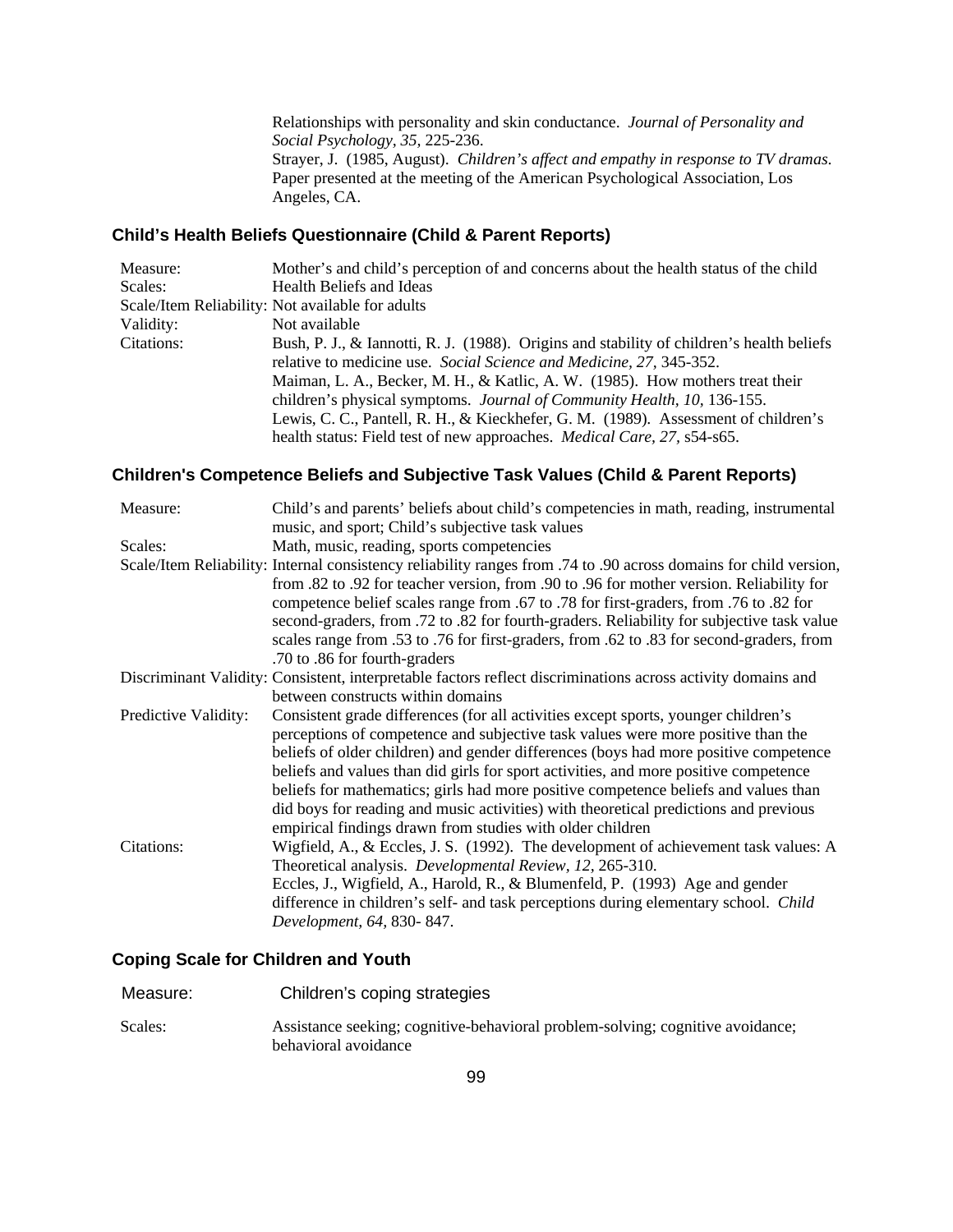Relationships with personality and skin conductance. *Journal of Personality and Social Psychology, 35,* 225-236. Strayer, J. (1985, August). *Children's affect and empathy in response to TV dramas*. Paper presented at the meeting of the American Psychological Association, Los Angeles, CA.

### **Child's Health Beliefs Questionnaire (Child & Parent Reports)**

| Measure:                                                                        | Mother's and child's perception of and concerns about the health status of the child      |  |
|---------------------------------------------------------------------------------|-------------------------------------------------------------------------------------------|--|
| Scales:                                                                         | Health Beliefs and Ideas                                                                  |  |
|                                                                                 | Scale/Item Reliability: Not available for adults                                          |  |
| Validity:                                                                       | Not available                                                                             |  |
| Citations:                                                                      | Bush, P. J., & Iannotti, R. J. (1988). Origins and stability of children's health beliefs |  |
| relative to medicine use. Social Science and Medicine, 27, 345-352.             |                                                                                           |  |
| Maiman, L. A., Becker, M. H., & Katlic, A. W. (1985). How mothers treat their   |                                                                                           |  |
| children's physical symptoms. <i>Journal of Community Health</i> , 10, 136-155. |                                                                                           |  |
|                                                                                 | Lewis, C. C., Pantell, R. H., & Kieckhefer, G. M. (1989). Assessment of children's        |  |
|                                                                                 | health status: Field test of new approaches. <i>Medical Care</i> , 27, s54-s65.           |  |

### **Children's Competence Beliefs and Subjective Task Values (Child & Parent Reports)**

| Measure:                                                                                                                                          | Child's and parents' beliefs about child's competencies in math, reading, instrumental                                                                                                                                                                                                                                                                                                                                                                                                                                                                                                             |  |  |
|---------------------------------------------------------------------------------------------------------------------------------------------------|----------------------------------------------------------------------------------------------------------------------------------------------------------------------------------------------------------------------------------------------------------------------------------------------------------------------------------------------------------------------------------------------------------------------------------------------------------------------------------------------------------------------------------------------------------------------------------------------------|--|--|
|                                                                                                                                                   | music, and sport; Child's subjective task values                                                                                                                                                                                                                                                                                                                                                                                                                                                                                                                                                   |  |  |
| Scales:                                                                                                                                           | Math, music, reading, sports competencies                                                                                                                                                                                                                                                                                                                                                                                                                                                                                                                                                          |  |  |
|                                                                                                                                                   | Scale/Item Reliability: Internal consistency reliability ranges from .74 to .90 across domains for child version,<br>from .82 to .92 for teacher version, from .90 to .96 for mother version. Reliability for<br>competence belief scales range from .67 to .78 for first-graders, from .76 to .82 for<br>second-graders, from .72 to .82 for fourth-graders. Reliability for subjective task value<br>scales range from .53 to .76 for first-graders, from .62 to .83 for second-graders, from<br>.70 to .86 for fourth-graders                                                                   |  |  |
| Discriminant Validity: Consistent, interpretable factors reflect discriminations across activity domains and<br>between constructs within domains |                                                                                                                                                                                                                                                                                                                                                                                                                                                                                                                                                                                                    |  |  |
| Predictive Validity:                                                                                                                              | Consistent grade differences (for all activities except sports, younger children's<br>perceptions of competence and subjective task values were more positive than the<br>beliefs of older children) and gender differences (boys had more positive competence<br>beliefs and values than did girls for sport activities, and more positive competence<br>beliefs for mathematics; girls had more positive competence beliefs and values than<br>did boys for reading and music activities) with theoretical predictions and previous<br>empirical findings drawn from studies with older children |  |  |
| Citations:                                                                                                                                        | Wigfield, A., & Eccles, J. S. (1992). The development of achievement task values: A<br>Theoretical analysis. Developmental Review, 12, 265-310.<br>Eccles, J., Wigfield, A., Harold, R., & Blumenfeld, P. (1993) Age and gender<br>difference in children's self- and task perceptions during elementary school. Child<br>Development, 64, 830-847.                                                                                                                                                                                                                                                |  |  |

#### **Coping Scale for Children and Youth**

| Measure: | Children's coping strategies                                                                           |
|----------|--------------------------------------------------------------------------------------------------------|
| Scales:  | Assistance seeking; cognitive-behavioral problem-solving; cognitive avoidance;<br>behavioral avoidance |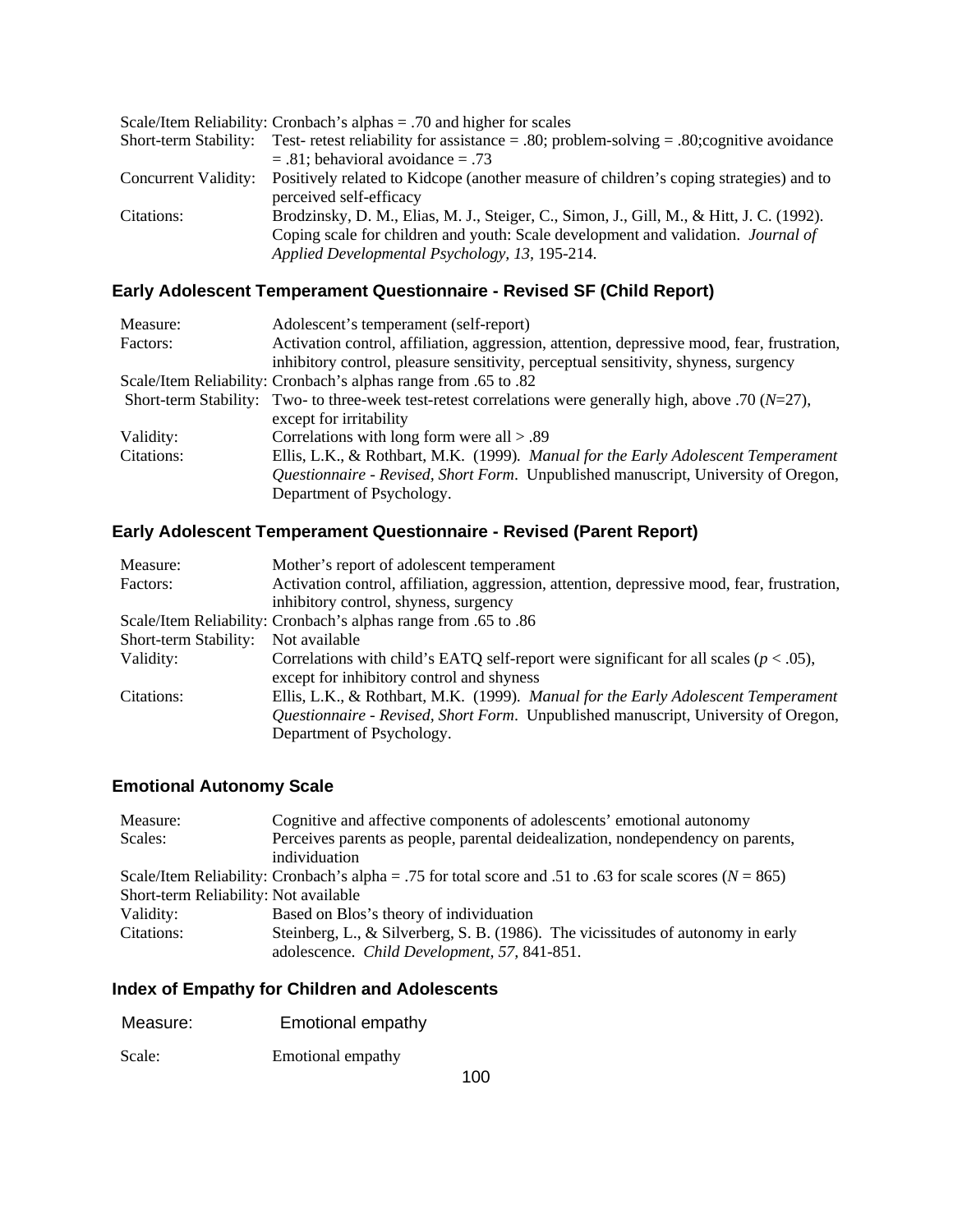| Scale/Item Reliability: Cronbach's alphas $= .70$ and higher for scales |                                                                                           |  |
|-------------------------------------------------------------------------|-------------------------------------------------------------------------------------------|--|
| Short-term Stability:                                                   | Test- retest reliability for assistance = .80; problem-solving = .80; cognitive avoidance |  |
|                                                                         | $= .81$ ; behavioral avoidance $= .73$                                                    |  |
| Concurrent Validity:                                                    | Positively related to Kidcope (another measure of children's coping strategies) and to    |  |
|                                                                         | perceived self-efficacy                                                                   |  |
| Citations:                                                              | Brodzinsky, D. M., Elias, M. J., Steiger, C., Simon, J., Gill, M., & Hitt, J. C. (1992).  |  |
|                                                                         | Coping scale for children and youth: Scale development and validation. <i>Journal of</i>  |  |
|                                                                         | Applied Developmental Psychology, 13, 195-214.                                            |  |

# **Early Adolescent Temperament Questionnaire - Revised SF (Child Report)**

| Measure:                                                                           | Adolescent's temperament (self-report)                                                                       |  |
|------------------------------------------------------------------------------------|--------------------------------------------------------------------------------------------------------------|--|
| Factors:                                                                           | Activation control, affiliation, aggression, attention, depressive mood, fear, frustration,                  |  |
|                                                                                    | inhibitory control, pleasure sensitivity, perceptual sensitivity, shyness, surgency                          |  |
| Scale/Item Reliability: Cronbach's alphas range from .65 to .82                    |                                                                                                              |  |
|                                                                                    | Short-term Stability: Two- to three-week test-retest correlations were generally high, above .70 ( $N=27$ ), |  |
|                                                                                    | except for irritability                                                                                      |  |
| Validity:                                                                          | Correlations with long form were all $> 0.89$                                                                |  |
| Citations:                                                                         | Ellis, L.K., & Rothbart, M.K. (1999). Manual for the Early Adolescent Temperament                            |  |
| Questionnaire - Revised, Short Form. Unpublished manuscript, University of Oregon, |                                                                                                              |  |
|                                                                                    | Department of Psychology.                                                                                    |  |

### **Early Adolescent Temperament Questionnaire - Revised (Parent Report)**

| Measure:              | Mother's report of adolescent temperament                                                   |  |
|-----------------------|---------------------------------------------------------------------------------------------|--|
| Factors:              | Activation control, affiliation, aggression, attention, depressive mood, fear, frustration, |  |
|                       | inhibitory control, shyness, surgency                                                       |  |
|                       | Scale/Item Reliability: Cronbach's alphas range from .65 to .86                             |  |
| Short-term Stability: | Not available                                                                               |  |
| Validity:             | Correlations with child's EATQ self-report were significant for all scales ( $p < .05$ ),   |  |
|                       | except for inhibitory control and shyness                                                   |  |
| Citations:            | Ellis, L.K., & Rothbart, M.K. (1999). Manual for the Early Adolescent Temperament           |  |
|                       | <i>Questionnaire - Revised, Short Form.</i> Unpublished manuscript, University of Oregon,   |  |
|                       | Department of Psychology.                                                                   |  |

### **Emotional Autonomy Scale**

| Measure:                              | Cognitive and affective components of adolescents' emotional autonomy                                        |  |
|---------------------------------------|--------------------------------------------------------------------------------------------------------------|--|
| Scales:                               | Perceives parents as people, parental deidealization, nondependency on parents,                              |  |
|                                       | individuation                                                                                                |  |
|                                       | Scale/Item Reliability: Cronbach's alpha = .75 for total score and .51 to .63 for scale scores ( $N = 865$ ) |  |
| Short-term Reliability: Not available |                                                                                                              |  |
| Validity:                             | Based on Blos's theory of individuation                                                                      |  |
| Citations:                            | Steinberg, L., & Silverberg, S. B. $(1986)$ . The vicissitudes of autonomy in early                          |  |
|                                       | adolescence. Child Development, 57, 841-851.                                                                 |  |

# **Index of Empathy for Children and Adolescents**

| Measure: | Emotional empathy |
|----------|-------------------|
| Scale:   | Emotional empathy |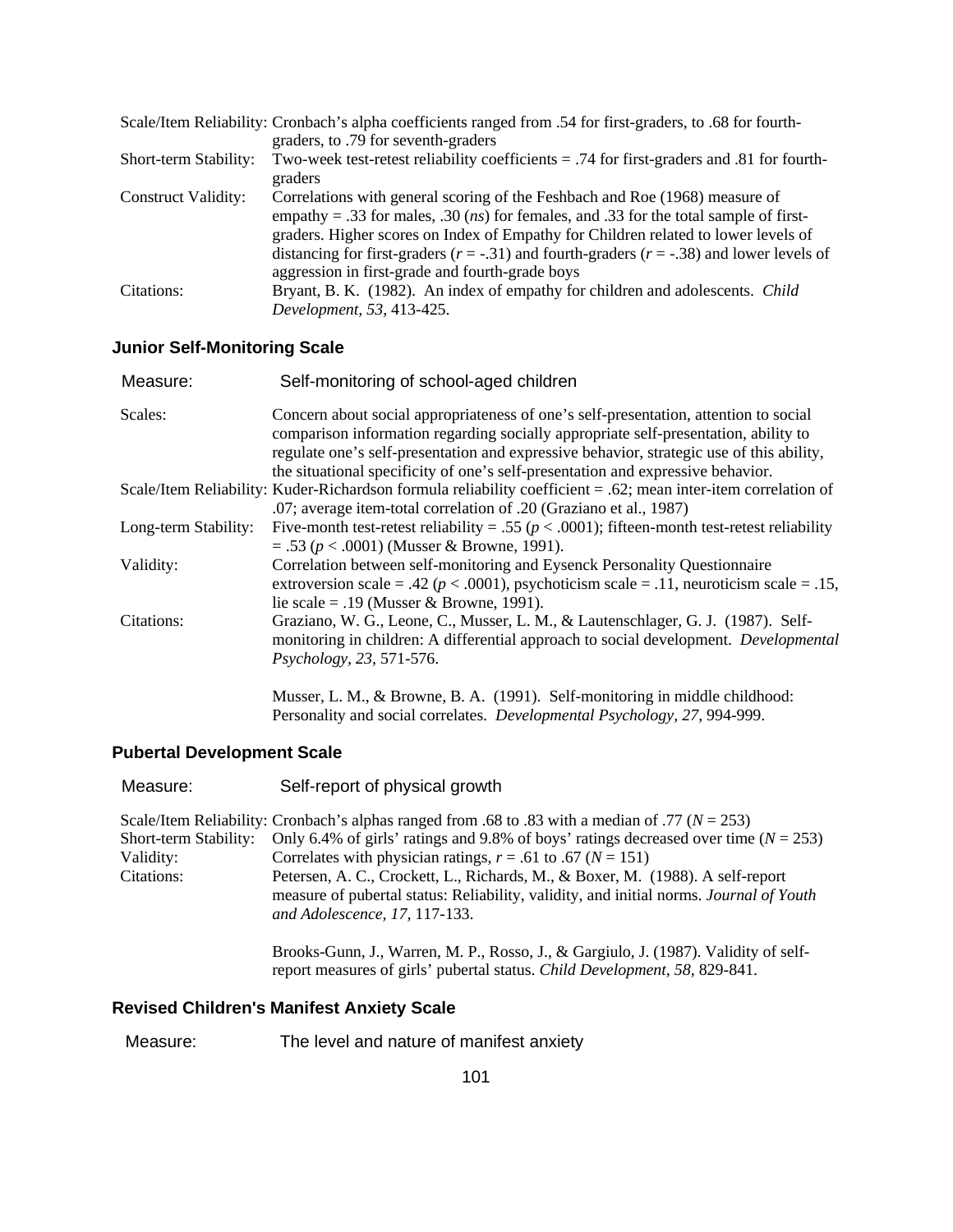| Scale/Item Reliability: Cronbach's alpha coefficients ranged from .54 for first-graders, to .68 for fourth- |                                                                                                   |  |
|-------------------------------------------------------------------------------------------------------------|---------------------------------------------------------------------------------------------------|--|
|                                                                                                             | graders, to .79 for seventh-graders                                                               |  |
| Short-term Stability:                                                                                       | Two-week test-retest reliability coefficients $= .74$ for first-graders and 0.81 for fourth-      |  |
|                                                                                                             | graders                                                                                           |  |
| <b>Construct Validity:</b>                                                                                  | Correlations with general scoring of the Feshbach and Roe (1968) measure of                       |  |
|                                                                                                             | empathy = .33 for males, .30 ( <i>ns</i> ) for females, and .33 for the total sample of first-    |  |
|                                                                                                             | graders. Higher scores on Index of Empathy for Children related to lower levels of                |  |
|                                                                                                             | distancing for first-graders ( $r = -.31$ ) and fourth-graders ( $r = -.38$ ) and lower levels of |  |
|                                                                                                             | aggression in first-grade and fourth-grade boys                                                   |  |
| Citations:                                                                                                  | Bryant, B. K. (1982). An index of empathy for children and adolescents. Child                     |  |
|                                                                                                             | Development, 53, 413-425.                                                                         |  |

# **Junior Self-Monitoring Scale**

| Measure:             | Self-monitoring of school-aged children                                                                                                                                                                                                                                                                                                                    |
|----------------------|------------------------------------------------------------------------------------------------------------------------------------------------------------------------------------------------------------------------------------------------------------------------------------------------------------------------------------------------------------|
| Scales:              | Concern about social appropriateness of one's self-presentation, attention to social<br>comparison information regarding socially appropriate self-presentation, ability to<br>regulate one's self-presentation and expressive behavior, strategic use of this ability,<br>the situational specificity of one's self-presentation and expressive behavior. |
|                      | Scale/Item Reliability: Kuder-Richardson formula reliability coefficient = .62; mean inter-item correlation of<br>.07; average item-total correlation of .20 (Graziano et al., 1987)                                                                                                                                                                       |
| Long-term Stability: | Five-month test-retest reliability = .55 ( $p < .0001$ ); fifteen-month test-retest reliability<br>$= .53 (p < .0001)$ (Musser & Browne, 1991).                                                                                                                                                                                                            |
| Validity:            | Correlation between self-monitoring and Eysenck Personality Questionnaire<br>extroversion scale = .42 ( $p < .0001$ ), psychoticism scale = .11, neuroticism scale = .15,<br>lie scale = .19 (Musser & Browne, 1991).                                                                                                                                      |
| Citations:           | Graziano, W. G., Leone, C., Musser, L. M., & Lautenschlager, G. J. (1987). Self-<br>monitoring in children: A differential approach to social development. <i>Developmental</i><br>Psychology, 23, 571-576.                                                                                                                                                |
|                      | Musser, L. M., & Browne, B. A. (1991). Self-monitoring in middle childhood:                                                                                                                                                                                                                                                                                |

Personality and social correlates. *Developmental Psychology, 27,* 994-999.

# **Pubertal Development Scale**

| Measure:                                         | Self-report of physical growth                                                                                                                                                                                                                                                                                                                                                                                                                                                     |
|--------------------------------------------------|------------------------------------------------------------------------------------------------------------------------------------------------------------------------------------------------------------------------------------------------------------------------------------------------------------------------------------------------------------------------------------------------------------------------------------------------------------------------------------|
| Short-term Stability:<br>Validity:<br>Citations: | Scale/Item Reliability: Cronbach's alphas ranged from .68 to .83 with a median of .77 ( $N = 253$ )<br>Only 6.4% of girls' ratings and 9.8% of boys' ratings decreased over time ( $N = 253$ )<br>Correlates with physician ratings, $r = .61$ to $.67$ ( $N = 151$ )<br>Petersen, A. C., Crockett, L., Richards, M., & Boxer, M. (1988). A self-report<br>measure of pubertal status: Reliability, validity, and initial norms. Journal of Youth<br>and Adolescence, 17, 117-133. |
|                                                  | Brooks-Gunn, J., Warren, M. P., Rosso, J., & Gargiulo, J. (1987). Validity of self-<br>report measures of girls' pubertal status. Child Development, 58, 829-841.                                                                                                                                                                                                                                                                                                                  |

### **Revised Children's Manifest Anxiety Scale**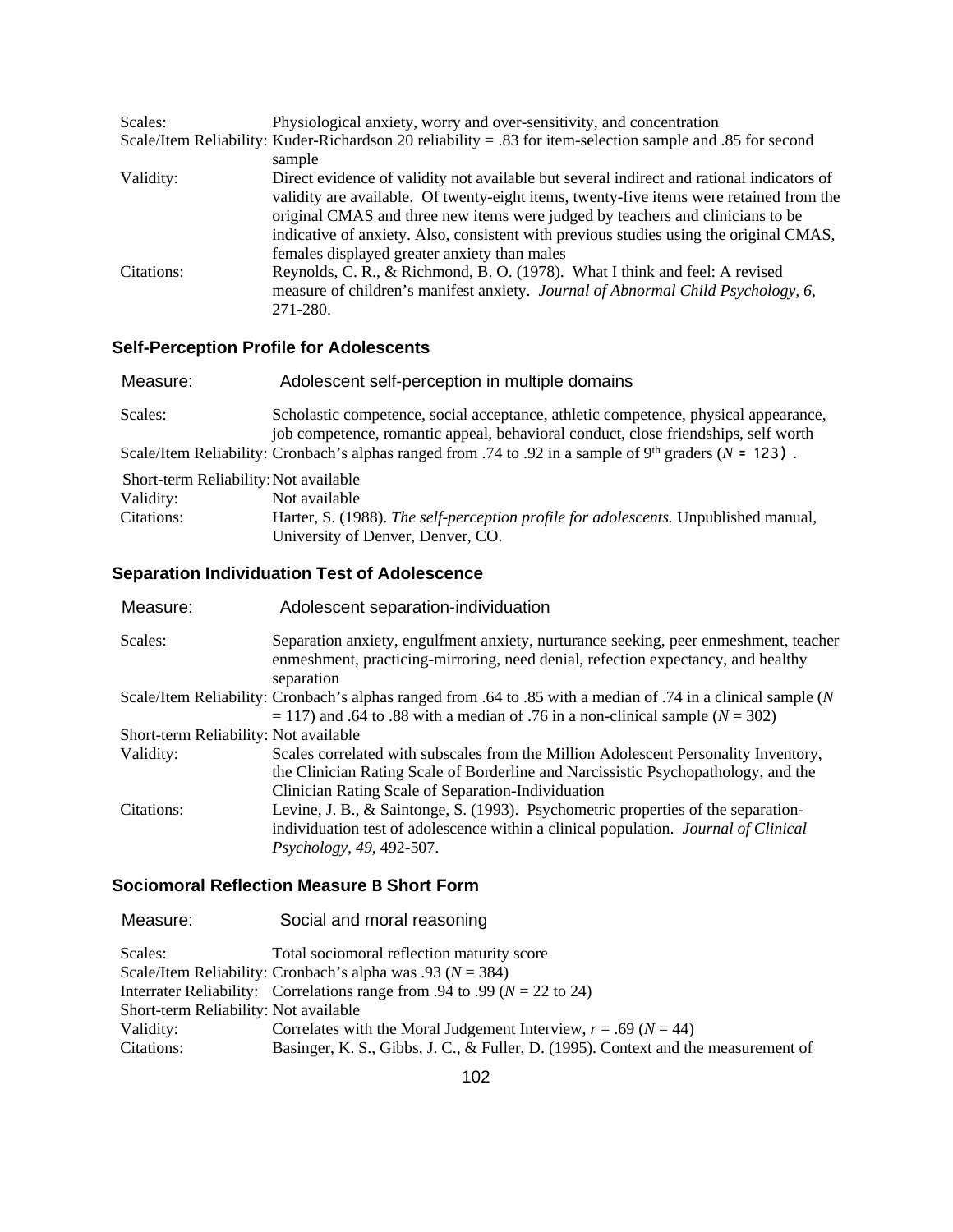| Scales:    | Physiological anxiety, worry and over-sensitivity, and concentration                                                                                                                                                                                                                                                                                                                                             |
|------------|------------------------------------------------------------------------------------------------------------------------------------------------------------------------------------------------------------------------------------------------------------------------------------------------------------------------------------------------------------------------------------------------------------------|
|            | Scale/Item Reliability: Kuder-Richardson 20 reliability = .83 for item-selection sample and .85 for second                                                                                                                                                                                                                                                                                                       |
|            | sample                                                                                                                                                                                                                                                                                                                                                                                                           |
| Validity:  | Direct evidence of validity not available but several indirect and rational indicators of<br>validity are available. Of twenty-eight items, twenty-five items were retained from the<br>original CMAS and three new items were judged by teachers and clinicians to be<br>indicative of anxiety. Also, consistent with previous studies using the original CMAS,<br>females displayed greater anxiety than males |
| Citations: | Reynolds, C. R., & Richmond, B. O. (1978). What I think and feel: A revised<br>measure of children's manifest anxiety. Journal of Abnormal Child Psychology, 6,<br>271-280.                                                                                                                                                                                                                                      |

# **Self-Perception Profile for Adolescents**

| Measure:                              | Adolescent self-perception in multiple domains                                                                                                                            |
|---------------------------------------|---------------------------------------------------------------------------------------------------------------------------------------------------------------------------|
| Scales:                               | Scholastic competence, social acceptance, athletic competence, physical appearance,<br>job competence, romantic appeal, behavioral conduct, close friendships, self worth |
|                                       | Scale/Item Reliability: Cronbach's alphas ranged from .74 to .92 in a sample of $9th$ graders (N = 123).                                                                  |
| Short-term Reliability: Not available |                                                                                                                                                                           |
| Validity:                             | Not available                                                                                                                                                             |
| Citations:                            | Harter, S. (1988). The self-perception profile for adolescents. Unpublished manual,                                                                                       |
|                                       | University of Denver, Denver, CO.                                                                                                                                         |

# **Separation Individuation Test of Adolescence**

| Measure:                              | Adolescent separation-individuation                                                                                                                                                                                             |
|---------------------------------------|---------------------------------------------------------------------------------------------------------------------------------------------------------------------------------------------------------------------------------|
| Scales:                               | Separation anxiety, engulfment anxiety, nurturance seeking, peer enmeshment, teacher<br>enmeshment, practicing-mirroring, need denial, refection expectancy, and healthy<br>separation                                          |
|                                       | Scale/Item Reliability: Cronbach's alphas ranged from .64 to .85 with a median of .74 in a clinical sample (N<br>$= 117$ ) and .64 to .88 with a median of .76 in a non-clinical sample ( $N = 302$ )                           |
| Short-term Reliability: Not available |                                                                                                                                                                                                                                 |
| Validity:                             | Scales correlated with subscales from the Million Adolescent Personality Inventory,<br>the Clinician Rating Scale of Borderline and Narcissistic Psychopathology, and the<br>Clinician Rating Scale of Separation-Individuation |
| Citations:                            | Levine, J. B., & Saintonge, S. (1993). Psychometric properties of the separation-<br>individuation test of adolescence within a clinical population. <i>Journal of Clinical</i><br>Psychology, 49, 492-507.                     |

### **Sociomoral Reflection Measure B Short Form**

| Measure:                              | Social and moral reasoning                                                         |  |
|---------------------------------------|------------------------------------------------------------------------------------|--|
| Scales:                               | Total sociomoral reflection maturity score                                         |  |
|                                       | Scale/Item Reliability: Cronbach's alpha was .93 ( $N = 384$ )                     |  |
|                                       | Interrater Reliability: Correlations range from .94 to .99 ( $N = 22$ to 24)       |  |
| Short-term Reliability: Not available |                                                                                    |  |
| Validity:                             | Correlates with the Moral Judgement Interview, $r = .69$ ( $N = 44$ )              |  |
| Citations:                            | Basinger, K. S., Gibbs, J. C., & Fuller, D. (1995). Context and the measurement of |  |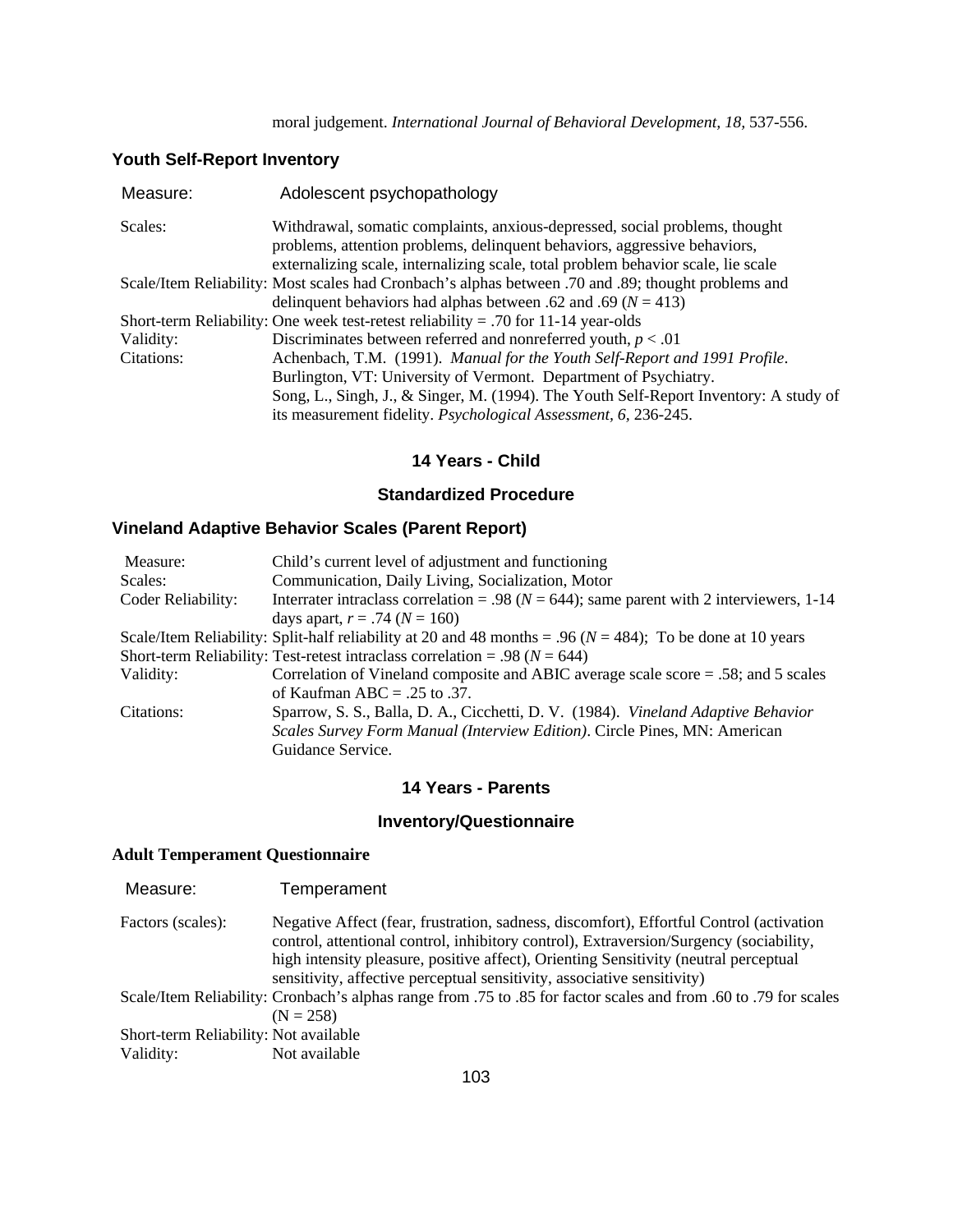# **Youth Self-Report Inventory**

| Measure:   | Adolescent psychopathology                                                                                                                                                                                                                    |
|------------|-----------------------------------------------------------------------------------------------------------------------------------------------------------------------------------------------------------------------------------------------|
| Scales:    | Withdrawal, somatic complaints, anxious-depressed, social problems, thought<br>problems, attention problems, delinquent behaviors, aggressive behaviors,<br>externalizing scale, internalizing scale, total problem behavior scale, lie scale |
|            | Scale/Item Reliability: Most scales had Cronbach's alphas between .70 and .89; thought problems and<br>delinquent behaviors had alphas between .62 and .69 ( $N = 413$ )                                                                      |
|            | Short-term Reliability: One week test-retest reliability = .70 for 11-14 year-olds                                                                                                                                                            |
| Validity:  | Discriminates between referred and nonreferred youth, $p < .01$                                                                                                                                                                               |
| Citations: | Achenbach, T.M. (1991). Manual for the Youth Self-Report and 1991 Profile.                                                                                                                                                                    |
|            | Burlington, VT: University of Vermont. Department of Psychiatry.                                                                                                                                                                              |
|            | Song, L., Singh, J., & Singer, M. (1994). The Youth Self-Report Inventory: A study of                                                                                                                                                         |
|            | its measurement fidelity. <i>Psychological Assessment</i> , 6, 236-245.                                                                                                                                                                       |
|            |                                                                                                                                                                                                                                               |

### **14 Years - Child**

#### **Standardized Procedure**

# **Vineland Adaptive Behavior Scales (Parent Report)**

| Measure:           | Child's current level of adjustment and functioning                                                            |
|--------------------|----------------------------------------------------------------------------------------------------------------|
| Scales:            | Communication, Daily Living, Socialization, Motor                                                              |
| Coder Reliability: | Interrater intraclass correlation = .98 ( $N = 644$ ); same parent with 2 interviewers, 1-14                   |
|                    | days apart, $r = .74$ ( $N = 160$ )                                                                            |
|                    | Scale/Item Reliability: Split-half reliability at 20 and 48 months = .96 ( $N = 484$ ); To be done at 10 years |
|                    | Short-term Reliability: Test-retest intraclass correlation = .98 ( $N = 644$ )                                 |
| Validity:          | Correlation of Vineland composite and ABIC average scale score = .58; and 5 scales                             |
|                    | of Kaufman ABC $= .25$ to .37.                                                                                 |
| Citations:         | Sparrow, S. S., Balla, D. A., Cicchetti, D. V. (1984). Vineland Adaptive Behavior                              |
|                    | Scales Survey Form Manual (Interview Edition). Circle Pines, MN: American                                      |
|                    | Guidance Service.                                                                                              |

#### **14 Years - Parents**

### **Inventory/Questionnaire**

#### **Adult Temperament Questionnaire**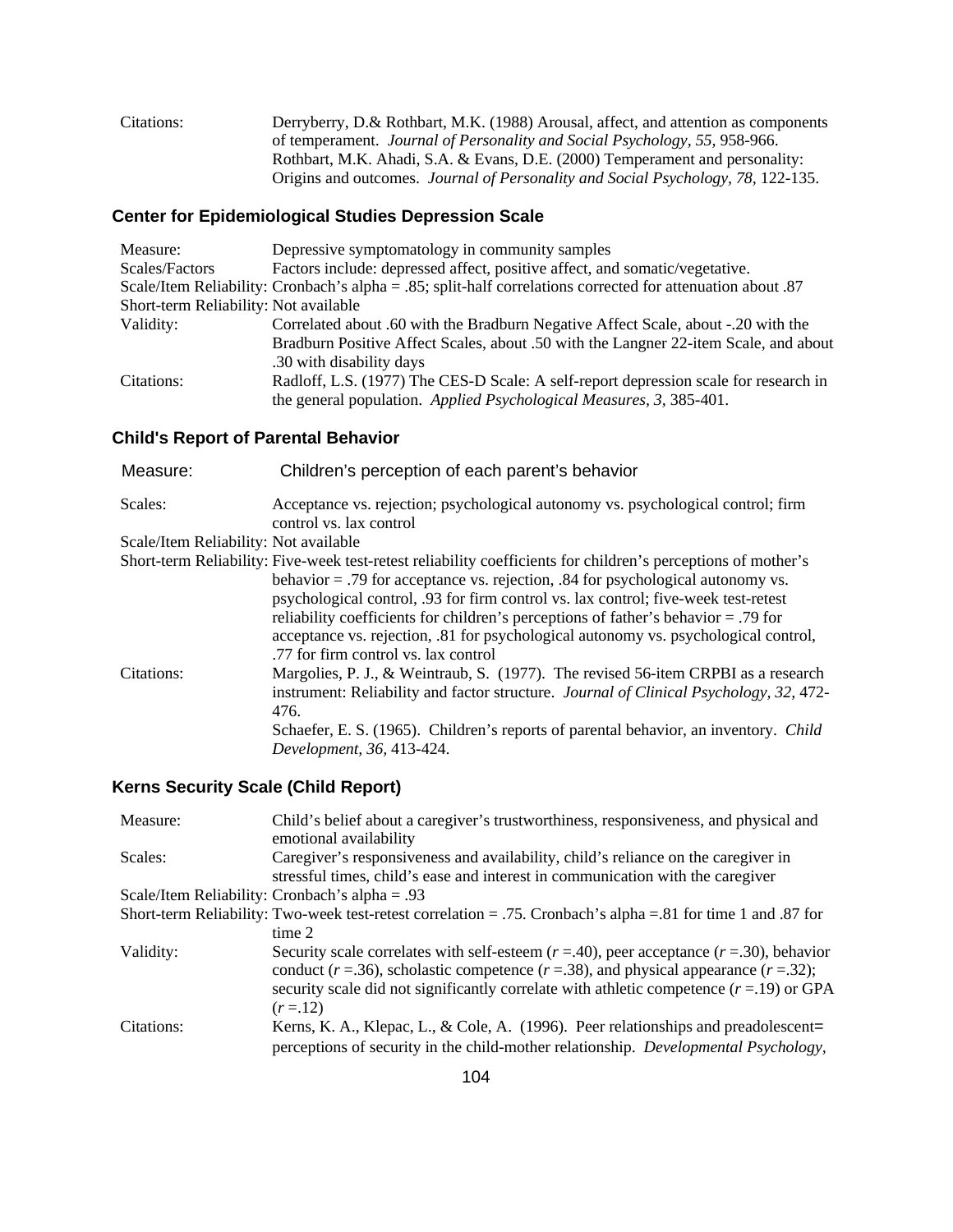| Citations: | Derryberry, D.& Rothbart, M.K. (1988) Arousal, affect, and attention as components       |
|------------|------------------------------------------------------------------------------------------|
|            | of temperament. Journal of Personality and Social Psychology, 55, 958-966.               |
|            | Rothbart, M.K. Ahadi, S.A. & Evans, D.E. (2000) Temperament and personality:             |
|            | Origins and outcomes. <i>Journal of Personality and Social Psychology</i> , 78, 122-135. |

# **Center for Epidemiological Studies Depression Scale**

| Measure:                              | Depressive symptomatology in community samples                                                              |
|---------------------------------------|-------------------------------------------------------------------------------------------------------------|
| Scales/Factors                        | Factors include: depressed affect, positive affect, and somatic/vegetative.                                 |
|                                       | Scale/Item Reliability: Cronbach's alpha = .85; split-half correlations corrected for attenuation about .87 |
| Short-term Reliability: Not available |                                                                                                             |
| Validity:                             | Correlated about .60 with the Bradburn Negative Affect Scale, about -.20 with the                           |
|                                       | Bradburn Positive Affect Scales, about .50 with the Langner 22-item Scale, and about                        |
|                                       | .30 with disability days                                                                                    |
| Citations:                            | Radloff, L.S. (1977) The CES-D Scale: A self-report depression scale for research in                        |
|                                       | the general population. Applied Psychological Measures, 3, 385-401.                                         |

# **Child's Report of Parental Behavior**

| Measure:                              | Children's perception of each parent's behavior                                                               |
|---------------------------------------|---------------------------------------------------------------------------------------------------------------|
| Scales:                               | Acceptance vs. rejection; psychological autonomy vs. psychological control; firm<br>control vs. lax control   |
| Scale/Item Reliability: Not available |                                                                                                               |
|                                       | Short-term Reliability: Five-week test-retest reliability coefficients for children's perceptions of mother's |
|                                       | behavior $=$ .79 for acceptance vs. rejection, .84 for psychological autonomy vs.                             |
|                                       | psychological control, .93 for firm control vs. lax control; five-week test-retest                            |
|                                       | reliability coefficients for children's perceptions of father's behavior = .79 for                            |
|                                       | acceptance vs. rejection, 81 for psychological autonomy vs. psychological control,                            |
|                                       | .77 for firm control vs. lax control                                                                          |
| Citations:                            | Margolies, P. J., & Weintraub, S. (1977). The revised 56-item CRPBI as a research                             |
|                                       | instrument: Reliability and factor structure. Journal of Clinical Psychology, 32, 472-                        |
|                                       | 476.                                                                                                          |
|                                       | Schaefer, E. S. (1965). Children's reports of parental behavior, an inventory. Child                          |
|                                       | Development, 36, 413-424.                                                                                     |

# **Kerns Security Scale (Child Report)**

| Measure:   | Child's belief about a caregiver's trustworthiness, responsiveness, and physical and<br>emotional availability |
|------------|----------------------------------------------------------------------------------------------------------------|
| Scales:    | Caregiver's responsiveness and availability, child's reliance on the caregiver in                              |
|            | stressful times, child's ease and interest in communication with the caregiver                                 |
|            | Scale/Item Reliability: Cronbach's alpha = .93                                                                 |
|            | Short-term Reliability: Two-week test-retest correlation = .75. Cronbach's alpha = .81 for time 1 and .87 for  |
|            | time 2                                                                                                         |
| Validity:  | Security scale correlates with self-esteem $(r = .40)$ , peer acceptance $(r = .30)$ , behavior                |
|            | conduct ( $r = .36$ ), scholastic competence ( $r = .38$ ), and physical appearance ( $r = .32$ );             |
|            | security scale did not significantly correlate with athletic competence $(r=19)$ or GPA                        |
|            | $(r = 12)$                                                                                                     |
| Citations: | Kerns, K. A., Klepac, L., & Cole, A. (1996). Peer relationships and preadolescent=                             |
|            | perceptions of security in the child-mother relationship. Developmental Psychology,                            |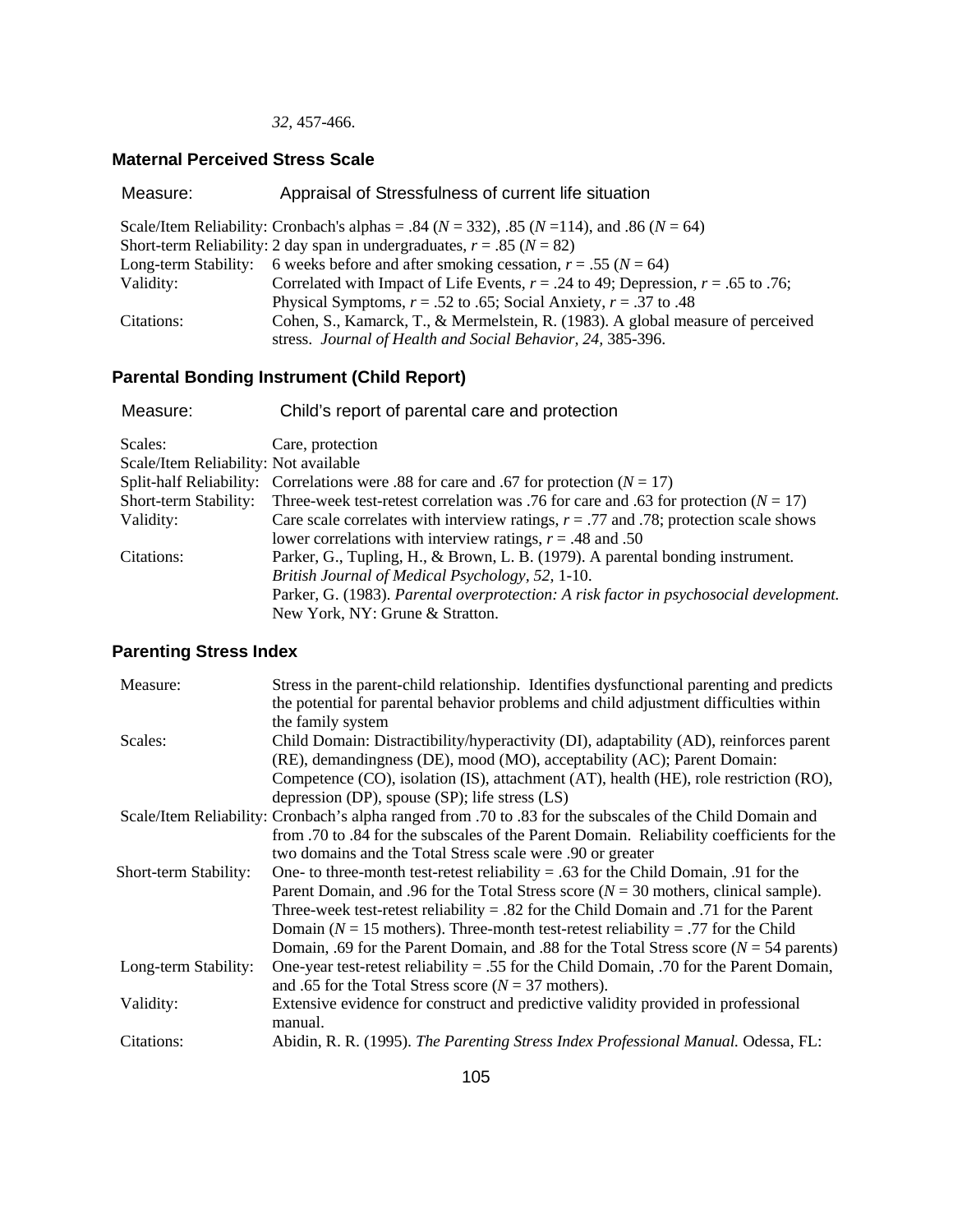#### *32,* 457-466.

### **Maternal Perceived Stress Scale**

| Measure:             | Appraisal of Stressfulness of current life situation                                                   |
|----------------------|--------------------------------------------------------------------------------------------------------|
|                      | Scale/Item Reliability: Cronbach's alphas = .84 ( $N = 332$ ), .85 ( $N = 114$ ), and .86 ( $N = 64$ ) |
|                      | Short-term Reliability: 2 day span in undergraduates, $r = .85$ ( $N = 82$ )                           |
| Long-term Stability: | 6 weeks before and after smoking cessation, $r = .55$ ( $N = 64$ )                                     |
| Validity:            | Correlated with Impact of Life Events, $r = .24$ to 49; Depression, $r = .65$ to .76;                  |
|                      | Physical Symptoms, $r = .52$ to .65; Social Anxiety, $r = .37$ to .48                                  |
| Citations:           | Cohen, S., Kamarck, T., & Mermelstein, R. (1983). A global measure of perceived                        |
|                      | stress. Journal of Health and Social Behavior, 24, 385-396.                                            |

# **Parental Bonding Instrument (Child Report)**

| Child's report of parental care and protection                                           |
|------------------------------------------------------------------------------------------|
| Care, protection                                                                         |
| Scale/Item Reliability: Not available                                                    |
| Split-half Reliability: Correlations were .88 for care and .67 for protection $(N = 17)$ |
| Three-week test-retest correlation was .76 for care and .63 for protection ( $N = 17$ )  |
| Care scale correlates with interview ratings, $r = .77$ and .78; protection scale shows  |
| lower correlations with interview ratings, $r = .48$ and .50                             |
| Parker, G., Tupling, H., & Brown, L. B. (1979). A parental bonding instrument.           |
| British Journal of Medical Psychology, 52, 1-10.                                         |
| Parker, G. (1983). Parental overprotection: A risk factor in psychosocial development.   |
| New York, NY: Grune & Stratton.                                                          |
|                                                                                          |

# **Parenting Stress Index**

| Measure:              | Stress in the parent-child relationship. Identifies dysfunctional parenting and predicts                  |
|-----------------------|-----------------------------------------------------------------------------------------------------------|
|                       | the potential for parental behavior problems and child adjustment difficulties within                     |
|                       | the family system                                                                                         |
| Scales:               | Child Domain: Distractibility/hyperactivity (DI), adaptability (AD), reinforces parent                    |
|                       | (RE), demandingness (DE), mood (MO), acceptability (AC); Parent Domain:                                   |
|                       | Competence (CO), isolation (IS), attachment (AT), health (HE), role restriction (RO),                     |
|                       | depression (DP), spouse $(SP)$ ; life stress $(LS)$                                                       |
|                       | Scale/Item Reliability: Cronbach's alpha ranged from .70 to .83 for the subscales of the Child Domain and |
|                       | from .70 to .84 for the subscales of the Parent Domain. Reliability coefficients for the                  |
|                       | two domains and the Total Stress scale were .90 or greater                                                |
| Short-term Stability: | One- to three-month test-retest reliability = .63 for the Child Domain, .91 for the                       |
|                       | Parent Domain, and .96 for the Total Stress score ( $N = 30$ mothers, clinical sample).                   |
|                       | Three-week test-retest reliability $= .82$ for the Child Domain and .71 for the Parent                    |
|                       | Domain ( $N = 15$ mothers). Three-month test-retest reliability = .77 for the Child                       |
|                       | Domain, .69 for the Parent Domain, and .88 for the Total Stress score ( $N = 54$ parents)                 |
| Long-term Stability:  | One-year test-retest reliability = .55 for the Child Domain, .70 for the Parent Domain,                   |
|                       | and .65 for the Total Stress score ( $N = 37$ mothers).                                                   |
| Validity:             | Extensive evidence for construct and predictive validity provided in professional                         |
|                       | manual.                                                                                                   |
| Citations:            | Abidin, R. R. (1995). The Parenting Stress Index Professional Manual. Odessa, FL:                         |
|                       |                                                                                                           |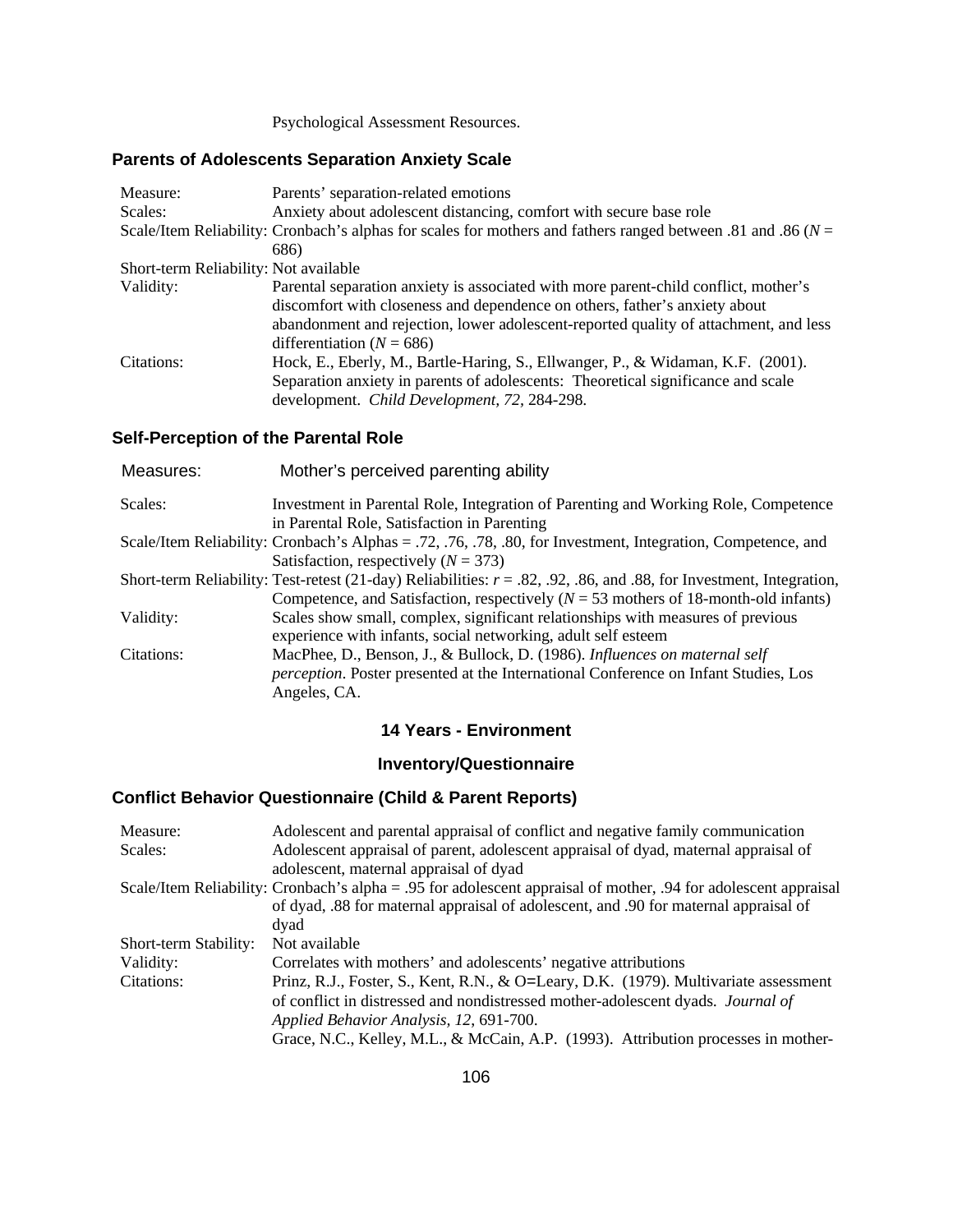Psychological Assessment Resources.

# **Parents of Adolescents Separation Anxiety Scale**

| Measure:                              | Parents' separation-related emotions                                                                            |
|---------------------------------------|-----------------------------------------------------------------------------------------------------------------|
| Scales:                               | Anxiety about adolescent distancing, comfort with secure base role                                              |
|                                       | Scale/Item Reliability: Cronbach's alphas for scales for mothers and fathers ranged between .81 and .86 ( $N =$ |
|                                       | 686)                                                                                                            |
| Short-term Reliability: Not available |                                                                                                                 |
| Validity:                             | Parental separation anxiety is associated with more parent-child conflict, mother's                             |
|                                       | discomfort with closeness and dependence on others, father's anxiety about                                      |
|                                       | abandonment and rejection, lower adolescent-reported quality of attachment, and less                            |
|                                       | differentiation ( $N = 686$ )                                                                                   |
| Citations:                            | Hock, E., Eberly, M., Bartle-Haring, S., Ellwanger, P., & Widaman, K.F. (2001).                                 |
|                                       | Separation anxiety in parents of adolescents: Theoretical significance and scale                                |
|                                       | development. Child Development, 72, 284-298.                                                                    |

### **Self-Perception of the Parental Role**

| Measures:  | Mother's perceived parenting ability                                                                                   |
|------------|------------------------------------------------------------------------------------------------------------------------|
| Scales:    | Investment in Parental Role, Integration of Parenting and Working Role, Competence                                     |
|            | in Parental Role, Satisfaction in Parenting                                                                            |
|            | Scale/Item Reliability: Cronbach's Alphas = .72, .76, .78, .80, for Investment, Integration, Competence, and           |
|            | Satisfaction, respectively $(N = 373)$                                                                                 |
|            | Short-term Reliability: Test-retest (21-day) Reliabilities: $r = .82, .92, .86,$ and .88, for Investment, Integration, |
|            | Competence, and Satisfaction, respectively $(N = 53$ mothers of 18-month-old infants)                                  |
| Validity:  | Scales show small, complex, significant relationships with measures of previous                                        |
|            | experience with infants, social networking, adult self esteem                                                          |
| Citations: | MacPhee, D., Benson, J., & Bullock, D. (1986). Influences on maternal self                                             |
|            | <i>perception</i> . Poster presented at the International Conference on Infant Studies, Los                            |
|            | Angeles, CA.                                                                                                           |
|            |                                                                                                                        |

### **14 Years - Environment**

# **Inventory/Questionnaire**

# **Conflict Behavior Questionnaire (Child & Parent Reports)**

| Measure:              | Adolescent and parental appraisal of conflict and negative family communication                                 |
|-----------------------|-----------------------------------------------------------------------------------------------------------------|
| Scales:               | Adolescent appraisal of parent, adolescent appraisal of dyad, maternal appraisal of                             |
|                       | adolescent, maternal appraisal of dyad                                                                          |
|                       | Scale/Item Reliability: Cronbach's alpha = .95 for adolescent appraisal of mother, .94 for adolescent appraisal |
|                       | of dyad, .88 for maternal appraisal of adolescent, and .90 for maternal appraisal of                            |
|                       | dyad                                                                                                            |
| Short-term Stability: | Not available                                                                                                   |
| Validity:             | Correlates with mothers' and adolescents' negative attributions                                                 |
| Citations:            | Prinz, R.J., Foster, S., Kent, R.N., & O=Leary, D.K. (1979). Multivariate assessment                            |
|                       | of conflict in distressed and nondistressed mother-adolescent dyads. Journal of                                 |
|                       | Applied Behavior Analysis, 12, 691-700.                                                                         |
|                       | Grace, N.C., Kelley, M.L., & McCain, A.P. (1993). Attribution processes in mother-                              |
|                       |                                                                                                                 |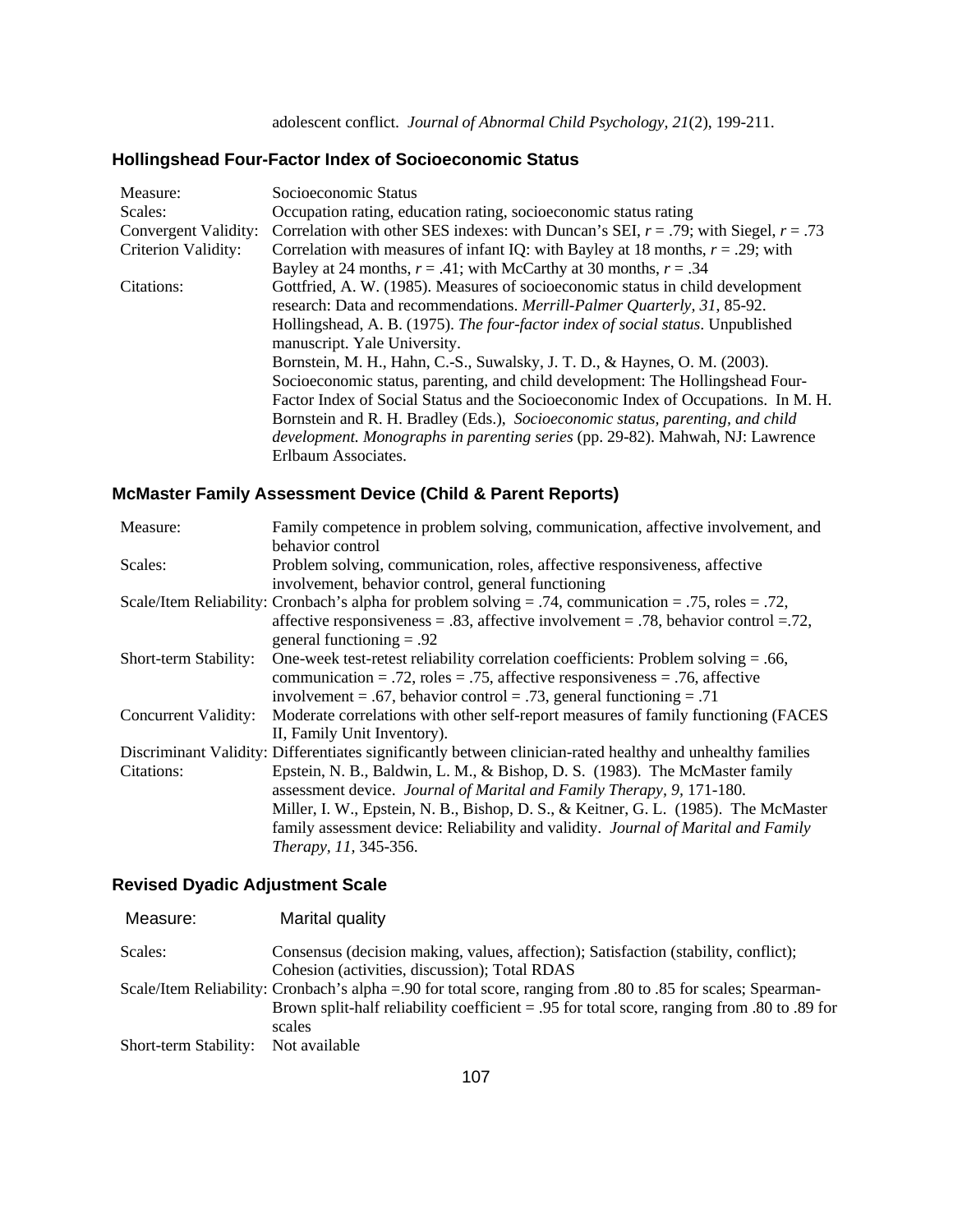# **Hollingshead Four-Factor Index of Socioeconomic Status**

| Measure:                   | Socioeconomic Status                                                                      |
|----------------------------|-------------------------------------------------------------------------------------------|
| Scales:                    | Occupation rating, education rating, socioeconomic status rating                          |
| Convergent Validity:       | Correlation with other SES indexes: with Duncan's SEI, $r = .79$ ; with Siegel, $r = .73$ |
| <b>Criterion Validity:</b> | Correlation with measures of infant IQ: with Bayley at 18 months, $r = .29$ ; with        |
|                            | Bayley at 24 months, $r = .41$ ; with McCarthy at 30 months, $r = .34$                    |
| Citations:                 | Gottfried, A. W. (1985). Measures of socioeconomic status in child development            |
|                            | research: Data and recommendations. Merrill-Palmer Quarterly, 31, 85-92.                  |
|                            | Hollingshead, A. B. (1975). The four-factor index of social status. Unpublished           |
|                            | manuscript. Yale University.                                                              |
|                            | Bornstein, M. H., Hahn, C.-S., Suwalsky, J. T. D., & Haynes, O. M. (2003).                |
|                            | Socioeconomic status, parenting, and child development: The Hollingshead Four-            |
|                            | Factor Index of Social Status and the Socioeconomic Index of Occupations. In M. H.        |
|                            | Bornstein and R. H. Bradley (Eds.), Socioeconomic status, parenting, and child            |
|                            | development. Monographs in parenting series (pp. 29-82). Mahwah, NJ: Lawrence             |
|                            | Erlbaum Associates.                                                                       |
|                            |                                                                                           |

# **McMaster Family Assessment Device (Child & Parent Reports)**

| Measure:              | Family competence in problem solving, communication, affective involvement, and                            |
|-----------------------|------------------------------------------------------------------------------------------------------------|
|                       | behavior control                                                                                           |
| Scales:               | Problem solving, communication, roles, affective responsiveness, affective                                 |
|                       | involvement, behavior control, general functioning                                                         |
|                       | Scale/Item Reliability: Cronbach's alpha for problem solving = .74, communication = .75, roles = .72,      |
|                       | affective responsiveness = .83, affective involvement = .78, behavior control = .72,                       |
|                       | general functioning $= .92$                                                                                |
| Short-term Stability: | One-week test-retest reliability correlation coefficients: Problem solving $= .66$ ,                       |
|                       | communication = .72, roles = .75, affective responsiveness = .76, affective                                |
|                       | involvement = .67, behavior control = .73, general functioning = .71                                       |
| Concurrent Validity:  | Moderate correlations with other self-report measures of family functioning (FACES                         |
|                       | II, Family Unit Inventory).                                                                                |
|                       | Discriminant Validity: Differentiates significantly between clinician-rated healthy and unhealthy families |
| Citations:            | Epstein, N. B., Baldwin, L. M., & Bishop, D. S. (1983). The McMaster family                                |
|                       | assessment device. Journal of Marital and Family Therapy, 9, 171-180.                                      |
|                       | Miller, I. W., Epstein, N. B., Bishop, D. S., & Keitner, G. L. (1985). The McMaster                        |
|                       | family assessment device: Reliability and validity. Journal of Marital and Family                          |
|                       | Therapy, 11, 345-356.                                                                                      |

# **Revised Dyadic Adjustment Scale**

| Measure:              | Marital quality                                                                                              |
|-----------------------|--------------------------------------------------------------------------------------------------------------|
| Scales:               | Consensus (decision making, values, affection); Satisfaction (stability, conflict);                          |
|                       | Cohesion (activities, discussion); Total RDAS                                                                |
|                       | Scale/Item Reliability: Cronbach's alpha = 90 for total score, ranging from .80 to .85 for scales; Spearman- |
|                       | Brown split-half reliability coefficient = .95 for total score, ranging from .80 to .89 for                  |
|                       | scales                                                                                                       |
| Short-term Stability: | Not available                                                                                                |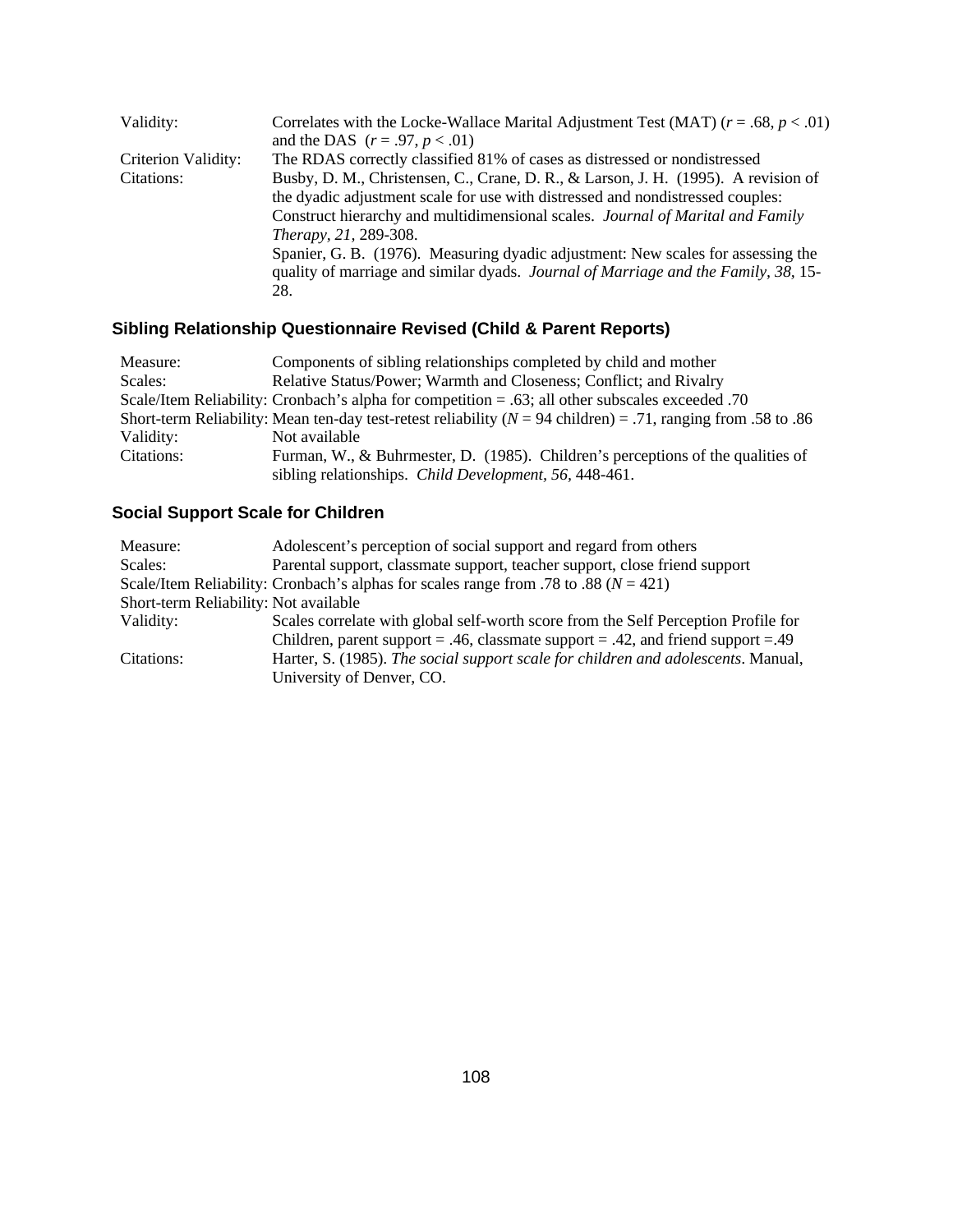| Validity:           | Correlates with the Locke-Wallace Marital Adjustment Test (MAT) $(r = .68, p < .01)$ |
|---------------------|--------------------------------------------------------------------------------------|
|                     | and the DAS $(r = .97, p < .01)$                                                     |
| Criterion Validity: | The RDAS correctly classified 81% of cases as distressed or nondistressed            |
| Citations:          | Busby, D. M., Christensen, C., Crane, D. R., & Larson, J. H. (1995). A revision of   |
|                     | the dyadic adjustment scale for use with distressed and nondistressed couples:       |
|                     | Construct hierarchy and multidimensional scales. Journal of Marital and Family       |
|                     | Therapy, 21, 289-308.                                                                |
|                     | Spanier, G. B. (1976). Measuring dyadic adjustment: New scales for assessing the     |
|                     | quality of marriage and similar dyads. Journal of Marriage and the Family, 38, 15-   |
|                     | 28.                                                                                  |

# **Sibling Relationship Questionnaire Revised (Child & Parent Reports)**

| Measure:   | Components of sibling relationships completed by child and mother                                                |
|------------|------------------------------------------------------------------------------------------------------------------|
| Scales:    | Relative Status/Power; Warmth and Closeness; Conflict; and Rivalry                                               |
|            | O. Scale/Item Reliability: Cronbach's alpha for competition = .63; all other subscales exceeded .70              |
|            | Short-term Reliability: Mean ten-day test-retest reliability ( $N = 94$ children) = .71, ranging from .58 to .86 |
| Validity:  | Not available                                                                                                    |
| Citations: | Furman, W., & Buhrmester, D. (1985). Children's perceptions of the qualities of                                  |
|            | sibling relationships. Child Development, 56, 448-461.                                                           |

# **Social Support Scale for Children**

| Measure:                              | Adolescent's perception of social support and regard from others                         |
|---------------------------------------|------------------------------------------------------------------------------------------|
| Scales:                               | Parental support, classmate support, teacher support, close friend support               |
|                                       | Scale/Item Reliability: Cronbach's alphas for scales range from .78 to .88 ( $N = 421$ ) |
| Short-term Reliability: Not available |                                                                                          |
| Validity:                             | Scales correlate with global self-worth score from the Self Perception Profile for       |
|                                       | Children, parent support = .46, classmate support = .42, and friend support = .49        |
| Citations:                            | Harter, S. (1985). The social support scale for children and adolescents. Manual,        |
|                                       | University of Denver, CO.                                                                |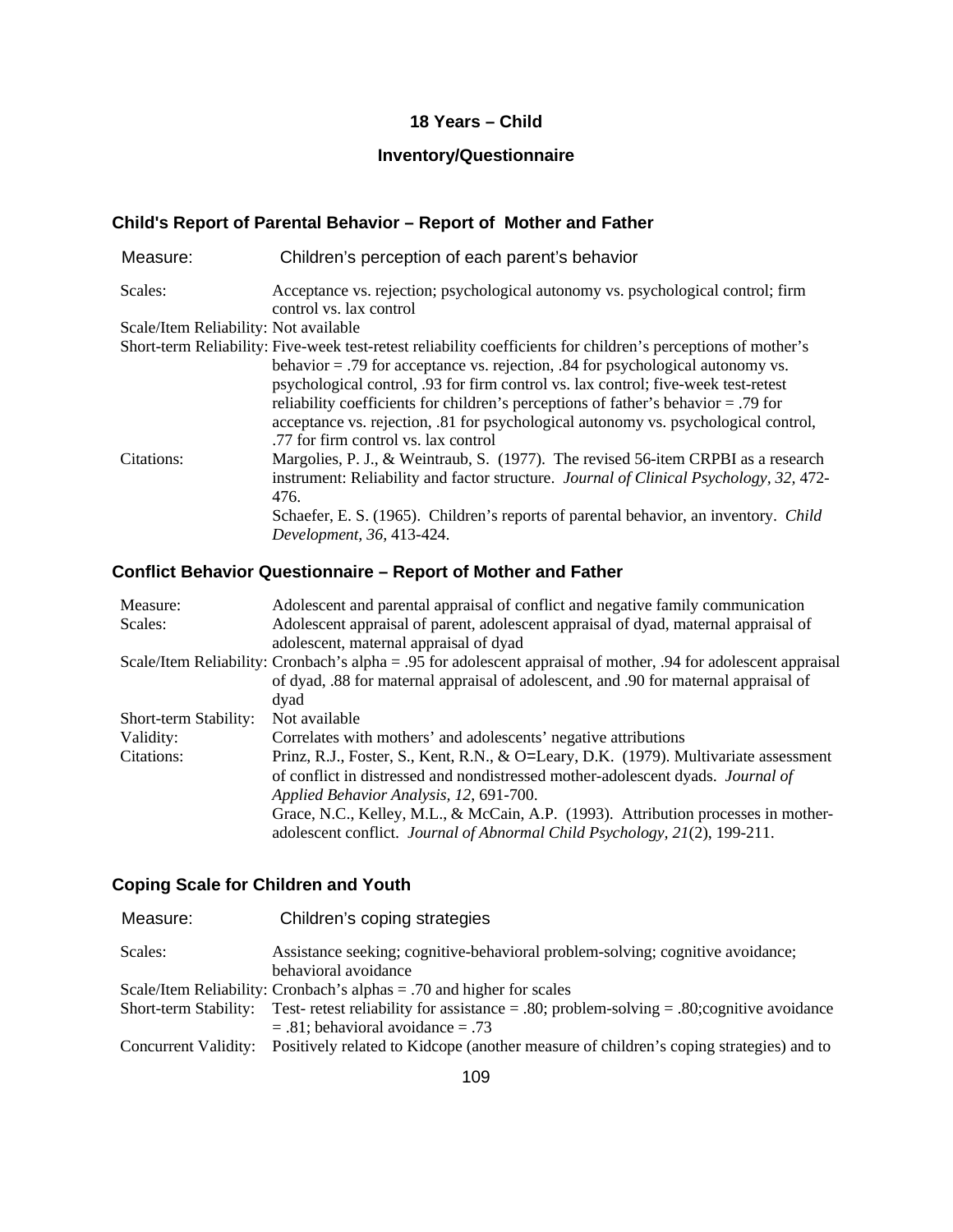#### **18 Years – Child**

## **Inventory/Questionnaire**

## **Child's Report of Parental Behavior – Report of Mother and Father**

| Measure:                              | Children's perception of each parent's behavior                                                               |
|---------------------------------------|---------------------------------------------------------------------------------------------------------------|
| Scales:                               | Acceptance vs. rejection; psychological autonomy vs. psychological control; firm<br>control vs. lax control   |
| Scale/Item Reliability: Not available |                                                                                                               |
|                                       | Short-term Reliability: Five-week test-retest reliability coefficients for children's perceptions of mother's |
|                                       | behavior $=$ .79 for acceptance vs. rejection, .84 for psychological autonomy vs.                             |
|                                       | psychological control, .93 for firm control vs. lax control; five-week test-retest                            |
|                                       | reliability coefficients for children's perceptions of father's behavior = .79 for                            |
|                                       | acceptance vs. rejection, .81 for psychological autonomy vs. psychological control,                           |
|                                       | .77 for firm control vs. lax control                                                                          |
| Citations:                            | Margolies, P. J., & Weintraub, S. (1977). The revised 56-item CRPBI as a research                             |
|                                       | instrument: Reliability and factor structure. <i>Journal of Clinical Psychology</i> , 32, 472-                |
|                                       | 476.                                                                                                          |
|                                       | Schaefer, E. S. (1965). Children's reports of parental behavior, an inventory. Child                          |
|                                       | Development, 36, 413-424.                                                                                     |

#### **Conflict Behavior Questionnaire – Report of Mother and Father**

| Measure:              | Adolescent and parental appraisal of conflict and negative family communication                                 |
|-----------------------|-----------------------------------------------------------------------------------------------------------------|
| Scales:               | Adolescent appraisal of parent, adolescent appraisal of dyad, maternal appraisal of                             |
|                       | adolescent, maternal appraisal of dyad                                                                          |
|                       | Scale/Item Reliability: Cronbach's alpha = .95 for adolescent appraisal of mother, .94 for adolescent appraisal |
|                       | of dyad, .88 for maternal appraisal of adolescent, and .90 for maternal appraisal of                            |
|                       | dyad                                                                                                            |
| Short-term Stability: | Not available                                                                                                   |
| Validity:             | Correlates with mothers' and adolescents' negative attributions                                                 |
| Citations:            | Prinz, R.J., Foster, S., Kent, R.N., & O=Leary, D.K. (1979). Multivariate assessment                            |
|                       | of conflict in distressed and nondistressed mother-adolescent dyads. Journal of                                 |
|                       | Applied Behavior Analysis, 12, 691-700.                                                                         |
|                       | Grace, N.C., Kelley, M.L., & McCain, A.P. (1993). Attribution processes in mother-                              |
|                       | adolescent conflict. Journal of Abnormal Child Psychology, 21(2), 199-211.                                      |

# **Coping Scale for Children and Youth**

| Measure:              | Children's coping strategies                                                                                |
|-----------------------|-------------------------------------------------------------------------------------------------------------|
| Scales:               | Assistance seeking; cognitive-behavioral problem-solving; cognitive avoidance;                              |
|                       | behavioral avoidance                                                                                        |
|                       | Scale/Item Reliability: Cronbach's alphas $= .70$ and higher for scales                                     |
| Short-term Stability: | Test- retest reliability for assistance $= .80$ ; problem-solving $= .80$ ; cognitive avoidance             |
|                       | $= .81$ ; behavioral avoidance $= .73$                                                                      |
|                       | Concurrent Validity: Positively related to Kidcope (another measure of children's coping strategies) and to |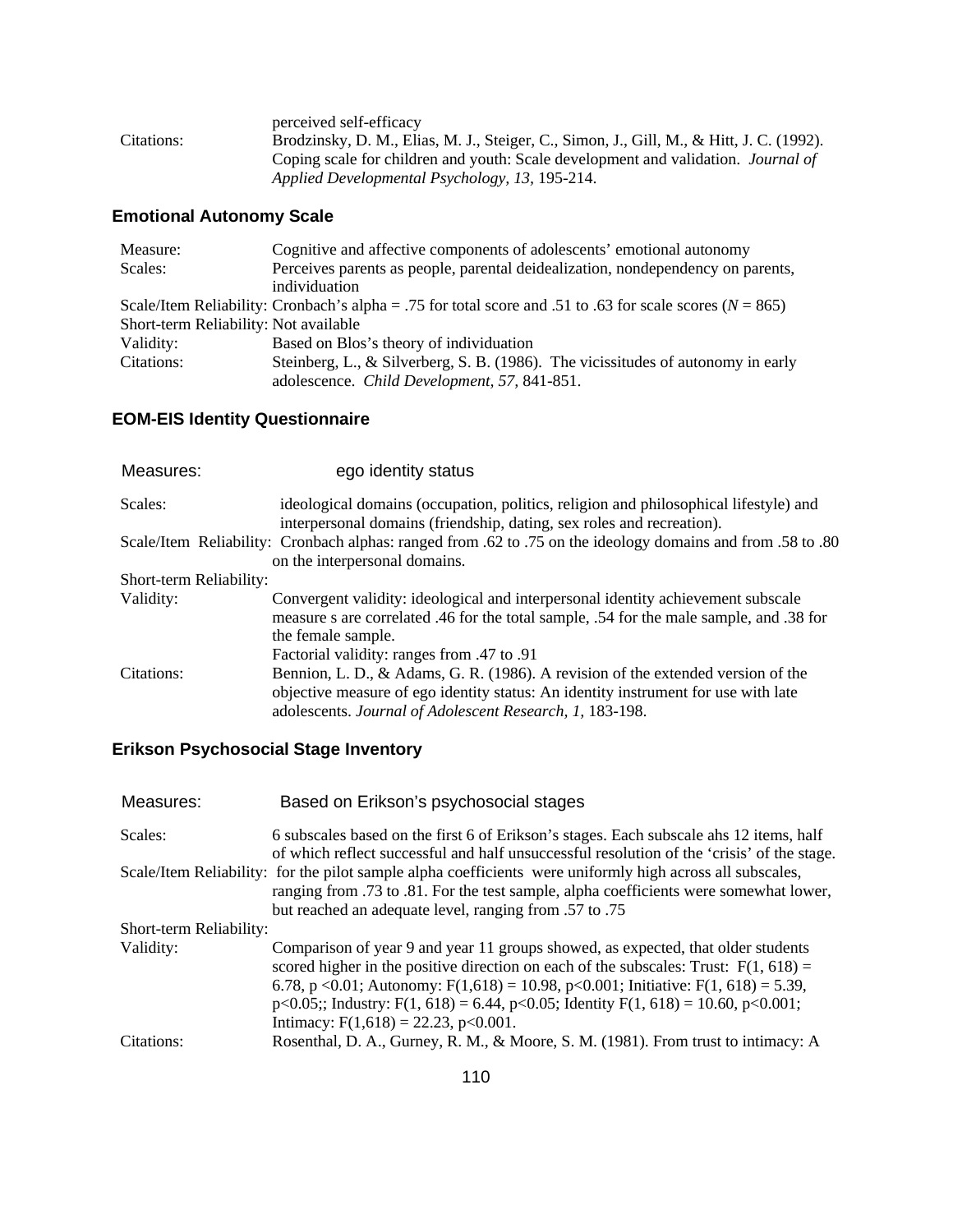|            | perceived self-efficacy                                                                  |
|------------|------------------------------------------------------------------------------------------|
| Citations: | Brodzinsky, D. M., Elias, M. J., Steiger, C., Simon, J., Gill, M., & Hitt, J. C. (1992). |
|            | Coping scale for children and youth: Scale development and validation. <i>Journal of</i> |
|            | Applied Developmental Psychology, 13, 195-214.                                           |

# **Emotional Autonomy Scale**

| Measure:                              | Cognitive and affective components of adolescents' emotional autonomy                                        |
|---------------------------------------|--------------------------------------------------------------------------------------------------------------|
| Scales:                               | Perceives parents as people, parental deidealization, nondependency on parents,                              |
|                                       | individuation                                                                                                |
|                                       | Scale/Item Reliability: Cronbach's alpha = .75 for total score and .51 to .63 for scale scores ( $N = 865$ ) |
| Short-term Reliability: Not available |                                                                                                              |
| Validity:                             | Based on Blos's theory of individuation                                                                      |
| Citations:                            | Steinberg, L., & Silverberg, S. B. $(1986)$ . The vicissitudes of autonomy in early                          |
|                                       | adolescence. Child Development, 57, 841-851.                                                                 |

# **EOM-EIS Identity Questionnaire**

| Measures:               | ego identity status                                                                                                                                                                                                                             |
|-------------------------|-------------------------------------------------------------------------------------------------------------------------------------------------------------------------------------------------------------------------------------------------|
| Scales:                 | ideological domains (occupation, politics, religion and philosophical lifestyle) and<br>interpersonal domains (friendship, dating, sex roles and recreation).                                                                                   |
|                         | Sexually Scale/Item Reliability: Cronbach alphas: ranged from .62 to .75 on the ideology domains and from .58 to .80<br>on the interpersonal domains.                                                                                           |
| Short-term Reliability: |                                                                                                                                                                                                                                                 |
| Validity:               | Convergent validity: ideological and interpersonal identity achievement subscale<br>measure s are correlated .46 for the total sample, .54 for the male sample, and .38 for<br>the female sample.<br>Factorial validity: ranges from .47 to .91 |
| Citations:              | Bennion, L. D., & Adams, G. R. (1986). A revision of the extended version of the<br>objective measure of ego identity status: An identity instrument for use with late<br>adolescents. Journal of Adolescent Research, 1, 183-198.              |

# **Erikson Psychosocial Stage Inventory**

| Measures:               | Based on Erikson's psychosocial stages                                                                                                                                                                                                                                                                                                                                                                            |
|-------------------------|-------------------------------------------------------------------------------------------------------------------------------------------------------------------------------------------------------------------------------------------------------------------------------------------------------------------------------------------------------------------------------------------------------------------|
| Scales:                 | 6 subscales based on the first 6 of Erikson's stages. Each subscale ahs 12 items, half                                                                                                                                                                                                                                                                                                                            |
|                         | of which reflect successful and half unsuccessful resolution of the 'crisis' of the stage.<br>Scale/Item Reliability: for the pilot sample alpha coefficients were uniformly high across all subscales,<br>ranging from .73 to .81. For the test sample, alpha coefficients were somewhat lower,<br>but reached an adequate level, ranging from .57 to .75                                                        |
| Short-term Reliability: |                                                                                                                                                                                                                                                                                                                                                                                                                   |
| Validity:               | Comparison of year 9 and year 11 groups showed, as expected, that older students<br>scored higher in the positive direction on each of the subscales: Trust: $F(1, 618) =$<br>6.78, p < 0.01; Autonomy: $F(1,618) = 10.98$ , p < 0.001; Initiative: $F(1, 618) = 5.39$ ,<br>$p<0.05$ ;; Industry: F(1, 618) = 6.44, $p<0.05$ ; Identity F(1, 618) = 10.60, $p<0.001$ ;<br>Intimacy: $F(1,618) = 22.23$ , p<0.001. |
| Citations:              | Rosenthal, D. A., Gurney, R. M., & Moore, S. M. (1981). From trust to intimacy: A                                                                                                                                                                                                                                                                                                                                 |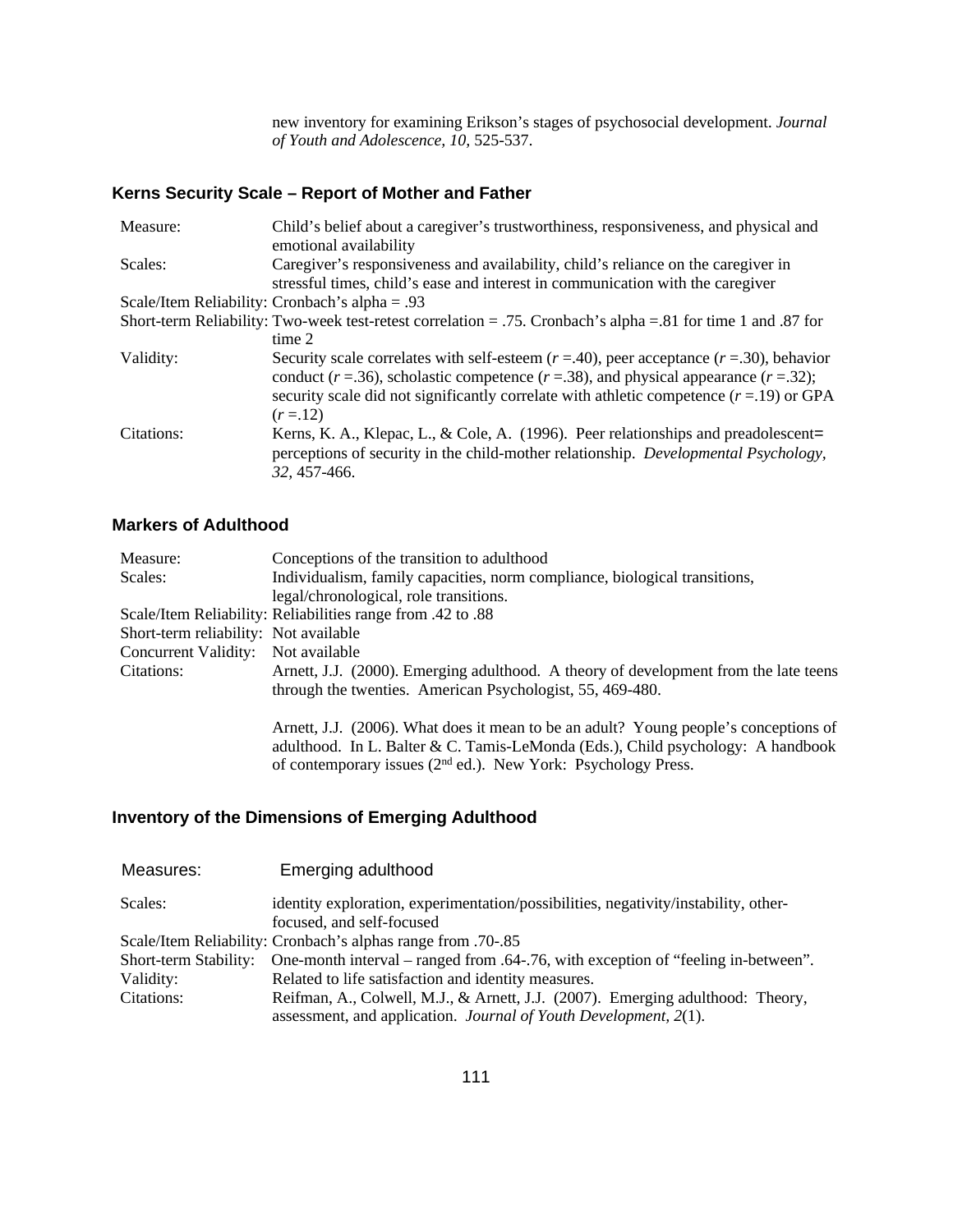new inventory for examining Erikson's stages of psychosocial development. *Journal of Youth and Adolescence, 10,* 525-537.

## **Kerns Security Scale – Report of Mother and Father**

| Measure:   | Child's belief about a caregiver's trustworthiness, responsiveness, and physical and<br>emotional availability                                                                                                                                                                                   |
|------------|--------------------------------------------------------------------------------------------------------------------------------------------------------------------------------------------------------------------------------------------------------------------------------------------------|
| Scales:    | Caregiver's responsiveness and availability, child's reliance on the caregiver in<br>stressful times, child's ease and interest in communication with the caregiver                                                                                                                              |
|            | Scale/Item Reliability: Cronbach's alpha = .93                                                                                                                                                                                                                                                   |
|            | Short-term Reliability: Two-week test-retest correlation = .75. Cronbach's alpha = .81 for time 1 and .87 for                                                                                                                                                                                    |
|            | time 2                                                                                                                                                                                                                                                                                           |
| Validity:  | Security scale correlates with self-esteem $(r = .40)$ , peer acceptance $(r = .30)$ , behavior<br>conduct ( $r = .36$ ), scholastic competence ( $r = .38$ ), and physical appearance ( $r = .32$ );<br>security scale did not significantly correlate with athletic competence $(r=19)$ or GPA |
|            | $(r = 12)$                                                                                                                                                                                                                                                                                       |
| Citations: | Kerns, K. A., Klepac, L., & Cole, A. (1996). Peer relationships and preadolescent=<br>perceptions of security in the child-mother relationship. <i>Developmental Psychology</i> ,<br>32, 457-466.                                                                                                |

#### **Markers of Adulthood**

| Measure:                              | Conceptions of the transition to adulthood                                           |
|---------------------------------------|--------------------------------------------------------------------------------------|
| Scales:                               | Individualism, family capacities, norm compliance, biological transitions,           |
|                                       | legal/chronological, role transitions.                                               |
|                                       | Scale/Item Reliability: Reliabilities range from .42 to .88                          |
| Short-term reliability: Not available |                                                                                      |
| Concurrent Validity: Not available    |                                                                                      |
| Citations:                            | Arnett, J.J. (2000). Emerging adulthood. A theory of development from the late teens |
|                                       | through the twenties. American Psychologist, 55, 469-480.                            |
|                                       |                                                                                      |
|                                       | Arnett, J.J. (2006). What does it mean to be an adult? Young people's conceptions of |
|                                       | adulthood. In L. Balter & C. Tamis-LeMonda (Eds.), Child psychology: A handbook      |
|                                       | of contemporary issues (2 <sup>nd</sup> ed.). New York: Psychology Press.            |

## **Inventory of the Dimensions of Emerging Adulthood**

| Measures:             | Emerging adulthood                                                                                               |
|-----------------------|------------------------------------------------------------------------------------------------------------------|
| Scales:               | identity exploration, experimentation/possibilities, negativity/instability, other-<br>focused, and self-focused |
|                       | Scale/Item Reliability: Cronbach's alphas range from .70-.85                                                     |
| Short-term Stability: | One-month interval – ranged from .64-.76, with exception of "feeling in-between".                                |
| Validity:             | Related to life satisfaction and identity measures.                                                              |
| Citations:            | Reifman, A., Colwell, M.J., & Arnett, J.J. (2007). Emerging adulthood: Theory,                                   |
|                       | assessment, and application. <i>Journal of Youth Development</i> , 2(1).                                         |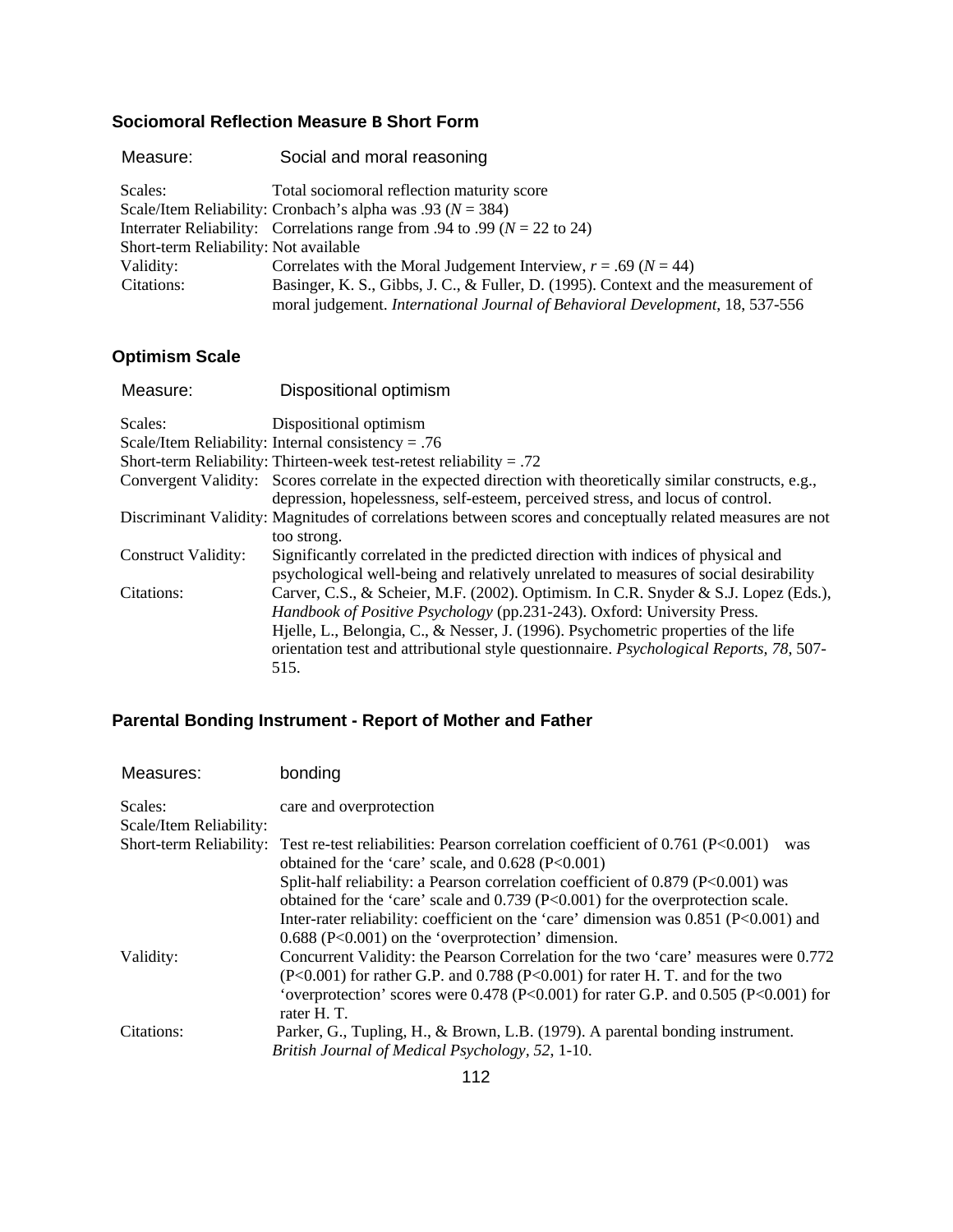#### **Sociomoral Reflection Measure B Short Form**

| Measure:   | Social and moral reasoning                                                         |
|------------|------------------------------------------------------------------------------------|
| Scales:    | Total sociomoral reflection maturity score                                         |
|            | Scale/Item Reliability: Cronbach's alpha was .93 ( $N = 384$ )                     |
|            | Interrater Reliability: Correlations range from .94 to .99 ( $N = 22$ to 24)       |
|            | Short-term Reliability: Not available                                              |
| Validity:  | Correlates with the Moral Judgement Interview, $r = .69$ ( $N = 44$ )              |
| Citations: | Basinger, K. S., Gibbs, J. C., & Fuller, D. (1995). Context and the measurement of |
|            | moral judgement. International Journal of Behavioral Development, 18, 537-556      |
|            |                                                                                    |

## **Optimism Scale**

| Measure:                   | Dispositional optimism                                                                                       |
|----------------------------|--------------------------------------------------------------------------------------------------------------|
| Scales:                    | Dispositional optimism                                                                                       |
|                            | Scale/Item Reliability: Internal consistency = .76                                                           |
|                            | Short-term Reliability: Thirteen-week test-retest reliability = .72                                          |
|                            | Convergent Validity: Scores correlate in the expected direction with theoretically similar constructs, e.g., |
|                            | depression, hopelessness, self-esteem, perceived stress, and locus of control.                               |
|                            | Discriminant Validity: Magnitudes of correlations between scores and conceptually related measures are not   |
|                            | too strong.                                                                                                  |
| <b>Construct Validity:</b> | Significantly correlated in the predicted direction with indices of physical and                             |
|                            | psychological well-being and relatively unrelated to measures of social desirability                         |
| Citations:                 | Carver, C.S., & Scheier, M.F. (2002). Optimism. In C.R. Snyder & S.J. Lopez (Eds.),                          |
|                            | Handbook of Positive Psychology (pp.231-243). Oxford: University Press.                                      |
|                            | Hjelle, L., Belongia, C., & Nesser, J. (1996). Psychometric properties of the life                           |
|                            | orientation test and attributional style questionnaire. Psychological Reports, 78, 507-                      |
|                            | 515.                                                                                                         |

## **Parental Bonding Instrument - Report of Mother and Father**

| Measures:                          | bonding                                                                                                                                                                  |
|------------------------------------|--------------------------------------------------------------------------------------------------------------------------------------------------------------------------|
| Scales:<br>Scale/Item Reliability: | care and overprotection                                                                                                                                                  |
|                                    | Short-term Reliability: Test re-test reliabilities: Pearson correlation coefficient of 0.761 (P<0.001)<br>was<br>obtained for the 'care' scale, and $0.628$ (P<0.001)    |
|                                    | Split-half reliability: a Pearson correlation coefficient of $0.879$ (P<0.001) was<br>obtained for the 'care' scale and 0.739 (P<0.001) for the overprotection scale.    |
|                                    | Inter-rater reliability: coefficient on the 'care' dimension was $0.851$ (P<0.001) and<br>$0.688$ (P<0.001) on the 'overprotection' dimension.                           |
| Validity:                          | Concurrent Validity: the Pearson Correlation for the two 'care' measures were 0.772<br>$(P<0.001)$ for rather G.P. and 0.788 $(P<0.001)$ for rater H. T. and for the two |
|                                    | 'overprotection' scores were $0.478$ (P<0.001) for rater G.P. and $0.505$ (P<0.001) for<br>rater H.T.                                                                    |
| Citations:                         | Parker, G., Tupling, H., & Brown, L.B. (1979). A parental bonding instrument.<br>British Journal of Medical Psychology, 52, 1-10.                                        |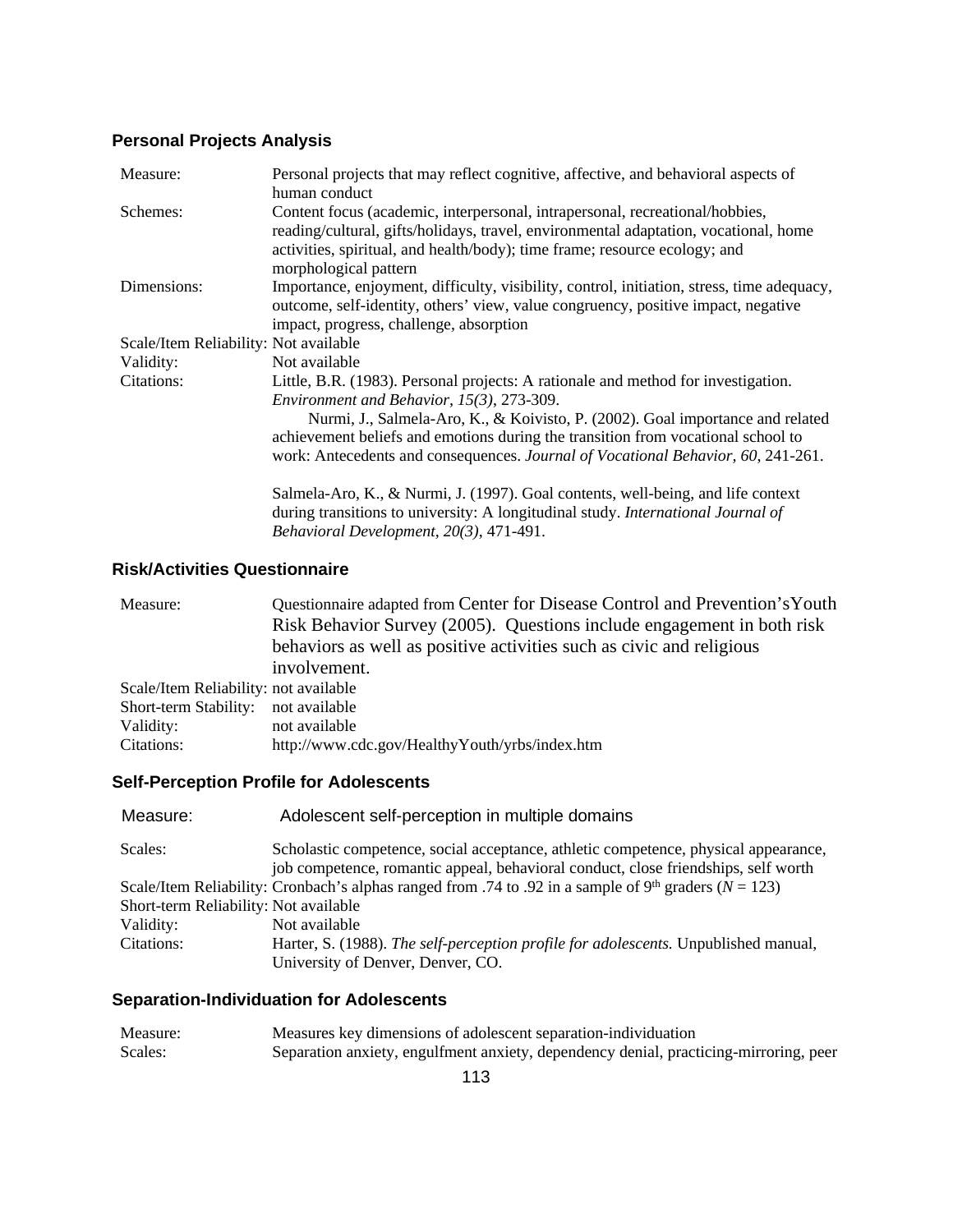# **Personal Projects Analysis**

| Measure:                              | Personal projects that may reflect cognitive, affective, and behavioral aspects of<br>human conduct                                                                                                                                                                         |
|---------------------------------------|-----------------------------------------------------------------------------------------------------------------------------------------------------------------------------------------------------------------------------------------------------------------------------|
| Schemes:                              | Content focus (academic, interpersonal, intrapersonal, recreational/hobbies,<br>reading/cultural, gifts/holidays, travel, environmental adaptation, vocational, home<br>activities, spiritual, and health/body); time frame; resource ecology; and<br>morphological pattern |
| Dimensions:                           | Importance, enjoyment, difficulty, visibility, control, initiation, stress, time adequacy,<br>outcome, self-identity, others' view, value congruency, positive impact, negative<br>impact, progress, challenge, absorption                                                  |
| Scale/Item Reliability: Not available |                                                                                                                                                                                                                                                                             |
| Validity:                             | Not available                                                                                                                                                                                                                                                               |
| Citations:                            | Little, B.R. (1983). Personal projects: A rationale and method for investigation.<br>Environment and Behavior, 15(3), 273-309.                                                                                                                                              |
|                                       | Nurmi, J., Salmela-Aro, K., & Koivisto, P. (2002). Goal importance and related<br>achievement beliefs and emotions during the transition from vocational school to<br>work: Antecedents and consequences. Journal of Vocational Behavior, 60, 241-261.                      |
|                                       | Salmela-Aro, K., & Nurmi, J. (1997). Goal contents, well-being, and life context<br>during transitions to university: A longitudinal study. International Journal of<br>Behavioral Development, 20(3), 471-491.                                                             |

## **Risk/Activities Questionnaire**

| Measure:                              | Questionnaire adapted from Center for Disease Control and Prevention's Youth |
|---------------------------------------|------------------------------------------------------------------------------|
|                                       | Risk Behavior Survey (2005). Questions include engagement in both risk       |
|                                       | behaviors as well as positive activities such as civic and religious         |
|                                       | involvement.                                                                 |
| Scale/Item Reliability: not available |                                                                              |
| Short-term Stability:                 | not available                                                                |
| Validity:                             | not available                                                                |
| Citations:                            | http://www.cdc.gov/HealthyYouth/yrbs/index.htm                               |
|                                       |                                                                              |

# **Self-Perception Profile for Adolescents**

| Measure:                              | Adolescent self-perception in multiple domains                                                                        |
|---------------------------------------|-----------------------------------------------------------------------------------------------------------------------|
| Scales:                               | Scholastic competence, social acceptance, athletic competence, physical appearance,                                   |
|                                       | job competence, romantic appeal, behavioral conduct, close friendships, self worth                                    |
|                                       | Scale/Item Reliability: Cronbach's alphas ranged from .74 to .92 in a sample of 9 <sup>th</sup> graders ( $N = 123$ ) |
| Short-term Reliability: Not available |                                                                                                                       |
| Validity:                             | Not available                                                                                                         |
| Citations:                            | Harter, S. (1988). The self-perception profile for adolescents. Unpublished manual,                                   |
|                                       | University of Denver, Denver, CO.                                                                                     |

## **Separation-Individuation for Adolescents**

| Measure: | Measures key dimensions of adolescent separation-individuation                        |
|----------|---------------------------------------------------------------------------------------|
| Scales:  | Separation anxiety, engulfment anxiety, dependency denial, practicing-mirroring, peer |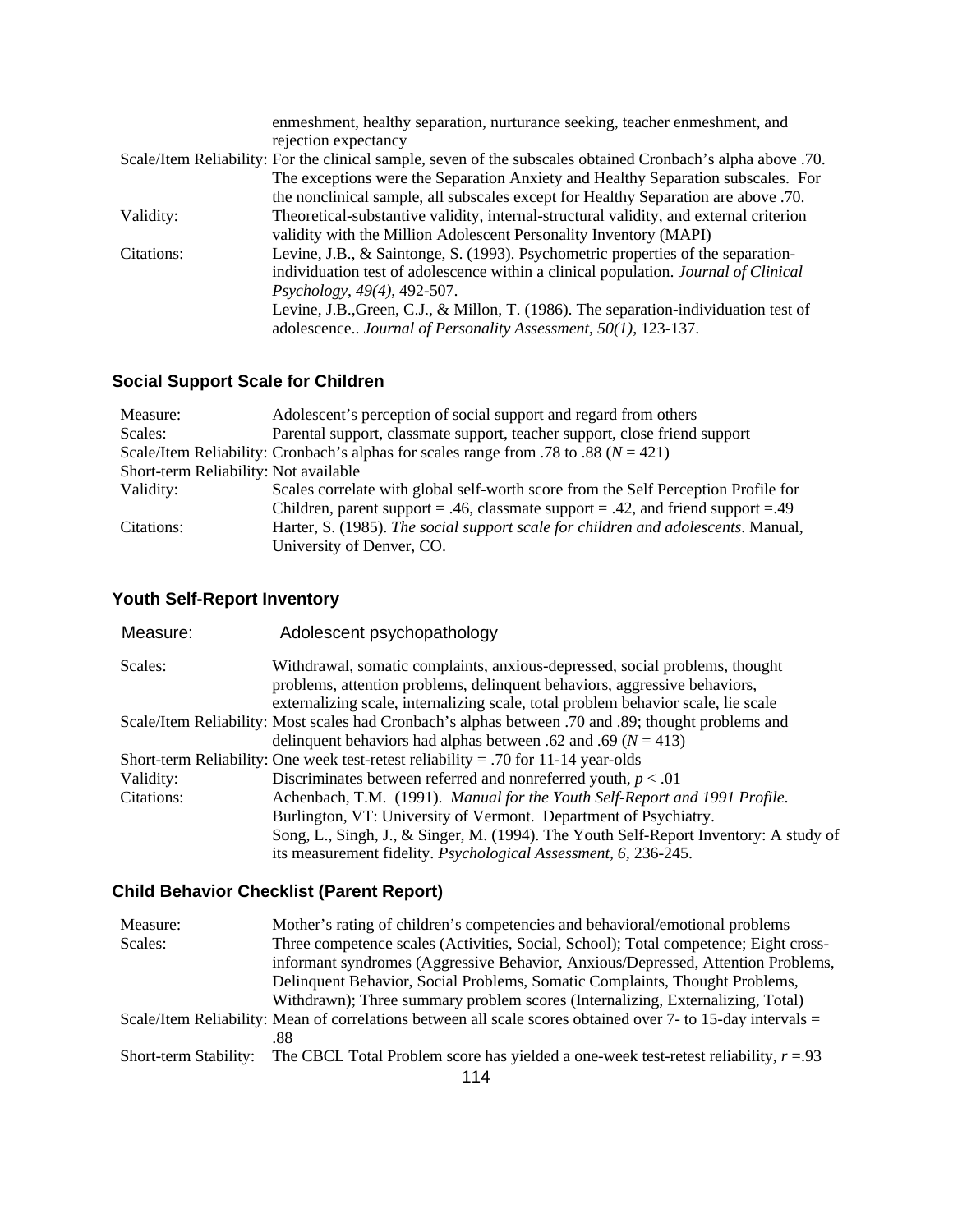|            | enmeshment, healthy separation, nurturance seeking, teacher enmeshment, and                                  |
|------------|--------------------------------------------------------------------------------------------------------------|
|            | rejection expectancy                                                                                         |
|            | .07. Scale/Item Reliability: For the clinical sample, seven of the subscales obtained Cronbach's alpha above |
|            | The exceptions were the Separation Anxiety and Healthy Separation subscales. For                             |
|            | the nonclinical sample, all subscales except for Healthy Separation are above .70.                           |
| Validity:  | Theoretical-substantive validity, internal-structural validity, and external criterion                       |
|            | validity with the Million Adolescent Personality Inventory (MAPI)                                            |
| Citations: | Levine, J.B., & Saintonge, S. (1993). Psychometric properties of the separation-                             |
|            | individuation test of adolescence within a clinical population. <i>Journal of Clinical</i>                   |
|            | <i>Psychology</i> , 49(4), 492-507.                                                                          |
|            | Levine, J.B., Green, C.J., & Millon, T. (1986). The separation-individuation test of                         |
|            | adolescence Journal of Personality Assessment, 50(1), 123-137.                                               |
|            |                                                                                                              |

# **Social Support Scale for Children**

| Measure:                              | Adolescent's perception of social support and regard from others                         |
|---------------------------------------|------------------------------------------------------------------------------------------|
| Scales:                               | Parental support, classmate support, teacher support, close friend support               |
|                                       | Scale/Item Reliability: Cronbach's alphas for scales range from .78 to .88 ( $N = 421$ ) |
| Short-term Reliability: Not available |                                                                                          |
| Validity:                             | Scales correlate with global self-worth score from the Self Perception Profile for       |
|                                       | Children, parent support = .46, classmate support = .42, and friend support = .49        |
| Citations:                            | Harter, S. (1985). The social support scale for children and adolescents. Manual,        |
|                                       | University of Denver, CO.                                                                |

## **Youth Self-Report Inventory**

| Measure:   | Adolescent psychopathology                                                                                                                                                                                                                    |
|------------|-----------------------------------------------------------------------------------------------------------------------------------------------------------------------------------------------------------------------------------------------|
| Scales:    | Withdrawal, somatic complaints, anxious-depressed, social problems, thought<br>problems, attention problems, delinquent behaviors, aggressive behaviors,<br>externalizing scale, internalizing scale, total problem behavior scale, lie scale |
|            | Scale/Item Reliability: Most scales had Cronbach's alphas between .70 and .89; thought problems and<br>delinquent behaviors had alphas between .62 and .69 ( $N = 413$ )                                                                      |
|            | Short-term Reliability: One week test-retest reliability = .70 for 11-14 year-olds                                                                                                                                                            |
| Validity:  | Discriminates between referred and nonreferred youth, $p < .01$                                                                                                                                                                               |
| Citations: | Achenbach, T.M. (1991). Manual for the Youth Self-Report and 1991 Profile.                                                                                                                                                                    |
|            | Burlington, VT: University of Vermont. Department of Psychiatry.                                                                                                                                                                              |
|            | Song, L., Singh, J., & Singer, M. (1994). The Youth Self-Report Inventory: A study of                                                                                                                                                         |
|            | its measurement fidelity. Psychological Assessment, 6, 236-245.                                                                                                                                                                               |

## **Child Behavior Checklist (Parent Report)**

| Measure:                                                                                                     | Mother's rating of children's competencies and behavioral/emotional problems           |  |
|--------------------------------------------------------------------------------------------------------------|----------------------------------------------------------------------------------------|--|
| Scales:                                                                                                      | Three competence scales (Activities, Social, School); Total competence; Eight cross-   |  |
|                                                                                                              | informant syndromes (Aggressive Behavior, Anxious/Depressed, Attention Problems,       |  |
|                                                                                                              | Delinquent Behavior, Social Problems, Somatic Complaints, Thought Problems,            |  |
|                                                                                                              | Withdrawn); Three summary problem scores (Internalizing, Externalizing, Total)         |  |
| Scale/Item Reliability: Mean of correlations between all scale scores obtained over 7- to 15-day intervals = |                                                                                        |  |
|                                                                                                              |                                                                                        |  |
| Short-term Stability:                                                                                        | The CBCL Total Problem score has yielded a one-week test-retest reliability, $r = .93$ |  |
|                                                                                                              |                                                                                        |  |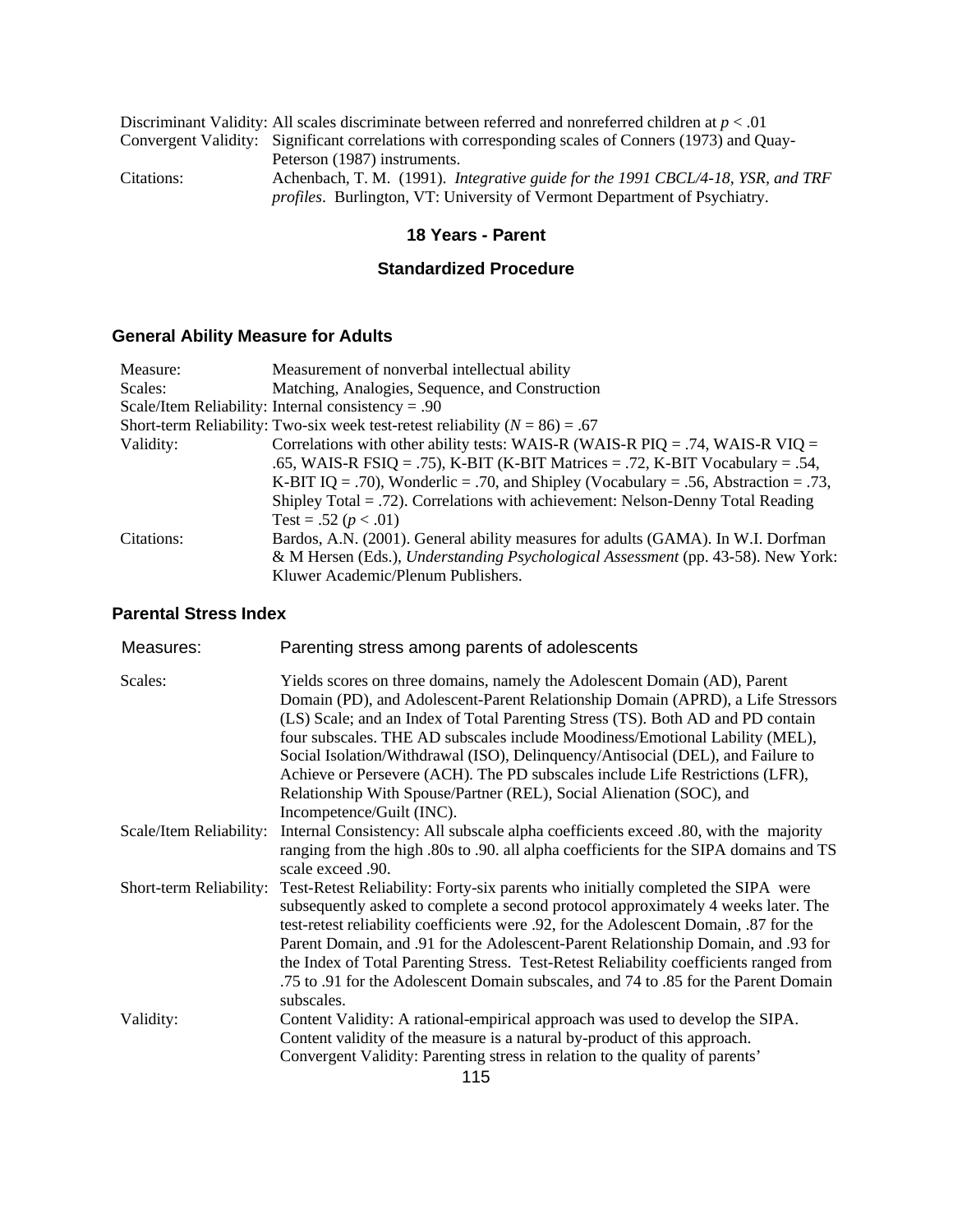| Discriminant Validity: All scales discriminate between referred and nonreferred children at $p < .01$ |                                                                                                                                                                     |  |
|-------------------------------------------------------------------------------------------------------|---------------------------------------------------------------------------------------------------------------------------------------------------------------------|--|
|                                                                                                       | Convergent Validity: Significant correlations with corresponding scales of Conners (1973) and Quay-                                                                 |  |
|                                                                                                       | Peterson (1987) instruments.                                                                                                                                        |  |
| Citations:                                                                                            | Achenbach, T. M. (1991). Integrative guide for the 1991 CBCL/4-18, YSR, and TRF<br><i>profiles.</i> Burlington, VT: University of Vermont Department of Psychiatry. |  |

## **18 Years - Parent**

## **Standardized Procedure**

# **General Ability Measure for Adults**

| Measure:   | Measurement of nonverbal intellectual ability                                       |
|------------|-------------------------------------------------------------------------------------|
| Scales:    | Matching, Analogies, Sequence, and Construction                                     |
|            | Scale/Item Reliability: Internal consistency = .90                                  |
|            | Short-term Reliability: Two-six week test-retest reliability ( $N = 86$ ) = .67     |
| Validity:  | Correlations with other ability tests: WAIS-R (WAIS-R PIQ = .74, WAIS-R VIQ =       |
|            | .65, WAIS-R FSIQ = .75), K-BIT (K-BIT Matrices = .72, K-BIT Vocabulary = .54,       |
|            | K-BIT IQ = .70), Wonderlic = .70, and Shipley (Vocabulary = .56, Abstraction = .73, |
|            | Shipley Total $= .72$ ). Correlations with achievement: Nelson-Denny Total Reading  |
|            | Test = .52 ( $p < .01$ )                                                            |
| Citations: | Bardos, A.N. (2001). General ability measures for adults (GAMA). In W.I. Dorfman    |
|            | & M Hersen (Eds.), Understanding Psychological Assessment (pp. 43-58). New York:    |
|            | Kluwer Academic/Plenum Publishers.                                                  |

## **Parental Stress Index**

| Measures:               | Parenting stress among parents of adolescents                                                                                                                                                                                                                                                                                                                                                                                                                                                                                                                                                            |
|-------------------------|----------------------------------------------------------------------------------------------------------------------------------------------------------------------------------------------------------------------------------------------------------------------------------------------------------------------------------------------------------------------------------------------------------------------------------------------------------------------------------------------------------------------------------------------------------------------------------------------------------|
| Scales:                 | Yields scores on three domains, namely the Adolescent Domain (AD), Parent<br>Domain (PD), and Adolescent-Parent Relationship Domain (APRD), a Life Stressors<br>(LS) Scale; and an Index of Total Parenting Stress (TS). Both AD and PD contain<br>four subscales. THE AD subscales include Moodiness/Emotional Lability (MEL),<br>Social Isolation/Withdrawal (ISO), Delinquency/Antisocial (DEL), and Failure to<br>Achieve or Persevere (ACH). The PD subscales include Life Restrictions (LFR),<br>Relationship With Spouse/Partner (REL), Social Alienation (SOC), and<br>Incompetence/Guilt (INC). |
| Scale/Item Reliability: | Internal Consistency: All subscale alpha coefficients exceed .80, with the majority<br>ranging from the high .80s to .90. all alpha coefficients for the SIPA domains and TS<br>scale exceed .90.                                                                                                                                                                                                                                                                                                                                                                                                        |
| Short-term Reliability: | Test-Retest Reliability: Forty-six parents who initially completed the SIPA were<br>subsequently asked to complete a second protocol approximately 4 weeks later. The<br>test-retest reliability coefficients were .92, for the Adolescent Domain, .87 for the<br>Parent Domain, and .91 for the Adolescent-Parent Relationship Domain, and .93 for<br>the Index of Total Parenting Stress. Test-Retest Reliability coefficients ranged from<br>.75 to .91 for the Adolescent Domain subscales, and 74 to .85 for the Parent Domain<br>subscales.                                                        |
| Validity:               | Content Validity: A rational-empirical approach was used to develop the SIPA.<br>Content validity of the measure is a natural by-product of this approach.<br>Convergent Validity: Parenting stress in relation to the quality of parents'<br>11 E                                                                                                                                                                                                                                                                                                                                                       |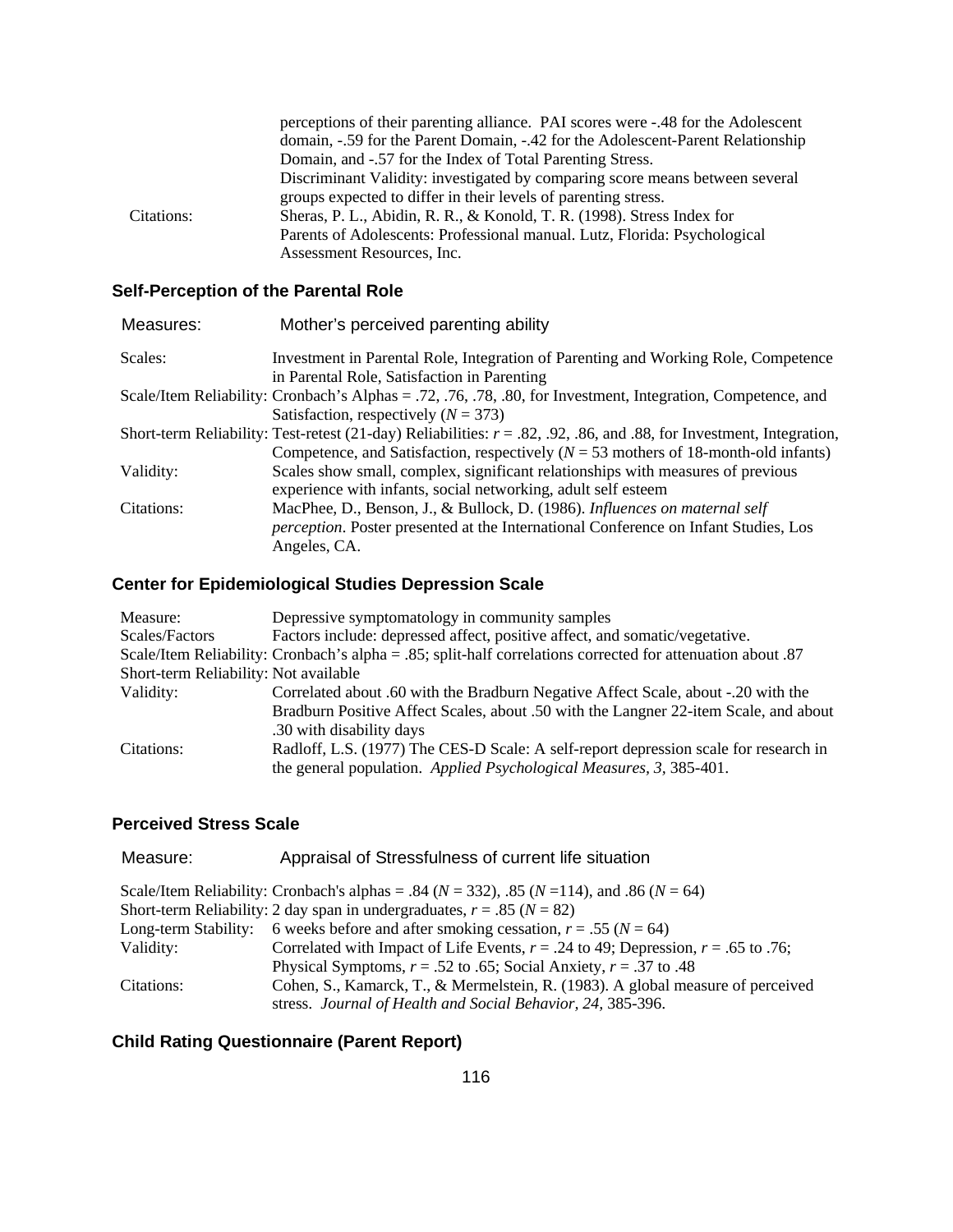|            | perceptions of their parenting alliance. PAI scores were -.48 for the Adolescent |
|------------|----------------------------------------------------------------------------------|
|            | domain, -.59 for the Parent Domain, -.42 for the Adolescent-Parent Relationship  |
|            | Domain, and -.57 for the Index of Total Parenting Stress.                        |
|            | Discriminant Validity: investigated by comparing score means between several     |
|            | groups expected to differ in their levels of parenting stress.                   |
| Citations: | Sheras, P. L., Abidin, R. R., & Konold, T. R. (1998). Stress Index for           |
|            | Parents of Adolescents: Professional manual. Lutz, Florida: Psychological        |
|            | Assessment Resources, Inc.                                                       |

## **Self-Perception of the Parental Role**

| Measures:  | Mother's perceived parenting ability                                                                                   |
|------------|------------------------------------------------------------------------------------------------------------------------|
| Scales:    | Investment in Parental Role, Integration of Parenting and Working Role, Competence                                     |
|            | in Parental Role, Satisfaction in Parenting                                                                            |
|            | Scale/Item Reliability: Cronbach's Alphas = .72, .76, .78, .80, for Investment, Integration, Competence, and           |
|            | Satisfaction, respectively $(N = 373)$                                                                                 |
|            | Short-term Reliability: Test-retest (21-day) Reliabilities: $r = .82, .92, .86,$ and .88, for Investment, Integration, |
|            | Competence, and Satisfaction, respectively ( $N = 53$ mothers of 18-month-old infants)                                 |
| Validity:  | Scales show small, complex, significant relationships with measures of previous                                        |
|            | experience with infants, social networking, adult self esteem                                                          |
| Citations: | MacPhee, D., Benson, J., & Bullock, D. (1986). Influences on maternal self                                             |
|            | <i>perception</i> . Poster presented at the International Conference on Infant Studies, Los                            |
|            | Angeles, CA.                                                                                                           |

# **Center for Epidemiological Studies Depression Scale**

| Measure:                              | Depressive symptomatology in community samples                                                              |
|---------------------------------------|-------------------------------------------------------------------------------------------------------------|
| Scales/Factors                        | Factors include: depressed affect, positive affect, and somatic/vegetative.                                 |
|                                       | Scale/Item Reliability: Cronbach's alpha = .85; split-half correlations corrected for attenuation about .87 |
| Short-term Reliability: Not available |                                                                                                             |
| Validity:                             | Correlated about .60 with the Bradburn Negative Affect Scale, about -.20 with the                           |
|                                       | Bradburn Positive Affect Scales, about .50 with the Langner 22-item Scale, and about                        |
|                                       | .30 with disability days                                                                                    |
| Citations:                            | Radloff, L.S. (1977) The CES-D Scale: A self-report depression scale for research in                        |
|                                       | the general population. Applied Psychological Measures, 3, 385-401.                                         |

#### **Perceived Stress Scale**

| Measure:             | Appraisal of Stressfulness of current life situation                                                   |
|----------------------|--------------------------------------------------------------------------------------------------------|
|                      | Scale/Item Reliability: Cronbach's alphas = .84 ( $N = 332$ ), .85 ( $N = 114$ ), and .86 ( $N = 64$ ) |
|                      | Short-term Reliability: 2 day span in undergraduates, $r = .85$ ( $N = 82$ )                           |
| Long-term Stability: | 6 weeks before and after smoking cessation, $r = .55$ ( $N = 64$ )                                     |
| Validity:            | Correlated with Impact of Life Events, $r = .24$ to 49; Depression, $r = .65$ to .76;                  |
|                      | Physical Symptoms, $r = .52$ to .65; Social Anxiety, $r = .37$ to .48                                  |
| Citations:           | Cohen, S., Kamarck, T., & Mermelstein, R. (1983). A global measure of perceived                        |
|                      | stress. Journal of Health and Social Behavior, 24, 385-396.                                            |

# **Child Rating Questionnaire (Parent Report)**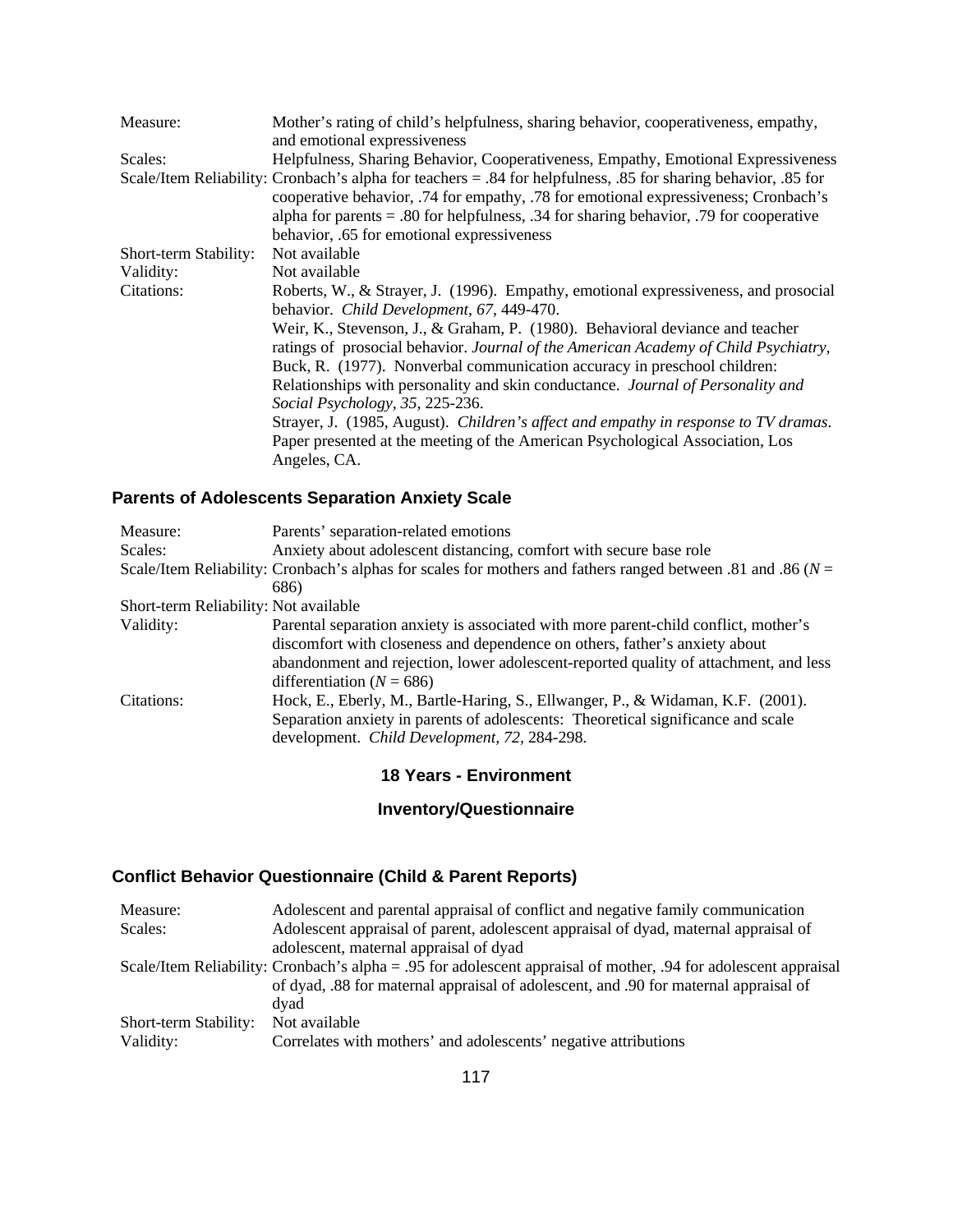| Measure:              | Mother's rating of child's helpfulness, sharing behavior, cooperativeness, empathy,<br>and emotional expressiveness                                                                                                                                                                                                                                 |
|-----------------------|-----------------------------------------------------------------------------------------------------------------------------------------------------------------------------------------------------------------------------------------------------------------------------------------------------------------------------------------------------|
| Scales:               | Helpfulness, Sharing Behavior, Cooperativeness, Empathy, Emotional Expressiveness                                                                                                                                                                                                                                                                   |
|                       | Scale/Item Reliability: Cronbach's alpha for teachers = .84 for helpfulness, .85 for sharing behavior, .85 for<br>cooperative behavior, .74 for empathy, .78 for emotional expressiveness; Cronbach's<br>alpha for parents $= .80$ for helpfulness, $.34$ for sharing behavior, $.79$ for cooperative<br>behavior, .65 for emotional expressiveness |
| Short-term Stability: | Not available                                                                                                                                                                                                                                                                                                                                       |
| Validity:             | Not available                                                                                                                                                                                                                                                                                                                                       |
| Citations:            | Roberts, W., & Strayer, J. (1996). Empathy, emotional expressiveness, and prosocial<br>behavior. Child Development, 67, 449-470.                                                                                                                                                                                                                    |
|                       | Weir, K., Stevenson, J., & Graham, P. (1980). Behavioral deviance and teacher<br>ratings of prosocial behavior. Journal of the American Academy of Child Psychiatry,<br>Buck, R. (1977). Nonverbal communication accuracy in preschool children:                                                                                                    |
|                       | Relationships with personality and skin conductance. Journal of Personality and                                                                                                                                                                                                                                                                     |
|                       | Social Psychology, 35, 225-236.                                                                                                                                                                                                                                                                                                                     |
|                       | Strayer, J. (1985, August). Children's affect and empathy in response to TV dramas.                                                                                                                                                                                                                                                                 |
|                       | Paper presented at the meeting of the American Psychological Association, Los                                                                                                                                                                                                                                                                       |
|                       | Angeles, CA.                                                                                                                                                                                                                                                                                                                                        |

## **Parents of Adolescents Separation Anxiety Scale**

| Measure:                              | Parents' separation-related emotions                                                                            |  |
|---------------------------------------|-----------------------------------------------------------------------------------------------------------------|--|
| Scales:                               | Anxiety about adolescent distancing, comfort with secure base role                                              |  |
|                                       | Scale/Item Reliability: Cronbach's alphas for scales for mothers and fathers ranged between .81 and .86 ( $N =$ |  |
|                                       | 686)                                                                                                            |  |
| Short-term Reliability: Not available |                                                                                                                 |  |
| Validity:                             | Parental separation anxiety is associated with more parent-child conflict, mother's                             |  |
|                                       | discomfort with closeness and dependence on others, father's anxiety about                                      |  |
|                                       | abandonment and rejection, lower adolescent-reported quality of attachment, and less                            |  |
|                                       | differentiation ( $N = 686$ )                                                                                   |  |
| Citations:                            | Hock, E., Eberly, M., Bartle-Haring, S., Ellwanger, P., & Widaman, K.F. (2001).                                 |  |
|                                       | Separation anxiety in parents of adolescents: Theoretical significance and scale                                |  |
|                                       | development. Child Development, 72, 284-298.                                                                    |  |

#### **18 Years - Environment**

# **Inventory/Questionnaire**

# **Conflict Behavior Questionnaire (Child & Parent Reports)**

| Measure:              | Adolescent and parental appraisal of conflict and negative family communication                                 |
|-----------------------|-----------------------------------------------------------------------------------------------------------------|
| Scales:               | Adolescent appraisal of parent, adolescent appraisal of dyad, maternal appraisal of                             |
|                       | adolescent, maternal appraisal of dyad                                                                          |
|                       | Scale/Item Reliability: Cronbach's alpha = .95 for adolescent appraisal of mother, .94 for adolescent appraisal |
|                       | of dyad, .88 for maternal appraisal of adolescent, and .90 for maternal appraisal of                            |
|                       | dvad                                                                                                            |
| Short-term Stability: | Not available                                                                                                   |
| Validity:             | Correlates with mothers' and adolescents' negative attributions                                                 |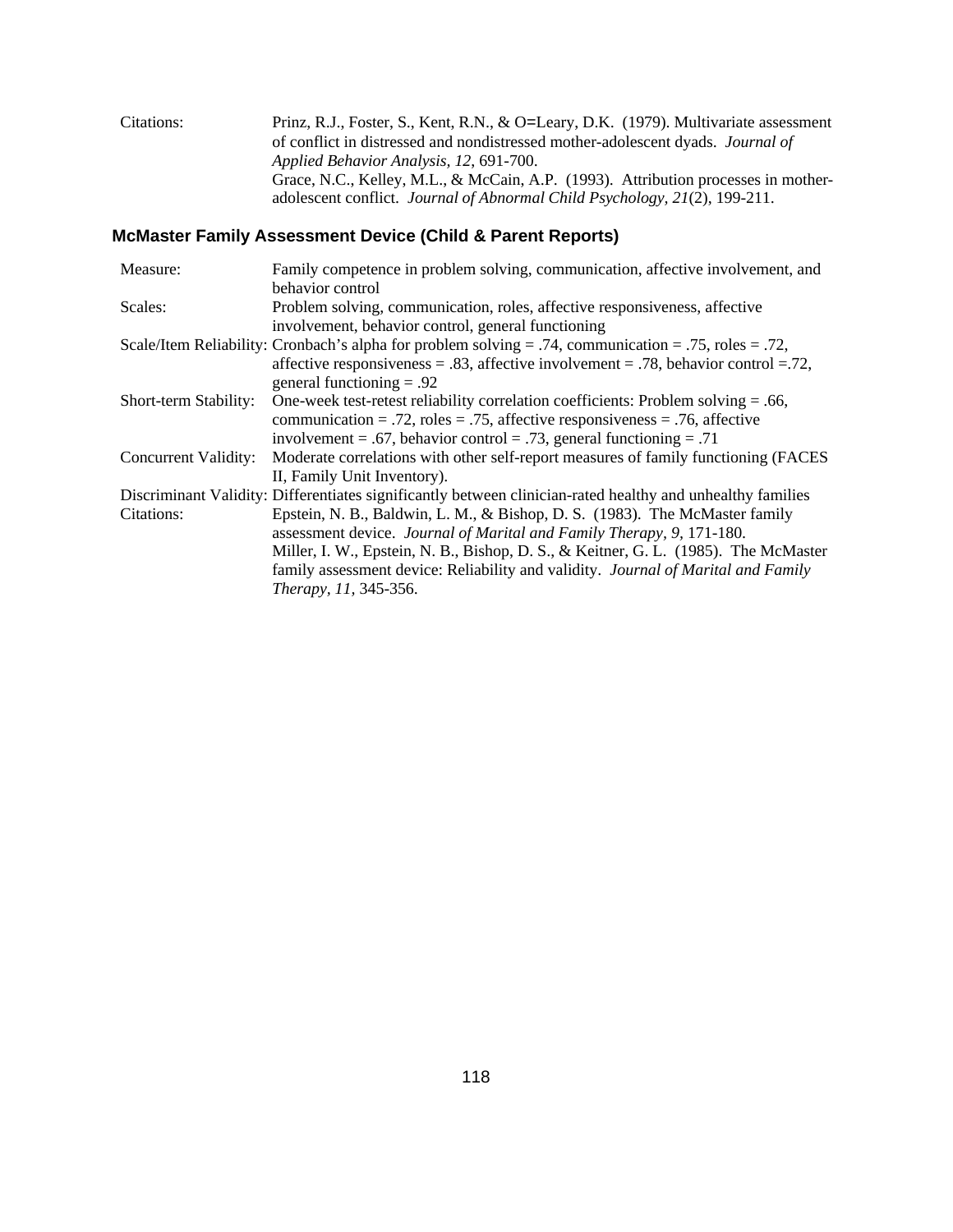Citations: Prinz, R.J., Foster, S., Kent, R.N., & O=Leary, D.K. (1979). Multivariate assessment of conflict in distressed and nondistressed mother-adolescent dyads. *Journal of Applied Behavior Analysis, 12*, 691-700. Grace, N.C., Kelley, M.L., & McCain, A.P. (1993). Attribution processes in motheradolescent conflict. *Journal of Abnormal Child Psychology, 21*(2), 199-211.

#### **McMaster Family Assessment Device (Child & Parent Reports)**

| Measure:              | Family competence in problem solving, communication, affective involvement, and                            |
|-----------------------|------------------------------------------------------------------------------------------------------------|
|                       | behavior control                                                                                           |
| Scales:               | Problem solving, communication, roles, affective responsiveness, affective                                 |
|                       | involvement, behavior control, general functioning                                                         |
|                       | Scale/Item Reliability: Cronbach's alpha for problem solving = .74, communication = .75, roles = .72,      |
|                       | affective responsiveness = $.83$ , affective involvement = $.78$ , behavior control = $.72$ ,              |
|                       | general functioning $= .92$                                                                                |
| Short-term Stability: | One-week test-retest reliability correlation coefficients: Problem solving $= .66$ ,                       |
|                       | communication = .72, roles = .75, affective responsiveness = .76, affective                                |
|                       | involvement = .67, behavior control = .73, general functioning = .71                                       |
| Concurrent Validity:  | Moderate correlations with other self-report measures of family functioning (FACES                         |
|                       | II, Family Unit Inventory).                                                                                |
|                       | Discriminant Validity: Differentiates significantly between clinician-rated healthy and unhealthy families |
| Citations:            | Epstein, N. B., Baldwin, L. M., & Bishop, D. S. (1983). The McMaster family                                |
|                       | assessment device. Journal of Marital and Family Therapy, 9, 171-180.                                      |
|                       | Miller, I. W., Epstein, N. B., Bishop, D. S., & Keitner, G. L. (1985). The McMaster                        |
|                       | family assessment device: Reliability and validity. Journal of Marital and Family                          |
|                       | Therapy, 11, 345-356.                                                                                      |
|                       |                                                                                                            |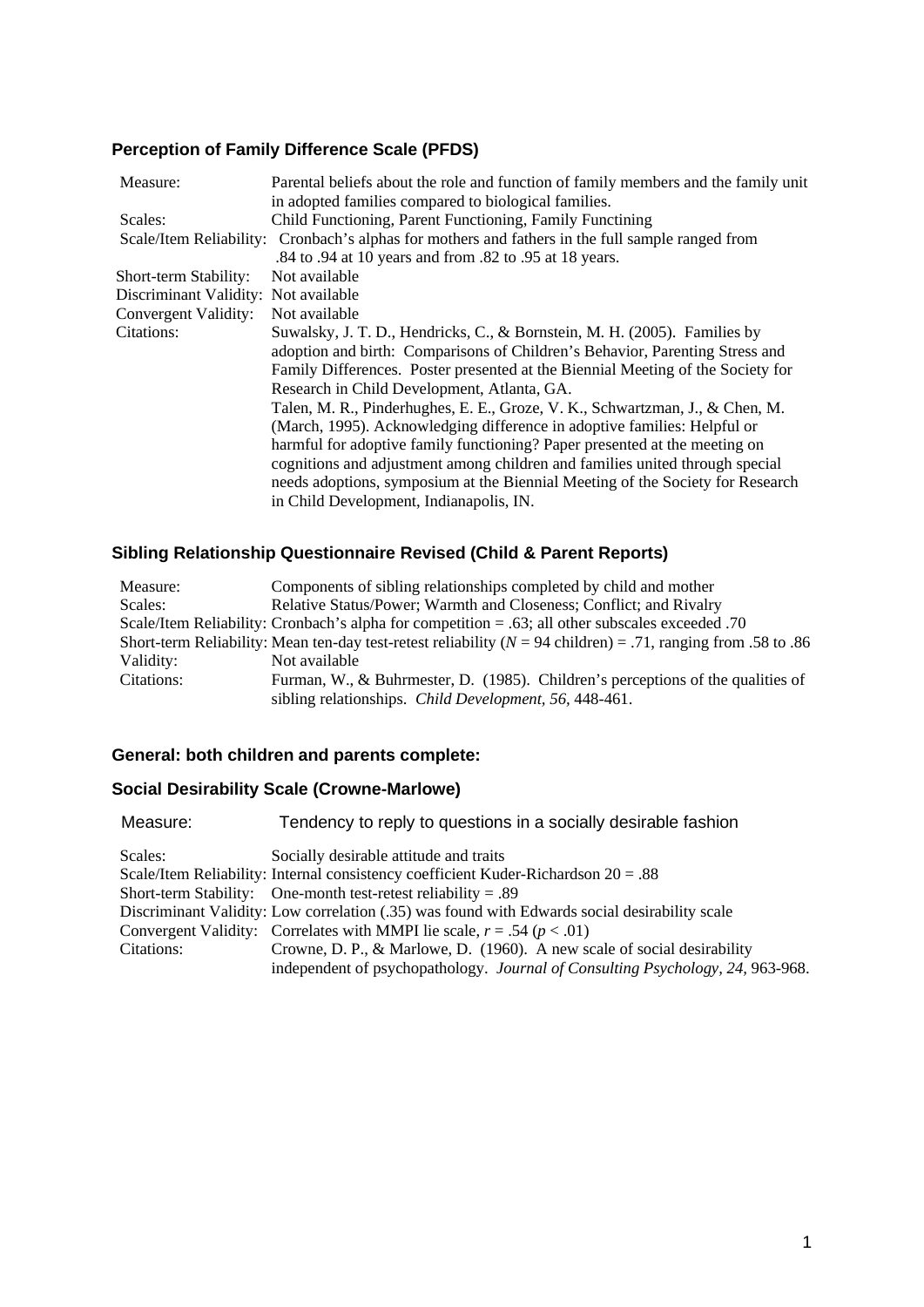# **Perception of Family Difference Scale (PFDS)**

| Measure:                             | Parental beliefs about the role and function of family members and the family unit               |
|--------------------------------------|--------------------------------------------------------------------------------------------------|
|                                      | in adopted families compared to biological families.                                             |
| Scales:                              | Child Functioning, Parent Functioning, Family Functining                                         |
|                                      | Scale/Item Reliability: Cronbach's alphas for mothers and fathers in the full sample ranged from |
|                                      | .84 to .94 at 10 years and from .82 to .95 at 18 years.                                          |
| Short-term Stability:                | Not available                                                                                    |
| Discriminant Validity: Not available |                                                                                                  |
| Convergent Validity:                 | Not available                                                                                    |
| Citations:                           | Suwalsky, J. T. D., Hendricks, C., & Bornstein, M. H. (2005). Families by                        |
|                                      | adoption and birth: Comparisons of Children's Behavior, Parenting Stress and                     |
|                                      | Family Differences. Poster presented at the Biennial Meeting of the Society for                  |
|                                      | Research in Child Development, Atlanta, GA.                                                      |
|                                      | Talen, M. R., Pinderhughes, E. E., Groze, V. K., Schwartzman, J., & Chen, M.                     |
|                                      | (March, 1995). Acknowledging difference in adoptive families: Helpful or                         |
|                                      | harmful for adoptive family functioning? Paper presented at the meeting on                       |
|                                      | cognitions and adjustment among children and families united through special                     |
|                                      | needs adoptions, symposium at the Biennial Meeting of the Society for Research                   |
|                                      | in Child Development, Indianapolis, IN.                                                          |
|                                      |                                                                                                  |

## **Sibling Relationship Questionnaire Revised (Child & Parent Reports)**

| Measure:   | Components of sibling relationships completed by child and mother                                                |
|------------|------------------------------------------------------------------------------------------------------------------|
| Scales:    | Relative Status/Power; Warmth and Closeness; Conflict; and Rivalry                                               |
|            | Scale/Item Reliability: Cronbach's alpha for competition $= .63$ ; all other subscales exceeded .70              |
|            | Short-term Reliability: Mean ten-day test-retest reliability ( $N = 94$ children) = .71, ranging from .58 to .86 |
| Validity:  | Not available                                                                                                    |
| Citations: | Furman, W., & Buhrmester, D. (1985). Children's perceptions of the qualities of                                  |
|            | sibling relationships. Child Development, 56, 448-461.                                                           |

#### **General: both children and parents complete:**

## **Social Desirability Scale (Crowne-Marlowe)**

| Measure:   | Tendency to reply to questions in a socially desirable fashion                                |
|------------|-----------------------------------------------------------------------------------------------|
| Scales:    | Socially desirable attitude and traits                                                        |
|            | Scale/Item Reliability: Internal consistency coefficient Kuder-Richardson $20 = .88$          |
|            | Short-term Stability: One-month test-retest reliability = .89                                 |
|            | Discriminant Validity: Low correlation (.35) was found with Edwards social desirability scale |
|            | Convergent Validity: Correlates with MMPI lie scale, $r = .54$ ( $p < .01$ )                  |
| Citations: | Crowne, D. P., & Marlowe, D. (1960). A new scale of social desirability                       |
|            | independent of psychopathology. Journal of Consulting Psychology, 24, 963-968.                |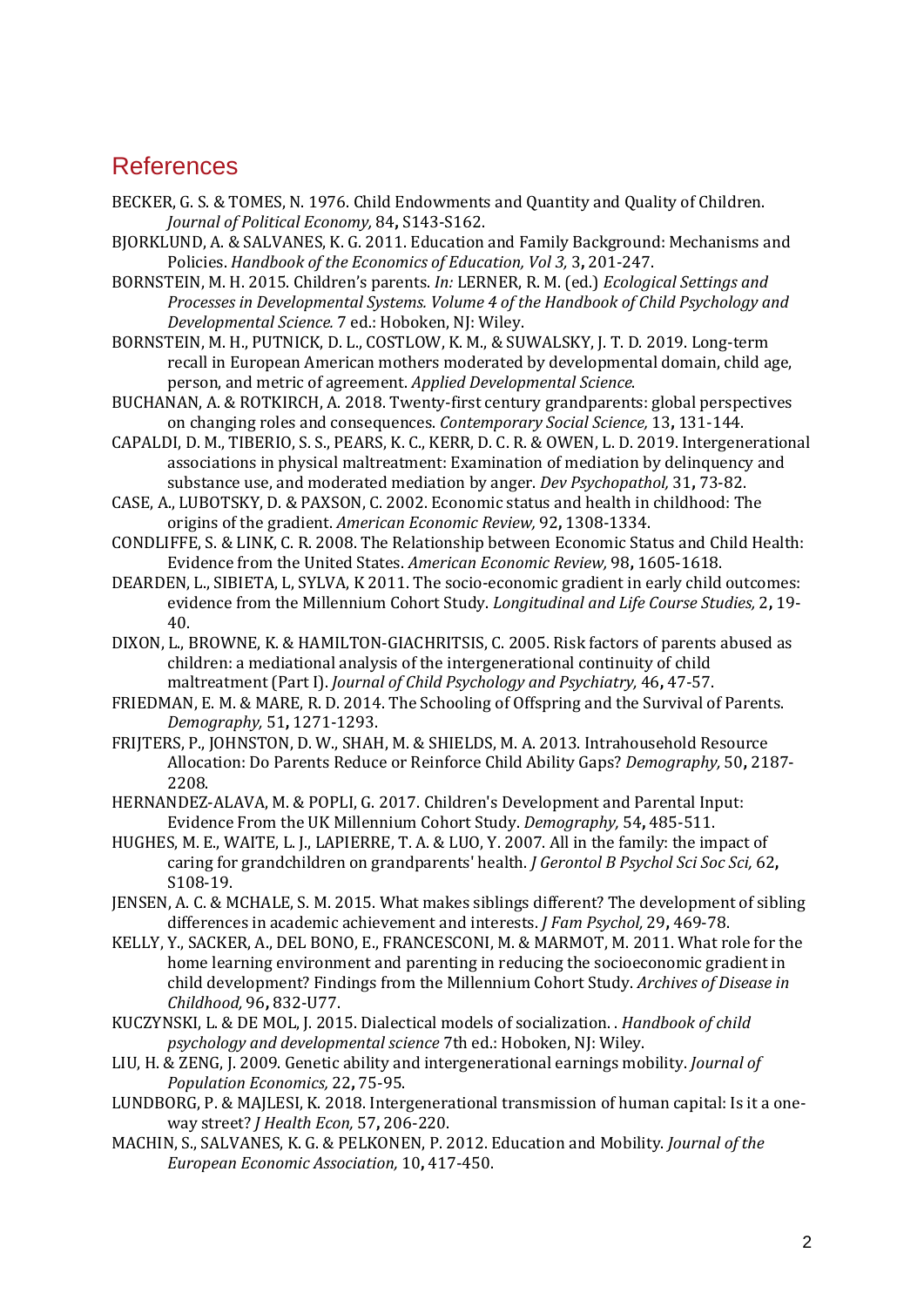# References

- BECKER, G. S. & TOMES, N. 1976. Child Endowments and Quantity and Quality of Children. *Journal of Political Economy,* 84**,** S143-S162.
- BJORKLUND, A. & SALVANES, K. G. 2011. Education and Family Background: Mechanisms and Policies. *Handbook of the Economics of Education, Vol 3,* 3**,** 201-247.
- BORNSTEIN, M. H. 2015. Children's parents. *In:* LERNER, R. M. (ed.) *Ecological Settings and Processes in Developmental Systems. Volume 4 of the Handbook of Child Psychology and Developmental Science.* 7 ed.: Hoboken, NJ: Wiley.
- BORNSTEIN, M. H., PUTNICK, D. L., COSTLOW, K. M., & SUWALSKY, J. T. D. 2019. Long-term recall in European American mothers moderated by developmental domain, child age, person, and metric of agreement. *Applied Developmental Science*.
- BUCHANAN, A. & ROTKIRCH, A. 2018. Twenty-first century grandparents: global perspectives on changing roles and consequences. *Contemporary Social Science,* 13**,** 131-144.
- CAPALDI, D. M., TIBERIO, S. S., PEARS, K. C., KERR, D. C. R. & OWEN, L. D. 2019. Intergenerational associations in physical maltreatment: Examination of mediation by delinquency and substance use, and moderated mediation by anger. *Dev Psychopathol,* 31**,** 73-82.
- CASE, A., LUBOTSKY, D. & PAXSON, C. 2002. Economic status and health in childhood: The origins of the gradient. *American Economic Review,* 92**,** 1308-1334.
- CONDLIFFE, S. & LINK, C. R. 2008. The Relationship between Economic Status and Child Health: Evidence from the United States. *American Economic Review,* 98**,** 1605-1618.
- DEARDEN, L., SIBIETA, L, SYLVA, K 2011. The socio-economic gradient in early child outcomes: evidence from the Millennium Cohort Study. *Longitudinal and Life Course Studies,* 2**,** 19- 40.
- DIXON, L., BROWNE, K. & HAMILTON-GIACHRITSIS, C. 2005. Risk factors of parents abused as children: a mediational analysis of the intergenerational continuity of child maltreatment (Part I). *Journal of Child Psychology and Psychiatry,* 46**,** 47-57.
- FRIEDMAN, E. M. & MARE, R. D. 2014. The Schooling of Offspring and the Survival of Parents. *Demography,* 51**,** 1271-1293.
- FRIJTERS, P., JOHNSTON, D. W., SHAH, M. & SHIELDS, M. A. 2013. Intrahousehold Resource Allocation: Do Parents Reduce or Reinforce Child Ability Gaps? *Demography,* 50**,** 2187- 2208.
- HERNANDEZ-ALAVA, M. & POPLI, G. 2017. Children's Development and Parental Input: Evidence From the UK Millennium Cohort Study. *Demography,* 54**,** 485-511.
- HUGHES, M. E., WAITE, L. J., LAPIERRE, T. A. & LUO, Y. 2007. All in the family: the impact of caring for grandchildren on grandparents' health. *J Gerontol B Psychol Sci Soc Sci,* 62**,** S108-19.
- JENSEN, A. C. & MCHALE, S. M. 2015. What makes siblings different? The development of sibling differences in academic achievement and interests. *J Fam Psychol,* 29**,** 469-78.
- KELLY, Y., SACKER, A., DEL BONO, E., FRANCESCONI, M. & MARMOT, M. 2011. What role for the home learning environment and parenting in reducing the socioeconomic gradient in child development? Findings from the Millennium Cohort Study. *Archives of Disease in Childhood,* 96**,** 832-U77.
- KUCZYNSKI, L. & DE MOL, J. 2015. Dialectical models of socialization. . *Handbook of child psychology and developmental science* 7th ed.: Hoboken, NJ: Wiley.
- LIU, H. & ZENG, J. 2009. Genetic ability and intergenerational earnings mobility. *Journal of Population Economics,* 22**,** 75-95.
- LUNDBORG, P. & MAJLESI, K. 2018. Intergenerational transmission of human capital: Is it a oneway street? *J Health Econ,* 57**,** 206-220.
- MACHIN, S., SALVANES, K. G. & PELKONEN, P. 2012. Education and Mobility. *Journal of the European Economic Association,* 10**,** 417-450.